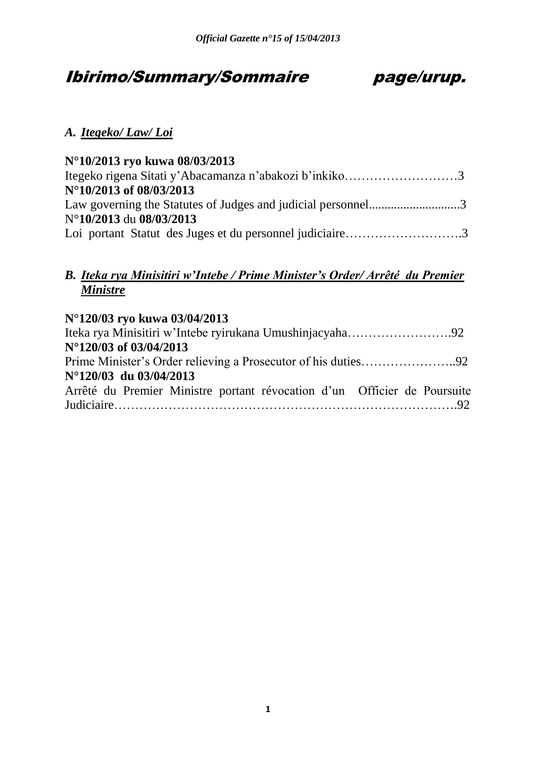# Ibirimo/Summary/Sommaire page/urup.



# *A. Itegeko/ Law/ Loi*

| N°10/2013 ryo kuwa 08/03/2013                                |  |
|--------------------------------------------------------------|--|
| Itegeko rigena Sitati y'Abacamanza n'abakozi b'inkiko3       |  |
| N°10/2013 of 08/03/2013                                      |  |
| Law governing the Statutes of Judges and judicial personnel3 |  |
| N°10/2013 du 08/03/2013                                      |  |
| Loi portant Statut des Juges et du personnel judiciaire3     |  |

# *B. Iteka rya Minisitiri w'Intebe / Prime Minister's Order/ Arrêté du Premier Ministre*

| N°120/03 ryo kuwa 03/04/2013                                             |  |
|--------------------------------------------------------------------------|--|
|                                                                          |  |
| N°120/03 of 03/04/2013                                                   |  |
|                                                                          |  |
| $N^{\circ}120/03$ du 03/04/2013                                          |  |
| Arrêté du Premier Ministre portant révocation d'un Officier de Poursuite |  |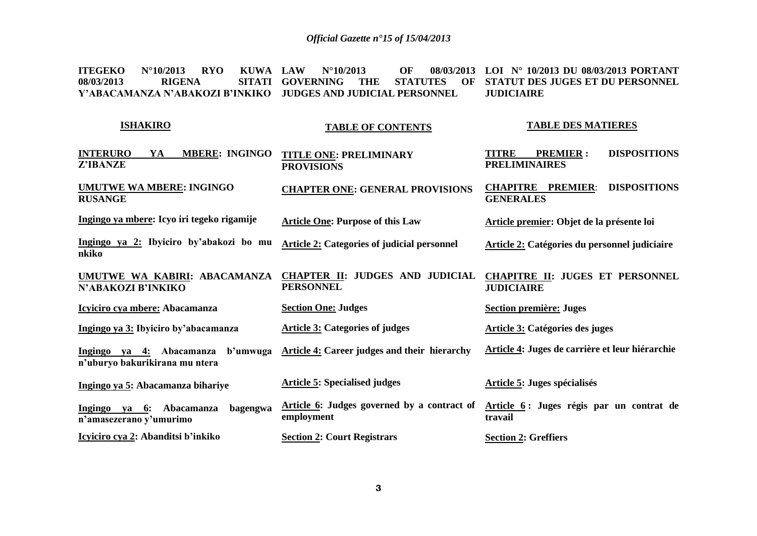**ITEGEKO N°10/2013 RYO KUWA 08/03/2013 RIGENA Y'ABACAMANZA N'ABAKOZI B'INKIKO JUDGES AND JUDICIAL PERSONNEL LAW N°10/2013 OF 08/03/2013 LOI N° 10/2013 DU 08/03/2013 PORTANT SITATI GOVERNING THE STATUTES STATUT DES JUGES ET DU PERSONNEL JUDICIAIRE**

#### **ISHAKIRO [INTERURO YA](http://www.amategeko.net/display_rubrique.php?ActDo=all&Information_ID=3&Parent_ID=15&type=public&Langue_ID=Rw&rubID=30693702#a30693704) MBERE: INGINGO [Z'IBANZE](http://www.amategeko.net/display_rubrique.php?ActDo=all&Information_ID=3&Parent_ID=15&type=public&Langue_ID=Rw&rubID=30693702#a30693704)  [UMUTWE WA MBERE: INGINGO](http://www.amategeko.net/display_rubrique.php?ActDo=all&Information_ID=3&Parent_ID=15&type=public&Langue_ID=Rw&rubID=30693702#a30693704)  [RUSANGE](http://www.amategeko.net/display_rubrique.php?ActDo=all&Information_ID=3&Parent_ID=15&type=public&Langue_ID=Rw&rubID=30693702#a30693704) Ingingo ya mbere: Icyo iri tegeko rigamije Ingingo ya 2: Ibyiciro by'abakozi bo mu nkiko UMUTWE WA KABIRI: ABACAMANZA N'ABAKOZI B'INKIKO Icyiciro cya mbere: Abacamanza Ingingo ya 3: Ibyiciro by'abacamanza Ingingo ya 4: Abacamanza b'umwuga n'uburyo bakurikirana mu ntera Ingingo ya 5: Abacamanza bihariye Ingingo ya 6: Abacamanza bagengwa n'amasezerano y'umurimo Icyiciro cya 2: Abanditsi b'inkiko TABLE OF CONTENTS TITLE ONE: [PRELIMINARY](http://www.amategeko.net/display_rubrique.php?ActDo=all&Information_ID=2&Parent_ID=9&type=public&Langue_ID=An&rubID=30692036#a30692038)  [PROVISIONS](http://www.amategeko.net/display_rubrique.php?ActDo=all&Information_ID=2&Parent_ID=9&type=public&Langue_ID=An&rubID=30692036#a30692038) [CHAPTER ONE: GENERAL PROVISIONS](http://www.amategeko.net/display_rubrique.php?ActDo=all&Information_ID=2&Parent_ID=9&type=public&Langue_ID=An&rubID=30692036#a30692038) Article One: Purpose of this Law Article 2: Categories of judicial personnel CHAPTER II: JUDGES AND JUDICIAL PERSONNEL Section One: Judges Article 3: Categories of judges Article 4: Career judges and their hierarchy Article 5: Specialised judges Article 6: Judges governed by a contract of employment Section 2: Court Registrars TABLE DES MATIERES TITRE PREMIER : DISPOSITIONS PRELIMINAIRES CHAPITRE PREMIER**: **DISPOSITIONS GENERALES Article premier: Objet de la présente loi Article 2: Catégories du personnel judiciaire CHAPITRE II: JUGES ET PERSONNEL JUDICIAIRE Section première: Juges Article 3: Catégories des juges Article 4: Juges de carrière et leur hiérarchie Article 5: Juges spécialisés Article 6 : Juges régis par un contrat de travail Section 2: Greffiers**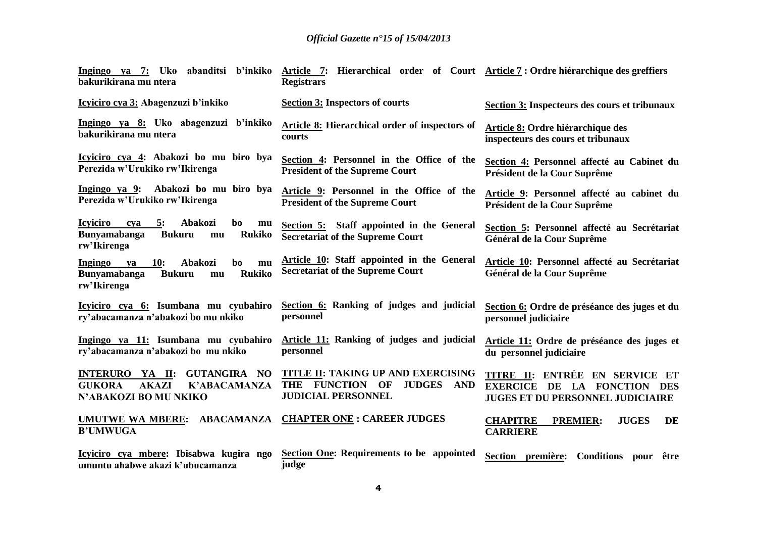| bakurikirana mu ntera                                                                                                             | Ingingo ya 7: Uko abanditsi b'inkiko Article 7: Hierarchical order of Court Article 7: Ordre hiérarchique des greffiers<br><b>Registrars</b> |                                                                                                                    |
|-----------------------------------------------------------------------------------------------------------------------------------|----------------------------------------------------------------------------------------------------------------------------------------------|--------------------------------------------------------------------------------------------------------------------|
| Icyiciro cya 3: Abagenzuzi b'inkiko                                                                                               | <b>Section 3: Inspectors of courts</b>                                                                                                       | Section 3: Inspecteurs des cours et tribunaux                                                                      |
| Ingingo ya 8: Uko abagenzuzi b'inkiko<br>bakurikirana mu ntera                                                                    | Article 8: Hierarchical order of inspectors of<br>courts                                                                                     | <b>Article 8: Ordre hiérarchique des</b><br>inspecteurs des cours et tribunaux                                     |
| Icyiciro cya 4: Abakozi bo mu biro bya<br>Perezida w'Urukiko rw'Ikirenga                                                          | Section 4: Personnel in the Office of the<br><b>President of the Supreme Court</b>                                                           | Section 4: Personnel affecté au Cabinet du<br>Président de la Cour Suprême                                         |
| Ingingo ya 9: Abakozi bo mu biro bya<br>Perezida w'Urukiko rw'Ikirenga                                                            | Article 9: Personnel in the Office of the<br><b>President of the Supreme Court</b>                                                           | Article 9: Personnel affecté au cabinet du<br>Président de la Cour Suprême                                         |
| <b>Icyiciro</b><br>5:<br>Abakozi<br>bo<br>cya<br>mu<br><b>Bunyamabanga</b><br><b>Bukuru</b><br><b>Rukiko</b><br>mu<br>rw'Ikirenga | Section 5: Staff appointed in the General<br><b>Secretariat of the Supreme Court</b>                                                         | Section 5: Personnel affecté au Secrétariat<br>Général de la Cour Suprême                                          |
| <b>Ingingo</b><br>10:<br>Abakozi<br>bo<br>ya<br>mu<br><b>Bunyamabanga</b><br><b>Rukiko</b><br><b>Bukuru</b><br>mu<br>rw'Ikirenga  | Article 10: Staff appointed in the General<br><b>Secretariat of the Supreme Court</b>                                                        | Article 10: Personnel affecté au Secrétariat<br>Général de la Cour Suprême                                         |
| Icyiciro cya 6: Isumbana mu cyubahiro<br>ry'abacamanza n'abakozi bo mu nkiko                                                      | Section 6: Ranking of judges and judicial<br>personnel                                                                                       | Section 6: Ordre de préséance des juges et du<br>personnel judiciaire                                              |
| Ingingo ya 11: Isumbana mu cyubahiro<br>ry'abacamanza n'abakozi bo mu nkiko                                                       | <b>Article 11: Ranking of judges and judicial</b><br>personnel                                                                               | Article 11: Ordre de préséance des juges et<br>du personnel judiciaire                                             |
| <b>INTERURO YA II:</b><br><b>GUTANGIRA NO</b><br><b>GUKORA</b><br><b>AKAZI</b><br><b>K'ABACAMANZA</b><br>N'ABAKOZI BO MU NKIKO    | TITLE II: TAKING UP AND EXERCISING<br>THE FUNCTION<br><b>JUDGES</b><br>OF<br><b>AND</b><br><b>JUDICIAL PERSONNEL</b>                         | TITRE II: ENTRÉE EN SERVICE ET<br>EXERCICE DE LA FONCTION<br><b>DES</b><br><b>JUGES ET DU PERSONNEL JUDICIAIRE</b> |
| <b>UMUTWE WA MBERE:</b><br><b>B'UMWUGA</b>                                                                                        | <b>ABACAMANZA CHAPTER ONE: CAREER JUDGES</b>                                                                                                 | <b>CHAPITRE</b><br><b>PREMIER:</b><br><b>JUGES</b><br>DE<br><b>CARRIERE</b>                                        |
| Icyiciro cya mbere: Ibisabwa kugira ngo<br>umuntu ahabwe akazi k'ubucamanza                                                       | <b>Section One: Requirements to be appointed</b><br>judge                                                                                    | <b>Conditions</b> pour<br>Section première:<br>être                                                                |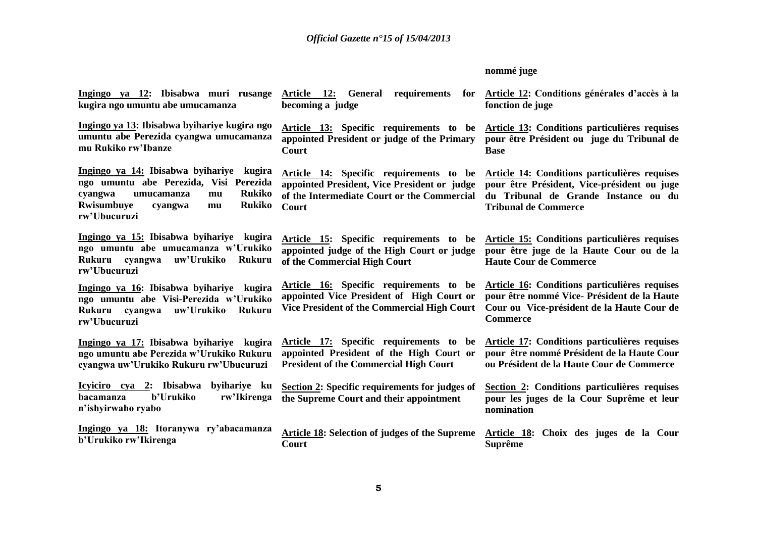# **nommé juge**

| Ingingo ya 12: Ibisabwa muri rusange<br>kugira ngo umuntu abe umucamanza                                                                                                                              | Article 12: General requirements for Article 12: Conditions générales d'accès à la<br>becoming a judge                                          | fonction de juge                                                                                                                                                    |
|-------------------------------------------------------------------------------------------------------------------------------------------------------------------------------------------------------|-------------------------------------------------------------------------------------------------------------------------------------------------|---------------------------------------------------------------------------------------------------------------------------------------------------------------------|
| Ingingo ya 13: Ibisabwa byihariye kugira ngo<br>umuntu abe Perezida cyangwa umucamanza<br>mu Rukiko rw'Ibanze                                                                                         | Article 13: Specific requirements to be<br>appointed President or judge of the Primary<br>Court                                                 | <b>Article 13: Conditions particulières requises</b><br>pour être Président ou juge du Tribunal de<br><b>Base</b>                                                   |
| Ingingo ya 14: Ibisabwa byihariye<br>kugira<br>ngo umuntu abe Perezida, Visi Perezida<br><b>Rukiko</b><br>cyangwa<br>umucamanza<br>mu<br><b>Rukiko</b><br>Rwisumbuye<br>cyangwa<br>mu<br>rw'Ubucuruzi | Article 14: Specific requirements to be<br>appointed President, Vice President or judge<br>of the Intermediate Court or the Commercial<br>Court | Article 14: Conditions particulières requises<br>pour être Président, Vice-président ou juge<br>du Tribunal de Grande Instance ou du<br><b>Tribunal de Commerce</b> |
| Ingingo ya 15: Ibisabwa byihariye kugira<br>ngo umuntu abe umucamanza w'Urukiko<br>uw'Urukiko<br>Rukuru cyangwa<br><b>Rukuru</b><br>rw'Ubucuruzi                                                      | Article 15: Specific requirements to be<br>appointed judge of the High Court or judge<br>of the Commercial High Court                           | Article 15: Conditions particulières requises<br>pour être juge de la Haute Cour ou de la<br><b>Haute Cour de Commerce</b>                                          |
| Ingingo ya 16: Ibisabwa byihariye kugira<br>ngo umuntu abe Visi-Perezida w'Urukiko<br>uw'Urukiko<br>Rukuru cyangwa<br><b>Rukuru</b><br>rw'Ubucuruzi                                                   | Article 16: Specific requirements to be<br>appointed Vice President of High Court or<br>Vice President of the Commercial High Court             | Article 16: Conditions particulières requises<br>pour être nommé Vice-Président de la Haute<br>Cour ou Vice-président de la Haute Cour de<br><b>Commerce</b>        |
| Ingingo ya 17: Ibisabwa byihariye kugira<br>ngo umuntu abe Perezida w'Urukiko Rukuru<br>cyangwa uw'Urukiko Rukuru rw'Ubucuruzi                                                                        | Article 17: Specific requirements to be<br>appointed President of the High Court or<br><b>President of the Commercial High Court</b>            | <b>Article 17: Conditions particulières requises</b><br>pour être nommé Président de la Haute Cour<br>ou Président de la Haute Cour de Commerce                     |
| <u>Icyiciro cya 2:</u> Ibisabwa<br>byihariye ku<br>b'Urukiko<br>rw'Ikirenga<br>bacamanza<br>n'ishyirwaho ryabo                                                                                        | Section 2: Specific requirements for judges of<br>the Supreme Court and their appointment                                                       | Section 2: Conditions particulières requises<br>pour les juges de la Cour Suprême et leur<br>nomination                                                             |
| Ingingo ya 18: Itoranywa ry'abacamanza<br>b'Urukiko rw'Ikirenga                                                                                                                                       | <b>Article 18: Selection of judges of the Supreme</b><br>Court                                                                                  | Article 18: Choix des juges de la Cour<br><b>Suprême</b>                                                                                                            |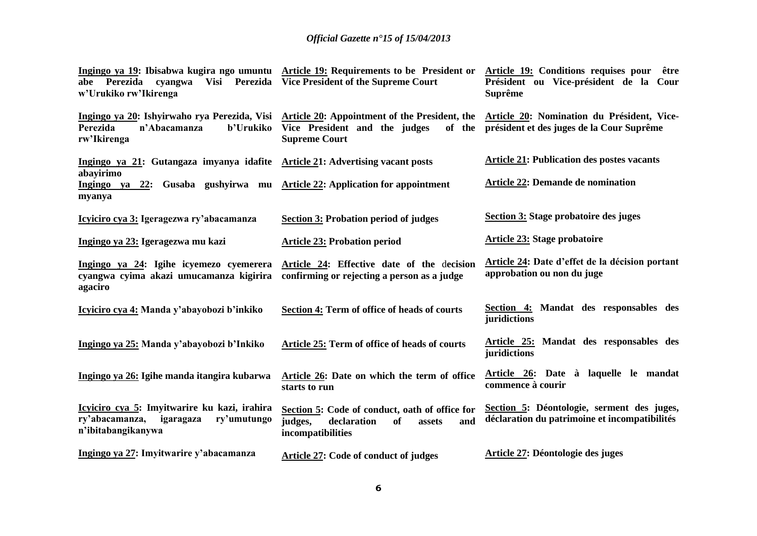| abe Perezida cyangwa<br>w'Urukiko rw'Ikirenga                                                                    | Ingingo ya 19: Ibisabwa kugira ngo umuntu Article 19: Requirements to be President or<br>Visi Perezida Vice President of the Supreme Court                                                     | Article 19: Conditions requises pour être<br>Président ou Vice-président de la Cour<br><b>Suprême</b> |
|------------------------------------------------------------------------------------------------------------------|------------------------------------------------------------------------------------------------------------------------------------------------------------------------------------------------|-------------------------------------------------------------------------------------------------------|
| Perezida<br>n'Abacamanza<br>b'Urukiko<br>rw'Ikirenga                                                             | Ingingo ya 20: Ishyirwaho rya Perezida, Visi Article 20: Appointment of the President, the Article 20: Nomination du Président, Vice-<br>Vice President and the judges<br><b>Supreme Court</b> | of the président et des juges de la Cour Suprême                                                      |
| Ingingo ya 21: Gutangaza imyanya idafite Article 21: Advertising vacant posts                                    |                                                                                                                                                                                                | <b>Article 21: Publication des postes vacants</b>                                                     |
| abayirimo<br>Ingingo ya 22: Gusaba gushyirwa mu Article 22: Application for appointment<br>myanya                |                                                                                                                                                                                                | <b>Article 22: Demande de nomination</b>                                                              |
| Icyiciro cya 3: Igeragezwa ry'abacamanza                                                                         | <b>Section 3: Probation period of judges</b>                                                                                                                                                   | Section 3: Stage probatoire des juges                                                                 |
| Ingingo ya 23: Igeragezwa mu kazi                                                                                | <b>Article 23: Probation period</b>                                                                                                                                                            | Article 23: Stage probatoire                                                                          |
| Ingingo ya 24: Igihe icyemezo cyemerera<br>cyangwa cyima akazi umucamanza kigirira<br>agaciro                    | Article 24: Effective date of the decision<br>confirming or rejecting a person as a judge                                                                                                      | Article 24: Date d'effet de la décision portant<br>approbation ou non du juge                         |
| Icyiciro cya 4: Manda y'abayobozi b'inkiko                                                                       | Section 4: Term of office of heads of courts                                                                                                                                                   | Section 4: Mandat des responsables des<br>juridictions                                                |
| Ingingo ya 25: Manda y'abayobozi b'Inkiko                                                                        | Article 25: Term of office of heads of courts                                                                                                                                                  | Article 25: Mandat des responsables des<br>juridictions                                               |
| Ingingo ya 26: Igihe manda itangira kubarwa                                                                      | Article 26: Date on which the term of office<br>starts to run                                                                                                                                  | Article 26: Date à laquelle le mandat<br>commence à courir                                            |
| Icyiciro cya 5: Imyitwarire ku kazi, irahira<br>ry'abacamanza,<br>igaragaza<br>ry'umutungo<br>n'ibitabangikanywa | Section 5: Code of conduct, oath of office for<br>and<br>judges,<br>declaration<br>of<br>assets<br>incompatibilities                                                                           | Section 5: Déontologie, serment des juges,<br>déclaration du patrimoine et incompatibilités           |
| Ingingo ya 27: Imyitwarire y'abacamanza                                                                          | Article 27: Code of conduct of judges                                                                                                                                                          | Article 27: Déontologie des juges                                                                     |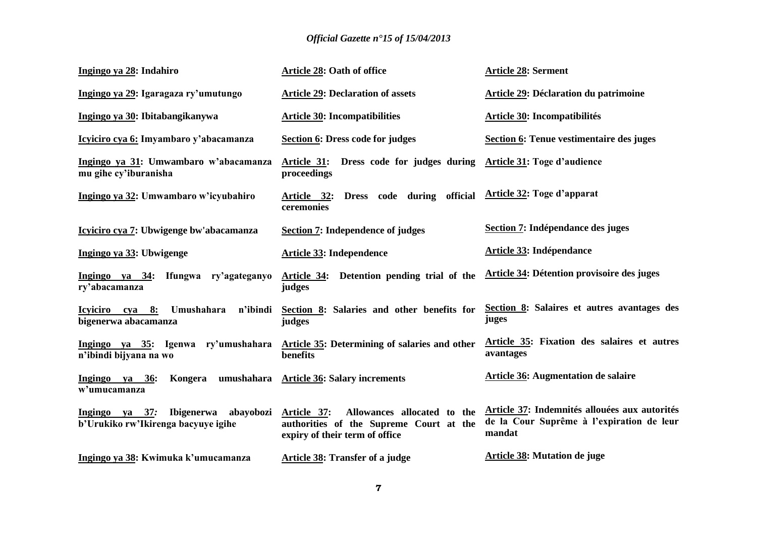| Ingingo ya 28: Indahiro                                                    | <b>Article 28: Oath of office</b>                                                                                                 | <b>Article 28: Serment</b>                                                                           |
|----------------------------------------------------------------------------|-----------------------------------------------------------------------------------------------------------------------------------|------------------------------------------------------------------------------------------------------|
| Ingingo ya 29: Igaragaza ry'umutungo                                       | <b>Article 29: Declaration of assets</b>                                                                                          | <b>Article 29: Déclaration du patrimoine</b>                                                         |
| Ingingo ya 30: Ibitabangikanywa                                            | <b>Article 30: Incompatibilities</b>                                                                                              | Article 30: Incompatibilités                                                                         |
| Icyiciro cya 6: Imyambaro y'abacamanza                                     | Section 6: Dress code for judges                                                                                                  | Section 6: Tenue vestimentaire des juges                                                             |
| Ingingo ya 31: Umwambaro w'abacamanza<br>mu gihe cy'iburanisha             | Article 31: Dress code for judges during<br>proceedings                                                                           | Article 31: Toge d'audience                                                                          |
| Ingingo ya 32: Umwambaro w'icyubahiro                                      | Dress code during official<br>Article 32:<br>ceremonies                                                                           | <b>Article 32: Toge d'apparat</b>                                                                    |
| Icyiciro cya 7: Ubwigenge bw'abacamanza                                    | <b>Section 7: Independence of judges</b>                                                                                          | Section 7: Indépendance des juges                                                                    |
| Ingingo ya 33: Ubwigenge                                                   | <b>Article 33: Independence</b>                                                                                                   | <b>Article 33: Indépendance</b>                                                                      |
| Ingingo ya 34: Ifungwa ry'agateganyo<br>ry'abacamanza                      | Article 34: Detention pending trial of the<br>judges                                                                              | <b>Article 34: Détention provisoire des juges</b>                                                    |
| Icyiciro cya 8:<br>Umushahara<br>n'ibindi<br>bigenerwa abacamanza          | Section 8: Salaries and other benefits for<br>judges                                                                              | Section 8: Salaires et autres avantages des<br>juges                                                 |
| n'ibindi bijyana na wo                                                     | Ingingo ya 35: Igenwa ry'umushahara Article 35: Determining of salaries and other<br>benefits                                     | Article 35: Fixation des salaires et autres<br>avantages                                             |
| Ingingo ya 36:<br>Kongera<br>w'umucamanza                                  | umushahara Article 36: Salary increments                                                                                          | <b>Article 36: Augmentation de salaire</b>                                                           |
| Ingingo ya 37:<br><b>Ibigenerwa</b><br>b'Urukiko rw'Ikirenga bacyuye igihe | Allowances allocated to the<br>abayobozi Article 37:<br>authorities of the Supreme Court at the<br>expiry of their term of office | Article 37: Indemnités allouées aux autorités<br>de la Cour Suprême à l'expiration de leur<br>mandat |
| Ingingo ya 38: Kwimuka k'umucamanza                                        | <b>Article 38: Transfer of a judge</b>                                                                                            | <b>Article 38: Mutation de juge</b>                                                                  |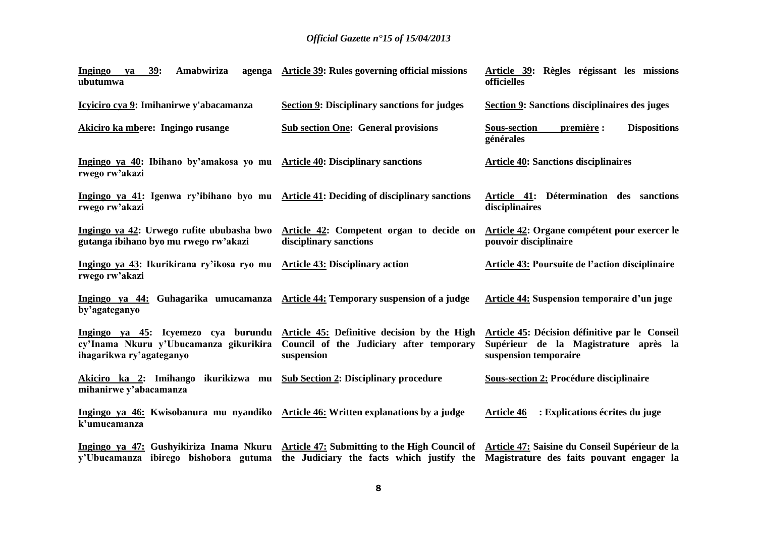| Amabwiriza<br>39:<br>Ingingo<br>agenga<br>ya<br>ubutumwa                                           | Article 39: Rules governing official missions                                                                                             | Article 39: Règles régissant les missions<br>officielles                                                         |
|----------------------------------------------------------------------------------------------------|-------------------------------------------------------------------------------------------------------------------------------------------|------------------------------------------------------------------------------------------------------------------|
| Icyiciro cya 9: Imihanirwe y'abacamanza                                                            | <b>Section 9: Disciplinary sanctions for judges</b>                                                                                       | Section 9: Sanctions disciplinaires des juges                                                                    |
| Akiciro ka mbere: Ingingo rusange                                                                  | <b>Sub section One: General provisions</b>                                                                                                | <b>Sous-section</b><br>première :<br><b>Dispositions</b><br>générales                                            |
| Ingingo ya 40: Ibihano by'amakosa yo mu Article 40: Disciplinary sanctions<br>rwego rw'akazi       |                                                                                                                                           | <b>Article 40: Sanctions disciplinaires</b>                                                                      |
| rwego rw'akazi                                                                                     | Ingingo ya 41: Igenwa ry'ibihano byo mu Article 41: Deciding of disciplinary sanctions                                                    | Article 41: Détermination des sanctions<br>disciplinaires                                                        |
| Ingingo ya 42: Urwego rufite ububasha bwo<br>gutanga ibihano byo mu rwego rw'akazi                 | Article 42: Competent organ to decide on<br>disciplinary sanctions                                                                        | Article 42: Organe compétent pour exercer le<br>pouvoir disciplinaire                                            |
| Ingingo ya 43: Ikurikirana ry'ikosa ryo mu<br>rwego rw'akazi                                       | <b>Article 43: Disciplinary action</b>                                                                                                    | <b>Article 43: Poursuite de l'action disciplinaire</b>                                                           |
| Ingingo ya 44: Guhagarika umucamanza Article 44: Temporary suspension of a judge<br>by'agateganyo  |                                                                                                                                           | <b>Article 44: Suspension temporaire d'un juge</b>                                                               |
| cy'Inama Nkuru y'Ubucamanza gikurikira<br>ihagarikwa ry'agateganyo                                 | Ingingo ya 45: Icyemezo cya burundu Article 45: Definitive decision by the High<br>Council of the Judiciary after temporary<br>suspension | Article 45: Décision définitive par le Conseil<br>Supérieur de la Magistrature après la<br>suspension temporaire |
| Akiciro ka 2: Imihango ikurikizwa mu<br>mihanirwe y'abacamanza                                     | <b>Sub Section 2: Disciplinary procedure</b>                                                                                              | <b>Sous-section 2: Procédure disciplinaire</b>                                                                   |
| Ingingo ya 46: Kwisobanura mu nyandiko Article 46: Written explanations by a judge<br>k'umucamanza |                                                                                                                                           | : Explications écrites du juge<br><b>Article 46</b>                                                              |
| y'Ubucamanza ibirego bishobora gutuma                                                              | Ingingo ya 47: Gushyikiriza Inama Nkuru Article 47: Submitting to the High Council of Article 47: Saisine du Conseil Supérieur de la      | the Judiciary the facts which justify the Magistrature des faits pouvant engager la                              |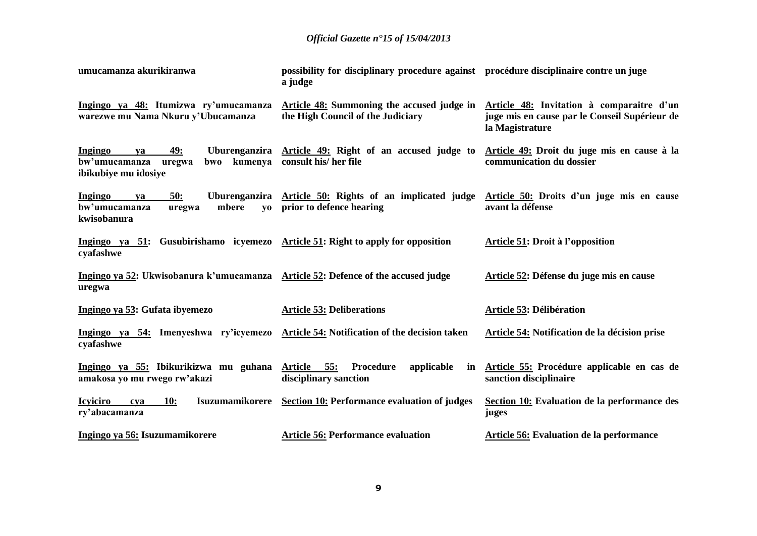| umucamanza akurikiranwa                                                                           | possibility for disciplinary procedure against procédure disciplinaire contre un juge<br>a judge |                                                                                                               |
|---------------------------------------------------------------------------------------------------|--------------------------------------------------------------------------------------------------|---------------------------------------------------------------------------------------------------------------|
| Ingingo ya 48: Itumizwa ry'umucamanza<br>warezwe mu Nama Nkuru y'Ubucamanza                       | Article 48: Summoning the accused judge in<br>the High Council of the Judiciary                  | Article 48: Invitation à comparaitre d'un<br>juge mis en cause par le Conseil Supérieur de<br>la Magistrature |
| 49:<br>Ingingo<br>ya<br>bw'umucamanza<br>uregwa<br>ibikubiye mu idosiye                           | Uburenganzira Article 49: Right of an accused judge to<br>bwo kumenya consult his/her file       | Article 49: Droit du juge mis en cause à la<br>communication du dossier                                       |
| Ingingo<br>50:<br>ya<br>bw'umucamanza<br>mbere<br>uregwa<br>kwisobanura                           | Uburenganzira Article 50: Rights of an implicated judge<br>yo prior to defence hearing           | Article 50: Droits d'un juge mis en cause<br>avant la défense                                                 |
| Ingingo ya 51: Gusubirishamo icyemezo Article 51: Right to apply for opposition<br>cyafashwe      |                                                                                                  | Article 51: Droit à l'opposition                                                                              |
| Ingingo ya 52: Ukwisobanura k'umucamanza Article 52: Defence of the accused judge<br>uregwa       |                                                                                                  | Article 52: Défense du juge mis en cause                                                                      |
| Ingingo ya 53: Gufata ibyemezo                                                                    | <b>Article 53: Deliberations</b>                                                                 | Article 53: Délibération                                                                                      |
| Ingingo ya 54: Imenyeshwa ry'icyemezo Article 54: Notification of the decision taken<br>cyafashwe |                                                                                                  | Article 54: Notification de la décision prise                                                                 |
| Ingingo ya 55: Ibikurikizwa mu guhana Article 55:<br>amakosa yo mu rwego rw'akazi                 | Procedure<br>applicable<br>in<br>disciplinary sanction                                           | Article 55: Procédure applicable en cas de<br>sanction disciplinaire                                          |
| Isuzumamikorere<br><b>Icyiciro</b><br>10:<br>cya<br>ry'abacamanza                                 | Section 10: Performance evaluation of judges                                                     | Section 10: Evaluation de la performance des<br>juges                                                         |
| Ingingo ya 56: Isuzumamikorere                                                                    | <b>Article 56: Performance evaluation</b>                                                        | Article 56: Evaluation de la performance                                                                      |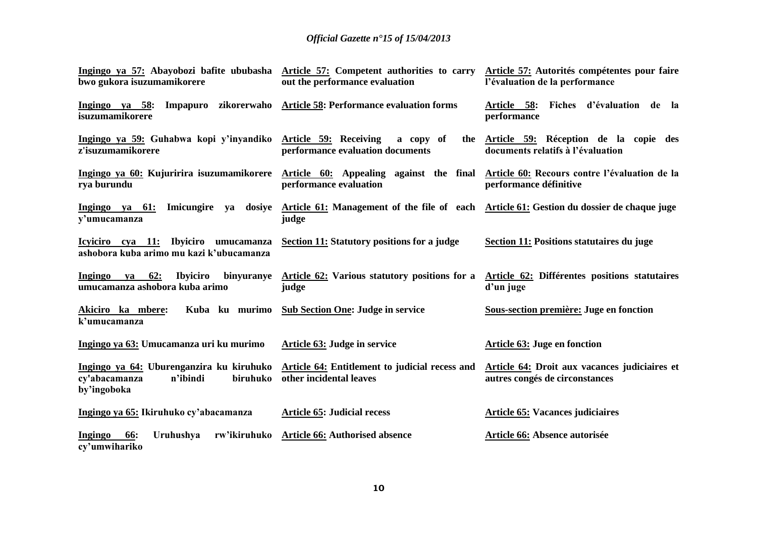| bwo gukora isuzumamikorere                                                         | Ingingo ya 57: Abayobozi bafite ububasha Article 57: Competent authorities to carry<br>out the performance evaluation                                     | Article 57: Autorités compétentes pour faire<br>l'évaluation de la performance  |
|------------------------------------------------------------------------------------|-----------------------------------------------------------------------------------------------------------------------------------------------------------|---------------------------------------------------------------------------------|
| Ingingo ya 58:<br>isuzumamikorere                                                  | Impapuro zikorerwaho Article 58: Performance evaluation forms                                                                                             | Article 58: Fiches d'évaluation de la<br>performance                            |
| Ingingo ya 59: Guhabwa kopi y'inyandiko Article 59: Receiving<br>z'isuzumamikorere | a copy of<br>the<br>performance evaluation documents                                                                                                      | Article 59: Réception de la copie des<br>documents relatifs à l'évaluation      |
| rya burundu                                                                        | Ingingo ya 60: Kujuririra isuzumamikorere Article 60: Appealing against the final Article 60: Recours contre l'évaluation de la<br>performance evaluation | performance définitive                                                          |
| y'umucamanza                                                                       | Ingingo ya 61: Imicungire ya dosiye Article 61: Management of the file of each Article 61: Gestion du dossier de chaque juge<br>judge                     |                                                                                 |
| Icyiciro cya 11: Ibyiciro umucamanza<br>ashobora kuba arimo mu kazi k'ubucamanza   | Section 11: Statutory positions for a judge                                                                                                               | Section 11: Positions statutaires du juge                                       |
| ya 62:<br><b>Ibyiciro</b><br>Ingingo<br>umucamanza ashobora kuba arimo             | binyuranye Article 62: Various statutory positions for a Article 62: Différentes positions statutaires<br>judge                                           | d'un juge                                                                       |
| Kuba ku murimo<br>Akiciro ka mbere:<br>k'umucamanza                                | <b>Sub Section One: Judge in service</b>                                                                                                                  | Sous-section première: Juge en fonction                                         |
| Ingingo ya 63: Umucamanza uri ku murimo                                            | Article 63: Judge in service                                                                                                                              | <b>Article 63: Juge en fonction</b>                                             |
| biruhuko<br>cy'abacamanza<br>n'ibindi<br>by'ingoboka                               | Ingingo ya 64: Uburenganzira ku kiruhuko Article 64: Entitlement to judicial recess and<br>other incidental leaves                                        | Article 64: Droit aux vacances judiciaires et<br>autres congés de circonstances |
| Ingingo ya 65: Ikiruhuko cy'abacamanza                                             | <b>Article 65: Judicial recess</b>                                                                                                                        | <b>Article 65: Vacances judiciaires</b>                                         |
| Uruhushya<br>Ingingo<br><u>66:</u><br>cy'umwihariko                                | rw'ikiruhuko Article 66: Authorised absence                                                                                                               | Article 66: Absence autorisée                                                   |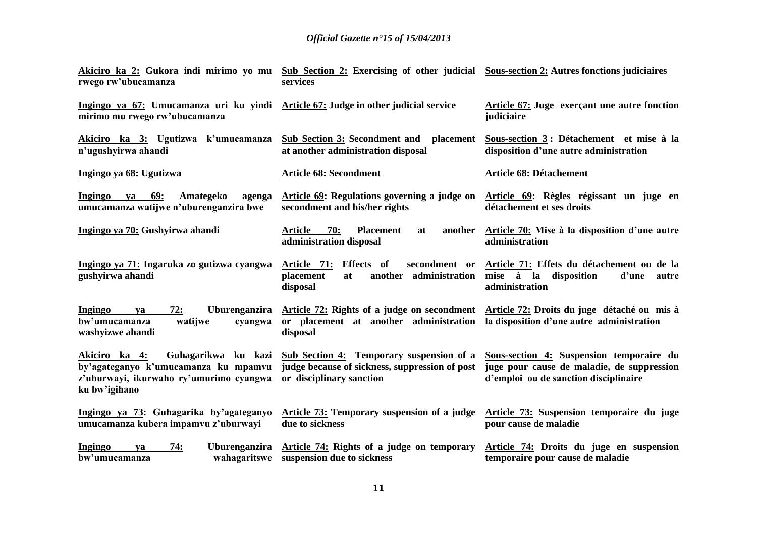| rwego rw'ubucamanza                                                                                                                      | <u>Akiciro ka 2:</u> Gukora indi mirimo yo mu Sub Section 2: Exercising of other judicial Sous-section 2: Autres fonctions judiciaires<br>services                                                   |                                                                                                                                              |
|------------------------------------------------------------------------------------------------------------------------------------------|------------------------------------------------------------------------------------------------------------------------------------------------------------------------------------------------------|----------------------------------------------------------------------------------------------------------------------------------------------|
| Ingingo ya 67: Umucamanza uri ku yindi Article 67: Judge in other judicial service<br>mirimo mu rwego rw'ubucamanza                      |                                                                                                                                                                                                      | Article 67: Juge exerçant une autre fonction<br>judiciaire                                                                                   |
| Akiciro ka 3: Ugutizwa k'umucamanza<br>n'ugushyirwa ahandi                                                                               | <b>Sub Section 3: Secondment and</b><br>placement<br>at another administration disposal                                                                                                              | Sous-section 3: Détachement et mise à la<br>disposition d'une autre administration                                                           |
| Ingingo ya 68: Ugutizwa                                                                                                                  | <b>Article 68: Secondment</b>                                                                                                                                                                        | Article 68: Détachement                                                                                                                      |
| <b>69:</b><br>Ingingo<br>Amategeko<br>ya<br>agenga<br>umucamanza watijwe n'uburenganzira bwe                                             | Article 69: Regulations governing a judge on Article 69: Règles régissant un juge en<br>secondment and his/her rights                                                                                | détachement et ses droits                                                                                                                    |
| Ingingo ya 70: Gushyirwa ahandi                                                                                                          | 70:<br><b>Article</b><br><b>Placement</b><br>another<br>at<br>administration disposal                                                                                                                | Article 70: Mise à la disposition d'une autre<br>administration                                                                              |
| Ingingo ya 71: Ingaruka zo gutizwa cyangwa<br>gushyirwa ahandi                                                                           | Article 71: Effects of<br>placement<br>at<br>disposal                                                                                                                                                | secondment or Article 71: Effets du détachement ou de la<br>another administration mise à la disposition<br>d'une<br>autre<br>administration |
| 72:<br><b>Ingingo</b><br>ya<br>bw'umucamanza<br>watijwe<br>cyangwa<br>washyizwe ahandi                                                   | Uburenganzira Article 72: Rights of a judge on secondment Article 72: Droits du juge détaché ou mis à<br>or placement at another administration ladisposition d'une autre administration<br>disposal |                                                                                                                                              |
| Guhagarikwa ku kazi<br>Akiciro ka 4:<br>by'agateganyo k'umucamanza ku mpamvu<br>z'uburwayi, ikurwaho ry'umurimo cyangwa<br>ku bw'igihano | Sub Section 4: Temporary suspension of a Sous-section 4: Suspension temporaire du<br>judge because of sickness, suppression of post<br>or disciplinary sanction                                      | juge pour cause de maladie, de suppression<br>d'emploi ou de sanction disciplinaire                                                          |
| Ingingo ya 73: Guhagarika by'agateganyo<br>umucamanza kubera impamvu z'uburwayi                                                          | <b>Article 73: Temporary suspension of a judge</b><br>due to sickness                                                                                                                                | Article 73: Suspension temporaire du juge<br>pour cause de maladie                                                                           |
| 74:<br><b>Ingingo</b><br>ya<br>bw'umucamanza                                                                                             | Uburenganzira Article 74: Rights of a judge on temporary<br>wahagaritswe suspension due to sickness                                                                                                  | Article 74: Droits du juge en suspension<br>temporaire pour cause de maladie                                                                 |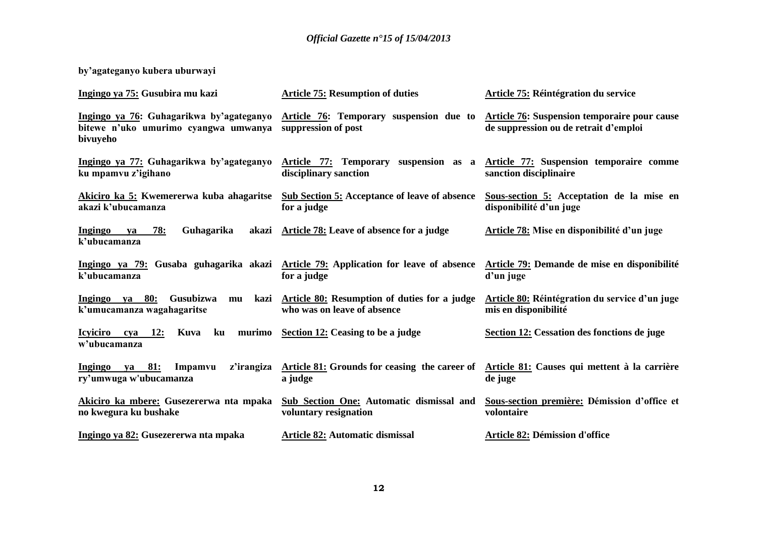**by'agateganyo kubera uburwayi**

| Ingingo ya 75: Gusubira mu kazi                                                              | <b>Article 75: Resumption of duties</b>                                                               | Article 75: Réintégration du service                                                  |
|----------------------------------------------------------------------------------------------|-------------------------------------------------------------------------------------------------------|---------------------------------------------------------------------------------------|
| Ingingo ya 76: Guhagarikwa by'agateganyo<br>bitewe n'uko umurimo cyangwa umwanya<br>bivuyeho | Article 76: Temporary suspension due to<br>suppression of post                                        | Article 76: Suspension temporaire pour cause<br>de suppression ou de retrait d'emploi |
| Ingingo ya 77: Guhagarikwa by'agateganyo<br>ku mpamvu z'igihano                              | Article 77: Temporary<br>disciplinary sanction                                                        | suspension as a Article 77: Suspension temporaire comme<br>sanction disciplinaire     |
| akazi k'ubucamanza                                                                           | Akiciro ka 5: Kwemererwa kuba ahagaritse Sub Section 5: Acceptance of leave of absence<br>for a judge | Sous-section 5: Acceptation de la mise en<br>disponibilité d'un juge                  |
| Guhagarika<br>78:<br>Ingingo<br>va<br>k'ubucamanza                                           | akazi Article 78: Leave of absence for a judge                                                        | Article 78: Mise en disponibilité d'un juge                                           |
| k'ubucamanza                                                                                 | Ingingo ya 79: Gusaba guhagarika akazi Article 79: Application for leave of absence<br>for a judge    | Article 79: Demande de mise en disponibilité<br>d'un juge                             |
| $Ingingo ya 80:$<br>Gusubizwa<br>mu<br>k'umucamanza wagahagaritse                            | kazi Article 80: Resumption of duties for a judge<br>who was on leave of absence                      | Article 80: Réintégration du service d'un juge<br>mis en disponibilité                |
| Icyiciro cya<br><b>12:</b><br>ku<br>Kuva<br>w'ubucamanza                                     | murimo Section 12: Ceasing to be a judge                                                              | Section 12: Cessation des fonctions de juge                                           |
| 81:<br>Ingingo<br>Impamvu<br>z'irangiza<br>va<br>ry'umwuga w'ubucamanza                      | Article 81: Grounds for ceasing the career of<br>a judge                                              | Article 81: Causes qui mettent à la carrière<br>de juge                               |
| Akiciro ka mbere: Gusezererwa nta mpaka<br>no kwegura ku bushake                             | <b>Sub Section One: Automatic dismissal and</b><br>voluntary resignation                              | Sous-section première: Démission d'office et<br>volontaire                            |
| Ingingo ya 82: Gusezererwa nta mpaka                                                         | <b>Article 82: Automatic dismissal</b>                                                                | Article 82: Démission d'office                                                        |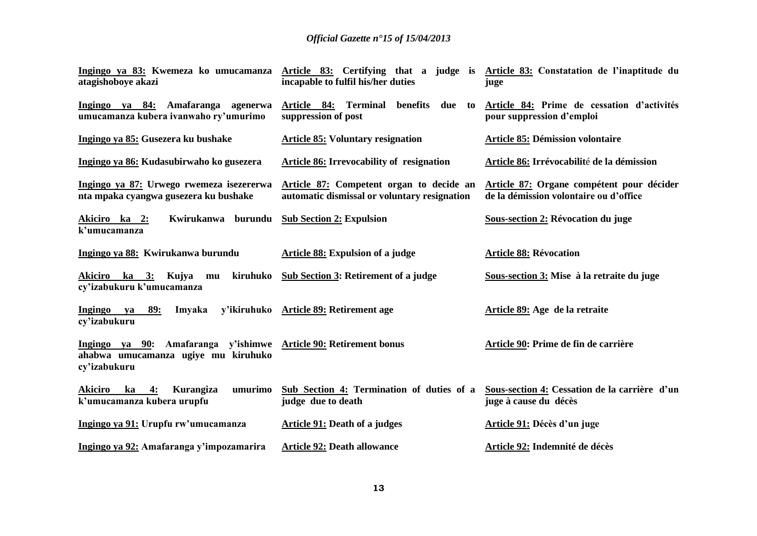| Ingingo ya 83: Kwemeza ko umucamanza<br>atagishoboye akazi                                                              | Article 83: Certifying that a judge is Article 83: Constatation de l'inaptitude du<br>incapable to fulfil his/her duties | juge                                                                                |
|-------------------------------------------------------------------------------------------------------------------------|--------------------------------------------------------------------------------------------------------------------------|-------------------------------------------------------------------------------------|
| Ingingo ya 84: Amafaranga agenerwa<br>umucamanza kubera ivanwaho ry'umurimo                                             | Article 84: Terminal benefits<br>due to<br>suppression of post                                                           | Article 84: Prime de cessation d'activités<br>pour suppression d'emploi             |
| Ingingo ya 85: Gusezera ku bushake                                                                                      | <b>Article 85: Voluntary resignation</b>                                                                                 | <b>Article 85: Démission volontaire</b>                                             |
| Ingingo ya 86: Kudasubirwaho ko gusezera                                                                                | Article 86: Irrevocability of resignation                                                                                | Article 86: Irrévocabilité de la démission                                          |
| Ingingo ya 87: Urwego rwemeza isezererwa<br>nta mpaka cyangwa gusezera ku bushake                                       | Article 87: Competent organ to decide an<br>automatic dismissal or voluntary resignation                                 | Article 87: Organe compétent pour décider<br>de la démission volontaire ou d'office |
| Kwirukanwa burundu<br>Akiciro ka 2:<br>k'umucamanza                                                                     | <b>Sub Section 2: Expulsion</b>                                                                                          | Sous-section 2: Révocation du juge                                                  |
| Ingingo ya 88: Kwirukanwa burundu                                                                                       | Article 88: Expulsion of a judge                                                                                         | <b>Article 88: Révocation</b>                                                       |
| <u>ka 3:</u> Kujya mu kiruhuko<br>Akiciro<br>cy'izabukuru k'umucamanza                                                  | Sub Section 3: Retirement of a judge                                                                                     | Sous-section 3: Mise à la retraite du juge                                          |
| 89:<br>Ingingo<br>Imyaka<br>ya<br>cy'izabukuru                                                                          | y'ikiruhuko Article 89: Retirement age                                                                                   | Article 89: Age de la retraite                                                      |
| Ingingo ya 90: Amafaranga y'ishimwe Article 90: Retirement bonus<br>ahabwa umucamanza ugiye mu kiruhuko<br>cy'izabukuru |                                                                                                                          | Article 90: Prime de fin de carrière                                                |
| umurimo<br><b>Akiciro</b><br>ka<br>4:<br>Kurangiza<br>k'umucamanza kubera urupfu                                        | Sub Section 4: Termination of duties of a<br>judge due to death                                                          | Sous-section 4: Cessation de la carrière d'un<br>juge à cause du décès              |
| Ingingo ya 91: Urupfu rw'umucamanza                                                                                     | Article 91: Death of a judges                                                                                            | Article 91: Décès d'un juge                                                         |
| Ingingo ya 92: Amafaranga y'impozamarira                                                                                | <b>Article 92: Death allowance</b>                                                                                       | Article 92: Indemnité de décès                                                      |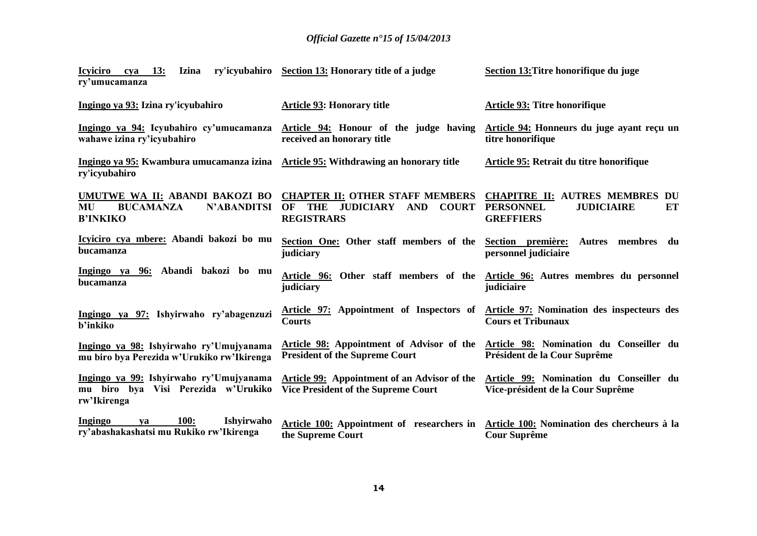| 13:<br><b>Icyiciro</b><br><b>Izina</b><br>cya<br>ry'umucamanza                                             | ry'icyubahiro Section 13: Honorary title of a judge                                                                               | Section 13: Titre honorifique du juge                                                                            |
|------------------------------------------------------------------------------------------------------------|-----------------------------------------------------------------------------------------------------------------------------------|------------------------------------------------------------------------------------------------------------------|
| Ingingo ya 93: Izina ry'icyubahiro                                                                         | <b>Article 93: Honorary title</b>                                                                                                 | Article 93: Titre honorifique                                                                                    |
| wahawe izina ry'icyubahiro                                                                                 | Ingingo ya 94: Icyubahiro cy'umucamanza Article 94: Honour of the judge having<br>received an honorary title                      | Article 94: Honneurs du juge ayant reçu un<br>titre honorifique                                                  |
| <u>Ingingo ya 95:</u> Kwambura umucamanza izina Article 95: Withdrawing an honorary title<br>ry'icyubahiro |                                                                                                                                   | Article 95: Retrait du titre honorifique                                                                         |
| UMUTWE WA II: ABANDI BAKOZI BO<br><b>BUCAMANZA</b><br><b>N'ABANDITSI</b><br>MU<br><b>B'INKIKO</b>          | <b>CHAPTER II: OTHER STAFF MEMBERS</b><br><b>JUDICIARY</b><br><b>AND</b><br><b>COURT</b><br>OF<br><b>THE</b><br><b>REGISTRARS</b> | <b>CHAPITRE II: AUTRES MEMBRES DU</b><br><b>PERSONNEL</b><br><b>JUDICIAIRE</b><br>ET<br><b>GREFFIERS</b>         |
| Icyiciro cya mbere: Abandi bakozi bo mu<br>bucamanza                                                       | Section One: Other staff members of the<br>judiciary                                                                              | Section première:<br>Autres membres du<br>personnel judiciaire                                                   |
| Ingingo ya 96: Abandi bakozi bo mu<br>bucamanza                                                            | judiciary                                                                                                                         | Article 96: Other staff members of the Article 96: Autres membres du personnel<br>judiciaire                     |
| Ingingo ya 97: Ishyirwaho ry'abagenzuzi<br><b>b</b> 'inkiko                                                | Courts                                                                                                                            | Article 97: Appointment of Inspectors of Article 97: Nomination des inspecteurs des<br><b>Cours et Tribunaux</b> |
| Ingingo ya 98: Ishyirwaho ry'Umujyanama<br>mu biro bya Perezida w'Urukiko rw'Ikirenga                      | Article 98: Appointment of Advisor of the<br><b>President of the Supreme Court</b>                                                | Article 98: Nomination du Conseiller du<br>Président de la Cour Suprême                                          |
| Ingingo ya 99: Ishyirwaho ry'Umujyanama<br>mu biro bya Visi Perezida w'Urukiko<br>rw'Ikirenga              | Article 99: Appointment of an Advisor of the<br><b>Vice President of the Supreme Court</b>                                        | Article 99: Nomination du Conseiller du<br>Vice-président de la Cour Suprême                                     |
| <b>Ingingo</b><br><b>100:</b><br>Ishyirwaho<br>va<br>ry'abashakashatsi mu Rukiko rw'Ikirenga               | Article 100: Appointment of researchers in<br>the Supreme Court                                                                   | Article 100: Nomination des chercheurs à la<br><b>Cour Suprême</b>                                               |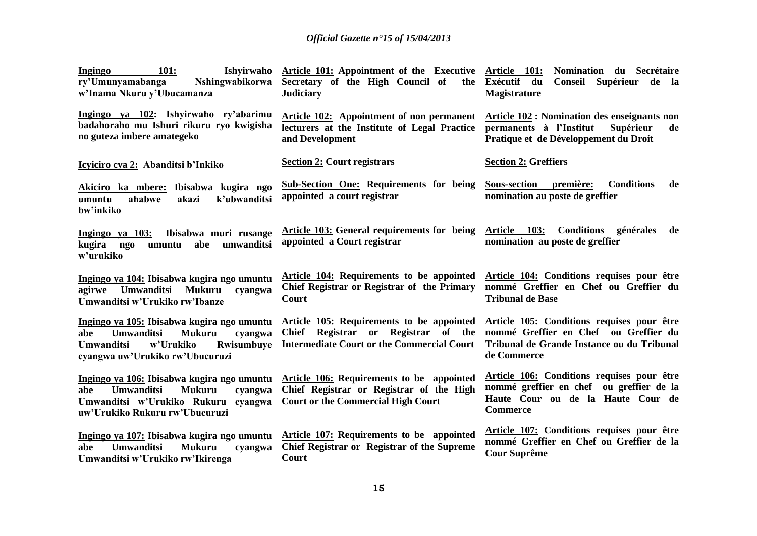| Ishyirwaho<br><b>101:</b><br><b>Ingingo</b><br>ry'Umunyamabanga<br>Nshingwabikorwa<br>w'Inama Nkuru y'Ubucamanza                                                               | Article 101: Appointment of the Executive Article 101:<br>Secretary of the High Council of<br><b>Judiciary</b>                        | Nomination du Secrétaire<br>the Exécutif du<br>Conseil Supérieur de la<br><b>Magistrature</b>                                                    |
|--------------------------------------------------------------------------------------------------------------------------------------------------------------------------------|---------------------------------------------------------------------------------------------------------------------------------------|--------------------------------------------------------------------------------------------------------------------------------------------------|
| Ingingo ya 102: Ishyirwaho ry'abarimu<br>badahoraho mu Ishuri rikuru ryo kwigisha<br>no guteza imbere amategeko                                                                | Article 102: Appointment of non permanent<br>lecturers at the Institute of Legal Practice<br>and Development                          | Article 102 : Nomination des enseignants non<br>permanents à l'Institut<br>Supérieur<br>de<br>Pratique et de Développement du Droit              |
| Icyiciro cya 2: Abanditsi b'Inkiko                                                                                                                                             | <b>Section 2: Court registrars</b>                                                                                                    | <b>Section 2: Greffiers</b>                                                                                                                      |
| Akiciro ka mbere: Ibisabwa kugira ngo<br>ahabwe<br>k'ubwanditsi<br>umuntu<br>akazi<br>bw'inkiko                                                                                | <b>Sub-Section One: Requirements for being</b><br>appointed a court registrar                                                         | <b>Sous-section</b><br>première:<br><b>Conditions</b><br>de<br>nomination au poste de greffier                                                   |
| Ingingo ya 103:<br>Ibisabwa muri rusange<br>kugira<br>abe<br>umuntu<br>umwanditsi<br>ngo<br>w'urukiko                                                                          | Article 103: General requirements for being<br>appointed a Court registrar                                                            | Conditions générales<br>Article 103:<br>de<br>nomination au poste de greffier                                                                    |
| Ingingo ya 104: Ibisabwa kugira ngo umuntu<br><b>Umwanditsi</b><br><b>Mukuru</b><br>agirwe<br>cyangwa<br>Umwanditsi w'Urukiko rw'Ibanze                                        | Article 104: Requirements to be appointed<br>Chief Registrar or Registrar of the Primary<br>Court                                     | Article 104: Conditions requises pour être<br>nommé Greffier en Chef ou Greffier du<br><b>Tribunal de Base</b>                                   |
| Ingingo ya 105: Ibisabwa kugira ngo umuntu<br><b>Umwanditsi</b><br><b>Mukuru</b><br>cyangwa<br>abe<br>w'Urukiko<br>Rwisumbuye<br>Umwanditsi<br>cyangwa uw'Urukiko rw'Ubucuruzi | Article 105: Requirements to be appointed<br>Chief Registrar or Registrar of the<br><b>Intermediate Court or the Commercial Court</b> | Article 105: Conditions requises pour être<br>nommé Greffier en Chef ou Greffier du<br>Tribunal de Grande Instance ou du Tribunal<br>de Commerce |
| Ingingo ya 106: Ibisabwa kugira ngo umuntu<br><b>Umwanditsi</b><br><b>Mukuru</b><br>cyangwa<br>abe<br>Umwanditsi w'Urukiko Rukuru cyangwa<br>uw'Urukiko Rukuru rw'Ubucuruzi    | Article 106: Requirements to be appointed<br>Chief Registrar or Registrar of the High<br><b>Court or the Commercial High Court</b>    | Article 106: Conditions requises pour être<br>nommé greffier en chef ou greffier de la<br>Haute Cour ou de la Haute Cour de<br><b>Commerce</b>   |
| Ingingo ya 107: Ibisabwa kugira ngo umuntu<br><b>Umwanditsi</b><br><b>Mukuru</b><br>abe<br>cyangwa<br>Umwanditsi w'Urukiko rw'Ikirenga                                         | Article 107: Requirements to be appointed<br>Chief Registrar or Registrar of the Supreme<br>Court                                     | Article 107: Conditions requises pour être<br>nommé Greffier en Chef ou Greffier de la<br><b>Cour Suprême</b>                                    |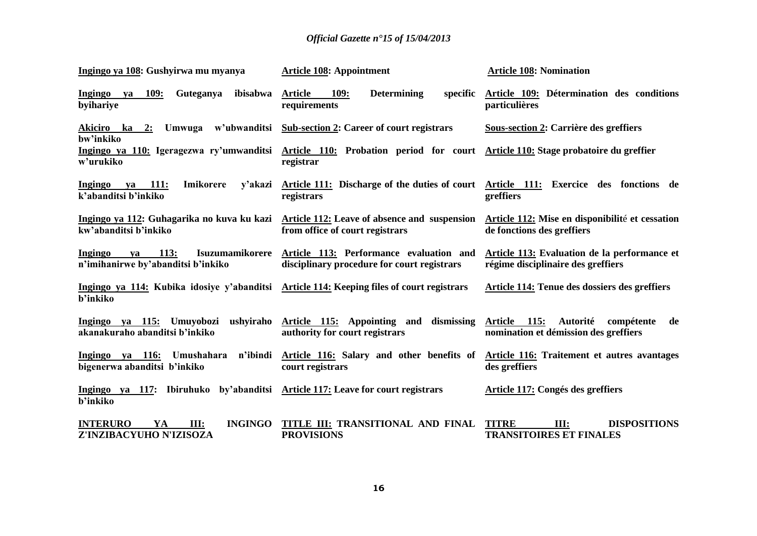| Ingingo ya 108: Gushyirwa mu myanya                                                                          | <b>Article 108: Appointment</b>                                                                                                         | <b>Article 108: Nomination</b>                                                        |
|--------------------------------------------------------------------------------------------------------------|-----------------------------------------------------------------------------------------------------------------------------------------|---------------------------------------------------------------------------------------|
| ya 109:<br>Guteganya<br>ibisabwa<br><b>Ingingo</b><br>byihariye                                              | <b>109:</b><br><b>Determining</b><br>specific<br>Article<br>requirements                                                                | Article 109: Détermination des conditions<br>particulières                            |
| Akiciro ka 2: Umwuga w'ubwanditsi Sub-section 2: Career of court registrars<br>bw'inkiko                     |                                                                                                                                         | Sous-section 2: Carrière des greffiers                                                |
| w'urukiko                                                                                                    | Ingingo ya 110: Igeragezwa ry'umwanditsi Article 110: Probation period for court Article 110: Stage probatoire du greffier<br>registrar |                                                                                       |
| va 111:<br>Imikorere<br>Ingingo<br>y'akazi<br>k'abanditsi b'inkiko                                           | Article 111: Discharge of the duties of court Article 111: Exercice des fonctions de<br>registrars                                      | greffiers                                                                             |
| kw'abanditsi b'inkiko                                                                                        | Ingingo ya 112: Guhagarika no kuva ku kazi Article 112: Leave of absence and suspension<br>from office of court registrars              | Article 112: Mise en disponibilité et cessation<br>de fonctions des greffiers         |
| <b>Ingingo</b><br><b>113:</b><br>va<br>n'imihanirwe by'abanditsi b'inkiko                                    | Isuzumamikorere Article 113: Performance evaluation and<br>disciplinary procedure for court registrars                                  | Article 113: Evaluation de la performance et<br>régime disciplinaire des greffiers    |
| Ingingo ya 114: Kubika idosiye y'abanditsi Article 114: Keeping files of court registrars<br><b>b'inkiko</b> |                                                                                                                                         | Article 114: Tenue des dossiers des greffiers                                         |
| ushyiraho<br>Ingingo ya 115: Umuyobozi<br>akanakuraho abanditsi b'inkiko                                     | dismissing<br>Article 115: Appointing and<br>authority for court registrars                                                             | Autorité<br>Article 115:<br>compétente<br>de<br>nomination et démission des greffiers |
| Ingingo ya 116: Umushahara<br>bigenerwa abanditsi b'inkiko                                                   | n'ibindi Article 116: Salary and other benefits of<br>court registrars                                                                  | Article 116: Traitement et autres avantages<br>des greffiers                          |
| Ingingo ya 117: Ibiruhuko by'abanditsi Article 117: Leave for court registrars<br><b>b'inkiko</b>            |                                                                                                                                         | Article 117: Congés des greffiers                                                     |
| <b>INTERURO</b><br><b>INGINGO</b><br>YA<br>III:<br>Z'INZIBACYUHO N'IZISOZA                                   | TITLE III: TRANSITIONAL AND FINAL<br><b>PROVISIONS</b>                                                                                  | <b>DISPOSITIONS</b><br><b>TITRE</b><br>III:<br><b>TRANSITOIRES ET FINALES</b>         |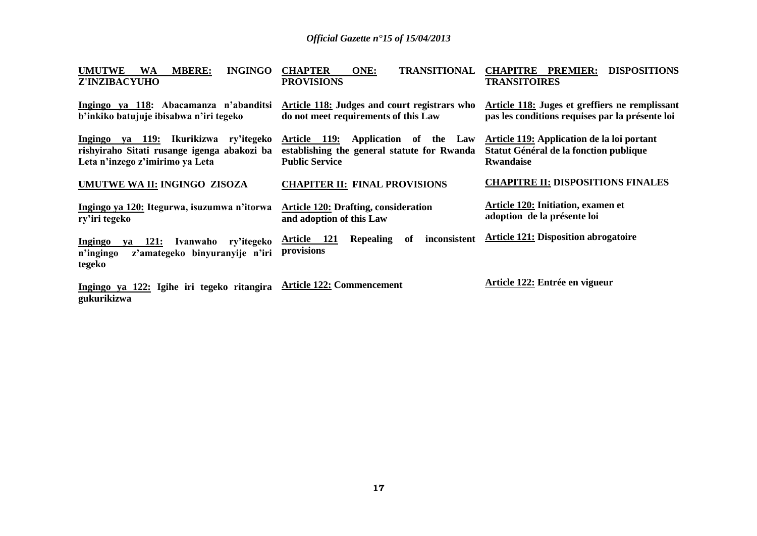| <b>UMUTWE</b><br><b>INGINGO</b><br><b>MBERE:</b><br>WA<br><b>Z'INZIBACYUHO</b>                                             | <b>TRANSITIONAL</b><br><b>CHAPTER</b><br>ONE:<br><b>PROVISIONS</b>                                             | <b>DISPOSITIONS</b><br><b>CHAPITRE PREMIER:</b><br><b>TRANSITOIRES</b>                                   |
|----------------------------------------------------------------------------------------------------------------------------|----------------------------------------------------------------------------------------------------------------|----------------------------------------------------------------------------------------------------------|
| Ingingo ya 118: Abacamanza n'abanditsi<br>b'inkiko batujuje ibisabwa n'iri tegeko                                          | Article 118: Judges and court registrars who<br>do not meet requirements of this Law                           | Article 118: Juges et greffiers ne remplissant<br>pas les conditions requises par la présente loi        |
| Ingingo ya 119: Ikurikizwa<br>ry'itegeko<br>rishyiraho Sitati rusange igenga abakozi ba<br>Leta n'inzego z'imirimo ya Leta | Article 119:<br>Application of the Law<br>establishing the general statute for Rwanda<br><b>Public Service</b> | Article 119: Application de la loi portant<br>Statut Général de la fonction publique<br><b>Rwandaise</b> |
| UMUTWE WA II: INGINGO ZISOZA                                                                                               | <b>CHAPITER II: FINAL PROVISIONS</b>                                                                           | <b>CHAPITRE II: DISPOSITIONS FINALES</b>                                                                 |
| Ingingo ya 120: Itegurwa, isuzumwa n'itorwa<br>ry'iri tegeko                                                               | <b>Article 120: Drafting, consideration</b><br>and adoption of this Law                                        | Article 120: Initiation, examen et<br>adoption de la présente loi                                        |
| Ingingo<br>ya 121:<br>Ivanwaho<br>ry'itegeko<br>z'amategeko binyuranyije n'iri<br>n'ingingo<br>tegeko                      | Article 121<br>inconsistent<br><b>Repealing</b><br>0f<br>provisions                                            | <b>Article 121: Disposition abrogatoire</b>                                                              |
| Ingingo ya 122: Igihe iri tegeko ritangira<br>gukurikizwa                                                                  | <b>Article 122: Commencement</b>                                                                               | Article 122: Entrée en vigueur                                                                           |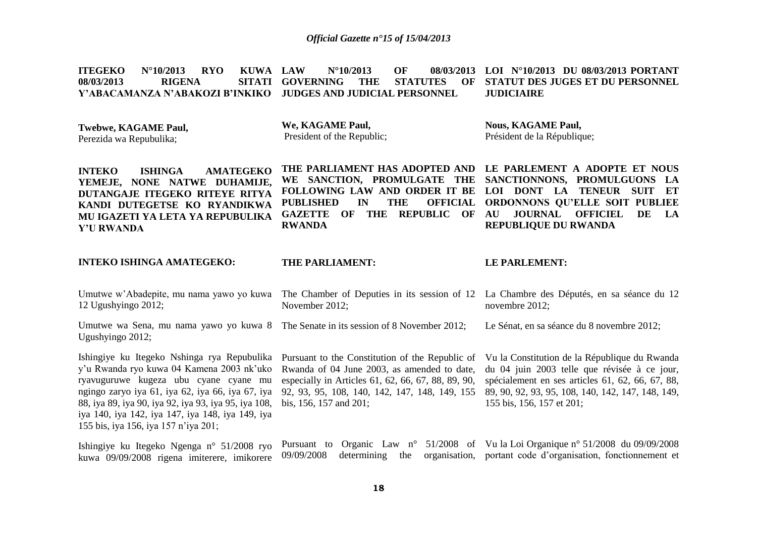**ITEGEKO N°10/2013 RYO KUWA LAW<br>08/03/2013 RIGENA SITATI GOVE 08/03/2013 Y'ABACAMANZA N'ABAKOZI B'INKIKO JUDGES AND JUDICIAL PERSONNEL LAU N°10/2013 OF GOVERNING THE STATUTES OF STATUT DES JUGES ET DU PERSONNEL LOI N°10/2013 DU 08/03/2013 PORTANT JUDICIAIRE**

| <b>Twebwe, KAGAME Paul,</b> | We, KAGAME Paul,           | <b>Nous, KAGAME Paul,</b>   |
|-----------------------------|----------------------------|-----------------------------|
| Perezida wa Repubulika;     | President of the Republic; | Président de la République; |

| <b>AMATEGEKO</b><br><b>ISHINGA</b><br><b>INTEKO</b> | THE PARLIAMENT HAS ADOPTED AND LE PARLEMENT A ADOPTE ET NOUS |                                                                                       |
|-----------------------------------------------------|--------------------------------------------------------------|---------------------------------------------------------------------------------------|
|                                                     |                                                              | YEMEJE, NONE NATWE DUHAMIJE, WE SANCTION, PROMULGATE THE SANCTIONNONS, PROMULGUONS LA |
| DUTANGAJE ITEGEKO RITEYE RITYA                      | FOLLOWING LAW AND ORDER IT BE LOI DONT LA TENEUR SUIT ET     |                                                                                       |
| KANDI DUTEGETSE KO RYANDIKWA                        | PUBLISHED IN THE OFFICIAL ORDONNONS QU'ELLE SOIT PUBLIEE     |                                                                                       |
| MU IGAZETI YA LETA YA REPUBULIKA                    | GAZETTE OF THE REPUBLIC OF AU JOURNAL OFFICIEL DE LA         |                                                                                       |
| Y'U RWANDA                                          | <b>RWANDA</b>                                                | <b>REPUBLIOUE DU RWANDA</b>                                                           |
|                                                     |                                                              |                                                                                       |

### **INTEKO ISHINGA AMATEGEKO:**

#### **THE PARLIAMENT:**

### **LE PARLEMENT:**

| 12 Ugushyingo 2012;                                                                                                                                                                                                                                                                                                                                                                                      | Umutwe w'Abadepite, mu nama yawo yo kuwa The Chamber of Deputies in its session of 12 La Chambre des Députés, en sa séance du 12<br>November 2012;   | novembre 2012;                                                                                                                                                                                                                      |
|----------------------------------------------------------------------------------------------------------------------------------------------------------------------------------------------------------------------------------------------------------------------------------------------------------------------------------------------------------------------------------------------------------|------------------------------------------------------------------------------------------------------------------------------------------------------|-------------------------------------------------------------------------------------------------------------------------------------------------------------------------------------------------------------------------------------|
| Umutwe wa Sena, mu nama yawo yo kuwa 8 The Senate in its session of 8 November 2012;<br>Ugushyingo 2012;                                                                                                                                                                                                                                                                                                 |                                                                                                                                                      | Le Sénat, en sa séance du 8 novembre 2012;                                                                                                                                                                                          |
| Ishingiye ku Itegeko Nshinga rya Repubulika Pursuant to the Constitution of the Republic of<br>y'u Rwanda ryo kuwa 04 Kamena 2003 nk'uko Rwanda of 04 June 2003, as amended to date,<br>ryavuguruwe kugeza ubu cyane cyane mu<br>88, iya 89, iya 90, iya 92, iya 93, iya 95, iya 108, bis, 156, 157 and 201;<br>iya 140, iya 142, iya 147, iya 148, iya 149, iya<br>155 bis, iya 156, iya 157 n'iya 201; | especially in Articles 61, 62, 66, 67, 88, 89, 90,<br>ngingo zaryo iya 61, iya 62, iya 66, iya 67, iya 92, 93, 95, 108, 140, 142, 147, 148, 149, 155 | Vu la Constitution de la République du Rwanda<br>du 04 juin 2003 telle que révisée à ce jour,<br>spécialement en ses articles 61, 62, 66, 67, 88,<br>89, 90, 92, 93, 95, 108, 140, 142, 147, 148, 149,<br>155 bis, 156, 157 et 201; |
| Ishingiye ku Itegeko Ngenga n° 51/2008 ryo<br>kuwa 09/09/2008 rigena imiterere, imikorere                                                                                                                                                                                                                                                                                                                | 09/09/2008<br>determining<br>the                                                                                                                     | Pursuant to Organic Law $n^{\circ}$ 51/2008 of Vu la Loi Organique $n^{\circ}$ 51/2008 du 09/09/2008<br>organisation, portant code d'organisation, fonctionnement et                                                                |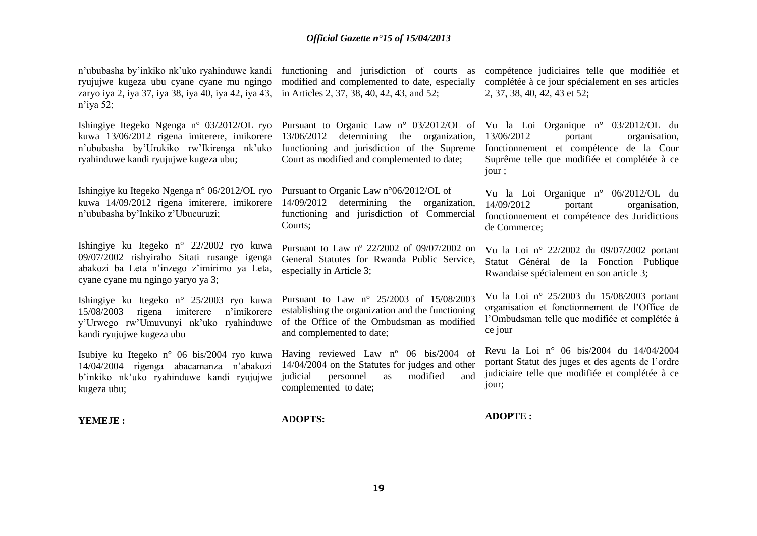n'ububasha by'inkiko nk'uko ryahinduwe kandi functioning and jurisdiction of courts as ryujujwe kugeza ubu cyane cyane mu ngingo zaryo iya 2, iya 37, iya 38, iya 40, iya 42, iya 43, in Articles 2, 37, 38, 40, 42, 43, and 52; n'iya 52; Ishingiye Itegeko Ngenga n° 03/2012/OL ryo Pursuant to Organic Law n° 03/2012/OL of Vu la Loi Organique n° 03/2012/OL du kuwa 13/06/2012 rigena imiterere, imikorere 13/06/2012 determining the organization, n'ububasha by'Urukiko rw'Ikirenga nk'uko ryahinduwe kandi ryujujwe kugeza ubu; Ishingiye ku Itegeko Ngenga n° 06/2012/OL ryo Pursuant to Organic Law n°06/2012/OL of kuwa 14/09/2012 rigena imiterere, imikorere 14/09/2012 determining the organization, n'ububasha by'Inkiko z'Ubucuruzi; Ishingiye ku Itegeko n° 22/2002 ryo kuwa 09/07/2002 rishyiraho Sitati rusange igenga abakozi ba Leta n'inzego z'imirimo ya Leta, cyane cyane mu ngingo yaryo ya 3; Ishingiye ku Itegeko n° 25/2003 ryo kuwa 15/08/2003 rigena imiterere n'imikorere y'Urwego rw'Umuvunyi nk'uko ryahinduwe kandi ryujujwe kugeza ubu Isubiye ku Itegeko n° 06 bis/2004 ryo kuwa 14/04/2004 rigenga abacamanza n'abakozi b'inkiko nk'uko ryahinduwe kandi ryujujwe kugeza ubu; **YEMEJE :** modified and complemented to date, especially functioning and jurisdiction of the Supreme Court as modified and complemented to date; functioning and jurisdiction of Commercial Courts; Pursuant to Law nº 22/2002 of 09/07/2002 on General Statutes for Rwanda Public Service, especially in Article 3; Pursuant to Law n° 25/2003 of 15/08/2003 establishing the organization and the functioning of the Office of the Ombudsman as modified and complemented to date; Having reviewed Law nº 06 bis/2004 of 14/04/2004 on the Statutes for judges and other judicial personnel as modified and complemented to date; **ADOPTS:** compétence judiciaires telle que modifiée et complétée à ce jour spécialement en ses articles 2, 37, 38, 40, 42, 43 et 52; 13/06/2012 portant organisation, fonctionnement et compétence de la Cour Suprême telle que modifiée et complétée à ce jour ; Vu la Loi Organique n° 06/2012/OL du 14/09/2012 portant organisation, fonctionnement et compétence des Juridictions de Commerce; Vu la Loi n° 22/2002 du 09/07/2002 portant Statut Général de la Fonction Publique Rwandaise spécialement en son article 3; Vu la Loi n° 25/2003 du 15/08/2003 portant organisation et fonctionnement de l'Office de l'Ombudsman telle que modifiée et complétée à ce jour Revu la Loi n° 06 bis/2004 du 14/04/2004 portant Statut des juges et des agents de l'ordre judiciaire telle que modifiée et complétée à ce jour; **ADOPTE :**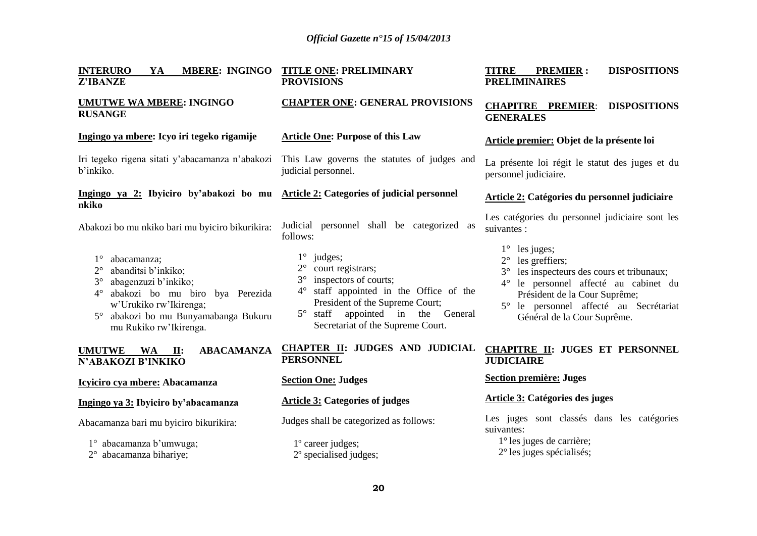| <b>INTERURO</b><br><b>MBERE: INGINGO</b><br>YA<br><b>Z'IBANZE</b>                                                                                                                                                                            | <b>TITLE ONE: PRELIMINARY</b><br><b>PROVISIONS</b>                                                                                                                                                                                                                             | <b>DISPOSITIONS</b><br><b>TITRE</b><br><b>PREMIER:</b><br><b>PRELIMINAIRES</b>                                                                                                                                                                     |
|----------------------------------------------------------------------------------------------------------------------------------------------------------------------------------------------------------------------------------------------|--------------------------------------------------------------------------------------------------------------------------------------------------------------------------------------------------------------------------------------------------------------------------------|----------------------------------------------------------------------------------------------------------------------------------------------------------------------------------------------------------------------------------------------------|
| <b>UMUTWE WA MBERE: INGINGO</b><br><b>RUSANGE</b>                                                                                                                                                                                            | <b>CHAPTER ONE: GENERAL PROVISIONS</b>                                                                                                                                                                                                                                         | <b>CHAPITRE PREMIER:</b><br><b>DISPOSITIONS</b><br><b>GENERALES</b>                                                                                                                                                                                |
| Ingingo ya mbere: Icyo iri tegeko rigamije                                                                                                                                                                                                   | <b>Article One: Purpose of this Law</b>                                                                                                                                                                                                                                        | Article premier: Objet de la présente loi                                                                                                                                                                                                          |
| Iri tegeko rigena sitati y'abacamanza n'abakozi This Law governs the statutes of judges and<br>b'inkiko.                                                                                                                                     | judicial personnel.                                                                                                                                                                                                                                                            | La présente loi régit le statut des juges et du<br>personnel judiciaire.                                                                                                                                                                           |
| Ingingo ya 2: Ibyiciro by'abakozi bo mu Article 2: Categories of judicial personnel<br>nkiko                                                                                                                                                 |                                                                                                                                                                                                                                                                                | <b>Article 2: Catégories du personnel judiciaire</b>                                                                                                                                                                                               |
| Abakozi bo mu nkiko bari mu byiciro bikurikira:                                                                                                                                                                                              | Judicial personnel shall be categorized as<br>follows:                                                                                                                                                                                                                         | Les catégories du personnel judiciaire sont les<br>suivantes :                                                                                                                                                                                     |
| abacamanza;<br>abanditsi b'inkiko;<br>$2^{\circ}$<br>abagenzuzi b'inkiko;<br>$3^\circ$<br>abakozi bo mu biro bya Perezida<br>$4^\circ$<br>w'Urukiko rw'Ikirenga;<br>abakozi bo mu Bunyamabanga Bukuru<br>$5^\circ$<br>mu Rukiko rw'Ikirenga. | $1^{\circ}$<br>judges;<br>court registrars;<br>$2^{\circ}$<br>inspectors of courts;<br>$3^\circ$<br>staff appointed in the Office of the<br>$4^\circ$<br>President of the Supreme Court;<br>staff appointed in the General<br>$5^{\circ}$<br>Secretariat of the Supreme Court. | $1^{\circ}$<br>les juges;<br>$2^{\circ}$ les greffiers;<br>les inspecteurs des cours et tribunaux;<br>4° le personnel affecté au cabinet du<br>Président de la Cour Suprême;<br>le personnel affecté au Secrétariat<br>Général de la Cour Suprême. |
| <b>ABACAMANZA</b><br><b>UMUTWE</b><br>WA<br>$\Pi$ :<br>N'ABAKOZI B'INKIKO                                                                                                                                                                    | CHAPTER II: JUDGES AND JUDICIAL<br><b>PERSONNEL</b>                                                                                                                                                                                                                            | <b>CHAPITRE II: JUGES ET PERSONNEL</b><br><b>JUDICIAIRE</b>                                                                                                                                                                                        |
| Icyiciro cya mbere: Abacamanza                                                                                                                                                                                                               | <b>Section One: Judges</b>                                                                                                                                                                                                                                                     | <b>Section première: Juges</b>                                                                                                                                                                                                                     |
| Ingingo ya 3: Ibyiciro by'abacamanza                                                                                                                                                                                                         | <b>Article 3: Categories of judges</b>                                                                                                                                                                                                                                         | Article 3: Catégories des juges                                                                                                                                                                                                                    |
| Abacamanza bari mu byiciro bikurikira:                                                                                                                                                                                                       | Judges shall be categorized as follows:                                                                                                                                                                                                                                        | Les juges sont classés dans les catégories<br>suivantes:                                                                                                                                                                                           |
| 1° abacamanza b'umwuga;<br>2° abacamanza bihariye;                                                                                                                                                                                           | 1° career judges;<br>2° specialised judges;                                                                                                                                                                                                                                    | $1^\circ$ les juges de carrière;<br>$2^{\circ}$ les juges spécialisés;                                                                                                                                                                             |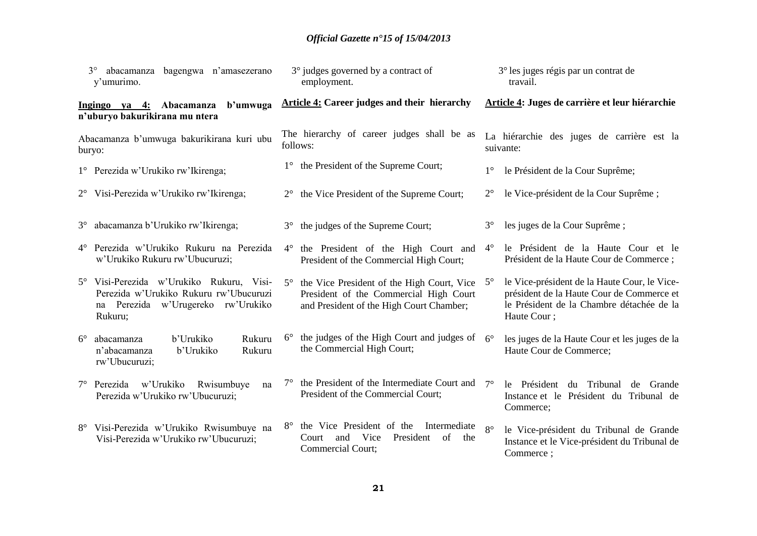| bagengwa n'amasezerano<br>$3^{\circ}$<br>abacamanza<br>y'umurimo.                                                                   |                                 | 3° judges governed by a contract of<br>employment.                                                                               |             | 3° les juges régis par un contrat de<br>travail.                                                                                                       |
|-------------------------------------------------------------------------------------------------------------------------------------|---------------------------------|----------------------------------------------------------------------------------------------------------------------------------|-------------|--------------------------------------------------------------------------------------------------------------------------------------------------------|
| Ingingo ya 4: Abacamanza<br>b'umwuga<br>n'uburyo bakurikirana mu ntera                                                              |                                 | Article 4: Career judges and their hierarchy                                                                                     |             | Article 4: Juges de carrière et leur hiérarchie                                                                                                        |
| Abacamanza b'umwuga bakurikirana kuri ubu<br>buryo:                                                                                 |                                 | The hierarchy of career judges shall be as<br>follows:                                                                           |             | La hiérarchie des juges de carrière est la<br>suivante:                                                                                                |
| 1° Perezida w'Urukiko rw'Ikirenga;                                                                                                  |                                 | 1° the President of the Supreme Court;                                                                                           | $1^{\circ}$ | le Président de la Cour Suprême;                                                                                                                       |
| 2° Visi-Perezida w'Urukiko rw'Ikirenga;                                                                                             | $2^{\circ}$                     | the Vice President of the Supreme Court;                                                                                         | $2^{\circ}$ | le Vice-président de la Cour Suprême;                                                                                                                  |
| abacamanza b'Urukiko rw'Ikirenga;<br>$3^{\circ}$                                                                                    | $3^\circ$                       | the judges of the Supreme Court;                                                                                                 | $3^\circ$   | les juges de la Cour Suprême;                                                                                                                          |
| 4° Perezida w'Urukiko Rukuru na Perezida<br>w'Urukiko Rukuru rw'Ubucuruzi;                                                          | $4^{\circ}$                     | the President of the High Court and<br>President of the Commercial High Court;                                                   | $4^\circ$   | le Président de la Haute Cour et le<br>Président de la Haute Cour de Commerce ;                                                                        |
| 5° Visi-Perezida w'Urukiko Rukuru, Visi-<br>Perezida w'Urukiko Rukuru rw'Ubucuruzi<br>na Perezida w'Urugereko rw'Urukiko<br>Rukuru; | $5^{\circ}$                     | the Vice President of the High Court, Vice<br>President of the Commercial High Court<br>and President of the High Court Chamber; | $5^{\circ}$ | le Vice-président de la Haute Cour, le Vice-<br>président de la Haute Cour de Commerce et<br>le Président de la Chambre détachée de la<br>Haute Cour ; |
| abacamanza<br>b'Urukiko<br>$6^{\circ}$<br>n'abacamanza<br>b'Urukiko<br>rw'Ubucuruzi;                                                | $6^{\circ}$<br>Rukuru<br>Rukuru | the judges of the High Court and judges of<br>the Commercial High Court;                                                         | $6^\circ$   | les juges de la Haute Cour et les juges de la<br>Haute Cour de Commerce;                                                                               |
| 7° Perezida w'Urukiko<br>Rwisumbuye<br>Perezida w'Urukiko rw'Ubucuruzi;                                                             | $7^{\circ}$<br>na               | the President of the Intermediate Court and $7^{\circ}$<br>President of the Commercial Court;                                    |             | le Président<br>du Tribunal<br>de Grande<br>Instance et le Président du Tribunal de<br>Commerce;                                                       |
| 8° Visi-Perezida w'Urukiko Rwisumbuye na<br>Visi-Perezida w'Urukiko rw'Ubucuruzi;                                                   | $8^{\circ}$                     | the Vice President of the<br>Intermediate<br>Vice<br>and<br>President<br>of<br>Court<br>the<br>Commercial Court;                 | $8^\circ$   | le Vice-président du Tribunal de Grande<br>Instance et le Vice-président du Tribunal de<br>Commerce;                                                   |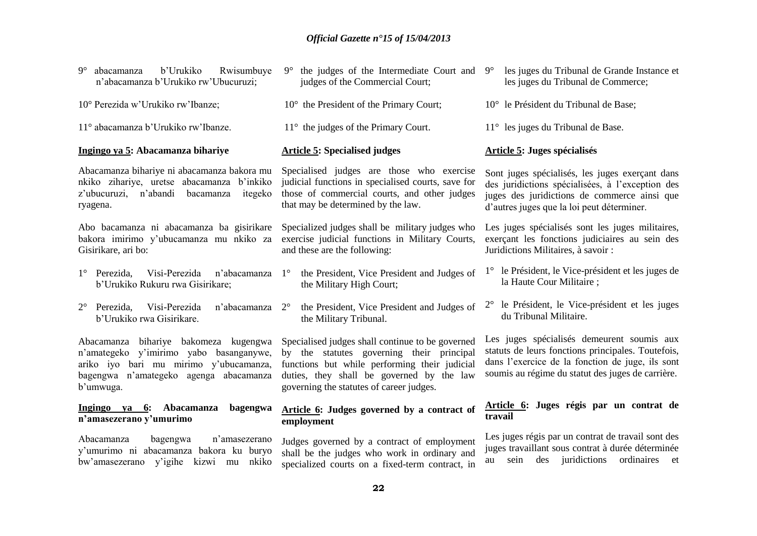| b'Urukiko<br>$9^\circ$<br>abacamanza<br>Rwisumbuye<br>n'abacamanza b'Urukiko rw'Ubucuruzi;                                                                                        | the judges of the Intermediate Court and<br>$9^{\circ}$<br>judges of the Commercial Court;                                                                                                                                              | les juges du Tribunal de Grande Instance et<br>$9^{\circ}$<br>les juges du Tribunal de Commerce;                                                                                                          |
|-----------------------------------------------------------------------------------------------------------------------------------------------------------------------------------|-----------------------------------------------------------------------------------------------------------------------------------------------------------------------------------------------------------------------------------------|-----------------------------------------------------------------------------------------------------------------------------------------------------------------------------------------------------------|
| 10° Perezida w'Urukiko rw'Ibanze;                                                                                                                                                 | 10° the President of the Primary Court;                                                                                                                                                                                                 | 10° le Président du Tribunal de Base;                                                                                                                                                                     |
| 11° abacamanza b'Urukiko rw'Ibanze.                                                                                                                                               | $11^{\circ}$ the judges of the Primary Court.                                                                                                                                                                                           | 11° les juges du Tribunal de Base.                                                                                                                                                                        |
| Ingingo ya 5: Abacamanza bihariye                                                                                                                                                 | <b>Article 5: Specialised judges</b>                                                                                                                                                                                                    | Article 5: Juges spécialisés                                                                                                                                                                              |
| Abacamanza bihariye ni abacamanza bakora mu<br>nkiko zihariye, uretse abacamanza b'inkiko<br>z'ubucuruzi,<br>n'abandi<br>bacamanza<br>itegeko<br>ryagena.                         | Specialised judges are those who exercise<br>judicial functions in specialised courts, save for<br>those of commercial courts, and other judges<br>that may be determined by the law.                                                   | Sont juges spécialisés, les juges exerçant dans<br>des juridictions spécialisées, à l'exception des<br>juges des juridictions de commerce ainsi que<br>d'autres juges que la loi peut déterminer.         |
| Abo bacamanza ni abacamanza ba gisirikare<br>bakora imirimo y'ubucamanza mu nkiko za<br>Gisirikare, ari bo:                                                                       | Specialized judges shall be military judges who<br>exercise judicial functions in Military Courts,<br>and these are the following:                                                                                                      | Les juges spécialisés sont les juges militaires,<br>exerçant les fonctions judiciaires au sein des<br>Juridictions Militaires, à savoir :                                                                 |
| Visi-Perezida<br>1° Perezida,<br>n'abacamanza<br>b'Urukiko Rukuru rwa Gisirikare;                                                                                                 | the President, Vice President and Judges of<br>$1^{\circ}$<br>the Military High Court;                                                                                                                                                  | 1° le Président, le Vice-président et les juges de<br>la Haute Cour Militaire;                                                                                                                            |
| Visi-Perezida<br>$2^{\circ}$<br>Perezida,<br>n'abacamanza<br>b'Urukiko rwa Gisirikare.                                                                                            | the President, Vice President and Judges of<br>$2^{\circ}$<br>the Military Tribunal.                                                                                                                                                    | le Président, le Vice-président et les juges<br>du Tribunal Militaire.                                                                                                                                    |
| Abacamanza bihariye bakomeza kugengwa<br>n'amategeko y'imirimo yabo basanganywe,<br>ariko iyo bari mu mirimo y'ubucamanza,<br>bagengwa n'amategeko agenga abacamanza<br>b'umwuga. | Specialised judges shall continue to be governed<br>by the statutes governing their principal<br>functions but while performing their judicial<br>duties, they shall be governed by the law<br>governing the statutes of career judges. | Les juges spécialisés demeurent soumis aux<br>statuts de leurs fonctions principales. Toutefois,<br>dans l'exercice de la fonction de juge, ils sont<br>soumis au régime du statut des juges de carrière. |
| Ingingo ya 6: Abacamanza<br>bagengwa<br>n'amasezerano y'umurimo                                                                                                                   | Article 6: Judges governed by a contract of<br>employment                                                                                                                                                                               | Article 6: Juges régis par un contrat de<br>travail                                                                                                                                                       |
| n'amasezerano<br>Abacamanza<br>bagengwa<br>y'umurimo ni abacamanza bakora ku buryo<br>bw'amasezerano y'igihe kizwi mu nkiko                                                       | Judges governed by a contract of employment<br>shall be the judges who work in ordinary and<br>specialized courts on a fixed-term contract, in                                                                                          | Les juges régis par un contrat de travail sont des<br>juges travaillant sous contrat à durée déterminée<br>juridictions<br>ordinaires<br>sein<br>des<br>et<br>au                                          |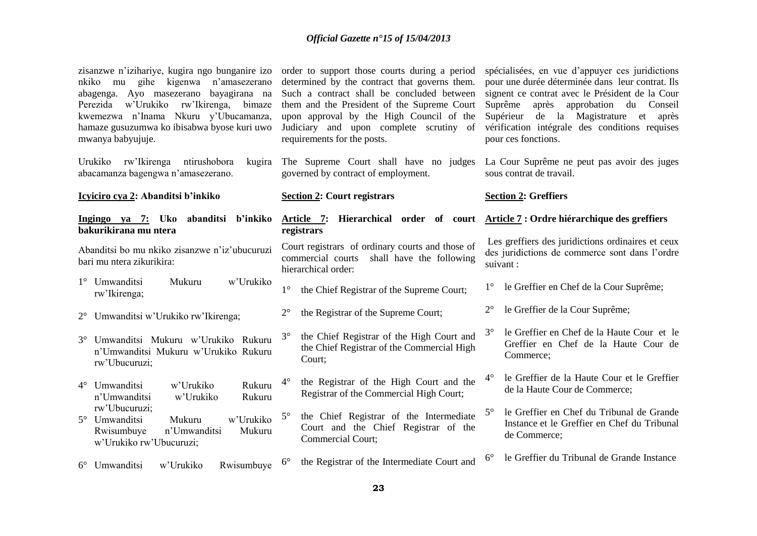| zisanzwe n'izihariye, kugira ngo bunganire izo<br>mu gihe kigenwa<br>n'amasezerano<br>nkiko<br>abagenga. Ayo masezerano bayagirana na<br>rw'Ikirenga,<br>bimaze<br>Perezida<br>w'Urukiko<br>kwemezwa n'Inama Nkuru y'Ubucamanza,<br>hamaze gusuzumwa ko ibisabwa byose kuri uwo<br>mwanya babyujuje. | order to support those courts during a period<br>determined by the contract that governs them.<br>Such a contract shall be concluded between<br>them and the President of the Supreme Court<br>upon approval by the High Council of the<br>Judiciary and upon complete scrutiny of<br>requirements for the posts. | spécialisées, en vue d'appuyer ces juridictions<br>pour une durée déterminée dans leur contrat. Ils<br>signent ce contrat avec le Président de la Cour<br>Suprême<br>après<br>approbation<br>du Conseil<br>Supérieur<br>de la Magistrature et<br>après<br>vérification intégrale des conditions requises<br>pour ces fonctions. |
|------------------------------------------------------------------------------------------------------------------------------------------------------------------------------------------------------------------------------------------------------------------------------------------------------|-------------------------------------------------------------------------------------------------------------------------------------------------------------------------------------------------------------------------------------------------------------------------------------------------------------------|---------------------------------------------------------------------------------------------------------------------------------------------------------------------------------------------------------------------------------------------------------------------------------------------------------------------------------|
| Urukiko rw'Ikirenga ntirushobora<br>kugira<br>abacamanza bagengwa n'amasezerano.                                                                                                                                                                                                                     | The Supreme Court shall have no judges<br>governed by contract of employment.                                                                                                                                                                                                                                     | La Cour Suprême ne peut pas avoir des juges<br>sous contrat de travail.                                                                                                                                                                                                                                                         |
| Icyiciro cya 2: Abanditsi b'inkiko                                                                                                                                                                                                                                                                   | <b>Section 2: Court registrars</b>                                                                                                                                                                                                                                                                                | <b>Section 2: Greffiers</b>                                                                                                                                                                                                                                                                                                     |
| Ingingo ya 7: Uko<br>abanditsi b'inkiko<br>bakurikirana mu ntera                                                                                                                                                                                                                                     | Article 7: Hierarchical order of court<br>registrars                                                                                                                                                                                                                                                              | Article 7 : Ordre hiérarchique des greffiers                                                                                                                                                                                                                                                                                    |
| Abanditsi bo mu nkiko zisanzwe n'iz'ubucuruzi<br>bari mu ntera zikurikira:                                                                                                                                                                                                                           | Court registrars of ordinary courts and those of<br>commercial courts<br>shall have the following<br>hierarchical order:                                                                                                                                                                                          | Les greffiers des juridictions ordinaires et ceux<br>des juridictions de commerce sont dans l'ordre<br>suivant:                                                                                                                                                                                                                 |
| 1° Umwanditsi<br>w'Urukiko<br>Mukuru<br>rw'Ikirenga;                                                                                                                                                                                                                                                 | the Chief Registrar of the Supreme Court;<br>$1^{\circ}$                                                                                                                                                                                                                                                          | le Greffier en Chef de la Cour Suprême;<br>$1^{\circ}$                                                                                                                                                                                                                                                                          |
| Umwanditsi w'Urukiko rw'Ikirenga;<br>$2^{\circ}$                                                                                                                                                                                                                                                     | $2^{\circ}$<br>the Registrar of the Supreme Court;                                                                                                                                                                                                                                                                | $2^{\circ}$<br>le Greffier de la Cour Suprême;                                                                                                                                                                                                                                                                                  |
| Umwanditsi Mukuru w'Urukiko Rukuru<br>$3^\circ$<br>n'Umwanditsi Mukuru w'Urukiko Rukuru<br>rw'Ubucuruzi;                                                                                                                                                                                             | the Chief Registrar of the High Court and<br>$3^\circ$<br>the Chief Registrar of the Commercial High<br>Court;                                                                                                                                                                                                    | le Greffier en Chef de la Haute Cour et le<br>Greffier en Chef de la Haute Cour de<br>Commerce;                                                                                                                                                                                                                                 |
| Umwanditsi<br>w'Urukiko<br>Rukuru<br>$4^{\circ}$<br>n'Umwanditsi<br>w'Urukiko<br>Rukuru                                                                                                                                                                                                              | the Registrar of the High Court and the<br>$4^\circ$<br>Registrar of the Commercial High Court;                                                                                                                                                                                                                   | le Greffier de la Haute Cour et le Greffier<br>$4^\circ$<br>de la Haute Cour de Commerce;                                                                                                                                                                                                                                       |
| rw'Ubucuruzi;<br>w'Urukiko<br>5° Umwanditsi<br>Mukuru<br>Rwisumbuye<br>n'Umwanditsi<br>Mukuru<br>w'Urukiko rw'Ubucuruzi;                                                                                                                                                                             | the Chief Registrar of the Intermediate<br>$5^\circ$<br>Court and the Chief Registrar of the<br><b>Commercial Court;</b>                                                                                                                                                                                          | le Greffier en Chef du Tribunal de Grande<br>$5^{\circ}$<br>Instance et le Greffier en Chef du Tribunal<br>de Commerce;                                                                                                                                                                                                         |
| 6° Umwanditsi<br>w'Urukiko<br>Rwisumbuye                                                                                                                                                                                                                                                             | the Registrar of the Intermediate Court and<br>$6^{\circ}$                                                                                                                                                                                                                                                        | le Greffier du Tribunal de Grande Instance<br>$6^{\circ}$                                                                                                                                                                                                                                                                       |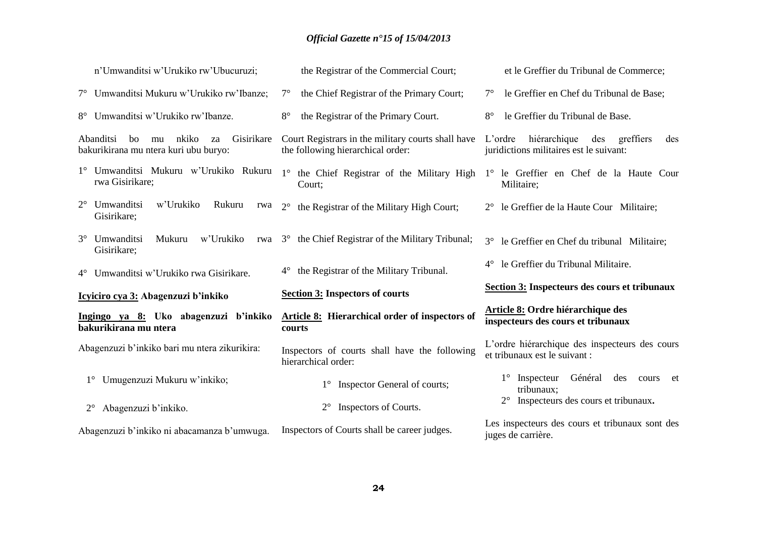| n'Umwanditsi w'Urukiko rw'Ubucuruzi;                                                        | the Registrar of the Commercial Court;                                                      | et le Greffier du Tribunal de Commerce;                                                       |
|---------------------------------------------------------------------------------------------|---------------------------------------------------------------------------------------------|-----------------------------------------------------------------------------------------------|
| 7° Umwanditsi Mukuru w'Urukiko rw'Ibanze;                                                   | the Chief Registrar of the Primary Court;<br>$7^{\circ}$                                    | le Greffier en Chef du Tribunal de Base;<br>$7^{\circ}$                                       |
| Umwanditsi w'Urukiko rw'Ibanze.<br>$8^{\circ}$                                              | $8^{\circ}$<br>the Registrar of the Primary Court.                                          | le Greffier du Tribunal de Base.<br>$8^{\circ}$                                               |
| Abanditsi<br>Gisirikare<br>nkiko<br>bo<br>mu<br>za<br>bakurikirana mu ntera kuri ubu buryo: | Court Registrars in the military courts shall have<br>the following hierarchical order:     | hiérarchique<br>L'ordre<br>des<br>greffiers<br>des<br>juridictions militaires est le suivant: |
| rwa Gisirikare;                                                                             | 1° Umwanditsi Mukuru w'Urukiko Rukuru 1° the Chief Registrar of the Military High<br>Court; | 1° le Greffier en Chef de la Haute Cour<br>Militaire;                                         |
| Umwanditsi<br>w'Urukiko<br>$2^{\circ}$<br>Rukuru<br>rwa<br>Gisirikare;                      | $2^{\circ}$<br>the Registrar of the Military High Court;                                    | 2° le Greffier de la Haute Cour Militaire;                                                    |
| 3° Umwanditsi<br>Mukuru<br>w'Urukiko<br>Gisirikare;                                         | rwa 3° the Chief Registrar of the Military Tribunal;                                        | le Greffier en Chef du tribunal Militaire;<br>$3^\circ$                                       |
| 4° Umwanditsi w'Urukiko rwa Gisirikare.                                                     | the Registrar of the Military Tribunal.                                                     | le Greffier du Tribunal Militaire.<br>$4^{\circ}$                                             |
| Icyiciro cya 3: Abagenzuzi b'inkiko                                                         | <b>Section 3: Inspectors of courts</b>                                                      | <b>Section 3: Inspecteurs des cours et tribunaux</b>                                          |
| Ingingo ya 8: Uko abagenzuzi b'inkiko<br>bakurikirana mu ntera                              | Article 8: Hierarchical order of inspectors of<br>courts                                    | Article 8: Ordre hiérarchique des<br>inspecteurs des cours et tribunaux                       |
| Abagenzuzi b'inkiko bari mu ntera zikurikira:                                               | Inspectors of courts shall have the following<br>hierarchical order:                        | L'ordre hiérarchique des inspecteurs des cours<br>et tribunaux est le suivant :               |
| Umugenzuzi Mukuru w'inkiko;                                                                 | 1° Inspector General of courts;                                                             | Inspecteur<br>Général<br>des<br>$1^{\circ}$<br>cours et<br>tribunaux;                         |
| Abagenzuzi b'inkiko.<br>$2^{\circ}$                                                         | Inspectors of Courts.<br>$2^{\circ}$                                                        | Inspecteurs des cours et tribunaux.<br>$2^{\circ}$                                            |
| Abagenzuzi b'inkiko ni abacamanza b'umwuga.                                                 | Inspectors of Courts shall be career judges.                                                | Les inspecteurs des cours et tribunaux sont des<br>juges de carrière.                         |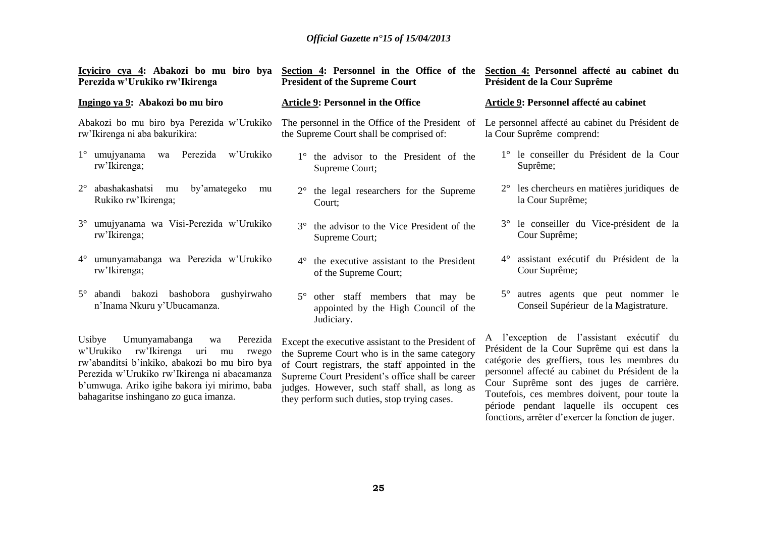| Icyiciro cya 4: Abakozi bo mu biro bya<br>Perezida w'Urukiko rw'Ikirenga                                                                                                                                                                                                                | Section 4: Personnel in the Office of the<br><b>President of the Supreme Court</b>                                                                                                                                                                                                                          | Section 4: Personnel affecté au cabinet du<br>Président de la Cour Suprême                                                                                                                                                                                                                                                                                                                  |  |
|-----------------------------------------------------------------------------------------------------------------------------------------------------------------------------------------------------------------------------------------------------------------------------------------|-------------------------------------------------------------------------------------------------------------------------------------------------------------------------------------------------------------------------------------------------------------------------------------------------------------|---------------------------------------------------------------------------------------------------------------------------------------------------------------------------------------------------------------------------------------------------------------------------------------------------------------------------------------------------------------------------------------------|--|
| Ingingo ya 9: Abakozi bo mu biro                                                                                                                                                                                                                                                        | <b>Article 9: Personnel in the Office</b>                                                                                                                                                                                                                                                                   | Article 9: Personnel affecté au cabinet                                                                                                                                                                                                                                                                                                                                                     |  |
| Abakozi bo mu biro bya Perezida w'Urukiko<br>rw'Ikirenga ni aba bakurikira:                                                                                                                                                                                                             | The personnel in the Office of the President of<br>the Supreme Court shall be comprised of:                                                                                                                                                                                                                 | Le personnel affecté au cabinet du Président de<br>la Cour Suprême comprend:                                                                                                                                                                                                                                                                                                                |  |
| w'Urukiko<br>$1^\circ$ umujyanama<br>Perezida<br>wa<br>rw'Ikirenga;                                                                                                                                                                                                                     | the advisor to the President of the<br>$1^{\circ}$<br>Supreme Court;                                                                                                                                                                                                                                        | 1° le conseiller du Président de la Cour<br>Suprême;                                                                                                                                                                                                                                                                                                                                        |  |
| abashakashatsi<br>by'amategeko<br>$2^{\circ}$<br>mu<br>mu<br>Rukiko rw'Ikirenga;                                                                                                                                                                                                        | the legal researchers for the Supreme<br>$2^{\circ}$<br>Court;                                                                                                                                                                                                                                              | $2^{\circ}$ les chercheurs en matières juridiques de<br>la Cour Suprême;                                                                                                                                                                                                                                                                                                                    |  |
| $3^\circ$<br>umujyanama wa Visi-Perezida w'Urukiko<br>rw'Ikirenga;                                                                                                                                                                                                                      | $3^\circ$<br>the advisor to the Vice President of the<br>Supreme Court;                                                                                                                                                                                                                                     | 3° le conseiller du Vice-président de la<br>Cour Suprême;                                                                                                                                                                                                                                                                                                                                   |  |
| umunyamabanga wa Perezida w'Urukiko<br>$4^{\circ}$<br>rw'Ikirenga;                                                                                                                                                                                                                      | the executive assistant to the President<br>$4^{\circ}$<br>of the Supreme Court;                                                                                                                                                                                                                            | 4° assistant exécutif du Président de la<br>Cour Suprême;                                                                                                                                                                                                                                                                                                                                   |  |
| abandi bakozi bashobora gushyirwaho<br>$5^\circ$<br>n'Inama Nkuru y'Ubucamanza.                                                                                                                                                                                                         | $5^\circ$<br>other staff members that may be<br>appointed by the High Council of the<br>Judiciary.                                                                                                                                                                                                          | 5° autres agents que peut nommer le<br>Conseil Supérieur de la Magistrature.                                                                                                                                                                                                                                                                                                                |  |
| Usibye<br>Umunyamabanga<br>Perezida<br>wa<br>w'Urukiko<br>rw'Ikirenga<br>uri<br>mu<br>rwego<br>rw'abanditsi b'inkiko, abakozi bo mu biro bya<br>Perezida w'Urukiko rw'Ikirenga ni abacamanza<br>b'umwuga. Ariko igihe bakora iyi mirimo, baba<br>bahagaritse inshingano zo guca imanza. | Except the executive assistant to the President of<br>the Supreme Court who is in the same category<br>of Court registrars, the staff appointed in the<br>Supreme Court President's office shall be career<br>judges. However, such staff shall, as long as<br>they perform such duties, stop trying cases. | A l'exception de l'assistant exécutif du<br>Président de la Cour Suprême qui est dans la<br>catégorie des greffiers, tous les membres du<br>personnel affecté au cabinet du Président de la<br>Cour Suprême sont des juges de carrière.<br>Toutefois, ces membres doivent, pour toute la<br>période pendant laquelle ils occupent ces<br>fonctions, arrêter d'exercer la fonction de juger. |  |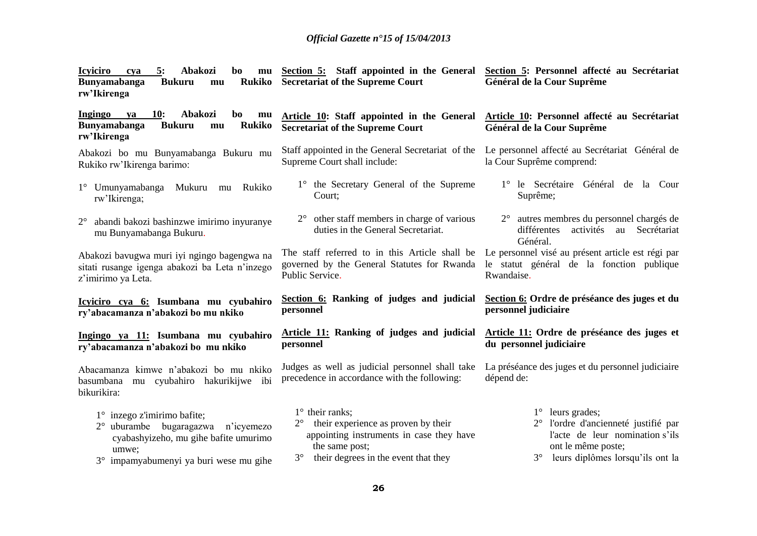| 5:<br><b>Icyiciro</b><br>Abakozi<br>bo<br>cya<br>mu<br><b>Bunyamabanga</b><br><b>Rukiko</b><br><b>Bukuru</b><br>mu<br>rw'lkirenga                                 | Section 5: Staff appointed in the General<br><b>Secretariat of the Supreme Court</b>                                                                                             | Section 5: Personnel affecté au Secrétariat<br>Général de la Cour Suprême                                                                                              |
|-------------------------------------------------------------------------------------------------------------------------------------------------------------------|----------------------------------------------------------------------------------------------------------------------------------------------------------------------------------|------------------------------------------------------------------------------------------------------------------------------------------------------------------------|
| Ingingo<br><b>10:</b><br>Abakozi<br>bo<br>ya<br>mu<br><b>Bunyamabanga</b><br><b>Rukiko</b><br><b>Bukuru</b><br>mu<br>rw'Ikirenga                                  | Article 10: Staff appointed in the General<br><b>Secretariat of the Supreme Court</b>                                                                                            | Article 10: Personnel affecté au Secrétariat<br>Général de la Cour Suprême                                                                                             |
| Abakozi bo mu Bunyamabanga Bukuru mu<br>Rukiko rw'Ikirenga barimo:                                                                                                | Staff appointed in the General Secretariat of the<br>Supreme Court shall include:                                                                                                | Le personnel affecté au Secrétariat Général de<br>la Cour Suprême comprend:                                                                                            |
| $1^\circ$ Umunyamabanga<br>Mukuru<br>Rukiko<br>mu<br>rw'Ikirenga;                                                                                                 | 1° the Secretary General of the Supreme<br>Court;                                                                                                                                | 1° le Secrétaire Général de la Cour<br>Suprême;                                                                                                                        |
| abandi bakozi bashinzwe imirimo inyuranye<br>$2^{\circ}$<br>mu Bunyamabanga Bukuru.                                                                               | $2^{\circ}$ other staff members in charge of various<br>duties in the General Secretariat.                                                                                       | 2 <sup>°</sup> autres membres du personnel chargés de<br>différentes<br>activités<br>Secrétariat<br>au<br>Général.                                                     |
| Abakozi bavugwa muri iyi ngingo bagengwa na<br>sitati rusange igenga abakozi ba Leta n'inzego<br>z'imirimo ya Leta.                                               | The staff referred to in this Article shall be<br>governed by the General Statutes for Rwanda le statut général de la fonction publique<br>Public Service.                       | Le personnel visé au présent article est régi par<br>Rwandaise.                                                                                                        |
| Icyiciro cya 6: Isumbana mu cyubahiro<br>ry'abacamanza n'abakozi bo mu nkiko                                                                                      | Section 6: Ranking of judges and judicial<br>personnel                                                                                                                           | Section 6: Ordre de préséance des juges et du<br>personnel judiciaire                                                                                                  |
| Ingingo ya 11: Isumbana mu cyubahiro<br>ry'abacamanza n'abakozi bo mu nkiko                                                                                       | Article 11: Ranking of judges and judicial<br>personnel                                                                                                                          | Article 11: Ordre de préséance des juges et<br>du personnel judiciaire                                                                                                 |
| Abacamanza kimwe n'abakozi bo mu nkiko<br>basumbana<br>mu cyubahiro hakurikijwe ibi<br>bikurikira:                                                                | Judges as well as judicial personnel shall take<br>precedence in accordance with the following:                                                                                  | La préséance des juges et du personnel judiciaire<br>dépend de:                                                                                                        |
| $1^\circ$ inzego z'imirimo bafite;<br>uburambe bugaragazwa n'icyemezo<br>cyabashyizeho, mu gihe bafite umurimo<br>umwe;<br>3° impamyabumenyi ya buri wese mu gihe | $1^\circ$ their ranks;<br>their experience as proven by their<br>appointing instruments in case they have<br>the same post;<br>$3^\circ$<br>their degrees in the event that they | $1^\circ$ leurs grades;<br>l'ordre d'ancienneté justifié par<br>l'acte de leur nomination s'ils<br>ont le même poste;<br>$3^\circ$<br>leurs diplômes lorsqu'ils ont la |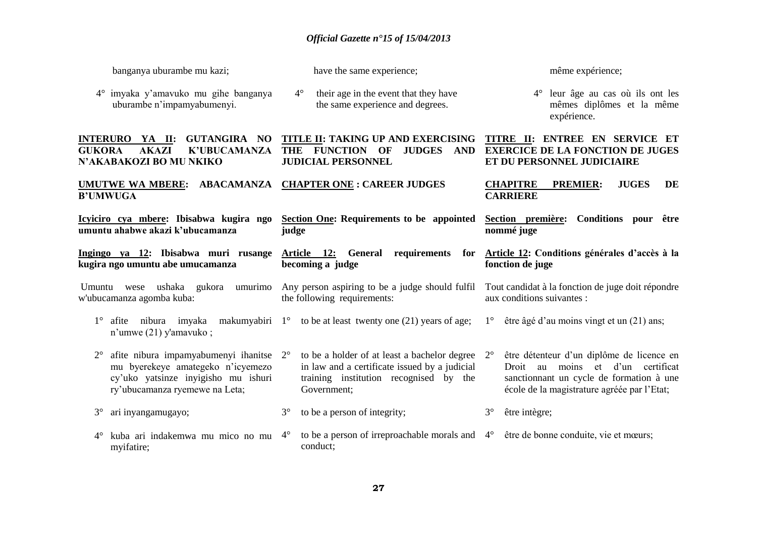| banganya uburambe mu kazi;                                                                                                                                           | have the same experience;                                                                                                                              | même expérience;                                                                                                                                                                         |
|----------------------------------------------------------------------------------------------------------------------------------------------------------------------|--------------------------------------------------------------------------------------------------------------------------------------------------------|------------------------------------------------------------------------------------------------------------------------------------------------------------------------------------------|
| 4° imyaka y'amavuko mu gihe banganya<br>uburambe n'impamyabumenyi.                                                                                                   | $4^\circ$<br>their age in the event that they have<br>the same experience and degrees.                                                                 | leur âge au cas où ils ont les<br>$4^\circ$<br>mêmes diplômes et la même<br>expérience.                                                                                                  |
| <b>GUTANGIRA NO</b><br><b>INTERURO YA II:</b><br><b>AKAZI</b><br><b>GUKORA</b><br><b>K'UBUCAMANZA</b><br>N'AKABAKOZI BO MU NKIKO                                     | TITLE II: TAKING UP AND EXERCISING<br><b>FUNCTION</b><br><b>JUDGES</b><br><b>AND</b><br><b>THE</b><br>OF<br><b>JUDICIAL PERSONNEL</b>                  | TITRE II: ENTREE EN SERVICE ET<br><b>EXERCICE DE LA FONCTION DE JUGES</b><br>ET DU PERSONNEL JUDICIAIRE                                                                                  |
| ABACAMANZA<br><b>UMUTWE WA MBERE:</b><br><b>B'UMWUGA</b>                                                                                                             | <b>CHAPTER ONE : CAREER JUDGES</b>                                                                                                                     | <b>CHAPITRE</b><br><b>PREMIER:</b><br><b>JUGES</b><br>DE<br><b>CARRIERE</b>                                                                                                              |
| Icyiciro cya mbere: Ibisabwa kugira ngo<br>umuntu ahabwe akazi k'ubucamanza                                                                                          | Section One: Requirements to be appointed<br>judge                                                                                                     | Section première: Conditions pour être<br>nommé juge                                                                                                                                     |
| Ingingo ya 12: Ibisabwa muri rusange<br>kugira ngo umuntu abe umucamanza                                                                                             | Article 12:<br>General<br>requirements<br>for<br>becoming a judge                                                                                      | Article 12: Conditions générales d'accès à la<br>fonction de juge                                                                                                                        |
| ushaka gukora umurimo<br>Umuntu<br>wese                                                                                                                              | Any person aspiring to be a judge should fulfil                                                                                                        | Tout candidat à la fonction de juge doit répondre                                                                                                                                        |
| w'ubucamanza agomba kuba:                                                                                                                                            | the following requirements:                                                                                                                            | aux conditions suivantes :                                                                                                                                                               |
| $1^{\circ}$<br>afite nibura imyaka<br>makumyabiri 1 <sup>o</sup><br>n'umwe $(21)$ y'amavuko;                                                                         | to be at least twenty one $(21)$ years of age;                                                                                                         | être âgé d'au moins vingt et un (21) ans;<br>$1^{\circ}$                                                                                                                                 |
| afite nibura impamyabumenyi ihanitse 2°<br>$2^{\circ}$<br>mu byerekeye amategeko n'icyemezo<br>cy'uko yatsinze inyigisho mu ishuri<br>ry'ubucamanza ryemewe na Leta; | to be a holder of at least a bachelor degree<br>in law and a certificate issued by a judicial<br>training institution recognised by the<br>Government; | être détenteur d'un diplôme de licence en<br>$2^{\circ}$<br>Droit au moins et d'un certificat<br>sanctionnant un cycle de formation à une<br>école de la magistrature agréée par l'Etat; |
| $3^\circ$<br>ari inyangamugayo;                                                                                                                                      | $3^\circ$<br>to be a person of integrity;                                                                                                              | $3^\circ$<br>être intègre;                                                                                                                                                               |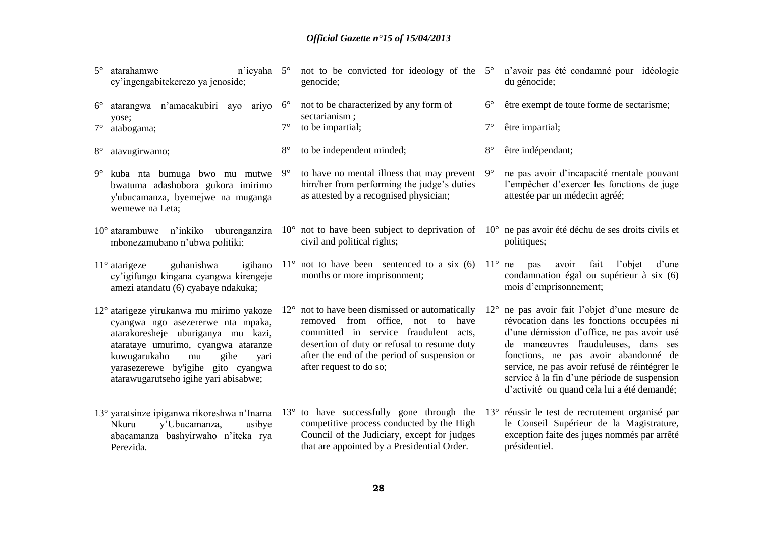| $5^\circ$<br>atarahamwe<br>cy'ingengabitekerezo ya jenoside;                                                                                                                                                                                                           | n'icyaha 5°  |             | not to be convicted for ideology of the 5°<br>genocide;                                                                                                                                                                                                                         |              | n'avoir pas été condamné pour idéologie<br>du génocide;                                                                                                                                                                                                                                                                                                             |
|------------------------------------------------------------------------------------------------------------------------------------------------------------------------------------------------------------------------------------------------------------------------|--------------|-------------|---------------------------------------------------------------------------------------------------------------------------------------------------------------------------------------------------------------------------------------------------------------------------------|--------------|---------------------------------------------------------------------------------------------------------------------------------------------------------------------------------------------------------------------------------------------------------------------------------------------------------------------------------------------------------------------|
| atarangwa n'amacakubiri ayo ariyo<br>$6^{\circ}$                                                                                                                                                                                                                       |              | $6^{\circ}$ | not to be characterized by any form of<br>sectarianism;                                                                                                                                                                                                                         | $6^{\circ}$  | être exempt de toute forme de sectarisme;                                                                                                                                                                                                                                                                                                                           |
| yose;<br>$7^{\circ}$<br>atabogama;                                                                                                                                                                                                                                     |              | $7^\circ$   | to be impartial;                                                                                                                                                                                                                                                                | $7^\circ$    | être impartial;                                                                                                                                                                                                                                                                                                                                                     |
| $8^{\circ}$<br>atavugirwamo;                                                                                                                                                                                                                                           |              | $8^{\circ}$ | to be independent minded;                                                                                                                                                                                                                                                       | $8^{\circ}$  | être indépendant;                                                                                                                                                                                                                                                                                                                                                   |
| $9^\circ$<br>kuba nta bumuga bwo mu mutwe<br>bwatuma adashobora gukora imirimo<br>y'ubucamanza, byemejwe na muganga<br>wemewe na Leta;                                                                                                                                 |              | $9^{\circ}$ | to have no mental illness that may prevent<br>him/her from performing the judge's duties<br>as attested by a recognised physician;                                                                                                                                              | $9^\circ$    | ne pas avoir d'incapacité mentale pouvant<br>l'empêcher d'exercer les fonctions de juge<br>attestée par un médecin agréé;                                                                                                                                                                                                                                           |
| $10^{\circ}$ atarambuwe n'inkiko uburenganzira<br>mbonezamubano n'ubwa politiki;                                                                                                                                                                                       |              |             | $10^{\circ}$ not to have been subject to deprivation of $10^{\circ}$ ne pas avoir été déchu de ses droits civils et<br>civil and political rights;                                                                                                                              |              | politiques;                                                                                                                                                                                                                                                                                                                                                         |
| $11^\circ$ atarigeze<br>guhanishwa<br>cy'igifungo kingana cyangwa kirengeje<br>amezi atandatu (6) cyabaye ndakuka;                                                                                                                                                     | igihano      |             | $11^{\circ}$ not to have been sentenced to a six (6) $11^{\circ}$ ne<br>months or more imprisonment;                                                                                                                                                                            |              | l'objet<br>avoir<br>fait<br>d'une<br>pas<br>condamnation égal ou supérieur à six (6)<br>mois d'emprisonnement;                                                                                                                                                                                                                                                      |
| 12° atarigeze yirukanwa mu mirimo yakoze<br>cyangwa ngo asezererwe nta mpaka,<br>atarakoresheje uburiganya mu kazi,<br>atarataye umurimo, cyangwa ataranze<br>kuwugarukaho<br>$\rm{mu}$<br>yarasezerewe by'igihe gito cyangwa<br>atarawugarutseho igihe yari abisabwe; | gihe<br>yari |             | $12^{\circ}$ not to have been dismissed or automatically<br>removed from<br>office, not to<br>have<br>committed in service fraudulent acts,<br>desertion of duty or refusal to resume duty<br>after the end of the period of suspension or<br>after request to do so;           | $12^{\circ}$ | ne pas avoir fait l'objet d'une mesure de<br>révocation dans les fonctions occupées ni<br>d'une démission d'office, ne pas avoir usé<br>de manœuvres frauduleuses, dans ses<br>fonctions, ne pas avoir abandonné de<br>service, ne pas avoir refusé de réintégrer le<br>service à la fin d'une période de suspension<br>d'activité ou quand cela lui a été demandé; |
| y'Ubucamanza,<br><b>Nkuru</b><br>abacamanza bashyirwaho n'iteka rya<br>Perezida.                                                                                                                                                                                       | usibye       |             | 13° yaratsinze ipiganwa rikoreshwa n'Inama 13° to have successfully gone through the 13° réussir le test de recrutement organisé par<br>competitive process conducted by the High<br>Council of the Judiciary, except for judges<br>that are appointed by a Presidential Order. |              | le Conseil Supérieur de la Magistrature,<br>exception faite des juges nommés par arrêté<br>présidentiel.                                                                                                                                                                                                                                                            |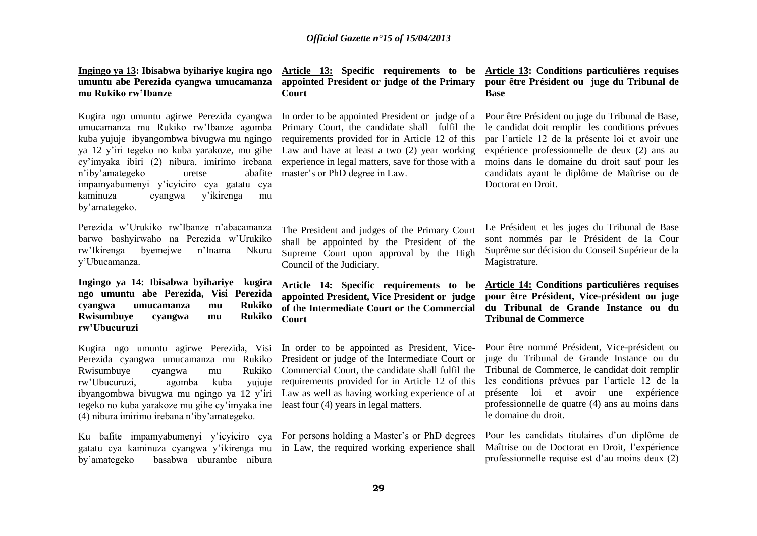### **Ingingo ya 13: Ibisabwa byihariye kugira ngo umuntu abe Perezida cyangwa umucamanza mu Rukiko rw'Ibanze**

Kugira ngo umuntu agirwe Perezida cyangwa umucamanza mu Rukiko rw'Ibanze agomba kuba yujuje ibyangombwa bivugwa mu ngingo ya 12 y'iri tegeko no kuba yarakoze, mu gihe cy'imyaka ibiri (2) nibura, imirimo irebana n'iby'amategeko uretse abafite impamyabumenyi y'icyiciro cya gatatu cya kaminuza cyangwa y'ikirenga mu by'amategeko.

Perezida w'Urukiko rw'Ibanze n'abacamanza barwo bashyirwaho na Perezida w'Urukiko rw'Ikirenga byemejwe n'Inama Nkuru y'Ubucamanza.

**Ingingo ya 14: Ibisabwa byihariye kugira ngo umuntu abe Perezida, Visi Perezida cyangwa umucamanza mu Rukiko Rwisumbuye cyangwa mu Rukiko rw'Ubucuruzi**

Kugira ngo umuntu agirwe Perezida, Visi In order to be appointed as President, Vice-Perezida cyangwa umucamanza mu Rukiko Rwisumbuye cyangwa mu Rukiko rw'Ubucuruzi, agomba kuba yujuje ibyangombwa bivugwa mu ngingo ya 12 y'iri tegeko no kuba yarakoze mu gihe cy'imyaka ine least four (4) years in legal matters. (4) nibura imirimo irebana n'iby'amategeko.

gatatu cya kaminuza cyangwa y'ikirenga mu by'amategeko basabwa uburambe nibura

# **appointed President or judge of the Primary Court**

In order to be appointed President or judge of a Primary Court, the candidate shall fulfil the requirements provided for in Article 12 of this Law and have at least a two (2) year working experience in legal matters, save for those with a master's or PhD degree in Law.

The President and judges of the Primary Court shall be appointed by the President of the Supreme Court upon approval by the High Council of the Judiciary.

**Article 14: Specific requirements to be appointed President, Vice President or judge of the Intermediate Court or the Commercial Court**

President or judge of the Intermediate Court or Commercial Court, the candidate shall fulfil the requirements provided for in Article 12 of this Law as well as having working experience of at

Ku bafite impamyabumenyi y'icyiciro cya For persons holding a Master's or PhD degrees in Law, the required working experience shall

### **Article 13: Specific requirements to be Article 13: Conditions particulières requises pour être Président ou juge du Tribunal de Base**

Pour être Président ou juge du Tribunal de Base, le candidat doit remplir les conditions prévues par l'article 12 de la présente loi et avoir une expérience professionnelle de deux (2) ans au moins dans le domaine du droit sauf pour les candidats ayant le diplôme de Maîtrise ou de Doctorat en Droit.

Le Président et les juges du Tribunal de Base sont nommés par le Président de la Cour Suprême sur décision du Conseil Supérieur de la Magistrature.

**Article 14: Conditions particulières requises pour être Président, Vice-président ou juge du Tribunal de Grande Instance ou du Tribunal de Commerce**

Pour être nommé Président, Vice-président ou juge du Tribunal de Grande Instance ou du Tribunal de Commerce, le candidat doit remplir les conditions prévues par l'article 12 de la présente loi et avoir une expérience professionnelle de quatre (4) ans au moins dans le domaine du droit.

Pour les candidats titulaires d'un diplôme de Maîtrise ou de Doctorat en Droit, l'expérience professionnelle requise est d'au moins deux (2)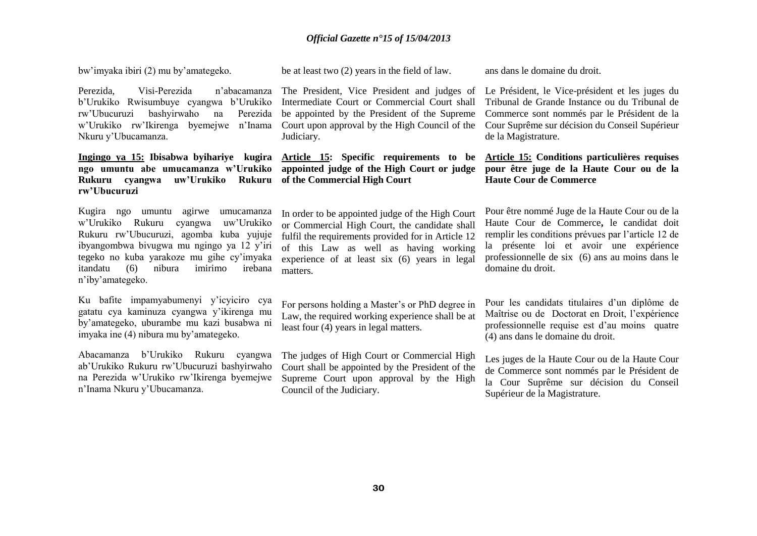bw'imyaka ibiri (2) mu by'amategeko.

be at least two (2) years in the field of law.

Perezida, Visi-Perezida n'abacamanza b'Urukiko Rwisumbuye cyangwa b'Urukiko rw'Ubucuruzi bashyirwaho na Perezida w'Urukiko rw'Ikirenga byemejwe n'Inama Nkuru y'Ubucamanza.

# **Rukuru cyangwa uw'Urukiko Rukuru of the Commercial High Court rw'Ubucuruzi**

Kugira ngo umuntu agirwe umucamanza w'Urukiko Rukuru cyangwa uw'Urukiko Rukuru rw'Ubucuruzi, agomba kuba yujuje ibyangombwa bivugwa mu ngingo ya 12 y'iri tegeko no kuba yarakoze mu gihe cy'imyaka itandatu (6) nibura imirimo irebana n'iby'amategeko.

Ku bafite impamyabumenyi y'icyiciro cya gatatu cya kaminuza cyangwa y'ikirenga mu by'amategeko, uburambe mu kazi busabwa ni imyaka ine (4) nibura mu by'amategeko.

Abacamanza b'Urukiko Rukuru cyangwa ab'Urukiko Rukuru rw'Ubucuruzi bashyirwaho na Perezida w'Urukiko rw'Ikirenga byemejwe n'Inama Nkuru y'Ubucamanza.

The President, Vice President and judges of Intermediate Court or Commercial Court shall be appointed by the President of the Supreme Court upon approval by the High Council of the Judiciary.

# **Ingingo ya 15: Ibisabwa byihariye kugira Article 15: Specific requirements to be ngo umuntu abe umucamanza w'Urukiko appointed judge of the High Court or judge**

In order to be appointed judge of the High Court or Commercial High Court, the candidate shall fulfil the requirements provided for in Article 12 of this Law as well as having working experience of at least six (6) years in legal matters.

For persons holding a Master's or PhD degree in Law, the required working experience shall be at least four (4) years in legal matters.

The judges of High Court or Commercial High Court shall be appointed by the President of the Supreme Court upon approval by the High Council of the Judiciary.

ans dans le domaine du droit.

Le Président, le Vice-président et les juges du Tribunal de Grande Instance ou du Tribunal de Commerce sont nommés par le Président de la Cour Suprême sur décision du Conseil Supérieur de la Magistrature.

### **Article 15: Conditions particulières requises pour être juge de la Haute Cour ou de la Haute Cour de Commerce**

Pour être nommé Juge de la Haute Cour ou de la Haute Cour de Commerce**,** le candidat doit remplir les conditions prévues par l'article 12 de la présente loi et avoir une expérience professionnelle de six (6) ans au moins dans le domaine du droit.

Pour les candidats titulaires d'un diplôme de Maîtrise ou de Doctorat en Droit, l'expérience professionnelle requise est d'au moins quatre (4) ans dans le domaine du droit.

Les juges de la Haute Cour ou de la Haute Cour de Commerce sont nommés par le Président de la Cour Suprême sur décision du Conseil Supérieur de la Magistrature.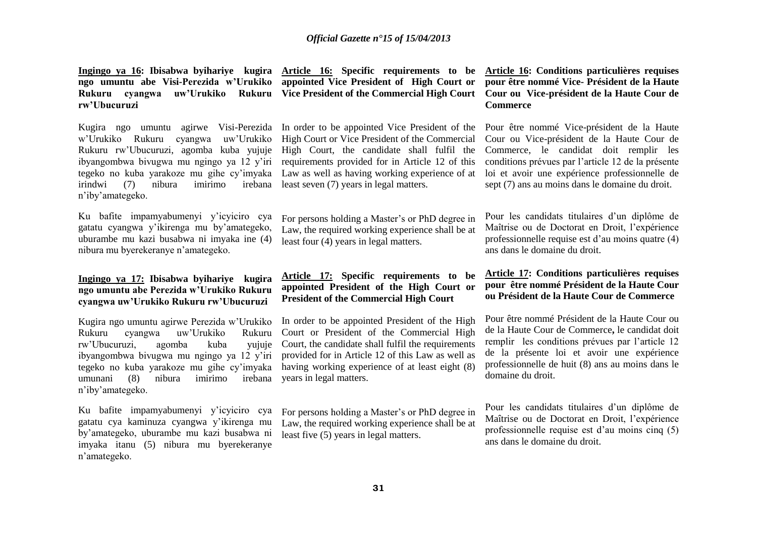**ngo umuntu abe Visi-Perezida w'Urukiko appointed Vice President of High Court or Rukuru cyangwa uw'Urukiko Rukuru Vice President of the Commercial High Court Cour ou Vice-président de la Haute Cour de rw'Ubucuruzi**

Kugira ngo umuntu agirwe Visi-Perezida In order to be appointed Vice President of the w'Urukiko Rukuru cyangwa uw'Urukiko High Court or Vice President of the Commercial Rukuru rw'Ubucuruzi, agomba kuba yujuje High Court, the candidate shall fulfil the ibyangombwa bivugwa mu ngingo ya 12 y'iri requirements provided for in Article 12 of this tegeko no kuba yarakoze mu gihe cy'imyaka Law as well as having working experience of at  $irindwi$  (7) nibura n'iby'amategeko.

Ku bafite impamyabumenyi y'icyiciro cya gatatu cyangwa y'ikirenga mu by'amategeko, uburambe mu kazi busabwa ni imyaka ine (4) nibura mu byerekeranye n'amategeko.

### **Ingingo ya 17: Ibisabwa byihariye kugira ngo umuntu abe Perezida w'Urukiko Rukuru cyangwa uw'Urukiko Rukuru rw'Ubucuruzi**

Kugira ngo umuntu agirwe Perezida w'Urukiko Rukuru cyangwa uw'Urukiko Rukuru rw'Ubucuruzi, agomba kuba yujuje ibyangombwa bivugwa mu ngingo ya 12 y'iri tegeko no kuba yarakoze mu gihe cy'imyaka umunani (8) nibura imirimo irebana years in legal matters. n'iby'amategeko.

Ku bafite impamyabumenyi y'icyiciro cya gatatu cya kaminuza cyangwa y'ikirenga mu by'amategeko, uburambe mu kazi busabwa ni imyaka itanu (5) nibura mu byerekeranye n'amategeko.

**Ingingo ya 16: Ibisabwa byihariye kugira Article 16: Specific requirements to be Article 16: Conditions particulières requises** 

 $\lim_{x \to \infty}$  irebana least seven (7) years in legal matters.

For persons holding a Master's or PhD degree in Law, the required working experience shall be at least four (4) years in legal matters.

### **Article 17: Specific requirements to be appointed President of the High Court or President of the Commercial High Court**

In order to be appointed President of the High Court or President of the Commercial High Court, the candidate shall fulfil the requirements provided for in Article 12 of this Law as well as having working experience of at least eight (8)

For persons holding a Master's or PhD degree in Law, the required working experience shall be at least five  $(5)$  years in legal matters.

# **pour être nommé Vice- Président de la Haute Commerce**

Pour être nommé Vice-président de la Haute Cour ou Vice-président de la Haute Cour de Commerce, le candidat doit remplir les conditions prévues par l'article 12 de la présente loi et avoir une expérience professionnelle de sept (7) ans au moins dans le domaine du droit.

Pour les candidats titulaires d'un diplôme de Maîtrise ou de Doctorat en Droit, l'expérience professionnelle requise est d'au moins quatre (4) ans dans le domaine du droit.

### **Article 17: Conditions particulières requises pour être nommé Président de la Haute Cour ou Président de la Haute Cour de Commerce**

Pour être nommé Président de la Haute Cour ou de la Haute Cour de Commerce**,** le candidat doit remplir les conditions prévues par l'article 12 de la présente loi et avoir une expérience professionnelle de huit (8) ans au moins dans le domaine du droit.

Pour les candidats titulaires d'un diplôme de Maîtrise ou de Doctorat en Droit, l'expérience professionnelle requise est d'au moins cinq (5) ans dans le domaine du droit.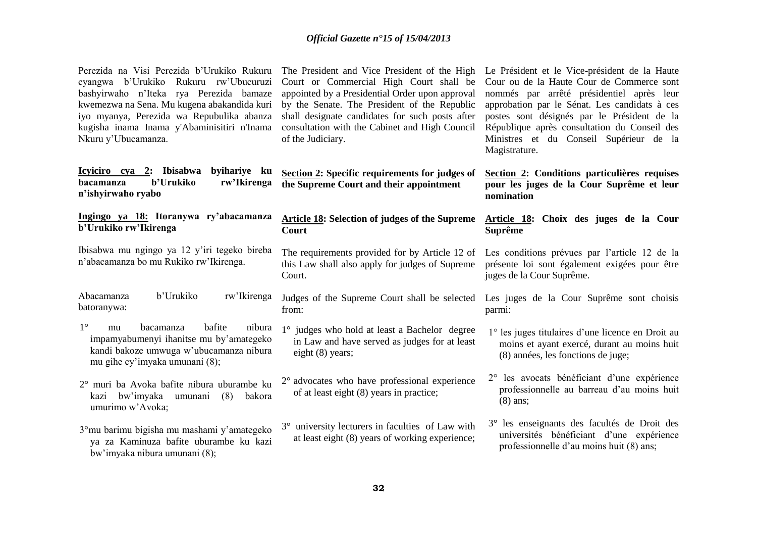| Perezida na Visi Perezida b'Urukiko Rukuru<br>cyangwa b'Urukiko Rukuru rw'Ubucuruzi<br>bashyirwaho n'Iteka rya Perezida bamaze<br>kwemezwa na Sena. Mu kugena abakandida kuri<br>iyo myanya, Perezida wa Repubulika abanza<br>kugisha inama Inama y'Abaminisitiri n'Inama<br>Nkuru y'Ubucamanza. | The President and Vice President of the High<br>Court or Commercial High Court shall be<br>appointed by a Presidential Order upon approval<br>by the Senate. The President of the Republic<br>shall designate candidates for such posts after<br>consultation with the Cabinet and High Council<br>of the Judiciary. | Le Président et le Vice-président de la Haute<br>Cour ou de la Haute Cour de Commerce sont<br>nommés par arrêté présidentiel après leur<br>approbation par le Sénat. Les candidats à ces<br>postes sont désignés par le Président de la<br>République après consultation du Conseil des<br>Ministres et du Conseil Supérieur de la<br>Magistrature. |
|--------------------------------------------------------------------------------------------------------------------------------------------------------------------------------------------------------------------------------------------------------------------------------------------------|----------------------------------------------------------------------------------------------------------------------------------------------------------------------------------------------------------------------------------------------------------------------------------------------------------------------|-----------------------------------------------------------------------------------------------------------------------------------------------------------------------------------------------------------------------------------------------------------------------------------------------------------------------------------------------------|
| <u>Icyiciro cya 2:</u> Ibisabwa<br>byihariye ku<br><b>b'Urukiko</b><br>rw'Ikirenga<br><b>bacamanza</b><br>n'ishyirwaho ryabo                                                                                                                                                                     | <b>Section 2: Specific requirements for judges of</b><br>the Supreme Court and their appointment                                                                                                                                                                                                                     | Section 2: Conditions particulières requises<br>pour les juges de la Cour Suprême et leur<br>nomination                                                                                                                                                                                                                                             |
| Ingingo ya 18: Itoranywa ry'abacamanza<br>b'Urukiko rw'Ikirenga                                                                                                                                                                                                                                  | <b>Article 18: Selection of judges of the Supreme</b><br>Court                                                                                                                                                                                                                                                       | Article 18: Choix des juges de la Cour<br><b>Suprême</b>                                                                                                                                                                                                                                                                                            |
| Ibisabwa mu ngingo ya 12 y'iri tegeko bireba<br>n'abacamanza bo mu Rukiko rw'Ikirenga.                                                                                                                                                                                                           | The requirements provided for by Article 12 of<br>this Law shall also apply for judges of Supreme<br>Court.                                                                                                                                                                                                          | Les conditions prévues par l'article 12 de la<br>présente loi sont également exigées pour être<br>juges de la Cour Suprême.                                                                                                                                                                                                                         |
| b'Urukiko<br>rw'Ikirenga<br>Abacamanza<br>batoranywa:                                                                                                                                                                                                                                            | Judges of the Supreme Court shall be selected Les juges de la Cour Suprême sont choisis<br>from:                                                                                                                                                                                                                     | parmi:                                                                                                                                                                                                                                                                                                                                              |
| $1^{\circ}$<br>bafite<br>nibura<br>bacamanza<br>mu<br>impamyabumenyi ihanitse mu by'amategeko<br>kandi bakoze umwuga w'ubucamanza nibura<br>mu gihe cy'imyaka umunani (8);                                                                                                                       | 1° judges who hold at least a Bachelor degree<br>in Law and have served as judges for at least<br>eight $(8)$ years;                                                                                                                                                                                                 | 1° les juges titulaires d'une licence en Droit au<br>moins et ayant exercé, durant au moins huit<br>(8) années, les fonctions de juge;                                                                                                                                                                                                              |
| 2° muri ba Avoka bafite nibura uburambe ku<br>bw'imyaka<br>(8)<br>bakora<br>umunani<br>kazi<br>umurimo w'Avoka;                                                                                                                                                                                  | $2^{\circ}$ advocates who have professional experience<br>of at least eight (8) years in practice;                                                                                                                                                                                                                   | 2° les avocats bénéficiant d'une expérience<br>professionnelle au barreau d'au moins huit<br>$(8)$ ans;                                                                                                                                                                                                                                             |
| 3°mu barimu bigisha mu mashami y'amategeko<br>ya za Kaminuza bafite uburambe ku kazi<br>bw'imyaka nibura umunani (8);                                                                                                                                                                            | 3° university lecturers in faculties of Law with<br>at least eight (8) years of working experience;                                                                                                                                                                                                                  | 3° les enseignants des facultés de Droit des<br>universités bénéficiant d'une expérience<br>professionnelle d'au moins huit (8) ans;                                                                                                                                                                                                                |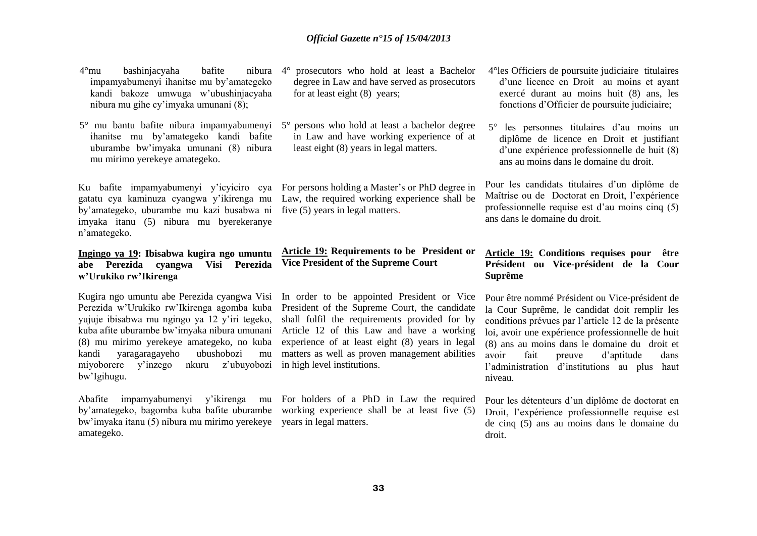- 4°mu bashinjacyaha bafite nibura impamyabumenyi ihanitse mu by'amategeko kandi bakoze umwuga w'ubushinjacyaha nibura mu gihe cy'imyaka umunani (8);
- 5° mu bantu bafite nibura impamyabumenyi 5° persons who hold at least a bachelor degree ihanitse mu by'amategeko kandi bafite uburambe bw'imyaka umunani (8) nibura mu mirimo yerekeye amategeko.

Ku bafite impamyabumenyi y'icyiciro cya For persons holding a Master's or PhD degree in by'amategeko, uburambe mu kazi busabwa ni imyaka itanu (5) nibura mu byerekeranye n'amategeko.

### **Ingingo ya 19: Ibisabwa kugira ngo umuntu abe Perezida cyangwa Visi Perezida w'Urukiko rw'Ikirenga**

Kugira ngo umuntu abe Perezida cyangwa Visi In order to be appointed President or Vice Perezida w'Urukiko rw'Ikirenga agomba kuba yujuje ibisabwa mu ngingo ya 12 y'iri tegeko, kuba afite uburambe bw'imyaka nibura umunani (8) mu mirimo yerekeye amategeko, no kuba kandi yaragaragayeho ubushobozi mu miyoborere y'inzego nkuru z'ubuyobozi in high level institutions. bw'Igihugu.

Abafite impamyabumenyi y'ikirenga mu For holders of a PhD in Law the required bw'imyaka itanu (5) nibura mu mirimo yerekeye years in legal matters. amategeko.

- 4° prosecutors who hold at least a Bachelor degree in Law and have served as prosecutors for at least eight (8) years;
- in Law and have working experience of at least eight (8) years in legal matters.

gatatu cya kaminuza cyangwa y'ikirenga mu Law, the required working experience shall be five (5) years in legal matters.

### **Article 19: Requirements to be President or Vice President of the Supreme Court**

President of the Supreme Court, the candidate shall fulfil the requirements provided for by Article 12 of this Law and have a working experience of at least eight (8) years in legal matters as well as proven management abilities

by'amategeko, bagomba kuba bafite uburambe working experience shall be at least five (5)

- 4°les Officiers de poursuite judiciaire titulaires d'une licence en Droit au moins et ayant exercé durant au moins huit (8) ans, les fonctions d'Officier de poursuite judiciaire;
- 5° les personnes titulaires d'au moins un diplôme de licence en Droit et justifiant d'une expérience professionnelle de huit (8) ans au moins dans le domaine du droit.

Pour les candidats titulaires d'un diplôme de Maîtrise ou de Doctorat en Droit, l'expérience professionnelle requise est d'au moins cinq (5) ans dans le domaine du droit.

### **Article 19: Conditions requises pour être Président ou Vice-président de la Cour Suprême**

Pour être nommé Président ou Vice-président de la Cour Suprême, le candidat doit remplir les conditions prévues par l'article 12 de la présente loi, avoir une expérience professionnelle de huit (8) ans au moins dans le domaine du droit et avoir fait preuve d'aptitude dans l'administration d'institutions au plus haut niveau.

Pour les détenteurs d'un diplôme de doctorat en Droit, l'expérience professionnelle requise est de cinq (5) ans au moins dans le domaine du droit.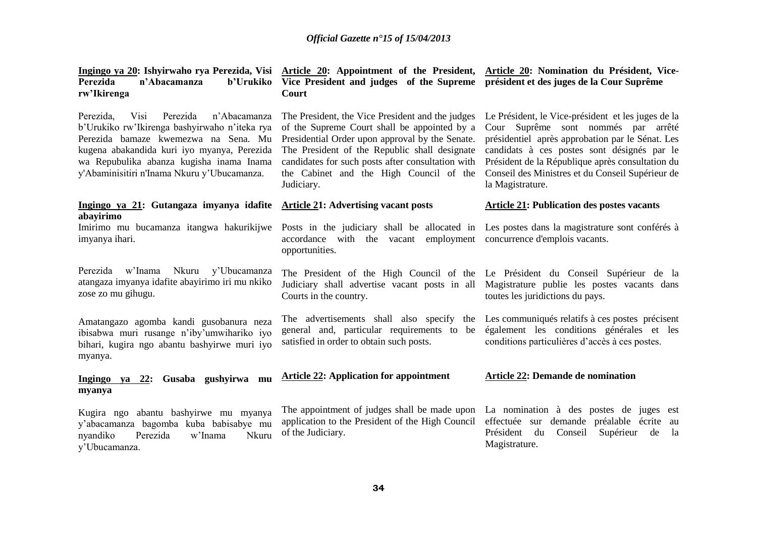| Perezida<br>n'Abacamanza<br>b'Urukiko<br>rw'Ikirenga                                                                                                                                                                                                                             | Ingingo ya 20: Ishyirwaho rya Perezida, Visi Article 20: Appointment of the President, Article 20: Nomination du Président, Vice-<br>Vice President and judges of the Supreme président et des juges de la Cour Suprême<br>Court                                                                                   |                                                                                                                                                                                                                                                                                                                          |
|----------------------------------------------------------------------------------------------------------------------------------------------------------------------------------------------------------------------------------------------------------------------------------|--------------------------------------------------------------------------------------------------------------------------------------------------------------------------------------------------------------------------------------------------------------------------------------------------------------------|--------------------------------------------------------------------------------------------------------------------------------------------------------------------------------------------------------------------------------------------------------------------------------------------------------------------------|
| Perezida<br>Perezida,<br>Visi<br>n'Abacamanza<br>b'Urukiko rw'Ikirenga bashyirwaho n'iteka rya<br>Perezida bamaze kwemezwa na Sena. Mu<br>kugena abakandida kuri iyo myanya, Perezida<br>wa Repubulika abanza kugisha inama Inama<br>y'Abaminisitiri n'Inama Nkuru y'Ubucamanza. | The President, the Vice President and the judges<br>of the Supreme Court shall be appointed by a<br>Presidential Order upon approval by the Senate.<br>The President of the Republic shall designate<br>candidates for such posts after consultation with<br>the Cabinet and the High Council of the<br>Judiciary. | Le Président, le Vice-président et les juges de la<br>Cour Suprême sont nommés par arrêté<br>présidentiel après approbation par le Sénat. Les<br>candidats à ces postes sont désignés par le<br>Président de la République après consultation du<br>Conseil des Ministres et du Conseil Supérieur de<br>la Magistrature. |
| Ingingo ya 21: Gutangaza imyanya idafite Article 21: Advertising vacant posts<br>abayirimo                                                                                                                                                                                       |                                                                                                                                                                                                                                                                                                                    | <b>Article 21: Publication des postes vacants</b>                                                                                                                                                                                                                                                                        |
| Imirimo mu bucamanza itangwa hakurikijwe<br>imyanya ihari.                                                                                                                                                                                                                       | Posts in the judiciary shall be allocated in Les postes dans la magistrature sont conférés à<br>accordance with the vacant employment concurrence d'emplois vacants.<br>opportunities.                                                                                                                             |                                                                                                                                                                                                                                                                                                                          |
| w'Inama<br>Nkuru y'Ubucamanza<br>Perezida<br>atangaza imyanya idafite abayirimo iri mu nkiko<br>zose zo mu gihugu.                                                                                                                                                               | Courts in the country.                                                                                                                                                                                                                                                                                             | The President of the High Council of the Le Président du Conseil Supérieur de la<br>Judiciary shall advertise vacant posts in all Magistrature publie les postes vacants dans<br>toutes les juridictions du pays.                                                                                                        |
| Amatangazo agomba kandi gusobanura neza<br>ibisabwa muri rusange n'iby'umwihariko iyo<br>bihari, kugira ngo abantu bashyirwe muri iyo<br>myanya.                                                                                                                                 | The advertisements shall also specify<br>the<br>general and, particular requirements to be<br>satisfied in order to obtain such posts.                                                                                                                                                                             | Les communiqués relatifs à ces postes précisent<br>également les conditions générales et les<br>conditions particulières d'accès à ces postes.                                                                                                                                                                           |
| 22: Gusaba gushyirwa mu<br>Ingingo ya<br>myanya                                                                                                                                                                                                                                  | <b>Article 22: Application for appointment</b>                                                                                                                                                                                                                                                                     | <b>Article 22: Demande de nomination</b>                                                                                                                                                                                                                                                                                 |
| abantu bashyirwe mu myanya<br>Kugira ngo<br>y'abacamanza bagomba kuba babisabye mu<br>Perezida<br>w'Inama<br>nyandiko<br>Nkuru<br>y'Ubucamanza.                                                                                                                                  | The appointment of judges shall be made upon<br>application to the President of the High Council<br>of the Judiciary.                                                                                                                                                                                              | La nomination à des postes de juges est<br>effectuée sur demande préalable écrite au<br>Président<br>Conseil<br>Supérieur<br>du<br>de<br>la<br>Magistrature.                                                                                                                                                             |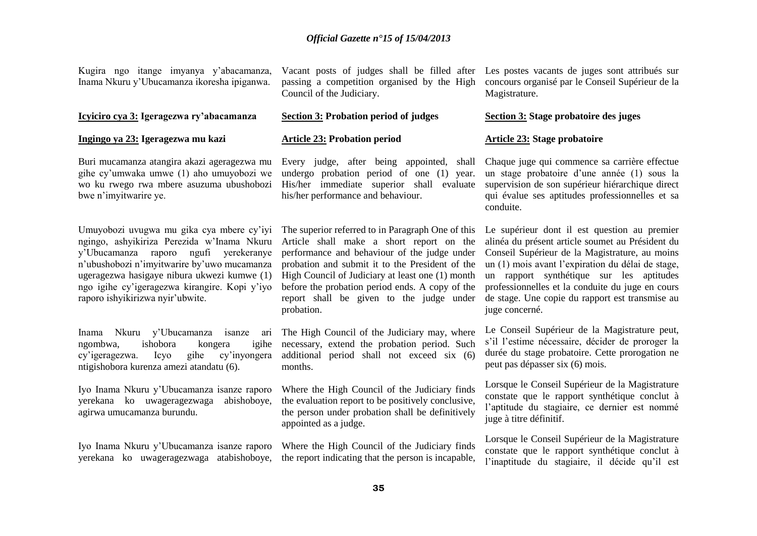Kugira ngo itange imyanya y'abacamanza, Inama Nkuru y'Ubucamanza ikoresha ipiganwa.

### **Icyiciro cya 3: Igeragezwa ry'abacamanza**

#### **Ingingo ya 23: Igeragezwa mu kazi**

Buri mucamanza atangira akazi ageragezwa mu gihe cy'umwaka umwe (1) aho umuyobozi we wo ku rwego rwa mbere asuzuma ubushobozi bwe n'imyitwarire ye.

Umuyobozi uvugwa mu gika cya mbere cy'iyi ngingo, ashyikiriza Perezida w'Inama Nkuru y'Ubucamanza raporo ngufi yerekeranye n'ubushobozi n'imyitwarire by'uwo mucamanza ugeragezwa hasigaye nibura ukwezi kumwe (1) ngo igihe cy'igeragezwa kirangire. Kopi y'iyo raporo ishyikirizwa nyir'ubwite.

Inama Nkuru y'Ubucamanza isanze ari The High Council of the Judiciary may, where ngombwa, ishobora kongera cy'igeragezwa. Icyo gihe cy'inyongera ntigishobora kurenza amezi atandatu (6).

Iyo Inama Nkuru y'Ubucamanza isanze raporo yerekana ko uwageragezwaga abishoboye, agirwa umucamanza burundu.

passing a competition organised by the High Council of the Judiciary.

### **Section 3: Probation period of judges**

#### **Article 23: Probation period**

Every judge, after being appointed, shall undergo probation period of one (1) year. His/her immediate superior shall evaluate his/her performance and behaviour.

The superior referred to in Paragraph One of this Article shall make a short report on the performance and behaviour of the judge under probation and submit it to the President of the High Council of Judiciary at least one (1) month before the probation period ends. A copy of the report shall be given to the judge under probation.

igihe necessary, extend the probation period. Such additional period shall not exceed six (6) months.

> Where the High Council of the Judiciary finds the evaluation report to be positively conclusive, the person under probation shall be definitively appointed as a judge.

Iyo Inama Nkuru y'Ubucamanza isanze raporo Where the High Council of the Judiciary finds yerekana ko uwageragezwaga atabishoboye, the report indicating that the person is incapable,

Vacant posts of judges shall be filled after Les postes vacants de juges sont attribués sur concours organisé par le Conseil Supérieur de la Magistrature.

#### **Section 3: Stage probatoire des juges**

#### **Article 23: Stage probatoire**

Chaque juge qui commence sa carrière effectue un stage probatoire d'une année (1) sous la supervision de son supérieur hiérarchique direct qui évalue ses aptitudes professionnelles et sa conduite.

Le supérieur dont il est question au premier alinéa du présent article soumet au Président du Conseil Supérieur de la Magistrature, au moins un (1) mois avant l'expiration du délai de stage, un rapport synthétique sur les aptitudes professionnelles et la conduite du juge en cours de stage. Une copie du rapport est transmise au juge concerné.

Le Conseil Supérieur de la Magistrature peut, s'il l'estime nécessaire, décider de proroger la durée du stage probatoire. Cette prorogation ne peut pas dépasser six (6) mois.

Lorsque le Conseil Supérieur de la Magistrature constate que le rapport synthétique conclut à l'aptitude du stagiaire, ce dernier est nommé juge à titre définitif.

Lorsque le Conseil Supérieur de la Magistrature constate que le rapport synthétique conclut à l'inaptitude du stagiaire, il décide qu'il est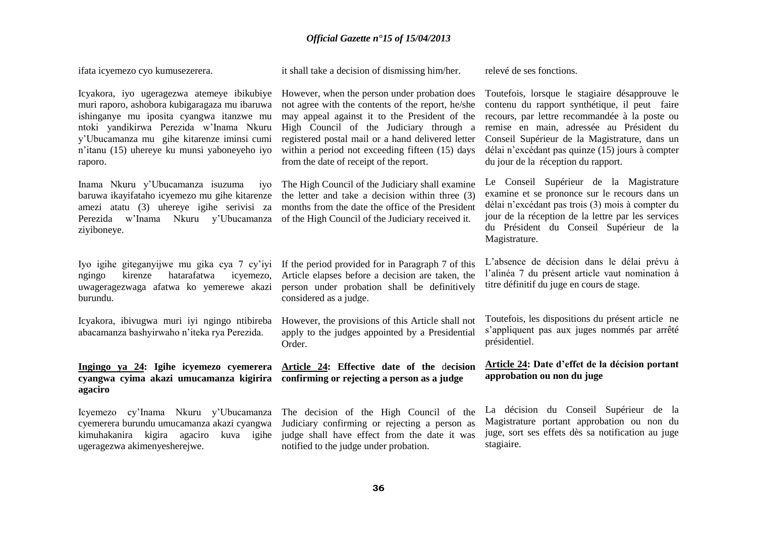ifata icyemezo cyo kumusezerera.

it shall take a decision of dismissing him/her.

relevé de ses fonctions.

Icyakora, iyo ugeragezwa atemeye ibikubiye However, when the person under probation does muri raporo, ashobora kubigaragaza mu ibaruwa ishinganye mu iposita cyangwa itanzwe mu ntoki yandikirwa Perezida w'Inama Nkuru y'Ubucamanza mu gihe kitarenze iminsi cumi n'itanu (15) uhereye ku munsi yaboneyeho iyo raporo.

Inama Nkuru y'Ubucamanza isuzuma baruwa ikayifataho icyemezo mu gihe kitarenze amezi atatu (3) uhereye igihe serivisi za Perezida w'Inama Nkuru y'Ubucamanza ziyiboneye.

ngingo kirenze hatarafatwa icyemezo, uwageragezwaga afatwa ko yemerewe akazi burundu.

Icyakora, ibivugwa muri iyi ngingo ntibireba abacamanza bashyirwaho n'iteka rya Perezida.

# **cyangwa cyima akazi umucamanza kigirira confirming or rejecting a person as a judge agaciro**

Icyemezo cy'Inama Nkuru y'Ubucamanza cyemerera burundu umucamanza akazi cyangwa kimuhakanira kigira agaciro kuva igihe ugeragezwa akimenyesherejwe.

not agree with the contents of the report, he/she may appeal against it to the President of the High Council of the Judiciary through a registered postal mail or a hand delivered letter within a period not exceeding fifteen (15) days from the date of receipt of the report.

The High Council of the Judiciary shall examine the letter and take a decision within three (3) months from the date the office of the President of the High Council of the Judiciary received it.

Iyo igihe giteganyijwe mu gika cya 7 cy'iyi If the period provided for in Paragraph 7 of this Article elapses before a decision are taken, the person under probation shall be definitively considered as a judge.

> However, the provisions of this Article shall not apply to the judges appointed by a Presidential Order.

**Ingingo ya 24: Igihe icyemezo cyemerera Article 24: Effective date of the** d**ecision** 

The decision of the High Council of the Judiciary confirming or rejecting a person as judge shall have effect from the date it was notified to the judge under probation.

Toutefois, lorsque le stagiaire désapprouve le contenu du rapport synthétique, il peut faire recours, par lettre recommandée à la poste ou remise en main, adressée au Président du Conseil Supérieur de la Magistrature, dans un délai n'excédant pas quinze (15) jours à compter du jour de la réception du rapport.

Le Conseil Supérieur de la Magistrature examine et se prononce sur le recours dans un délai n'excédant pas trois (3) mois à compter du jour de la réception de la lettre par les services du Président du Conseil Supérieur de la Magistrature.

L'absence de décision dans le délai prévu à l'alinéa 7 du présent article vaut nomination à titre définitif du juge en cours de stage.

Toutefois, les dispositions du présent article ne s'appliquent pas aux juges nommés par arrêté présidentiel.

### **Article 24: Date d'effet de la décision portant approbation ou non du juge**

La décision du Conseil Supérieur de la Magistrature portant approbation ou non du juge, sort ses effets dès sa notification au juge stagiaire.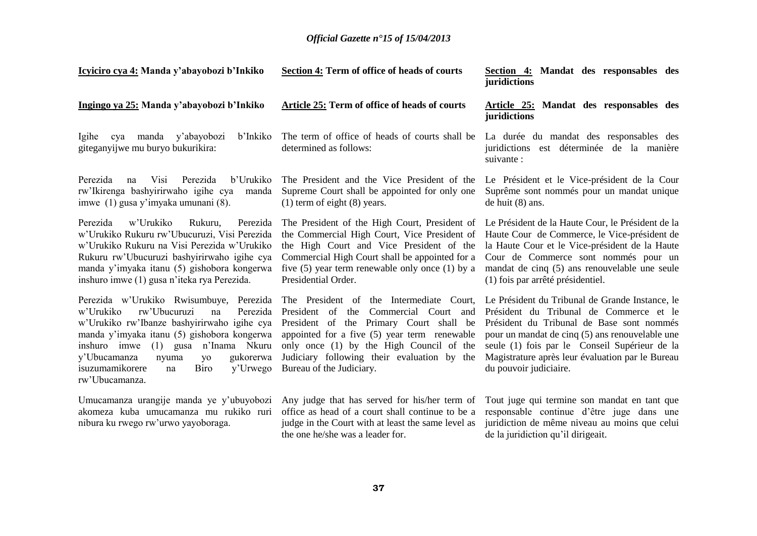| Icyiciro cya 4: Manda y'abayobozi b'Inkiko                                                                                                                                                                                                                                                                                                    | Section 4: Term of office of heads of courts                                                                                                                                                                                                                                                        | Section 4: Mandat des responsables des<br>juridictions                                                                                                                                                                                                                                                                    |
|-----------------------------------------------------------------------------------------------------------------------------------------------------------------------------------------------------------------------------------------------------------------------------------------------------------------------------------------------|-----------------------------------------------------------------------------------------------------------------------------------------------------------------------------------------------------------------------------------------------------------------------------------------------------|---------------------------------------------------------------------------------------------------------------------------------------------------------------------------------------------------------------------------------------------------------------------------------------------------------------------------|
| Ingingo ya 25: Manda y'abayobozi b'Inkiko                                                                                                                                                                                                                                                                                                     | Article 25: Term of office of heads of courts                                                                                                                                                                                                                                                       | Article 25: Mandat des responsables des<br>juridictions                                                                                                                                                                                                                                                                   |
| manda y'abayobozi<br>b'Inkiko<br>Igihe<br>cya<br>giteganyijwe mu buryo bukurikira:                                                                                                                                                                                                                                                            | The term of office of heads of courts shall be<br>determined as follows:                                                                                                                                                                                                                            | La durée du mandat des responsables des<br>juridictions est déterminée de la manière<br>suivante :                                                                                                                                                                                                                        |
| Perezida<br>Visi<br>Perezida<br>b'Urukiko<br>na<br>rw'Ikirenga bashyirirwaho igihe cya<br>manda<br>imwe (1) gusa y'imyaka umunani (8).                                                                                                                                                                                                        | The President and the Vice President of the<br>Supreme Court shall be appointed for only one<br>$(1)$ term of eight $(8)$ years.                                                                                                                                                                    | Le Président et le Vice-président de la Cour<br>Suprême sont nommés pour un mandat unique<br>de huit $(8)$ ans.                                                                                                                                                                                                           |
| Perezida<br>w'Urukiko<br>Rukuru,<br>Perezida<br>w'Urukiko Rukuru rw'Ubucuruzi, Visi Perezida<br>w'Urukiko Rukuru na Visi Perezida w'Urukiko<br>Rukuru rw'Ubucuruzi bashyirirwaho igihe cya<br>manda y'imyaka itanu (5) gishobora kongerwa<br>inshuro imwe (1) gusa n'iteka rya Perezida.                                                      | The President of the High Court, President of<br>the Commercial High Court, Vice President of<br>the High Court and Vice President of the<br>Commercial High Court shall be appointed for a<br>five $(5)$ year term renewable only once $(1)$ by a<br>Presidential Order.                           | Le Président de la Haute Cour, le Président de la<br>Haute Cour de Commerce, le Vice-président de<br>la Haute Cour et le Vice-président de la Haute<br>Cour de Commerce sont nommés pour un<br>mandat de cinq (5) ans renouvelable une seule<br>(1) fois par arrêté présidentiel.                                         |
| Perezida w'Urukiko Rwisumbuye, Perezida<br>rw'Ubucuruzi<br>w'Urukiko<br>Perezida<br>na<br>w'Urukiko rw'Ibanze bashyirirwaho igihe cya<br>manda y'imyaka itanu (5) gishobora kongerwa<br>inshuro imwe (1) gusa n'Inama Nkuru<br>gukorerwa<br>y'Ubucamanza<br>nyuma<br>yo<br>isuzumamikorere<br><b>Biro</b><br>y'Urwego<br>na<br>rw'Ubucamanza. | The President of the Intermediate Court,<br>President of the Commercial Court and<br>President of the Primary Court shall be<br>appointed for a five (5) year term renewable<br>only once (1) by the High Council of the<br>Judiciary following their evaluation by the<br>Bureau of the Judiciary. | Le Président du Tribunal de Grande Instance, le<br>Président du Tribunal de Commerce et le<br>Président du Tribunal de Base sont nommés<br>pour un mandat de cinq (5) ans renouvelable une<br>seule (1) fois par le Conseil Supérieur de la<br>Magistrature après leur évaluation par le Bureau<br>du pouvoir judiciaire. |
| Umucamanza urangije manda ye y'ubuyobozi<br>akomeza kuba umucamanza mu rukiko ruri<br>nibura ku rwego rw'urwo yayoboraga.                                                                                                                                                                                                                     | Any judge that has served for his/her term of<br>office as head of a court shall continue to be a<br>judge in the Court with at least the same level as<br>the one he/she was a leader for.                                                                                                         | Tout juge qui termine son mandat en tant que<br>responsable continue d'être juge dans une<br>juridiction de même niveau au moins que celui<br>de la juridiction qu'il dirigeait.                                                                                                                                          |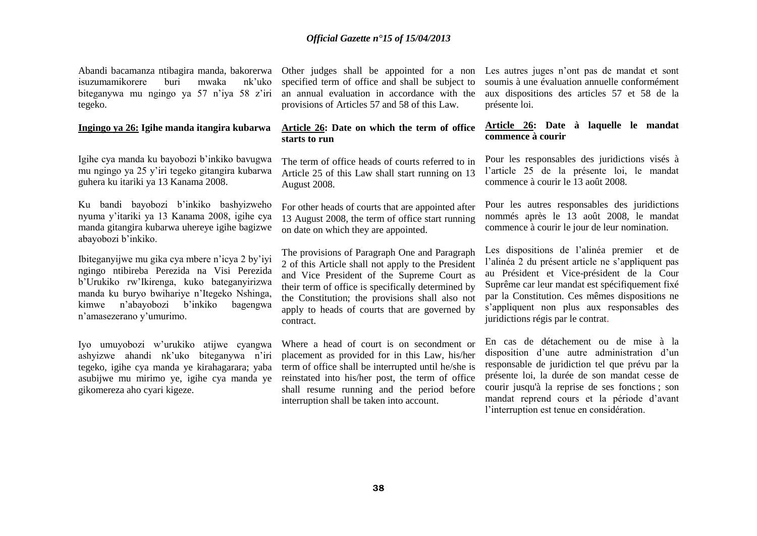Abandi bacamanza ntibagira manda, bakorerwa Other judges shall be appointed for a non isuzumamikorere buri mwaka nk'uko biteganywa mu ngingo ya 57 n'iya 58 z'iri tegeko.

#### **Ingingo ya 26: Igihe manda itangira kubarwa**

Igihe cya manda ku bayobozi b'inkiko bavugwa mu ngingo ya 25 y'iri tegeko gitangira kubarwa guhera ku itariki ya 13 Kanama 2008.

Ku bandi bayobozi b'inkiko bashyizweho nyuma y'itariki ya 13 Kanama 2008, igihe cya manda gitangira kubarwa uhereye igihe bagizwe abayobozi b'inkiko.

Ibiteganyijwe mu gika cya mbere n'icya 2 by'iyi ngingo ntibireba Perezida na Visi Perezida b'Urukiko rw'Ikirenga, kuko bateganyirizwa manda ku buryo bwihariye n'Itegeko Nshinga, kimwe n'abayobozi b'inkiko bagengwa n'amasezerano y'umurimo.

Iyo umuyobozi w'urukiko atijwe cyangwa ashyizwe ahandi nk'uko biteganywa n'iri tegeko, igihe cya manda ye kirahagarara; yaba asubijwe mu mirimo ye, igihe cya manda ye gikomereza aho cyari kigeze.

specified term of office and shall be subject to an annual evaluation in accordance with the provisions of Articles 57 and 58 of this Law.

## **Article 26: Date on which the term of office starts to run**

The term of office heads of courts referred to in Article 25 of this Law shall start running on 13 August 2008.

For other heads of courts that are appointed after 13 August 2008, the term of office start running on date on which they are appointed.

The provisions of Paragraph One and Paragraph 2 of this Article shall not apply to the President and Vice President of the Supreme Court as their term of office is specifically determined by the Constitution; the provisions shall also not apply to heads of courts that are governed by contract.

Where a head of court is on secondment or placement as provided for in this Law, his/her term of office shall be interrupted until he/she is reinstated into his/her post, the term of office shall resume running and the period before interruption shall be taken into account.

Les autres juges n'ont pas de mandat et sont soumis à une évaluation annuelle conformément aux dispositions des articles 57 et 58 de la présente loi.

## **Article 26: Date à laquelle le mandat commence à courir**

Pour les responsables des juridictions visés à l'article 25 de la présente loi, le mandat commence à courir le 13 août 2008.

Pour les autres responsables des juridictions nommés après le 13 août 2008, le mandat commence à courir le jour de leur nomination.

Les dispositions de l'alinéa premier et de l'alinéa 2 du présent article ne s'appliquent pas au Président et Vice-président de la Cour Suprême car leur mandat est spécifiquement fixé par la Constitution. Ces mêmes dispositions ne s'appliquent non plus aux responsables des juridictions régis par le contrat.

En cas de détachement ou de mise à la disposition d'une autre administration d'un responsable de juridiction tel que prévu par la présente loi, la durée de son mandat cesse de courir jusqu'à la reprise de ses fonctions ; son mandat reprend cours et la période d'avant l'interruption est tenue en considération.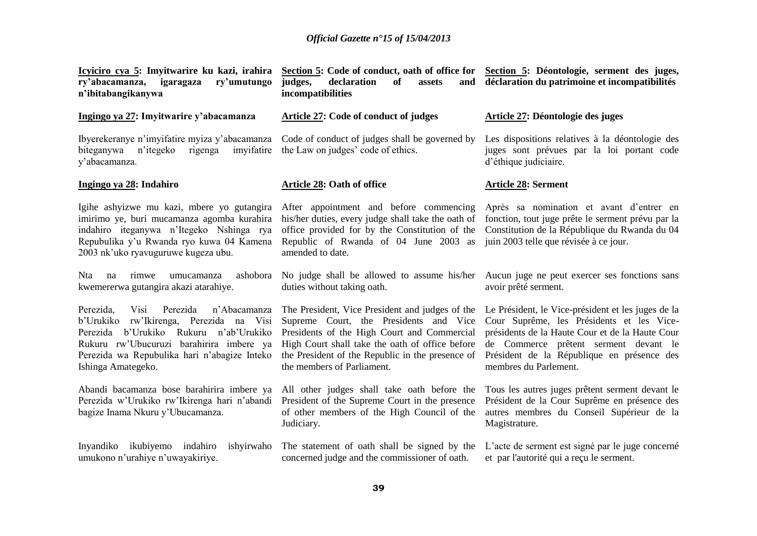| Icyiciro cya 5: Imyitwarire ku kazi, irahira<br>ry'abacamanza,<br>igaragaza<br>ry'umutungo<br>n'ibitabangikanywa                                                                                                                                              | Section 5: Code of conduct, oath of office for<br>declaration<br>of<br>and<br>judges,<br>assets<br>incompatibilities                                                                                                                                                          | Section 5: Déontologie, serment des juges,<br>déclaration du patrimoine et incompatibilités                                                                                                                                                                        |
|---------------------------------------------------------------------------------------------------------------------------------------------------------------------------------------------------------------------------------------------------------------|-------------------------------------------------------------------------------------------------------------------------------------------------------------------------------------------------------------------------------------------------------------------------------|--------------------------------------------------------------------------------------------------------------------------------------------------------------------------------------------------------------------------------------------------------------------|
| Ingingo ya 27: Imyitwarire y'abacamanza                                                                                                                                                                                                                       | Article 27: Code of conduct of judges                                                                                                                                                                                                                                         | Article 27: Déontologie des juges                                                                                                                                                                                                                                  |
| Ibyerekeranye n'imyifatire myiza y'abacamanza Code of conduct of judges shall be governed by<br>n'itegeko<br>rigenga<br>biteganywa<br>imyifatire<br>y'abacamanza.                                                                                             | the Law on judges' code of ethics.                                                                                                                                                                                                                                            | Les dispositions relatives à la déontologie des<br>juges sont prévues par la loi portant code<br>d'éthique judiciaire.                                                                                                                                             |
| Ingingo ya 28: Indahiro                                                                                                                                                                                                                                       | Article 28: Oath of office                                                                                                                                                                                                                                                    | <b>Article 28: Serment</b>                                                                                                                                                                                                                                         |
| Igihe ashyizwe mu kazi, mbere yo gutangira<br>imirimo ye, buri mucamanza agomba kurahira<br>indahiro iteganywa n'Itegeko Nshinga rya<br>Repubulika y'u Rwanda ryo kuwa 04 Kamena<br>2003 nk'uko ryavuguruwe kugeza ubu.                                       | After appointment and before commencing<br>his/her duties, every judge shall take the oath of<br>office provided for by the Constitution of the<br>Republic of Rwanda of 04 June 2003 as<br>amended to date.                                                                  | Après sa nomination et avant d'entrer en<br>fonction, tout juge prête le serment prévu par la<br>Constitution de la République du Rwanda du 04<br>juin 2003 telle que révisée à ce jour.                                                                           |
| ashobora<br><b>Nta</b><br>rimwe<br>na<br>umucamanza<br>kwemererwa gutangira akazi atarahiye.                                                                                                                                                                  | No judge shall be allowed to assume his/her<br>duties without taking oath.                                                                                                                                                                                                    | Aucun juge ne peut exercer ses fonctions sans<br>avoir prêté serment.                                                                                                                                                                                              |
| Perezida,<br>Visi<br>Perezida<br>n'Abacamanza<br>rw'Ikirenga, Perezida na Visi<br>b'Urukiko<br>b'Urukiko<br>Rukuru n'ab'Urukiko<br>Perezida<br>Rukuru rw'Ubucuruzi barahirira imbere ya<br>Perezida wa Repubulika hari n'abagize Inteko<br>Ishinga Amategeko. | The President, Vice President and judges of the<br>Supreme Court, the Presidents and Vice<br>Presidents of the High Court and Commercial<br>High Court shall take the oath of office before<br>the President of the Republic in the presence of<br>the members of Parliament. | Le Président, le Vice-président et les juges de la<br>Cour Suprême, les Présidents et les Vice-<br>présidents de la Haute Cour et de la Haute Cour<br>de Commerce prêtent serment devant le<br>Président de la République en présence des<br>membres du Parlement. |
| Abandi bacamanza bose barahirira imbere ya<br>Perezida w'Urukiko rw'Ikirenga hari n'abandi<br>bagize Inama Nkuru y'Ubucamanza.                                                                                                                                | All other judges shall take oath before the<br>President of the Supreme Court in the presence<br>of other members of the High Council of the<br>Judiciary.                                                                                                                    | Tous les autres juges prêtent serment devant le<br>Président de la Cour Suprême en présence des<br>autres membres du Conseil Supérieur de la<br>Magistrature.                                                                                                      |
| Inyandiko ikubiyemo indahiro<br>ishyirwaho<br>umukono n'urahiye n'uwayakiriye.                                                                                                                                                                                | The statement of oath shall be signed by the<br>concerned judge and the commissioner of oath.                                                                                                                                                                                 | L'acte de serment est signé par le juge concerné<br>et par l'autorité qui a reçu le serment.                                                                                                                                                                       |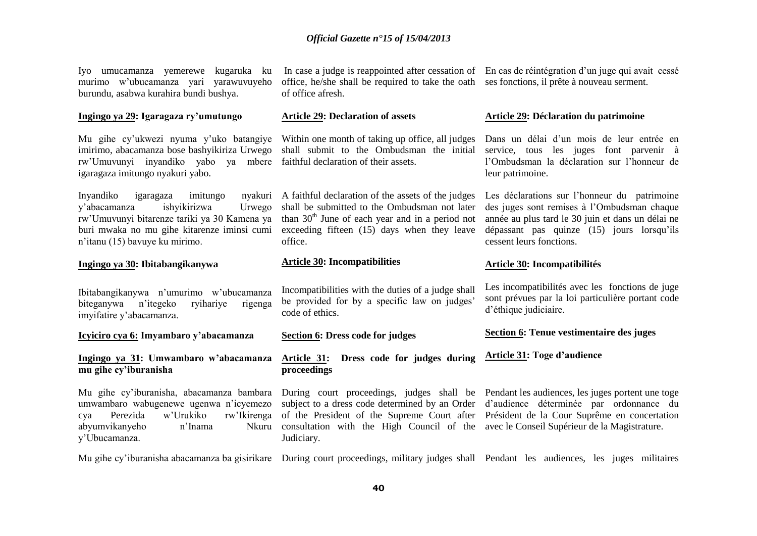| Iyo umucamanza yemerewe kugaruka ku<br>murimo w'ubucamanza yari yarawuvuyeho<br>burundu, asabwa kurahira bundi bushya.                                                                                                   | office, he/she shall be required to take the oath ses fonctions, il prête à nouveau serment.<br>of office afresh.                                                                                                                                                                                | In case a judge is reappointed after cessation of En cas de réintégration d'un juge qui avait cessé                                                                                                                        |
|--------------------------------------------------------------------------------------------------------------------------------------------------------------------------------------------------------------------------|--------------------------------------------------------------------------------------------------------------------------------------------------------------------------------------------------------------------------------------------------------------------------------------------------|----------------------------------------------------------------------------------------------------------------------------------------------------------------------------------------------------------------------------|
| Ingingo ya 29: Igaragaza ry'umutungo                                                                                                                                                                                     | <b>Article 29: Declaration of assets</b>                                                                                                                                                                                                                                                         | Article 29: Déclaration du patrimoine                                                                                                                                                                                      |
| Mu gihe cy'ukwezi nyuma y'uko batangiye<br>imirimo, abacamanza bose bashyikiriza Urwego<br>rw'Umuvunyi inyandiko yabo ya mbere<br>igaragaza imitungo nyakuri yabo.                                                       | Within one month of taking up office, all judges<br>shall submit to the Ombudsman the initial<br>faithful declaration of their assets.                                                                                                                                                           | Dans un délai d'un mois de leur entrée en<br>service, tous les juges font parvenir à<br>l'Ombudsman la déclaration sur l'honneur de<br>leur patrimoine.                                                                    |
| Inyandiko<br>nyakuri<br>igaragaza<br>imitungo<br>ishyikirizwa<br>y'abacamanza<br>Urwego<br>rw'Umuvunyi bitarenze tariki ya 30 Kamena ya<br>buri mwaka no mu gihe kitarenze iminsi cumi<br>n'itanu (15) bavuye ku mirimo. | A faithful declaration of the assets of the judges<br>shall be submitted to the Ombudsman not later<br>than $30th$ June of each year and in a period not<br>exceeding fifteen (15) days when they leave<br>office.                                                                               | Les déclarations sur l'honneur du patrimoine<br>des juges sont remises à l'Ombudsman chaque<br>année au plus tard le 30 juin et dans un délai ne<br>dépassant pas quinze (15) jours lorsqu'ils<br>cessent leurs fonctions. |
| Ingingo ya 30: Ibitabangikanywa                                                                                                                                                                                          | <b>Article 30: Incompatibilities</b>                                                                                                                                                                                                                                                             | <b>Article 30: Incompatibilités</b>                                                                                                                                                                                        |
| Ibitabangikanywa n'umurimo w'ubucamanza<br>biteganywa<br>n'itegeko<br>ryihariye<br>rigenga<br>imyifatire y'abacamanza.                                                                                                   | Incompatibilities with the duties of a judge shall<br>be provided for by a specific law on judges'<br>code of ethics.                                                                                                                                                                            | Les incompatibilités avec les fonctions de juge<br>sont prévues par la loi particulière portant code<br>d'éthique judiciaire.                                                                                              |
| Icyiciro cya 6: Imyambaro y'abacamanza                                                                                                                                                                                   | <b>Section 6: Dress code for judges</b>                                                                                                                                                                                                                                                          | Section 6: Tenue vestimentaire des juges                                                                                                                                                                                   |
| Ingingo ya 31: Umwambaro w'abacamanza<br>mu gihe cy'iburanisha                                                                                                                                                           | Article 31: Dress code for judges during<br>proceedings                                                                                                                                                                                                                                          | <b>Article 31: Toge d'audience</b>                                                                                                                                                                                         |
| Mu gihe cy'iburanisha, abacamanza bambara<br>umwambaro wabugenewe ugenwa n'icyemezo<br>w'Urukiko<br>Perezida<br>rw'Ikirenga<br>cya<br>abyumvikanyeho<br>n'Inama<br>Nkuru<br>y'Ubucamanza.                                | During court proceedings, judges shall be Pendant les audiences, les juges portent une toge<br>of the President of the Supreme Court after Président de la Cour Suprême en concertation<br>consultation with the High Council of the avec le Conseil Supérieur de la Magistrature.<br>Judiciary. | subject to a dress code determined by an Order d'audience déterminée par ordonnance du                                                                                                                                     |
|                                                                                                                                                                                                                          |                                                                                                                                                                                                                                                                                                  |                                                                                                                                                                                                                            |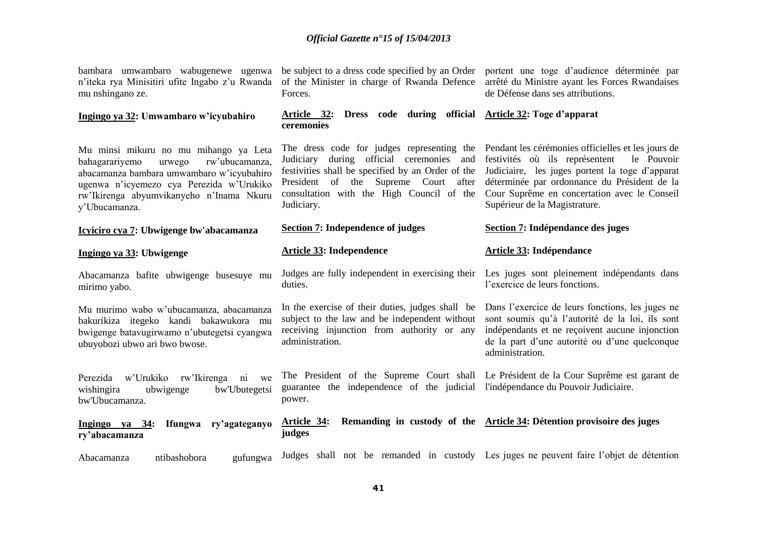| bambara umwambaro wabugenewe ugenwa<br>n'iteka rya Minisitiri ufite Ingabo z'u Rwanda<br>mu nshingano ze.                                                                                                                                 | be subject to a dress code specified by an Order<br>of the Minister in charge of Rwanda Defence<br>Forces.                                                                                                                                        | portent une toge d'audience déterminée par<br>arrêté du Ministre ayant les Forces Rwandaises<br>de Défense dans ses attributions.                                                                                                                                                      |
|-------------------------------------------------------------------------------------------------------------------------------------------------------------------------------------------------------------------------------------------|---------------------------------------------------------------------------------------------------------------------------------------------------------------------------------------------------------------------------------------------------|----------------------------------------------------------------------------------------------------------------------------------------------------------------------------------------------------------------------------------------------------------------------------------------|
| Ingingo ya 32: Umwambaro w'icyubahiro                                                                                                                                                                                                     | Article 32: Dress code during official Article 32: Toge d'apparat<br>ceremonies                                                                                                                                                                   |                                                                                                                                                                                                                                                                                        |
| Mu minsi mikuru no mu mihango ya Leta<br>bahagarariyemo<br>rw'ubucamanza,<br>urwego<br>abacamanza bambara umwambaro w'icyubahiro<br>ugenwa n'icyemezo cya Perezida w'Urukiko<br>rw'Ikirenga abyumvikanyeho n'Inama Nkuru<br>y'Ubucamanza. | The dress code for judges representing the<br>Judiciary during official ceremonies and<br>festivities shall be specified by an Order of the<br>President of the Supreme Court<br>after<br>consultation with the High Council of the<br>Judiciary. | Pendant les cérémonies officielles et les jours de<br>festivités où ils représentent<br>le Pouvoir<br>Judiciaire, les juges portent la toge d'apparat<br>déterminée par ordonnance du Président de la<br>Cour Suprême en concertation avec le Conseil<br>Supérieur de la Magistrature. |
| Icyiciro cya 7: Ubwigenge bw'abacamanza                                                                                                                                                                                                   | <b>Section 7: Independence of judges</b>                                                                                                                                                                                                          | Section 7: Indépendance des juges                                                                                                                                                                                                                                                      |
| Ingingo ya 33: Ubwigenge                                                                                                                                                                                                                  | <b>Article 33: Independence</b>                                                                                                                                                                                                                   | <b>Article 33: Indépendance</b>                                                                                                                                                                                                                                                        |
| Abacamanza bafite ubwigenge busesuye mu<br>mirimo yabo.                                                                                                                                                                                   | Judges are fully independent in exercising their<br>duties.                                                                                                                                                                                       | Les juges sont pleinement indépendants dans<br>l'exercice de leurs fonctions.                                                                                                                                                                                                          |
| Mu murimo wabo w'ubucamanza, abacamanza<br>bakurikiza itegeko kandi bakawukora mu<br>bwigenge batavugirwamo n'ubutegetsi cyangwa<br>ubuyobozi ubwo ari bwo bwose.                                                                         | In the exercise of their duties, judges shall be<br>subject to the law and be independent without<br>receiving injunction from authority or any<br>administration.                                                                                | Dans l'exercice de leurs fonctions, les juges ne<br>sont soumis qu'à l'autorité de la loi, ils sont<br>indépendants et ne reçoivent aucune injonction<br>de la part d'une autorité ou d'une quelconque<br>administration.                                                              |
| Perezida w'Urukiko<br>rw'Ikirenga<br>ni<br>we<br>bw'Ubutegetsi<br>wishingira<br>ubwigenge<br>bw'Ubucamanza.                                                                                                                               | guarantee the independence of the judicial l'indépendance du Pouvoir Judiciaire.<br>power.                                                                                                                                                        | The President of the Supreme Court shall Le Président de la Cour Suprême est garant de                                                                                                                                                                                                 |
| Ifungwa<br>ry'agateganyo<br>$Ingingo ya 34:$<br>ry'abacamanza                                                                                                                                                                             | Article 34:<br>judges                                                                                                                                                                                                                             | Remanding in custody of the Article 34: Détention provisoire des juges                                                                                                                                                                                                                 |
| ntibashobora<br>Abacamanza<br>gufungwa                                                                                                                                                                                                    | Judges shall not be remanded in custody Les juges ne peuvent faire l'objet de détention                                                                                                                                                           |                                                                                                                                                                                                                                                                                        |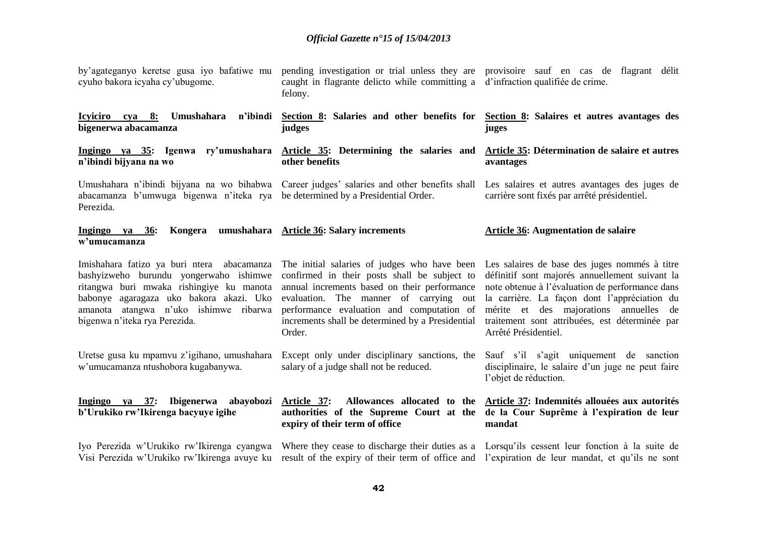| by'agateganyo keretse gusa iyo bafatiwe mu<br>cyuho bakora icyaha cy'ubugome.                                                                                                                                                                         | pending investigation or trial unless they are provisoire sauf en cas de flagrant délit<br>caught in flagrante delicto while committing a d'infraction qualifiée de crime.<br>felony.                                                                                                             |                                                                                                                                                                                                                                                                                                                        |
|-------------------------------------------------------------------------------------------------------------------------------------------------------------------------------------------------------------------------------------------------------|---------------------------------------------------------------------------------------------------------------------------------------------------------------------------------------------------------------------------------------------------------------------------------------------------|------------------------------------------------------------------------------------------------------------------------------------------------------------------------------------------------------------------------------------------------------------------------------------------------------------------------|
| Icyiciro cya 8:<br>Umushahara<br>n'ibindi<br>bigenerwa abacamanza                                                                                                                                                                                     | Section 8: Salaries and other benefits for<br>judges                                                                                                                                                                                                                                              | Section 8: Salaires et autres avantages des<br>juges                                                                                                                                                                                                                                                                   |
| n'ibindi bijyana na wo                                                                                                                                                                                                                                | Ingingo ya 35: Igenwa ry'umushahara Article 35: Determining the salaries and<br>other benefits                                                                                                                                                                                                    | Article 35: Détermination de salaire et autres<br>avantages                                                                                                                                                                                                                                                            |
| abacamanza b'umwuga bigenwa n'iteka rya<br>Perezida.                                                                                                                                                                                                  | Umushahara n'ibindi bijyana na wo bihabwa Career judges' salaries and other benefits shall Les salaires et autres avantages des juges de<br>be determined by a Presidential Order.                                                                                                                | carrière sont fixés par arrêté présidentiel.                                                                                                                                                                                                                                                                           |
| Ingingo ya<br>36:<br>w'umucamanza                                                                                                                                                                                                                     | Kongera umushahara Article 36: Salary increments                                                                                                                                                                                                                                                  | <b>Article 36: Augmentation de salaire</b>                                                                                                                                                                                                                                                                             |
| Imishahara fatizo ya buri ntera abacamanza<br>bashyizweho burundu yongerwaho ishimwe<br>ritangwa buri mwaka rishingiye ku manota<br>babonye agaragaza uko bakora akazi. Uko<br>amanota atangwa n'uko ishimwe ribarwa<br>bigenwa n'iteka rya Perezida. | The initial salaries of judges who have been<br>confirmed in their posts shall be subject to<br>annual increments based on their performance<br>evaluation. The manner of carrying out<br>performance evaluation and computation of<br>increments shall be determined by a Presidential<br>Order. | Les salaires de base des juges nommés à titre<br>définitif sont majorés annuellement suivant la<br>note obtenue à l'évaluation de performance dans<br>la carrière. La façon dont l'appréciation du<br>mérite et des majorations annuelles de<br>traitement sont attribuées, est déterminée par<br>Arrêté Présidentiel. |
| Uretse gusa ku mpamvu z'igihano, umushahara<br>w'umucamanza ntushobora kugabanywa.                                                                                                                                                                    | Except only under disciplinary sanctions, the<br>salary of a judge shall not be reduced.                                                                                                                                                                                                          | Sauf s'il s'agit uniquement de sanction<br>disciplinaire, le salaire d'un juge ne peut faire<br>l'objet de réduction.                                                                                                                                                                                                  |
| Ingingo ya 37: Ibigenerwa abayobozi Article 37:<br>b'Urukiko rw'Ikirenga bacyuye igihe                                                                                                                                                                | authorities of the Supreme Court at the<br>expiry of their term of office                                                                                                                                                                                                                         | Allowances allocated to the Article 37: Indemnités allouées aux autorités<br>de la Cour Suprême à l'expiration de leur<br>mandat                                                                                                                                                                                       |
|                                                                                                                                                                                                                                                       | Iyo Perezida w'Urukiko rw'Ikirenga cyangwa Where they cease to discharge their duties as a Lorsqu'ils cessent leur fonction à la suite de<br>Visi Perezida w'Urukiko rw'Ikirenga avuye ku result of the expiry of their term of office and l'expiration de leur mandat, et qu'ils ne sont         |                                                                                                                                                                                                                                                                                                                        |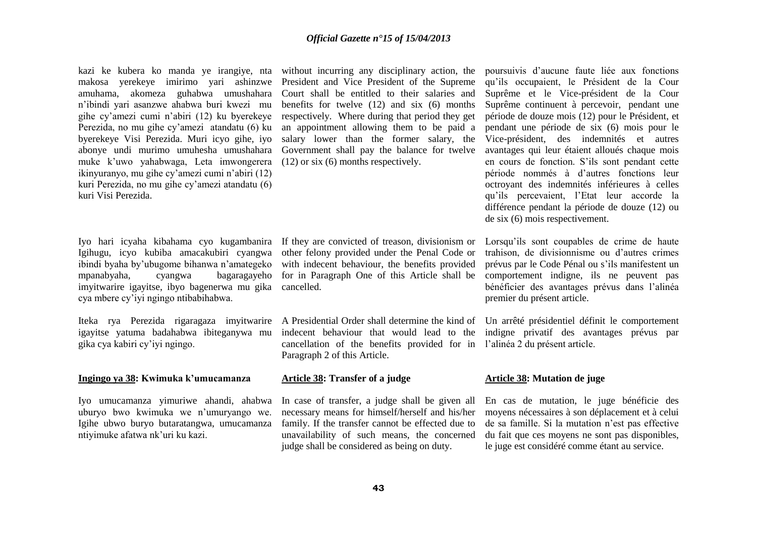kazi ke kubera ko manda ye irangiye, nta makosa yerekeye imirimo yari ashinzwe amuhama, akomeza guhabwa umushahara n'ibindi yari asanzwe ahabwa buri kwezi mu gihe cy'amezi cumi n'abiri (12) ku byerekeye Perezida, no mu gihe cy'amezi atandatu (6) ku byerekeye Visi Perezida. Muri icyo gihe, iyo abonye undi murimo umuhesha umushahara muke k'uwo yahabwaga, Leta imwongerera ikinyuranyo, mu gihe cy'amezi cumi n'abiri (12) kuri Perezida, no mu gihe cy'amezi atandatu (6) kuri Visi Perezida.

Iyo hari icyaha kibahama cyo kugambanira If they are convicted of treason, divisionism or Igihugu, icyo kubiba amacakubiri cyangwa ibindi byaha by'ubugome bihanwa n'amategeko mpanabyaha, cyangwa bagaragayeho for in Paragraph One of this Article shall be imyitwarire igayitse, ibyo bagenerwa mu gika cya mbere cy'iyi ngingo ntibabihabwa.

igayitse yatuma badahabwa ibiteganywa mu gika cya kabiri cy'iyi ngingo.

#### **Ingingo ya 38: Kwimuka k'umucamanza**

Iyo umucamanza yimuriwe ahandi, ahabwa uburyo bwo kwimuka we n'umuryango we. Igihe ubwo buryo butaratangwa, umucamanza ntiyimuke afatwa nk'uri ku kazi.

without incurring any disciplinary action, the President and Vice President of the Supreme Court shall be entitled to their salaries and benefits for twelve (12) and six (6) months respectively. Where during that period they get an appointment allowing them to be paid a salary lower than the former salary, the Government shall pay the balance for twelve (12) or six (6) months respectively.

other felony provided under the Penal Code or with indecent behaviour, the benefits provided cancelled.

Iteka rya Perezida rigaragaza imyitwarire A Presidential Order shall determine the kind of Un arrêté présidentiel définit le comportement indecent behaviour that would lead to the indigne privatif des avantages prévus par cancellation of the benefits provided for in l'alinéa 2 du présent article. Paragraph 2 of this Article.

#### **Article 38: Transfer of a judge**

In case of transfer, a judge shall be given all necessary means for himself/herself and his/her family. If the transfer cannot be effected due to unavailability of such means, the concerned judge shall be considered as being on duty.

poursuivis d'aucune faute liée aux fonctions qu'ils occupaient, le Président de la Cour Suprême et le Vice-président de la Cour Suprême continuent à percevoir, pendant une période de douze mois (12) pour le Président, et pendant une période de six (6) mois pour le Vice-président, des indemnités et autres avantages qui leur étaient alloués chaque mois en cours de fonction. S'ils sont pendant cette période nommés à d'autres fonctions leur octroyant des indemnités inférieures à celles qu'ils percevaient, l'Etat leur accorde la différence pendant la période de douze (12) ou de six (6) mois respectivement.

Lorsqu'ils sont coupables de crime de haute trahison, de divisionnisme ou d'autres crimes prévus par le Code Pénal ou s'ils manifestent un comportement indigne, ils ne peuvent pas bénéficier des avantages prévus dans l'alinéa premier du présent article.

#### **Article 38: Mutation de juge**

En cas de mutation, le juge bénéficie des moyens nécessaires à son déplacement et à celui de sa famille. Si la mutation n'est pas effective du fait que ces moyens ne sont pas disponibles, le juge est considéré comme étant au service.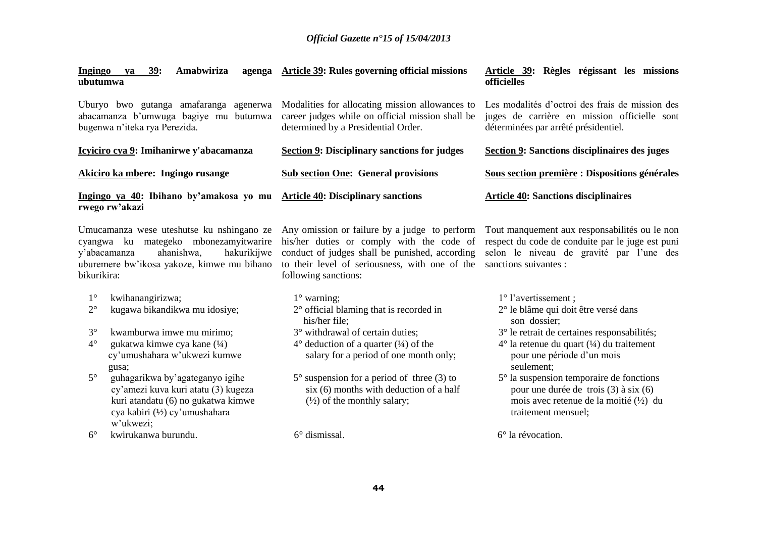| <b>Ingingo</b><br>39:<br>Amabwiriza<br>agenga<br>va<br>ubutumwa                                                  | Article 39: Rules governing official missions                                                                                              | Article 39: Règles régissant les missions<br><b>officielles</b>                                                                         |
|------------------------------------------------------------------------------------------------------------------|--------------------------------------------------------------------------------------------------------------------------------------------|-----------------------------------------------------------------------------------------------------------------------------------------|
| Uburyo bwo gutanga amafaranga agenerwa<br>abacamanza b'umwuga bagiye mu butumwa<br>bugenwa n'iteka rya Perezida. | Modalities for allocating mission allowances to<br>career judges while on official mission shall be<br>determined by a Presidential Order. | Les modalités d'octroi des frais de mission des<br>juges de carrière en mission officielle sont<br>déterminées par arrêté présidentiel. |
| Icyiciro cya 9: Imihanirwe y'abacamanza                                                                          | <b>Section 9: Disciplinary sanctions for judges</b>                                                                                        | Section 9: Sanctions disciplinaires des juges                                                                                           |
|                                                                                                                  |                                                                                                                                            |                                                                                                                                         |
| Akiciro ka mbere: Ingingo rusange                                                                                | <b>Sub section One: General provisions</b>                                                                                                 | Sous section première : Dispositions générales                                                                                          |

Umucamanza wese uteshutse ku nshingano ze Any omission or failure by a judge to perform Tout manquement aux responsabilités ou le non cyangwa ku mategeko mbonezamyitwarire his/her duties or comply with the code of y'abacamanza ahanishwa, hakurikijwe uburemere bw'ikosa yakoze, kimwe mu bihano to their level of seriousness, with one of the sanctions suivantes : bikurikira:

- 1° kwihanangirizwa;
- 2° kugawa bikandikwa mu idosiye;
- 3° kwamburwa imwe mu mirimo;
- $4^{\circ}$  gukatwa kimwe cya kane  $(1/4)$  cy'umushahara w'ukwezi kumwe gusa;
- 5° guhagarikwa by'agateganyo igihe cy'amezi kuva kuri atatu (3) kugeza kuri atandatu (6) no gukatwa kimwe cya kabiri (½) cy'umushahara w'ukwezi;
- 6° kwirukanwa burundu.

conduct of judges shall be punished, according following sanctions:

1° warning;

6° dismissal.

- 2° official blaming that is recorded in his/her file;
- 3° withdrawal of certain duties;
- $4^{\circ}$  deduction of a quarter  $(1/4)$  of the salary for a period of one month only;
- 5° suspension for a period of three (3) to  $six(6)$  months with deduction of a half  $(\frac{1}{2})$  of the monthly salary;

1° l'avertissement ;

- 2° le blâme qui doit être versé dans
	- son dossier;
- 3° le retrait de certaines responsabilités;

respect du code de conduite par le juge est puni selon le niveau de gravité par l'une des

- $4^{\circ}$  la retenue du quart  $(½)$  du traitement pour une période d'un mois seulement;
- 5° la suspension temporaire de fonctions pour une durée de trois (3) à six (6) mois avec retenue de la moitié (½) du traitement mensuel;

6° la révocation.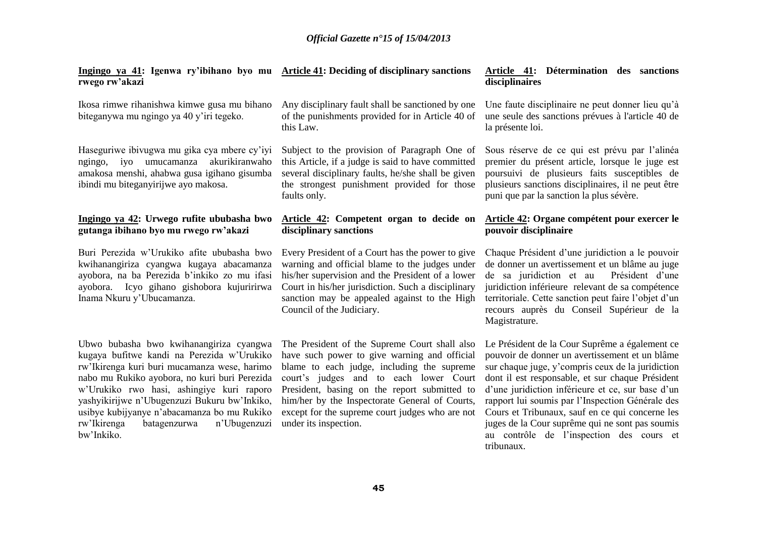#### **Ingingo ya 41: Igenwa ry'ibihano byo mu Article 41: Deciding of disciplinary sanctions rwego rw'akazi** Ikosa rimwe rihanishwa kimwe gusa mu bihano biteganywa mu ngingo ya 40 y'iri tegeko. **Ingingo ya 42: Urwego rufite ububasha bwo**  Buri Perezida w'Urukiko afite ububasha bwo Any disciplinary fault shall be sanctioned by one of the punishments provided for in Article 40 of this Law. Subject to the provision of Paragraph One of this Article, if a judge is said to have committed several disciplinary faults, he/she shall be given the strongest punishment provided for those faults only. **Article 42: Competent organ to decide on disciplinary sanctions** Every President of a Court has the power to give warning and official blame to the judges under his/her supervision and the President of a lower Court in his/her jurisdiction. Such a disciplinary sanction may be appealed against to the High Council of the Judiciary. **disciplinaires** la présente loi. puni que par la sanction la plus sévère. **pouvoir disciplinaire** Chaque Président d'une juridiction a le pouvoir de donner un avertissement et un blâme au juge de sa juridiction et au Président d'une juridiction inférieure relevant de sa compétence territoriale. Cette sanction peut faire l'objet d'un recours auprès du Conseil Supérieur de la Magistrature.

Le Président de la Cour Suprême a également ce pouvoir de donner un avertissement et un blâme sur chaque juge, y'compris ceux de la juridiction dont il est responsable, et sur chaque Président d'une juridiction inférieure et ce, sur base d'un rapport lui soumis par l'Inspection Générale des Cours et Tribunaux, sauf en ce qui concerne les juges de la Cour suprême qui ne sont pas soumis au contrôle de l'inspection des cours et tribunaux.

The President of the Supreme Court shall also have such power to give warning and official blame to each judge, including the supreme court's judges and to each lower Court President, basing on the report submitted to him/her by the Inspectorate General of Courts, except for the supreme court judges who are not under its inspection.

Haseguriwe ibivugwa mu gika cya mbere cy'iyi ngingo, iyo umucamanza akurikiranwaho amakosa menshi, ahabwa gusa igihano gisumba ibindi mu biteganyirijwe ayo makosa.

# **gutanga ibihano byo mu rwego rw'akazi**

kwihanangiriza cyangwa kugaya abacamanza ayobora, na ba Perezida b'inkiko zo mu ifasi ayobora. Icyo gihano gishobora kujuririrwa Inama Nkuru y'Ubucamanza.

Ubwo bubasha bwo kwihanangiriza cyangwa kugaya bufitwe kandi na Perezida w'Urukiko rw'Ikirenga kuri buri mucamanza wese, harimo nabo mu Rukiko ayobora, no kuri buri Perezida w'Urukiko rwo hasi, ashingiye kuri raporo yashyikirijwe n'Ubugenzuzi Bukuru bw'Inkiko, usibye kubijyanye n'abacamanza bo mu Rukiko rw'Ikirenga batagenzurwa n'Ubugenzuzi bw'Inkiko.

# **Article 41: Détermination des sanctions**

Une faute disciplinaire ne peut donner lieu qu'à une seule des sanctions prévues à l'article 40 de

Sous réserve de ce qui est prévu par l'alinéa premier du présent article, lorsque le juge est poursuivi de plusieurs faits susceptibles de plusieurs sanctions disciplinaires, il ne peut être

# **Article 42: Organe compétent pour exercer le**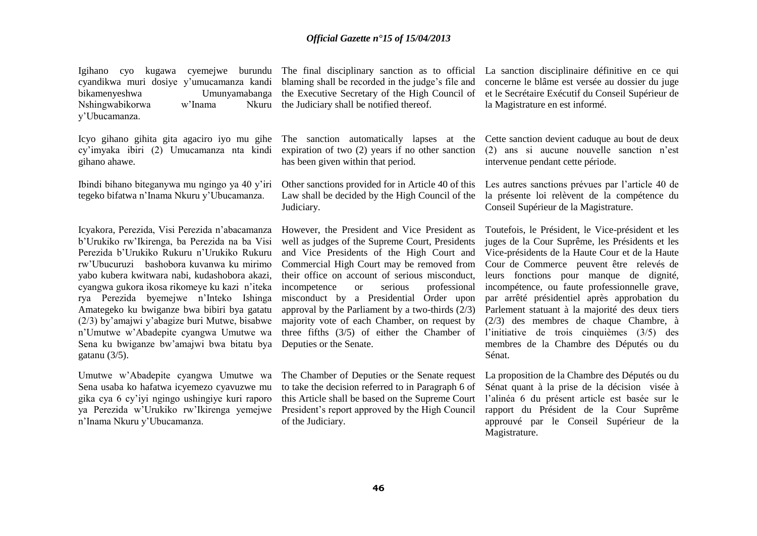Igihano cyo kugawa cyemejwe burundu The final disciplinary sanction as to official cyandikwa muri dosiye y'umucamanza kandi blaming shall be recorded in the judge's file and bikamenyeshwa Umunyamabanga the Executive Secretary of the High Council of et le Secrétaire Exécutif du Conseil Supérieur de Nshingwabikorwa w'Inama y'Ubucamanza.

Icyo gihano gihita gita agaciro iyo mu gihe The sanction automatically lapses at the cy'imyaka ibiri (2) Umucamanza nta kindi gihano ahawe.

Ibindi bihano biteganywa mu ngingo ya 40 y'iri tegeko bifatwa n'Inama Nkuru y'Ubucamanza.

Icyakora, Perezida, Visi Perezida n'abacamanza b'Urukiko rw'Ikirenga, ba Perezida na ba Visi Perezida b'Urukiko Rukuru n'Urukiko Rukuru rw'Ubucuruzi bashobora kuvanwa ku mirimo yabo kubera kwitwara nabi, kudashobora akazi, cyangwa gukora ikosa rikomeye ku kazi n'iteka rya Perezida byemejwe n'Inteko Ishinga Amategeko ku bwiganze bwa bibiri bya gatatu (2/3) by'amajwi y'abagize buri Mutwe, bisabwe n'Umutwe w'Abadepite cyangwa Umutwe wa Sena ku bwiganze bw'amajwi bwa bitatu bya gatanu (3/5).

Umutwe w'Abadepite cyangwa Umutwe wa Sena usaba ko hafatwa icyemezo cyavuzwe mu gika cya 6 cy'iyi ngingo ushingiye kuri raporo ya Perezida w'Urukiko rw'Ikirenga yemejwe n'Inama Nkuru y'Ubucamanza.

Nkuru the Judiciary shall be notified thereof.

expiration of two (2) years if no other sanction has been given within that period.

Other sanctions provided for in Article 40 of this Law shall be decided by the High Council of the Judiciary.

However, the President and Vice President as well as judges of the Supreme Court, Presidents and Vice Presidents of the High Court and Commercial High Court may be removed from their office on account of serious misconduct, incompetence or serious professional misconduct by a Presidential Order upon approval by the Parliament by a two-thirds (2/3) majority vote of each Chamber, on request by three fifths (3/5) of either the Chamber of Deputies or the Senate.

The Chamber of Deputies or the Senate request to take the decision referred to in Paragraph 6 of this Article shall be based on the Supreme Court President's report approved by the High Council of the Judiciary.

La sanction disciplinaire définitive en ce qui concerne le blâme est versée au dossier du juge la Magistrature en est informé.

Cette sanction devient caduque au bout de deux (2) ans si aucune nouvelle sanction n'est intervenue pendant cette période.

Les autres sanctions prévues par l'article 40 de la présente loi relèvent de la compétence du Conseil Supérieur de la Magistrature.

Toutefois, le Président, le Vice-président et les juges de la Cour Suprême, les Présidents et les Vice-présidents de la Haute Cour et de la Haute Cour de Commerce peuvent être relevés de leurs fonctions pour manque de dignité, incompétence, ou faute professionnelle grave, par arrêté présidentiel après approbation du Parlement statuant à la majorité des deux tiers (2/3) des membres de chaque Chambre, à l'initiative de trois cinquièmes (3/5) des membres de la Chambre des Députés ou du Sénat.

La proposition de la Chambre des Députés ou du Sénat quant à la prise de la décision visée à l'alinéa 6 du présent article est basée sur le rapport du Président de la Cour Suprême approuvé par le Conseil Supérieur de la Magistrature.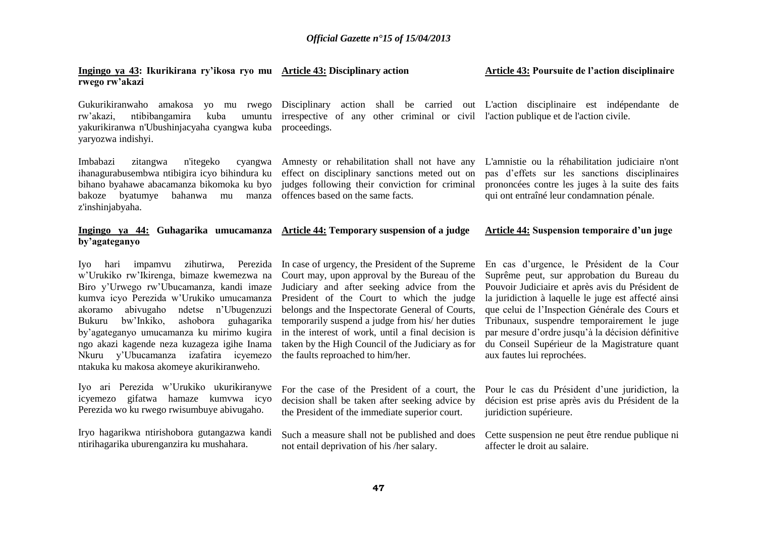#### **Ingingo ya 43: Ikurikirana ry'ikosa ryo mu Article 43: Disciplinary action rwego rw'akazi**

**Article 43: Poursuite de l'action disciplinaire** 

Gukurikiranwaho amakosa yo mu rwego Disciplinary action shall be carried out L'action disciplinaire est indépendante de yakurikiranwa n'Ubushinjacyaha cyangwa kuba proceedings. yaryozwa indishyi.

Imbabazi zitangwa n'itegeko cyangwa Amnesty or rehabilitation shall not have any ihanagurabusembwa ntibigira icyo bihindura ku effect on disciplinary sanctions meted out on bihano byahawe abacamanza bikomoka ku byo judges following their conviction for criminal bakoze byatumye bahanwa mu manza offences based on the same facts. z'inshinjabyaha.

rw'akazi, ntibibangamira kuba umuntu irrespective of any other criminal or civil l'action publique et de l'action civile.

L'amnistie ou la réhabilitation judiciaire n'ont pas d'effets sur les sanctions disciplinaires prononcées contre les juges à la suite des faits qui ont entraîné leur condamnation pénale.

#### **Ingingo ya 44: Guhagarika umucamanza Article 44: Temporary suspension of a judge by'agateganyo Article 44: Suspension temporaire d'un juge**

w'Urukiko rw'Ikirenga, bimaze kwemezwa na Biro y'Urwego rw'Ubucamanza, kandi imaze kumva icyo Perezida w'Urukiko umucamanza akoramo abivugaho ndetse n'Ubugenzuzi Bukuru bw'Inkiko, ashobora guhagarika by'agateganyo umucamanza ku mirimo kugira ngo akazi kagende neza kuzageza igihe Inama Nkuru y'Ubucamanza izafatira icyemezo ntakuka ku makosa akomeye akurikiranweho.

Iyo ari Perezida w'Urukiko ukurikiranywe icyemezo gifatwa hamaze kumvwa icyo Perezida wo ku rwego rwisumbuye abivugaho.

Iryo hagarikwa ntirishobora gutangazwa kandi ntirihagarika uburenganzira ku mushahara.

Iyo hari impamvu zihutirwa, Perezida In case of urgency, the President of the Supreme Court may, upon approval by the Bureau of the Judiciary and after seeking advice from the President of the Court to which the judge belongs and the Inspectorate General of Courts, temporarily suspend a judge from his/ her duties in the interest of work, until a final decision is taken by the High Council of the Judiciary as for the faults reproached to him/her.

> For the case of the President of a court, the decision shall be taken after seeking advice by the President of the immediate superior court.

> Such a measure shall not be published and does not entail deprivation of his /her salary.

En cas d'urgence, le Président de la Cour Suprême peut, sur approbation du Bureau du Pouvoir Judiciaire et après avis du Président de la juridiction à laquelle le juge est affecté ainsi que celui de l'Inspection Générale des Cours et Tribunaux, suspendre temporairement le juge par mesure d'ordre jusqu'à la décision définitive du Conseil Supérieur de la Magistrature quant aux fautes lui reprochées.

Pour le cas du Président d'une juridiction, la décision est prise après avis du Président de la juridiction supérieure.

Cette suspension ne peut être rendue publique ni affecter le droit au salaire.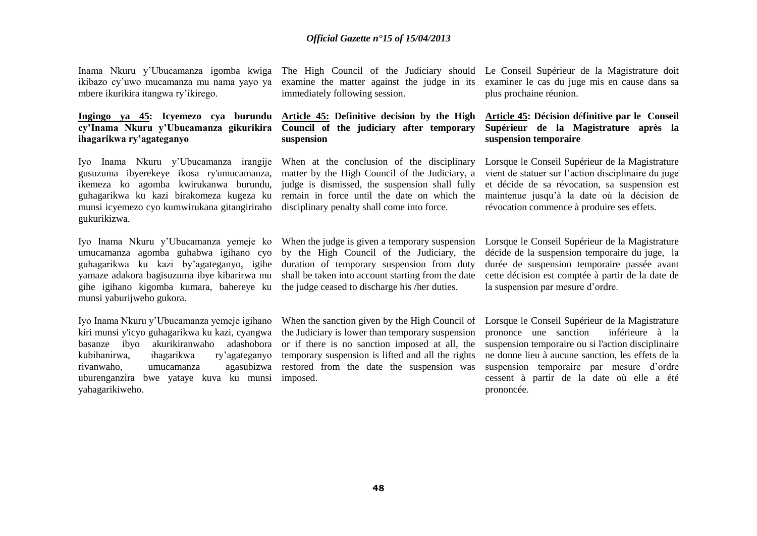Inama Nkuru y'Ubucamanza igomba kwiga The High Council of the Judiciary should Le Conseil Supérieur de la Magistrature doit ikibazo cy'uwo mucamanza mu nama yayo ya mbere ikurikira itangwa ry'ikirego.

## **Ingingo ya 45: Icyemezo cya burundu Article 45: Definitive decision by the High cy'Inama Nkuru y'Ubucamanza gikurikira ihagarikwa ry'agateganyo**

Iyo Inama Nkuru y'Ubucamanza irangije When at the conclusion of the disciplinary gusuzuma ibyerekeye ikosa ry'umucamanza, ikemeza ko agomba kwirukanwa burundu, guhagarikwa ku kazi birakomeza kugeza ku remain in force until the date on which the munsi icyemezo cyo kumwirukana gitangiriraho disciplinary penalty shall come into force. gukurikizwa.

Iyo Inama Nkuru y'Ubucamanza yemeje ko When the judge is given a temporary suspension umucamanza agomba guhabwa igihano cyo by the High Council of the Judiciary, the guhagarikwa ku kazi by'agateganyo, igihe duration of temporary suspension from duty yamaze adakora bagisuzuma ibye kibarirwa mu shall be taken into account starting from the date gihe igihano kigomba kumara, bahereye ku the judge ceased to discharge his /her duties. munsi yaburijweho gukora.

Iyo Inama Nkuru y'Ubucamanza yemeje igihano kiri munsi y'icyo guhagarikwa ku kazi, cyangwa basanze ibyo akurikiranwaho adashobora kubihanirwa, ihagarikwa ry'agateganyo rivanwaho, umucamanza agasubizwa uburenganzira bwe yataye kuva ku munsi imposed. yahagarikiweho.

examine the matter against the judge in its immediately following session.

# **Council of the judiciary after temporary suspension**

matter by the High Council of the Judiciary, a judge is dismissed, the suspension shall fully

the Judiciary is lower than temporary suspension or if there is no sanction imposed at all, the temporary suspension is lifted and all the rights restored from the date the suspension was

examiner le cas du juge mis en cause dans sa plus prochaine réunion.

## **Article 45: Décision d**é**finitive par le Conseil Supérieur de la Magistrature après la suspension temporaire**

Lorsque le Conseil Supérieur de la Magistrature vient de statuer sur l'action disciplinaire du juge et décide de sa révocation, sa suspension est maintenue jusqu'à la date où la décision de révocation commence à produire ses effets.

Lorsque le Conseil Supérieur de la Magistrature décide de la suspension temporaire du juge, la durée de suspension temporaire passée avant cette décision est comptée à partir de la date de la suspension par mesure d'ordre.

When the sanction given by the High Council of Lorsque le Conseil Supérieur de la Magistrature prononce une sanction inférieure à la suspension temporaire ou si l'action disciplinaire ne donne lieu à aucune sanction, les effets de la suspension temporaire par mesure d'ordre cessent à partir de la date où elle a été prononcée.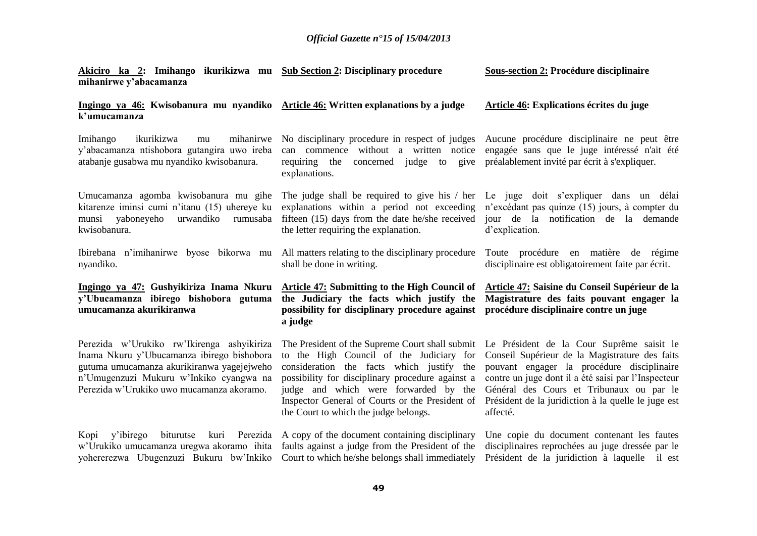| mihanirwe y'abacamanza                                                                                                                                                                                                         | Akiciro ka 2: Imihango ikurikizwa mu Sub Section 2: Disciplinary procedure                                                                                                                                                                                                                                                        | <b>Sous-section 2: Procédure disciplinaire</b>                                                                                                                                                                                                                                                                  |
|--------------------------------------------------------------------------------------------------------------------------------------------------------------------------------------------------------------------------------|-----------------------------------------------------------------------------------------------------------------------------------------------------------------------------------------------------------------------------------------------------------------------------------------------------------------------------------|-----------------------------------------------------------------------------------------------------------------------------------------------------------------------------------------------------------------------------------------------------------------------------------------------------------------|
| Ingingo ya 46: Kwisobanura mu nyandiko Article 46: Written explanations by a judge<br>k'umucamanza                                                                                                                             |                                                                                                                                                                                                                                                                                                                                   | Article 46: Explications écrites du juge                                                                                                                                                                                                                                                                        |
| Imihango<br>ikurikizwa<br>mu<br>y'abacamanza ntishobora gutangira uwo ireba<br>atabanje gusabwa mu nyandiko kwisobanura.                                                                                                       | mihanirwe No disciplinary procedure in respect of judges Aucune procédure disciplinaire ne peut être<br>requiring the<br>concerned judge to give<br>explanations.                                                                                                                                                                 | can commence without a written notice engagée sans que le juge intéressé n'ait été<br>préalablement invité par écrit à s'expliquer.                                                                                                                                                                             |
| Umucamanza agomba kwisobanura mu gihe<br>kitarenze iminsi cumi n'itanu (15) uhereye ku<br>yaboneyeho<br>urwandiko<br>rumusaba<br>munsi<br>kwisobanura.                                                                         | explanations within a period not exceeding<br>the letter requiring the explanation.                                                                                                                                                                                                                                               | The judge shall be required to give his / her Le juge doit s'expliquer dans un délai<br>n'excédant pas quinze (15) jours, à compter du<br>fifteen (15) days from the date he/she received jour de la notification de la demande<br>d'explication.                                                               |
| Ibirebana n'imihanirwe byose bikorwa mu<br>nyandiko.                                                                                                                                                                           | shall be done in writing.                                                                                                                                                                                                                                                                                                         | All matters relating to the disciplinary procedure Toute procedure en matière de régime<br>disciplinaire est obligatoirement faite par écrit.                                                                                                                                                                   |
|                                                                                                                                                                                                                                |                                                                                                                                                                                                                                                                                                                                   |                                                                                                                                                                                                                                                                                                                 |
| Ingingo ya 47: Gushyikiriza Inama Nkuru<br>y'Ubucamanza ibirego bishobora gutuma<br>umucamanza akurikiranwa                                                                                                                    | Article 47: Submitting to the High Council of<br>the Judiciary the facts which justify the<br>possibility for disciplinary procedure against<br>a judge                                                                                                                                                                           | Article 47: Saisine du Conseil Supérieur de la<br>Magistrature des faits pouvant engager la<br>procédure disciplinaire contre un juge                                                                                                                                                                           |
| Perezida w'Urukiko rw'Ikirenga ashyikiriza<br>Inama Nkuru y'Ubucamanza ibirego bishobora<br>gutuma umucamanza akurikiranwa yagejejweho<br>n'Umugenzuzi Mukuru w'Inkiko cyangwa na<br>Perezida w'Urukiko uwo mucamanza akoramo. | The President of the Supreme Court shall submit<br>to the High Council of the Judiciary for<br>consideration the facts which justify the<br>possibility for disciplinary procedure against a<br>judge and which were forwarded by the<br>Inspector General of Courts or the President of<br>the Court to which the judge belongs. | Le Président de la Cour Suprême saisit le<br>Conseil Supérieur de la Magistrature des faits<br>pouvant engager la procédure disciplinaire<br>contre un juge dont il a été saisi par l'Inspecteur<br>Général des Cours et Tribunaux ou par le<br>Président de la juridiction à la quelle le juge est<br>affecté. |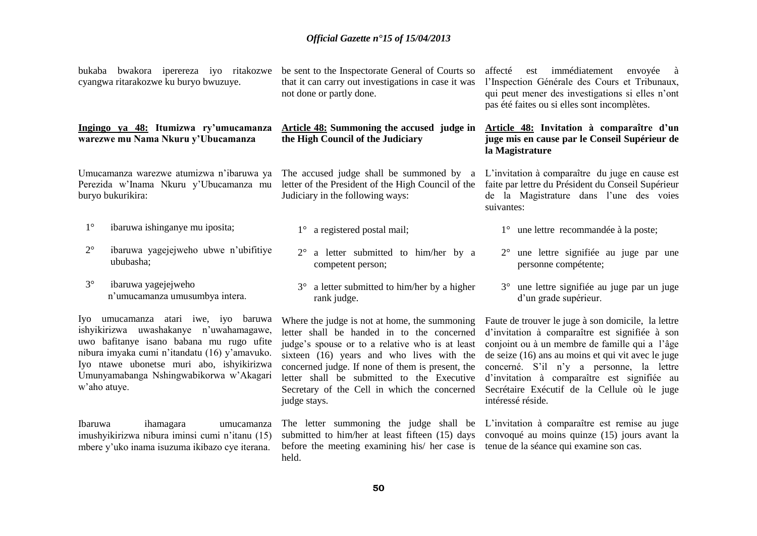| bukaba bwakora iperereza iyo ritakozwe<br>cyangwa ritarakozwe ku buryo bwuzuye.                                                                                                                                                                                                      | be sent to the Inspectorate General of Courts so<br>that it can carry out investigations in case it was<br>not done or partly done.                                                                                                                                                                                                                           | affecté<br>est immédiatement<br>envoyée<br>à<br>l'Inspection Générale des Cours et Tribunaux,<br>qui peut mener des investigations si elles n'ont<br>pas été faites ou si elles sont incomplètes.                                                                                                                                                                            |
|--------------------------------------------------------------------------------------------------------------------------------------------------------------------------------------------------------------------------------------------------------------------------------------|---------------------------------------------------------------------------------------------------------------------------------------------------------------------------------------------------------------------------------------------------------------------------------------------------------------------------------------------------------------|------------------------------------------------------------------------------------------------------------------------------------------------------------------------------------------------------------------------------------------------------------------------------------------------------------------------------------------------------------------------------|
| Ingingo ya 48: Itumizwa ry'umucamanza<br>warezwe mu Nama Nkuru y'Ubucamanza                                                                                                                                                                                                          | <b>Article 48:</b> Summoning the accused judge in<br>the High Council of the Judiciary                                                                                                                                                                                                                                                                        | Article 48: Invitation à comparaître d'un<br>juge mis en cause par le Conseil Supérieur de<br>la Magistrature                                                                                                                                                                                                                                                                |
| Umucamanza warezwe atumizwa n'ibaruwa ya<br>Perezida w'Inama Nkuru y'Ubucamanza mu<br>buryo bukurikira:                                                                                                                                                                              | The accused judge shall be summoned by a<br>letter of the President of the High Council of the<br>Judiciary in the following ways:                                                                                                                                                                                                                            | L'invitation à comparaître du juge en cause est<br>faite par lettre du Président du Conseil Supérieur<br>de la Magistrature dans l'une des voies<br>suivantes:                                                                                                                                                                                                               |
| $1^{\circ}$<br>ibaruwa ishinganye mu iposita;                                                                                                                                                                                                                                        | a registered postal mail;<br>$1^{\circ}$                                                                                                                                                                                                                                                                                                                      | une lettre recommandée à la poste;<br>$1^{\circ}$                                                                                                                                                                                                                                                                                                                            |
| $2^{\circ}$<br>ibaruwa yagejejweho ubwe n'ubifitiye<br>ububasha;                                                                                                                                                                                                                     | $2^{\circ}$<br>a letter submitted to him/her by a<br>competent person;                                                                                                                                                                                                                                                                                        | une lettre signifiée au juge par une<br>personne compétente;                                                                                                                                                                                                                                                                                                                 |
| $3^\circ$<br>ibaruwa yagejejweho<br>n'umucamanza umusumbya intera.                                                                                                                                                                                                                   | a letter submitted to him/her by a higher<br>$3^\circ$<br>rank judge.                                                                                                                                                                                                                                                                                         | 3° une lettre signifiée au juge par un juge<br>d'un grade supérieur.                                                                                                                                                                                                                                                                                                         |
| Iyo umucamanza atari iwe, iyo baruwa<br>ishyikirizwa uwashakanye n'uwahamagawe,<br>uwo bafitanye isano babana mu rugo ufite<br>nibura imyaka cumi n'itandatu (16) y'amavuko.<br>Iyo ntawe ubonetse muri abo, ishyikirizwa<br>Umunyamabanga Nshingwabikorwa w'Akagari<br>w'aho atuye. | Where the judge is not at home, the summoning<br>letter shall be handed in to the concerned<br>judge's spouse or to a relative who is at least<br>sixteen (16) years and who lives with the<br>concerned judge. If none of them is present, the<br>letter shall be submitted to the Executive<br>Secretary of the Cell in which the concerned<br>judge stays. | Faute de trouver le juge à son domicile, la lettre<br>d'invitation à comparaître est signifiée à son<br>conjoint ou à un membre de famille qui a l'âge<br>de seize (16) ans au moins et qui vit avec le juge<br>concerné. S'il n'y a personne, la lettre<br>d'invitation à comparaître est signifiée au<br>Secrétaire Exécutif de la Cellule où le juge<br>intéressé réside. |

Ibaruwa ihamagara umucamanza imushyikirizwa nibura iminsi cumi n'itanu (15) mbere y'uko inama isuzuma ikibazo cye iterana.

before the meeting examining his/ her case is tenue de la séance qui examine son cas. held.

The letter summoning the judge shall be L'invitation à comparaître est remise au juge submitted to him/her at least fifteen (15) days convoqué au moins quinze (15) jours avant la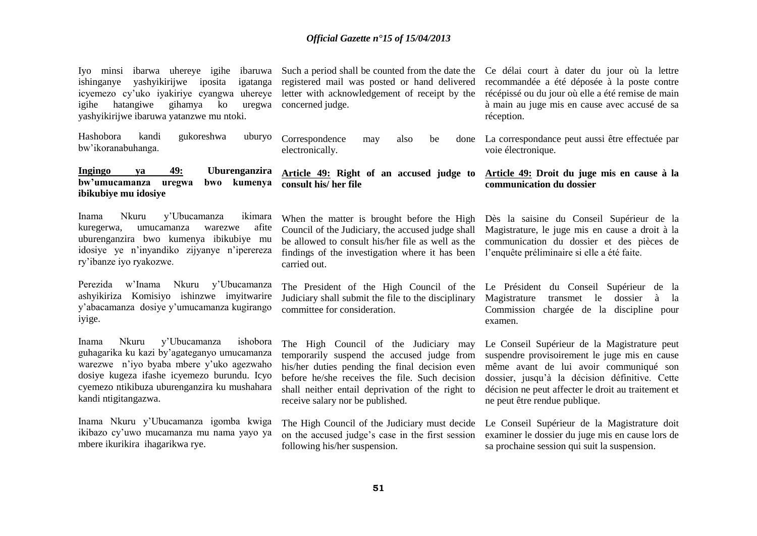| Iyo minsi ibarwa uhereye igihe ibaruwa Such a period shall be counted from the date the<br>ishinganye<br>yashyikirijwe iposita<br>igatanga<br>icyemezo cy'uko iyakiriye cyangwa uhereye<br>ko<br>igihe<br>hatangiwe<br>gihamya<br>uregwa<br>yashyikirijwe ibaruwa yatanzwe mu ntoki. | registered mail was posted or hand delivered<br>letter with acknowledgement of receipt by the<br>concerned judge.                                                                                                                                                               | Ce délai court à dater du jour où la lettre<br>recommandée a été déposée à la poste contre<br>récépissé ou du jour où elle a été remise de main<br>à main au juge mis en cause avec accusé de sa<br>réception.                                                                    |
|--------------------------------------------------------------------------------------------------------------------------------------------------------------------------------------------------------------------------------------------------------------------------------------|---------------------------------------------------------------------------------------------------------------------------------------------------------------------------------------------------------------------------------------------------------------------------------|-----------------------------------------------------------------------------------------------------------------------------------------------------------------------------------------------------------------------------------------------------------------------------------|
| gukoreshwa<br>Hashobora<br>kandi<br>uburyo<br>bw'ikoranabuhanga.                                                                                                                                                                                                                     | Correspondence<br>also<br>be<br>may<br>electronically.                                                                                                                                                                                                                          | done La correspondance peut aussi être effectuée par<br>voie électronique.                                                                                                                                                                                                        |
| <b>Ingingo</b><br>49:<br>Uburenganzira<br>va<br>bw'umucamanza uregwa<br>kumenya<br>bwo<br>ibikubiye mu idosiye                                                                                                                                                                       | Article 49: Right of an accused judge to<br>consult his/ her file                                                                                                                                                                                                               | Article 49: Droit du juge mis en cause à la<br>communication du dossier                                                                                                                                                                                                           |
| y'Ubucamanza<br>Nkuru<br>ikimara<br>Inama<br>kuregerwa,<br>umucamanza<br>afite<br>warezwe<br>uburenganzira bwo kumenya ibikubiye mu<br>idosiye ye n'inyandiko zijyanye n'iperereza<br>ry'ibanze iyo ryakozwe.                                                                        | When the matter is brought before the High<br>Council of the Judiciary, the accused judge shall<br>be allowed to consult his/her file as well as the<br>findings of the investigation where it has been<br>carried out.                                                         | Dès la saisine du Conseil Supérieur de la<br>Magistrature, le juge mis en cause a droit à la<br>communication du dossier et des pièces de<br>l'enquête préliminaire si elle a été faite.                                                                                          |
| Perezida<br>w'Inama<br>Nkuru y'Ubucamanza<br>ashyikiriza Komisiyo ishinzwe imyitwarire<br>y'abacamanza dosiye y'umucamanza kugirango<br>iyige.                                                                                                                                       | The President of the High Council of the<br>Judiciary shall submit the file to the disciplinary<br>committee for consideration.                                                                                                                                                 | Le Président du Conseil Supérieur de la<br>Magistrature<br>le<br>dossier<br>transmet<br>à<br>la<br>Commission chargée de la discipline pour<br>examen.                                                                                                                            |
| y'Ubucamanza<br>ishobora<br>Nkuru<br>Inama<br>guhagarika ku kazi by'agateganyo umucamanza<br>warezwe n'iyo byaba mbere y'uko agezwaho<br>dosiye kugeza ifashe icyemezo burundu. Icyo<br>cyemezo ntikibuza uburenganzira ku mushahara<br>kandi ntigitangazwa.                         | The High Council of the Judiciary may<br>temporarily suspend the accused judge from<br>his/her duties pending the final decision even<br>before he/she receives the file. Such decision<br>shall neither entail deprivation of the right to<br>receive salary nor be published. | Le Conseil Supérieur de la Magistrature peut<br>suspendre provisoirement le juge mis en cause<br>même avant de lui avoir communiqué son<br>dossier, jusqu'à la décision définitive. Cette<br>décision ne peut affecter le droit au traitement et<br>ne peut être rendue publique. |
| Inama Nkuru y'Ubucamanza igomba kwiga<br>ikibazo cy'uwo mucamanza mu nama yayo ya<br>mbere ikurikira ihagarikwa rye.                                                                                                                                                                 | The High Council of the Judiciary must decide Le Conseil Supérieur de la Magistrature doit<br>on the accused judge's case in the first session<br>following his/her suspension.                                                                                                 | examiner le dossier du juge mis en cause lors de<br>sa prochaine session qui suit la suspension.                                                                                                                                                                                  |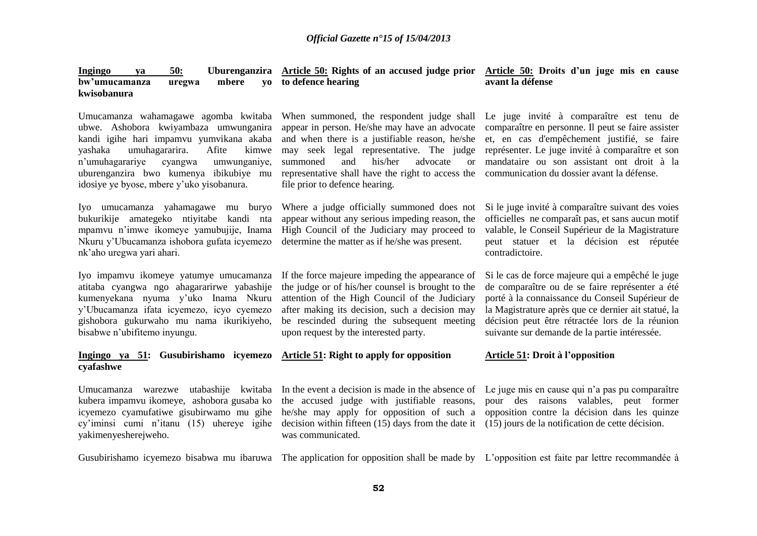| <u>50:</u><br><u>Ingingo</u><br>va<br>bw'umucamanza<br>mbere<br>uregwa<br>kwisobanura                                                                                                                                                                                                                         | Uburenganzira Article 50: Rights of an accused judge prior Article 50: Droits d'un juge mis en cause<br>yo to defence hearing                                                                                                                                                                                                          | avant la défense                                                                                                                                                                                                                                                                                                  |
|---------------------------------------------------------------------------------------------------------------------------------------------------------------------------------------------------------------------------------------------------------------------------------------------------------------|----------------------------------------------------------------------------------------------------------------------------------------------------------------------------------------------------------------------------------------------------------------------------------------------------------------------------------------|-------------------------------------------------------------------------------------------------------------------------------------------------------------------------------------------------------------------------------------------------------------------------------------------------------------------|
| Umucamanza wahamagawe agomba kwitaba<br>ubwe. Ashobora kwiyambaza umwunganira<br>kandi igihe hari impamvu yumvikana akaba<br>yashaka<br>umuhagararira.<br>Afite<br>kimwe<br>n'umuhagarariye<br>umwunganiye,<br>cyangwa<br>uburenganzira bwo kumenya ibikubiye mu<br>idosiye ye byose, mbere y'uko yisobanura. | When summoned, the respondent judge shall<br>appear in person. He/she may have an advocate<br>and when there is a justifiable reason, he/she<br>may seek legal representative. The judge<br>his/her<br>summoned<br>and<br>advocate<br><b>or</b><br>representative shall have the right to access the<br>file prior to defence hearing. | Le juge invité à comparaître est tenu de<br>comparaître en personne. Il peut se faire assister<br>et, en cas d'empêchement justifié, se faire<br>représenter. Le juge invité à comparaître et son<br>mandataire ou son assistant ont droit à la<br>communication du dossier avant la défense.                     |
| Iyo umucamanza yahamagawe mu<br>buryo<br>bukurikije amategeko ntiyitabe kandi nta<br>mpamvu n'imwe ikomeye yamubujije, Inama<br>Nkuru y'Ubucamanza ishobora gufata icyemezo<br>nk'aho uregwa yari ahari.                                                                                                      | Where a judge officially summoned does not<br>appear without any serious impeding reason, the<br>High Council of the Judiciary may proceed to<br>determine the matter as if he/she was present.                                                                                                                                        | Si le juge invité à comparaître suivant des voies<br>officielles ne comparaît pas, et sans aucun motif<br>valable, le Conseil Supérieur de la Magistrature<br>peut statuer et la décision est réputée<br>contradictoire.                                                                                          |
| Iyo impamvu ikomeye yatumye umucamanza<br>atitaba cyangwa ngo ahagararirwe yabashije<br>kumenyekana nyuma y'uko Inama Nkuru<br>y'Ubucamanza ifata icyemezo, icyo cyemezo<br>gishobora gukurwaho mu nama ikurikiyeho,<br>bisabwe n'ubifitemo inyungu.                                                          | If the force majeure impeding the appearance of<br>the judge or of his/her counsel is brought to the<br>attention of the High Council of the Judiciary<br>after making its decision, such a decision may<br>be rescinded during the subsequent meeting<br>upon request by the interested party.                                        | Si le cas de force majeure qui a empêché le juge<br>de comparaître ou de se faire représenter a été<br>porté à la connaissance du Conseil Supérieur de<br>la Magistrature après que ce dernier ait statué, la<br>décision peut être rétractée lors de la réunion<br>suivante sur demande de la partie intéressée. |
| Ingingo ya 51: Gusubirishamo icyemezo<br>cyafashwe                                                                                                                                                                                                                                                            | Article 51: Right to apply for opposition                                                                                                                                                                                                                                                                                              | <b>Article 51: Droit à l'opposition</b>                                                                                                                                                                                                                                                                           |
| utabashije kwitaba<br>Umucamanza warezwe<br>kubera impamvu ikomeye, ashobora gusaba ko<br>icyemezo cyamufatiwe gisubirwamo mu gihe<br>cy'iminsi cumi n'itanu (15) uhereye igihe<br>yakimenyesherejweho.                                                                                                       | In the event a decision is made in the absence of<br>the accused judge with justifiable reasons,<br>he/she may apply for opposition of such a<br>decision within fifteen (15) days from the date it<br>was communicated.                                                                                                               | Le juge mis en cause qui n'a pas pu comparaître<br>pour des raisons valables, peut former<br>opposition contre la décision dans les quinze<br>(15) jours de la notification de cette décision.                                                                                                                    |
|                                                                                                                                                                                                                                                                                                               | Gusubirishamo icyemezo bisabwa mu ibaruwa The application for opposition shall be made by L'opposition est faite par lettre recommandée à                                                                                                                                                                                              |                                                                                                                                                                                                                                                                                                                   |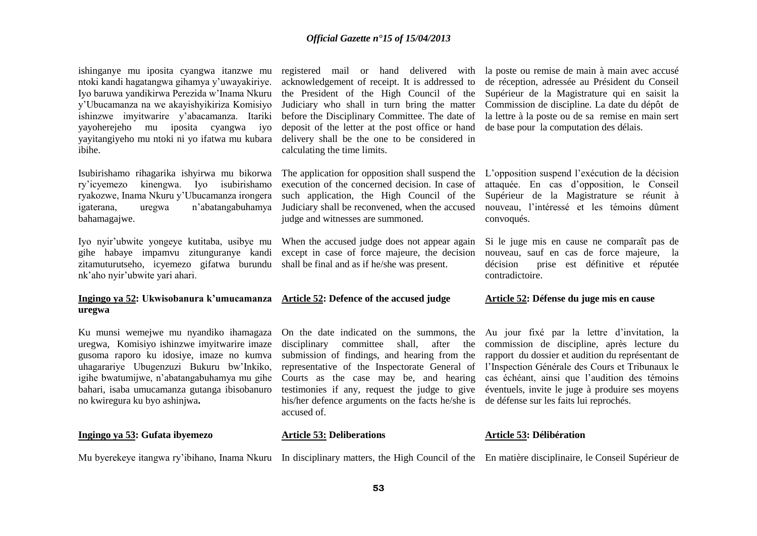ishinganye mu iposita cyangwa itanzwe mu ntoki kandi hagatangwa gihamya y'uwayakiriye. Iyo baruwa yandikirwa Perezida w'Inama Nkuru y'Ubucamanza na we akayishyikiriza Komisiyo ishinzwe imyitwarire y'abacamanza. Itariki yayoherejeho mu iposita cyangwa iyo yayitangiyeho mu ntoki ni yo ifatwa mu kubara ibihe.

Isubirishamo rihagarika ishyirwa mu bikorwa ry'icyemezo kinengwa. Iyo isubirishamo ryakozwe, Inama Nkuru y'Ubucamanza irongera igaterana, uregwa n'abatangabuhamya bahamagajwe.

Iyo nyir'ubwite yongeye kutitaba, usibye mu gihe habaye impamvu zitunguranye kandi zitamuturutseho, icyemezo gifatwa burundu shall be final and as if he/she was present. nk'aho nyir'ubwite yari ahari.

# **uregwa**

Ku munsi wemejwe mu nyandiko ihamagaza uregwa, Komisiyo ishinzwe imyitwarire imaze gusoma raporo ku idosiye, imaze no kumva uhagarariye Ubugenzuzi Bukuru bw'Inkiko, igihe bwatumijwe, n'abatangabuhamya mu gihe bahari, isaba umucamanza gutanga ibisobanuro no kwiregura ku byo ashinjwa**.**

#### **Ingingo ya 53: Gufata ibyemezo**

registered mail or hand delivered with acknowledgement of receipt. It is addressed to the President of the High Council of the Judiciary who shall in turn bring the matter before the Disciplinary Committee. The date of deposit of the letter at the post office or hand delivery shall be the one to be considered in calculating the time limits.

The application for opposition shall suspend the execution of the concerned decision. In case of such application, the High Council of the Judiciary shall be reconvened, when the accused judge and witnesses are summoned.

When the accused judge does not appear again except in case of force majeure, the decision

#### **Ingingo ya 52: Ukwisobanura k'umucamanza Article 52: Defence of the accused judge**

On the date indicated on the summons, the disciplinary committee shall, after submission of findings, and hearing from the representative of the Inspectorate General of Courts as the case may be, and hearing testimonies if any, request the judge to give his/her defence arguments on the facts he/she is de défense sur les faits lui reprochés. accused of.

la poste ou remise de main à main avec accusé de réception, adressée au Président du Conseil Supérieur de la Magistrature qui en saisit la Commission de discipline. La date du dépôt de la lettre à la poste ou de sa remise en main sert de base pour la computation des délais.

L'opposition suspend l'exécution de la décision attaquée. En cas d'opposition, le Conseil Supérieur de la Magistrature se réunit à nouveau, l'intéressé et les témoins dûment convoqués.

Si le juge mis en cause ne comparaît pas de nouveau, sauf en cas de force majeure, la décision prise est définitive et réputée contradictoire.

#### **Article 52: Défense du juge mis en cause**

Au jour fixé par la lettre d'invitation, la commission de discipline, après lecture du rapport du dossier et audition du représentant de l'Inspection Générale des Cours et Tribunaux le cas échéant, ainsi que l'audition des témoins éventuels, invite le juge à produire ses moyens

#### **Article 53: Délibération**

Mu byerekeye itangwa ry'ibihano, Inama Nkuru In disciplinary matters, the High Council of the En matière disciplinaire, le Conseil Supérieur de

**Article 53: Deliberations**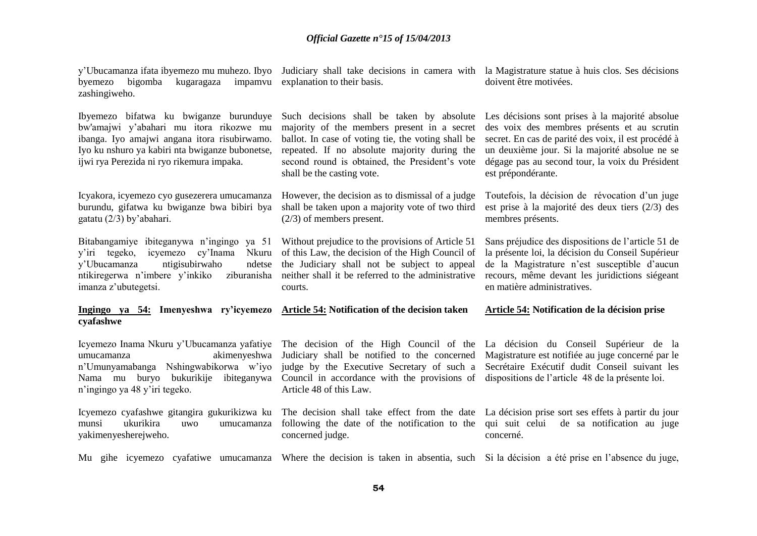| byemezo<br>bigomba<br>kugaragaza<br>zashingiweho.                                                                                                                                                                                       | y'Ubucamanza ifata ibyemezo mu muhezo. Ibyo Judiciary shall take decisions in camera with la Magistrature statue à huis clos. Ses décisions<br>impamvu explanation to their basis.                                                                                                                 | doivent être motivées.                                                                                                                                                                                                                                                           |
|-----------------------------------------------------------------------------------------------------------------------------------------------------------------------------------------------------------------------------------------|----------------------------------------------------------------------------------------------------------------------------------------------------------------------------------------------------------------------------------------------------------------------------------------------------|----------------------------------------------------------------------------------------------------------------------------------------------------------------------------------------------------------------------------------------------------------------------------------|
| Ibyemezo bifatwa ku bwiganze burunduye<br>bw'amajwi y'abahari mu itora rikozwe mu<br>ibanga. Iyo amajwi angana itora risubirwamo.<br>Iyo ku nshuro ya kabiri nta bwiganze bubonetse,<br>ijwi rya Perezida ni ryo rikemura impaka.       | Such decisions shall be taken by absolute<br>majority of the members present in a secret<br>ballot. In case of voting tie, the voting shall be<br>repeated. If no absolute majority during the<br>second round is obtained, the President's vote<br>shall be the casting vote.                     | Les décisions sont prises à la majorité absolue<br>des voix des membres présents et au scrutin<br>secret. En cas de parité des voix, il est procédé à<br>un deuxième jour. Si la majorité absolue ne se<br>dégage pas au second tour, la voix du Président<br>est prépondérante. |
| Icyakora, icyemezo cyo gusezerera umucamanza<br>burundu, gifatwa ku bwiganze bwa bibiri bya<br>gatatu (2/3) by'abahari.                                                                                                                 | However, the decision as to dismissal of a judge<br>shall be taken upon a majority vote of two third<br>$(2/3)$ of members present.                                                                                                                                                                | Toutefois, la décision de révocation d'un juge<br>est prise à la majorité des deux tiers (2/3) des<br>membres présents.                                                                                                                                                          |
| Bitabangamiye ibiteganywa n'ingingo ya 51 Without prejudice to the provisions of Article 51<br>y'iri tegeko, icyemezo<br>cy'Inama<br>Nkuru<br>y'Ubucamanza<br>ntigisubirwaho<br>ndetse<br>ntikiregerwa n'imbere y'inkiko<br>ziburanisha | of this Law, the decision of the High Council of<br>the Judiciary shall not be subject to appeal<br>neither shall it be referred to the administrative                                                                                                                                             | Sans préjudice des dispositions de l'article 51 de<br>la présente loi, la décision du Conseil Supérieur<br>de la Magistrature n'est susceptible d'aucun<br>recours, même devant les juridictions siégeant                                                                        |
| imanza z'ubutegetsi.                                                                                                                                                                                                                    | courts.                                                                                                                                                                                                                                                                                            | en matière administratives.                                                                                                                                                                                                                                                      |
| Ingingo ya 54: Imenyeshwa ry'icyemezo Article 54: Notification of the decision taken<br>cyafashwe                                                                                                                                       |                                                                                                                                                                                                                                                                                                    | Article 54: Notification de la décision prise                                                                                                                                                                                                                                    |
| akimenyeshwa<br>umucamanza<br>n'Umunyamabanga Nshingwabikorwa w'iyo<br>buryo<br>bukurikije ibiteganywa<br>Nama mu<br>n'ingingo ya 48 y'iri tegeko.                                                                                      | Icyemezo Inama Nkuru y'Ubucamanza yafatiye The decision of the High Council of the La décision du Conseil Supérieur de la<br>Judiciary shall be notified to the concerned<br>judge by the Executive Secretary of such a<br>Council in accordance with the provisions of<br>Article 48 of this Law. | Magistrature est notifiée au juge concerné par le<br>Secrétaire Exécutif dudit Conseil suivant les<br>dispositions de l'article 48 de la présente loi.                                                                                                                           |
| ukurikira<br>munsi<br>uwo<br>umucamanza<br>yakimenyesherejweho.                                                                                                                                                                         | Icyemezo cyafashwe gitangira gukurikizwa ku The decision shall take effect from the date La décision prise sort ses effets à partir du jour<br>following the date of the notification to the<br>concerned judge.                                                                                   | qui suit celui<br>de sa notification au juge<br>concerné.                                                                                                                                                                                                                        |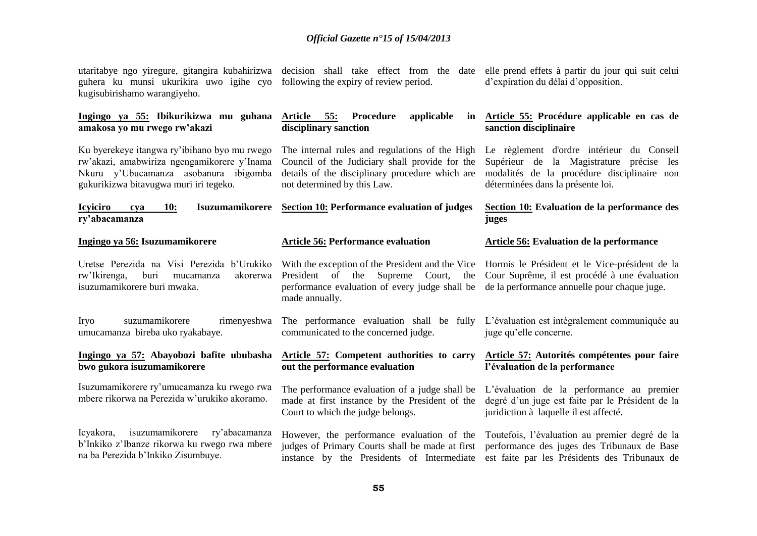| guhera ku munsi ukurikira uwo igihe cyo following the expiry of review period.<br>kugisubirishamo warangiyeho.                                                                 | utaritabye ngo yiregure, gitangira kubahirizwa decision shall take effect from the date elle prend effets à partir du jour qui suit celui                                          | d'expiration du délai d'opposition.                                                                                                                                       |
|--------------------------------------------------------------------------------------------------------------------------------------------------------------------------------|------------------------------------------------------------------------------------------------------------------------------------------------------------------------------------|---------------------------------------------------------------------------------------------------------------------------------------------------------------------------|
| Ingingo ya 55: Ibikurikizwa mu guhana<br>amakosa yo mu rwego rw'akazi                                                                                                          | Article<br>55:<br>Procedure<br>applicable<br>disciplinary sanction                                                                                                                 | in Article 55: Procédure applicable en cas de<br>sanction disciplinaire                                                                                                   |
| Ku byerekeye itangwa ry'ibihano byo mu rwego<br>rw'akazi, amabwiriza ngengamikorere y'Inama<br>Nkuru y'Ubucamanza asobanura ibigomba<br>gukurikizwa bitavugwa muri iri tegeko. | The internal rules and regulations of the High<br>Council of the Judiciary shall provide for the<br>details of the disciplinary procedure which are<br>not determined by this Law. | Le règlement d'ordre intérieur du Conseil<br>Supérieur de la Magistrature précise les<br>modalités de la procédure disciplinaire non<br>déterminées dans la présente loi. |
| <b>Icyiciro</b><br><b>10:</b><br>cva<br>ry'abacamanza                                                                                                                          | Isuzumamikorere Section 10: Performance evaluation of judges                                                                                                                       | Section 10: Evaluation de la performance des<br>juges                                                                                                                     |
| Ingingo ya 56: Isuzumamikorere                                                                                                                                                 | <b>Article 56: Performance evaluation</b>                                                                                                                                          | Article 56: Evaluation de la performance                                                                                                                                  |
| Uretse Perezida na Visi Perezida b'Urukiko<br>rw'Ikirenga,<br>buri<br>akorerwa<br>mucamanza<br>isuzumamikorere buri mwaka.                                                     | With the exception of the President and the Vice<br>President of the Supreme Court,<br>the<br>performance evaluation of every judge shall be<br>made annually.                     | Hormis le Président et le Vice-président de la<br>Cour Suprême, il est procédé à une évaluation<br>de la performance annuelle pour chaque juge.                           |
| suzumamikorere<br>rimenyeshwa<br>Iryo<br>umucamanza bireba uko ryakabaye.                                                                                                      | The performance evaluation shall be fully<br>communicated to the concerned judge.                                                                                                  | L'évaluation est intégralement communiquée au<br>juge qu'elle concerne.                                                                                                   |
| Ingingo ya 57: Abayobozi bafite ububasha<br>bwo gukora isuzumamikorere                                                                                                         | Article 57: Competent authorities to carry<br>out the performance evaluation                                                                                                       | Article 57: Autorités compétentes pour faire<br>l'évaluation de la performance                                                                                            |
| Isuzumamikorere ry'umucamanza ku rwego rwa<br>mbere rikorwa na Perezida w'urukiko akoramo.                                                                                     | The performance evaluation of a judge shall be<br>made at first instance by the President of the<br>Court to which the judge belongs.                                              | L'évaluation de la performance au premier<br>degré d'un juge est faite par le Président de la<br>juridiction à laquelle il est affecté.                                   |
| isuzumamikorere<br>ry'abacamanza<br>Icyakora,<br>b'Inkiko z'Ibanze rikorwa ku rwego rwa mbere<br>na ba Perezida b'Inkiko Zisumbuye.                                            | However, the performance evaluation of the<br>judges of Primary Courts shall be made at first<br>instance by the Presidents of Intermediate                                        | Toutefois, l'évaluation au premier degré de la<br>performance des juges des Tribunaux de Base<br>est faite par les Présidents des Tribunaux de                            |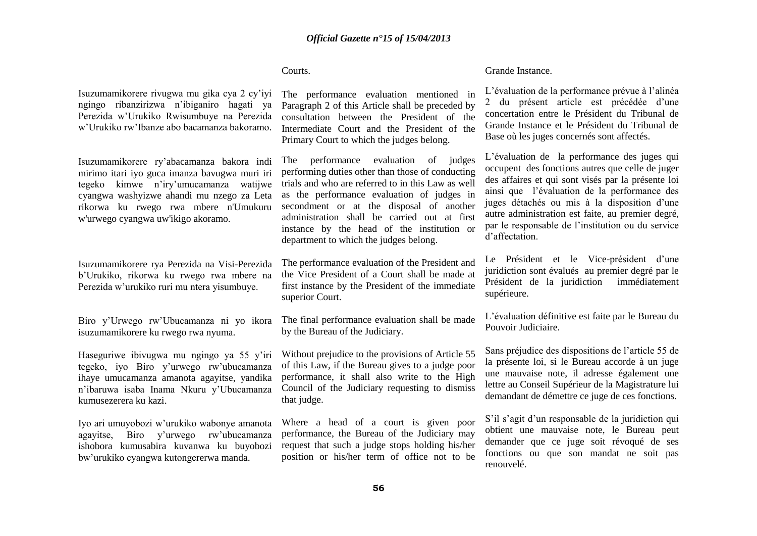### Courts.

Isuzumamikorere rivugwa mu gika cya 2 cy'iyi ngingo ribanzirizwa n'ibiganiro hagati ya Perezida w'Urukiko Rwisumbuye na Perezida w'Urukiko rw'Ibanze abo bacamanza bakoramo.

Isuzumamikorere ry'abacamanza bakora indi mirimo itari iyo guca imanza bavugwa muri iri tegeko kimwe n'iry'umucamanza watijwe cyangwa washyizwe ahandi mu nzego za Leta rikorwa ku rwego rwa mbere n'Umukuru w'urwego cyangwa uw'ikigo akoramo.

Isuzumamikorere rya Perezida na Visi-Perezida b'Urukiko, rikorwa ku rwego rwa mbere na Perezida w'urukiko ruri mu ntera yisumbuye.

Biro y'Urwego rw'Ubucamanza ni yo ikora isuzumamikorere ku rwego rwa nyuma.

Haseguriwe ibivugwa mu ngingo ya 55 y'iri tegeko, iyo Biro y'urwego rw'ubucamanza ihaye umucamanza amanota agayitse, yandika n'ibaruwa isaba Inama Nkuru y'Ubucamanza kumusezerera ku kazi.

Iyo ari umuyobozi w'urukiko wabonye amanota agayitse, Biro y'urwego rw'ubucamanza ishobora kumusabira kuvanwa ku buyobozi bw'urukiko cyangwa kutongererwa manda.

The performance evaluation mentioned in Paragraph 2 of this Article shall be preceded by consultation between the President of the Intermediate Court and the President of the Primary Court to which the judges belong.

The performance evaluation of judges performing duties other than those of conducting trials and who are referred to in this Law as well as the performance evaluation of judges in secondment or at the disposal of another administration shall be carried out at first instance by the head of the institution or department to which the judges belong.

The performance evaluation of the President and the Vice President of a Court shall be made at first instance by the President of the immediate superior Court.

The final performance evaluation shall be made by the Bureau of the Judiciary.

Without prejudice to the provisions of Article 55 of this Law, if the Bureau gives to a judge poor performance, it shall also write to the High Council of the Judiciary requesting to dismiss that judge.

Where a head of a court is given poor performance, the Bureau of the Judiciary may request that such a judge stops holding his/her position or his/her term of office not to be

#### Grande Instance.

L'évaluation de la performance prévue à l'alinéa 2 du présent article est précédée d'une concertation entre le Président du Tribunal de Grande Instance et le Président du Tribunal de Base où les juges concernés sont affectés.

L'évaluation de la performance des juges qui occupent des fonctions autres que celle de juger des affaires et qui sont visés par la présente loi ainsi que l'évaluation de la performance des juges détachés ou mis à la disposition d'une autre administration est faite, au premier degré, par le responsable de l'institution ou du service d'affectation.

Le Président et le Vice-président d'une juridiction sont évalués au premier degré par le Président de la juridiction immédiatement supérieure.

L'évaluation définitive est faite par le Bureau du Pouvoir Judiciaire.

Sans préjudice des dispositions de l'article 55 de la présente loi, si le Bureau accorde à un juge une mauvaise note, il adresse également une lettre au Conseil Supérieur de la Magistrature lui demandant de démettre ce juge de ces fonctions.

S'il s'agit d'un responsable de la juridiction qui obtient une mauvaise note, le Bureau peut demander que ce juge soit révoqué de ses fonctions ou que son mandat ne soit pas renouvelé.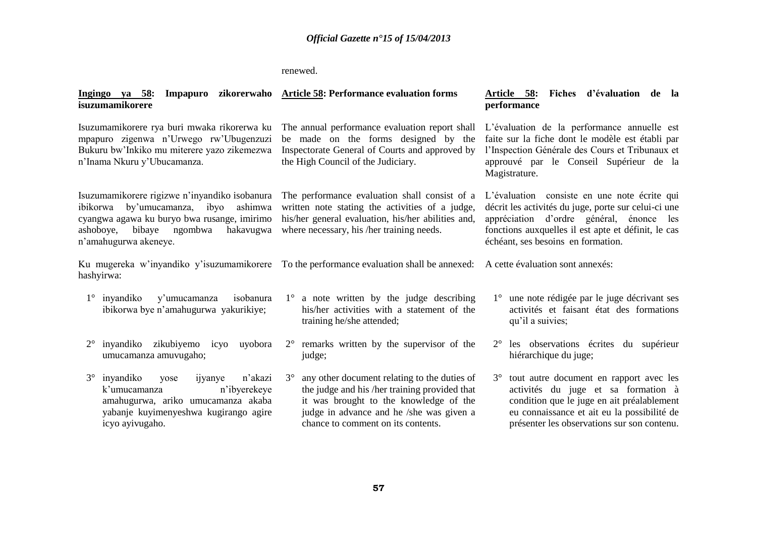renewed.

| Ingingo ya 58: Impapuro zikorerwaho Article 58: Performance evaluation forms<br>isuzumamikorere                                                                                                                    |                                                                                                                                                                                                                                        | Article 58: Fiches d'évaluation de la<br>performance                                                                                                                                                                                          |
|--------------------------------------------------------------------------------------------------------------------------------------------------------------------------------------------------------------------|----------------------------------------------------------------------------------------------------------------------------------------------------------------------------------------------------------------------------------------|-----------------------------------------------------------------------------------------------------------------------------------------------------------------------------------------------------------------------------------------------|
| Isuzumamikorere rya buri mwaka rikorerwa ku<br>mpapuro zigenwa n'Urwego rw'Ubugenzuzi<br>Bukuru bw'Inkiko mu miterere yazo zikemezwa<br>n'Inama Nkuru y'Ubucamanza.                                                | The annual performance evaluation report shall<br>be made on the forms designed by the<br>Inspectorate General of Courts and approved by<br>the High Council of the Judiciary.                                                         | L'évaluation de la performance annuelle est<br>faite sur la fiche dont le modèle est établi par<br>l'Inspection Générale des Cours et Tribunaux et<br>approuvé par le Conseil Supérieur de la<br>Magistrature.                                |
| Isuzumamikorere rigizwe n'inyandiko isobanura<br>ashimwa<br>ibikorwa<br>by'umucamanza,<br>ibyo<br>cyangwa agawa ku buryo bwa rusange, imirimo<br>bibaye ngombwa<br>hakavugwa<br>ashoboye,<br>n'amahugurwa akeneye. | The performance evaluation shall consist of a<br>written note stating the activities of a judge,<br>his/her general evaluation, his/her abilities and,<br>where necessary, his /her training needs.                                    | L'évaluation consiste en une note écrite qui<br>décrit les activités du juge, porte sur celui-ci une<br>appréciation d'ordre général, énonce les<br>fonctions auxquelles il est apte et définit, le cas<br>échéant, ses besoins en formation. |
| hashyirwa:                                                                                                                                                                                                         | Ku mugereka w'inyandiko y'isuzumamikorere To the performance evaluation shall be annexed: A cette évaluation sont annexés:                                                                                                             |                                                                                                                                                                                                                                               |
| y'umucamanza isobanura<br>inyandiko<br>$1^{\circ}$<br>ibikorwa bye n'amahugurwa yakurikiye;                                                                                                                        | $1^\circ$ a note written by the judge describing<br>his/her activities with a statement of the<br>training he/she attended;                                                                                                            | 1° une note rédigée par le juge décrivant ses<br>activités et faisant état des formations<br>qu'il a suivies;                                                                                                                                 |
| inyandiko zikubiyemo icyo<br>$2^{\circ}$<br>uyobora<br>umucamanza amuvugaho;                                                                                                                                       | $2^{\circ}$ remarks written by the supervisor of the<br>judge;                                                                                                                                                                         | 2° les observations écrites du supérieur<br>hiérarchique du juge;                                                                                                                                                                             |
| $3^\circ$<br>inyandiko<br>n'akazi<br>ijyanye<br>yose<br>k'umucamanza<br>n'ibyerekeye<br>amahugurwa, ariko umucamanza akaba<br>yabanje kuyimenyeshwa kugirango agire<br>icyo ayivugaho.                             | any other document relating to the duties of<br>$3^\circ$<br>the judge and his /her training provided that<br>it was brought to the knowledge of the<br>judge in advance and he /she was given a<br>chance to comment on its contents. | tout autre document en rapport avec les<br>$3^\circ$<br>activités du juge et sa formation à<br>condition que le juge en ait préalablement<br>eu connaissance et ait eu la possibilité de<br>présenter les observations sur son contenu.       |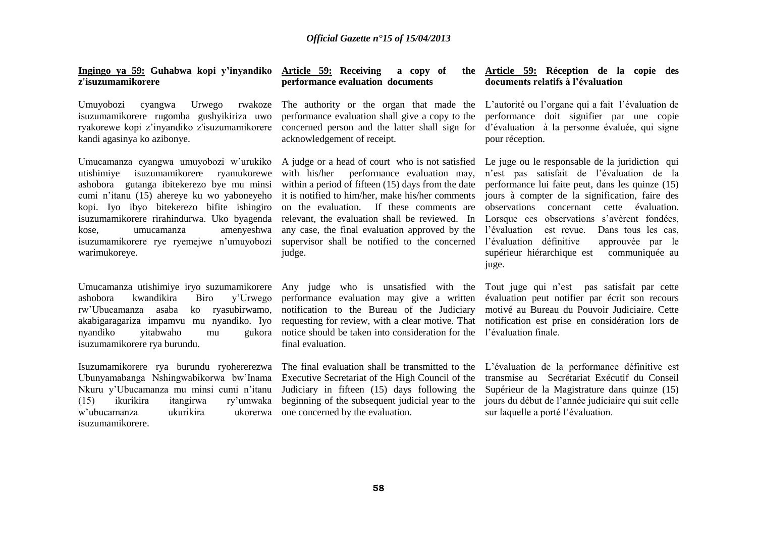| Ingingo ya 59: Guhabwa kopi y'inyandiko Article 59: Receiving<br>z'isuzumamikorere                                                                                                                                                                                                                                                                                           | a copy of<br>performance evaluation documents                                                                                                                                                                                                                                                                                                                                                                       | the <b>Article 59:</b> Réception de la copie des<br>documents relatifs à l'évaluation                                                                                                                                                                                                                                                                                                                                                                               |
|------------------------------------------------------------------------------------------------------------------------------------------------------------------------------------------------------------------------------------------------------------------------------------------------------------------------------------------------------------------------------|---------------------------------------------------------------------------------------------------------------------------------------------------------------------------------------------------------------------------------------------------------------------------------------------------------------------------------------------------------------------------------------------------------------------|---------------------------------------------------------------------------------------------------------------------------------------------------------------------------------------------------------------------------------------------------------------------------------------------------------------------------------------------------------------------------------------------------------------------------------------------------------------------|
| Umuyobozi<br>Urwego<br>cyangwa<br>rwakoze<br>isuzumamikorere rugomba gushyikiriza uwo<br>ryakorewe kopi z'inyandiko z'isuzumamikorere<br>kandi agasinya ko azibonye.                                                                                                                                                                                                         | The authority or the organ that made the<br>performance evaluation shall give a copy to the<br>concerned person and the latter shall sign for<br>acknowledgement of receipt.                                                                                                                                                                                                                                        | L'autorité ou l'organe qui a fait l'évaluation de<br>performance doit signifier par une copie<br>d'évaluation à la personne évaluée, qui signe<br>pour réception.                                                                                                                                                                                                                                                                                                   |
| Umucamanza cyangwa umuyobozi w'urukiko<br>utishimiye isuzumamikorere<br>ryamukorewe<br>ashobora gutanga ibitekerezo bye mu minsi<br>cumi n'itanu (15) ahereye ku wo yaboneyeho<br>kopi. Iyo ibyo bitekerezo bifite ishingiro<br>isuzumamikorere rirahindurwa. Uko byagenda<br>amenyeshwa<br>kose,<br>umucamanza<br>isuzumamikorere rye ryemejwe n'umuyobozi<br>warimukoreye. | A judge or a head of court who is not satisfied<br>with his/her performance evaluation may,<br>within a period of fifteen (15) days from the date<br>it is notified to him/her, make his/her comments<br>on the evaluation.<br>If these comments are<br>relevant, the evaluation shall be reviewed. In<br>any case, the final evaluation approved by the<br>supervisor shall be notified to the concerned<br>judge. | Le juge ou le responsable de la juridiction qui<br>n'est pas satisfait de l'évaluation de la<br>performance lui faite peut, dans les quinze (15)<br>jours à compter de la signification, faire des<br>observations<br>concernant<br>cette<br>évaluation.<br>Lorsque ces observations s'avèrent fondées,<br>est revue.<br>l'évaluation<br>Dans tous les cas,<br>l'évaluation définitive<br>approuvée par le<br>supérieur hiérarchique est<br>communiquée au<br>juge. |
| Umucamanza utishimiye iryo suzumamikorere<br>kwandikira<br>ashobora<br>Biro<br>y'Urwego<br>ko ryasubirwamo,<br>rw'Ubucamanza<br>asaba<br>nyandiko<br>yitabwaho<br>mu<br>isuzumamikorere rya burundu.                                                                                                                                                                         | Any judge who is unsatisfied with the<br>performance evaluation may give a written<br>notification to the Bureau of the Judiciary<br>akabigaragariza impamvu mu nyandiko. Iyo requesting for review, with a clear motive. That<br>gukora notice should be taken into consideration for the<br>final evaluation.                                                                                                     | Tout juge qui n'est pas satisfait par cette<br>évaluation peut notifier par écrit son recours<br>motivé au Bureau du Pouvoir Judiciaire. Cette<br>notification est prise en considération lors de<br>l'évaluation finale.                                                                                                                                                                                                                                           |
| Isuzumamikorere rya burundu ryohererezwa<br>Ubunyamabanga Nshingwabikorwa bw'Inama<br>Nkuru y'Ubucamanza mu minsi cumi n'itanu<br>ikurikira<br>(15)<br>itangirwa<br>ry'umwaka<br>ukurikira<br>w'ubucamanza<br>ukorerwa<br>isuzumamikorere.                                                                                                                                   | The final evaluation shall be transmitted to the<br>Executive Secretariat of the High Council of the<br>Judiciary in fifteen (15) days following the<br>beginning of the subsequent judicial year to the<br>one concerned by the evaluation.                                                                                                                                                                        | L'évaluation de la performance définitive est<br>transmise au Secrétariat Exécutif du Conseil<br>Supérieur de la Magistrature dans quinze (15)<br>jours du début de l'année judiciaire qui suit celle<br>sur laquelle a porté l'évaluation.                                                                                                                                                                                                                         |
|                                                                                                                                                                                                                                                                                                                                                                              |                                                                                                                                                                                                                                                                                                                                                                                                                     |                                                                                                                                                                                                                                                                                                                                                                                                                                                                     |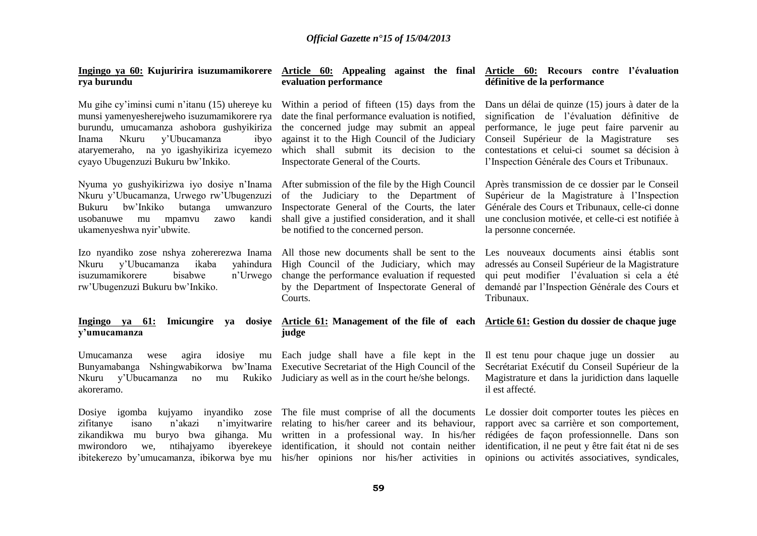| rya burundu                                                                                                                                                                                                                                                              | Ingingo ya 60: Kujuririra isuzumamikorere Article 60: Appealing against the final Article 60: Recours contre l'évaluation<br>evaluation performance                                                                                                                                                                                         | définitive de la performance                                                                                                                                                                                                                                                                     |
|--------------------------------------------------------------------------------------------------------------------------------------------------------------------------------------------------------------------------------------------------------------------------|---------------------------------------------------------------------------------------------------------------------------------------------------------------------------------------------------------------------------------------------------------------------------------------------------------------------------------------------|--------------------------------------------------------------------------------------------------------------------------------------------------------------------------------------------------------------------------------------------------------------------------------------------------|
| Mu gihe cy'iminsi cumi n'itanu (15) uhereye ku<br>munsi yamenyesherejweho isuzumamikorere rya<br>burundu, umucamanza ashobora gushyikiriza<br>y'Ubucamanza<br>Nkuru<br>Inama<br>ibyo<br>ataryemeraho, na yo igashyikiriza icyemezo<br>cyayo Ubugenzuzi Bukuru bw'Inkiko. | Within a period of fifteen (15) days from the<br>date the final performance evaluation is notified,<br>the concerned judge may submit an appeal<br>against it to the High Council of the Judiciary<br>which shall submit its decision to the<br>Inspectorate General of the Courts.                                                         | Dans un délai de quinze (15) jours à dater de la<br>signification de l'évaluation définitive de<br>performance, le juge peut faire parvenir au<br>Conseil Supérieur de la Magistrature<br>ses<br>contestations et celui-ci soumet sa décision à<br>l'Inspection Générale des Cours et Tribunaux. |
| Nkuru y'Ubucamanza, Urwego rw'Ubugenzuzi<br>bw'Inkiko<br><b>Bukuru</b><br>butanga<br>umwanzuro<br>kandi<br>usobanuwe<br>mpamvu<br>mu<br>zawo<br>ukamenyeshwa nyir'ubwite.                                                                                                | Nyuma yo gushyikirizwa iyo dosiye n'Inama After submission of the file by the High Council<br>of the Judiciary to the Department of<br>Inspectorate General of the Courts, the later<br>shall give a justified consideration, and it shall<br>be notified to the concerned person.                                                          | Après transmission de ce dossier par le Conseil<br>Supérieur de la Magistrature à l'Inspection<br>Générale des Cours et Tribunaux, celle-ci donne<br>une conclusion motivée, et celle-ci est notifiée à<br>la personne concernée.                                                                |
| Izo nyandiko zose nshya zohererezwa Inama<br>y'Ubucamanza<br>ikaba<br>yahindura<br>Nkuru<br>isuzumamikorere<br>bisabwe<br>n'Urwego<br>rw'Ubugenzuzi Bukuru bw'Inkiko.                                                                                                    | All those new documents shall be sent to the<br>High Council of the Judiciary, which may<br>change the performance evaluation if requested<br>by the Department of Inspectorate General of<br>Courts.                                                                                                                                       | Les nouveaux documents ainsi établis sont<br>adressés au Conseil Supérieur de la Magistrature<br>qui peut modifier l'évaluation si cela a été<br>demandé par l'Inspection Générale des Cours et<br>Tribunaux.                                                                                    |
| Imicungire<br>Ingingo ya 61:<br>ya<br>y'umucamanza                                                                                                                                                                                                                       | dosiye Article 61: Management of the file of each Article 61: Gestion du dossier de chaque juge<br>judge                                                                                                                                                                                                                                    |                                                                                                                                                                                                                                                                                                  |
| Umucamanza<br>agira<br>idosiye<br>wese<br>Nshingwabikorwa bw'Inama<br>Bunyamabanga<br>y'Ubucamanza<br>Rukiko<br>Nkuru<br>no<br>mu<br>akoreramo.                                                                                                                          | mu Each judge shall have a file kept in the<br>Executive Secretariat of the High Council of the<br>Judiciary as well as in the court he/she belongs.                                                                                                                                                                                        | Il est tenu pour chaque juge un dossier<br>au<br>Secrétariat Exécutif du Conseil Supérieur de la<br>Magistrature et dans la juridiction dans laquelle<br>il est affecté.                                                                                                                         |
| Dosiye igomba<br>n'imyitwarire<br>zifitanye<br>n'akazi<br>isano<br>zikandikwa mu<br>mwirondoro<br>ntihajyamo<br>we.                                                                                                                                                      | kujyamo inyandiko zose The file must comprise of all the documents<br>relating to his/her career and its behaviour,<br>buryo bwa gihanga. Mu written in a professional way. In his/her<br>ibyerekeye identification, it should not contain neither<br>ibitekerezo by'umucamanza, ibikorwa bye mu his/her opinions nor his/her activities in | Le dossier doit comporter toutes les pièces en<br>rapport avec sa carrière et son comportement,<br>rédigées de façon professionnelle. Dans son<br>identification, il ne peut y être fait état ni de ses<br>opinions ou activités associatives, syndicales,                                       |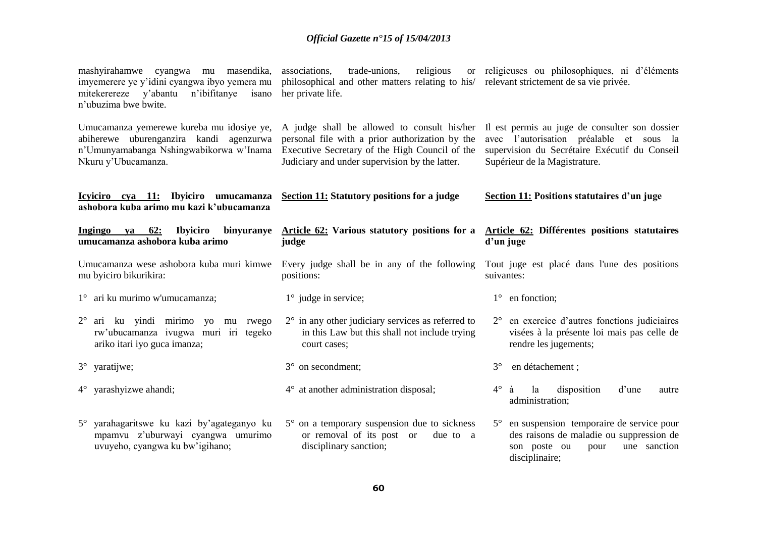| mashyirahamwe cyangwa mu masendika,<br>imyemerere ye y'idini cyangwa ibyo yemera mu<br>n'ibifitanye<br>mitekerereze y'abantu<br>isano<br>n'ubuzima bwe bwite. | trade-unions,<br>religious<br>associations,<br>philosophical and other matters relating to his/ relevant strictement de sa vie privée.<br>her private life.                                        | or religieuses ou philosophiques, ni d'éléments                                                                                                                              |                                                                                                                                                   |  |
|---------------------------------------------------------------------------------------------------------------------------------------------------------------|----------------------------------------------------------------------------------------------------------------------------------------------------------------------------------------------------|------------------------------------------------------------------------------------------------------------------------------------------------------------------------------|---------------------------------------------------------------------------------------------------------------------------------------------------|--|
| Umucamanza yemerewe kureba mu idosiye ye,<br>abiherewe uburenganzira kandi agenzurwa<br>n'Umunyamabanga Nshingwabikorwa w'Inama<br>Nkuru y'Ubucamanza.        | A judge shall be allowed to consult his/her<br>personal file with a prior authorization by the<br>Executive Secretary of the High Council of the<br>Judiciary and under supervision by the latter. | Il est permis au juge de consulter son dossier<br>avec l'autorisation préalable et sous la<br>supervision du Secrétaire Exécutif du Conseil<br>Supérieur de la Magistrature. |                                                                                                                                                   |  |
| Icyiciro cya 11: Ibyiciro umucamanza<br>ashobora kuba arimo mu kazi k'ubucamanza                                                                              | Section 11: Statutory positions for a judge                                                                                                                                                        |                                                                                                                                                                              | Section 11: Positions statutaires d'un juge                                                                                                       |  |
| <b>Ibyiciro</b><br>Ingingo<br><b>62:</b><br>ya<br>umucamanza ashobora kuba arimo                                                                              | binyuranye Article 62: Various statutory positions for a<br>judge                                                                                                                                  |                                                                                                                                                                              | Article 62: Différentes positions statutaires<br>d'un juge                                                                                        |  |
| mu byiciro bikurikira:                                                                                                                                        | Umucamanza wese ashobora kuba muri kimwe Every judge shall be in any of the following<br>positions:                                                                                                | suivantes:                                                                                                                                                                   | Tout juge est placé dans l'une des positions                                                                                                      |  |
| 1° ari ku murimo w'umucamanza;                                                                                                                                | $1^\circ$ judge in service;                                                                                                                                                                        |                                                                                                                                                                              | $1^\circ$ en fonction;                                                                                                                            |  |
| $2^{\circ}$ ari ku yindi mirimo yo<br>mu rwego<br>rw'ubucamanza ivugwa muri iri tegeko<br>ariko itari iyo guca imanza;                                        | $2^{\circ}$ in any other judiciary services as referred to<br>in this Law but this shall not include trying<br>court cases;                                                                        |                                                                                                                                                                              | 2° en exercice d'autres fonctions judiciaires<br>visées à la présente loi mais pas celle de<br>rendre les jugements;                              |  |
| 3° yaratijwe;                                                                                                                                                 | 3° on secondment;                                                                                                                                                                                  | $3^\circ$                                                                                                                                                                    | en détachement ;                                                                                                                                  |  |
| $4^{\circ}$ yarashyizwe ahandi;                                                                                                                               | $4^{\circ}$ at another administration disposal;                                                                                                                                                    | $4^\circ$                                                                                                                                                                    | la<br>disposition<br>d'une<br>à<br>autre<br>administration;                                                                                       |  |
| 5° yarahagaritswe ku kazi by'agateganyo ku<br>mpamvu z'uburwayi cyangwa umurimo<br>uvuyeho, cyangwa ku bw'igihano;                                            | $5^{\circ}$ on a temporary suspension due to sickness<br>or removal of its post or<br>due to a<br>disciplinary sanction;                                                                           |                                                                                                                                                                              | 5° en suspension temporaire de service pour<br>des raisons de maladie ou suppression de<br>son poste ou<br>une sanction<br>pour<br>disciplinaire; |  |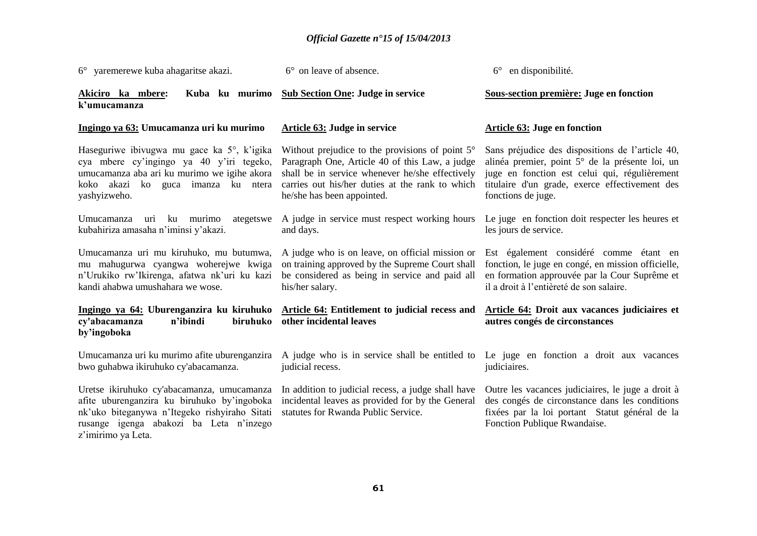| 6° yaremerewe kuba ahagaritse akazi.                                                                                                                                                                        | 6° on leave of absence.                                                                                                                                                                                                                      | $6^\circ$ en disponibilité.                                                                                                                                                                                                  |
|-------------------------------------------------------------------------------------------------------------------------------------------------------------------------------------------------------------|----------------------------------------------------------------------------------------------------------------------------------------------------------------------------------------------------------------------------------------------|------------------------------------------------------------------------------------------------------------------------------------------------------------------------------------------------------------------------------|
| Akiciro ka mbere:<br>Kuba ku murimo<br>k'umucamanza                                                                                                                                                         | <b>Sub Section One: Judge in service</b>                                                                                                                                                                                                     | Sous-section première: Juge en fonction                                                                                                                                                                                      |
| Ingingo ya 63: Umucamanza uri ku murimo                                                                                                                                                                     | Article 63: Judge in service                                                                                                                                                                                                                 | <b>Article 63: Juge en fonction</b>                                                                                                                                                                                          |
| Haseguriwe ibivugwa mu gace ka 5°, k'igika<br>cya mbere cy'ingingo ya 40 y'iri tegeko,<br>umucamanza aba ari ku murimo we igihe akora<br>koko akazi ko guca imanza ku ntera<br>yashyizweho.                 | Without prejudice to the provisions of point $5^\circ$<br>Paragraph One, Article 40 of this Law, a judge<br>shall be in service whenever he/she effectively<br>carries out his/her duties at the rank to which<br>he/she has been appointed. | Sans préjudice des dispositions de l'article 40,<br>alinéa premier, point 5° de la présente loi, un<br>juge en fonction est celui qui, régulièrement<br>titulaire d'un grade, exerce effectivement des<br>fonctions de juge. |
| Umucamanza<br>ku murimo<br>ategetswe<br>uri<br>kubahiriza amasaha n'iminsi y'akazi.                                                                                                                         | A judge in service must respect working hours<br>and days.                                                                                                                                                                                   | Le juge en fonction doit respecter les heures et<br>les jours de service.                                                                                                                                                    |
| Umucamanza uri mu kiruhuko, mu butumwa,<br>mu mahugurwa cyangwa woherejwe kwiga<br>n'Urukiko rw'Ikirenga, afatwa nk'uri ku kazi<br>kandi ahabwa umushahara we wose.                                         | A judge who is on leave, on official mission or<br>on training approved by the Supreme Court shall<br>be considered as being in service and paid all<br>his/her salary.                                                                      | Est également considéré comme étant en<br>fonction, le juge en congé, en mission officielle,<br>en formation approuvée par la Cour Suprême et<br>il a droit à l'entièreté de son salaire.                                    |
| cy'abacamanza<br>biruhuko<br>n'ibindi<br>by'ingoboka                                                                                                                                                        | Ingingo ya 64: Uburenganzira ku kiruhuko Article 64: Entitlement to judicial recess and<br>other incidental leaves                                                                                                                           | Article 64: Droit aux vacances judiciaires et<br>autres congés de circonstances                                                                                                                                              |
| Umucamanza uri ku murimo afite uburenganzira<br>bwo guhabwa ikiruhuko cy'abacamanza.                                                                                                                        | A judge who is in service shall be entitled to Le juge en fonction a droit aux vacances<br>judicial recess.                                                                                                                                  | judiciaires.                                                                                                                                                                                                                 |
| Uretse ikiruhuko cy'abacamanza, umucamanza<br>afite uburenganzira ku biruhuko by'ingoboka<br>nk'uko biteganywa n'Itegeko rishyiraho Sitati<br>rusange igenga abakozi ba Leta n'inzego<br>z'imirimo ya Leta. | In addition to judicial recess, a judge shall have<br>incidental leaves as provided for by the General<br>statutes for Rwanda Public Service.                                                                                                | Outre les vacances judiciaires, le juge a droit à<br>des congés de circonstance dans les conditions<br>fixées par la loi portant Statut général de la<br>Fonction Publique Rwandaise.                                        |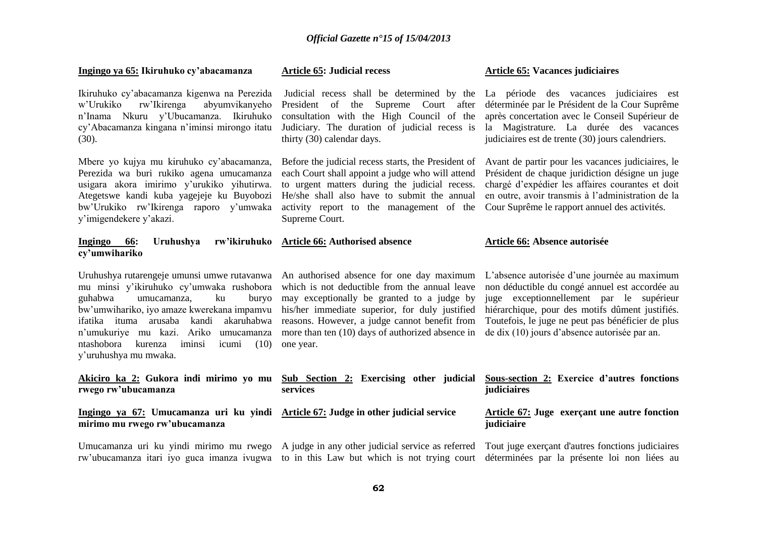| Ingingo ya 65: Ikiruhuko cy'abacamanza                                                                                                                                                                                                                                                          | <b>Article 65: Judicial recess</b>                                                                                                                                                                                                                                                                                                                       | <b>Article 65: Vacances judiciaires</b>                                                                                                                                                                                                                                                             |
|-------------------------------------------------------------------------------------------------------------------------------------------------------------------------------------------------------------------------------------------------------------------------------------------------|----------------------------------------------------------------------------------------------------------------------------------------------------------------------------------------------------------------------------------------------------------------------------------------------------------------------------------------------------------|-----------------------------------------------------------------------------------------------------------------------------------------------------------------------------------------------------------------------------------------------------------------------------------------------------|
| Ikiruhuko cy'abacamanza kigenwa na Perezida<br>w'Urukiko<br>rw'Ikirenga<br>abyumvikanyeho<br>n'Inama Nkuru y'Ubucamanza. Ikiruhuko<br>cy'Abacamanza kingana n'iminsi mirongo itatu<br>(30).                                                                                                     | Judicial recess shall be determined by the<br>President of the Supreme Court<br>after<br>consultation with the High Council of the<br>Judiciary. The duration of judicial recess is<br>thirty (30) calendar days.                                                                                                                                        | La période des vacances judiciaires est<br>déterminée par le Président de la Cour Suprême<br>après concertation avec le Conseil Supérieur de<br>la Magistrature. La durée des vacances<br>judiciaires est de trente (30) jours calendriers.                                                         |
| Mbere yo kujya mu kiruhuko cy'abacamanza,<br>Perezida wa buri rukiko agena umucamanza<br>usigara akora imirimo y'urukiko yihutirwa.<br>Ategetswe kandi kuba yagejeje ku Buyobozi<br>bw'Urukiko rw'Ikirenga raporo y'umwaka<br>y'imigendekere y'akazi.                                           | Before the judicial recess starts, the President of<br>each Court shall appoint a judge who will attend<br>to urgent matters during the judicial recess.<br>He/she shall also have to submit the annual<br>activity report to the management of the<br>Supreme Court.                                                                                    | Avant de partir pour les vacances judiciaires, le<br>Président de chaque juridiction désigne un juge<br>chargé d'expédier les affaires courantes et doit<br>en outre, avoir transmis à l'administration de la<br>Cour Suprême le rapport annuel des activités.                                      |
| Uruhushya<br>rw'ikiruhuko<br><b>Ingingo</b><br>66:<br>cy'umwihariko                                                                                                                                                                                                                             | <b>Article 66: Authorised absence</b>                                                                                                                                                                                                                                                                                                                    | Article 66: Absence autorisée                                                                                                                                                                                                                                                                       |
| mu minsi y'ikiruhuko cy'umwaka rushobora<br>guhabwa<br>buryo<br>umucamanza,<br>ku<br>bw'umwihariko, iyo amaze kwerekana impamvu<br>ifatika ituma arusaba kandi akaruhabwa<br>n'umukuriye mu kazi. Ariko umucamanza<br>ntashobora<br>iminsi<br>kurenza<br>icumi<br>(10)<br>y'uruhushya mu mwaka. | Uruhushya rutarengeje umunsi umwe rutavanwa An authorised absence for one day maximum<br>which is not deductible from the annual leave<br>may exceptionally be granted to a judge by<br>his/her immediate superior, for duly justified<br>reasons. However, a judge cannot benefit from<br>more than ten (10) days of authorized absence in<br>one year. | L'absence autorisée d'une journée au maximum<br>non déductible du congé annuel est accordée au<br>juge exceptionnellement par le supérieur<br>hiérarchique, pour des motifs dûment justifiés.<br>Toutefois, le juge ne peut pas bénéficier de plus<br>de dix (10) jours d'absence autorisée par an. |
| rwego rw'ubucamanza                                                                                                                                                                                                                                                                             | Akiciro ka 2: Gukora indi mirimo yo mu Sub Section 2: Exercising other judicial<br>services                                                                                                                                                                                                                                                              | <b>Sous-section 2: Exercice d'autres fonctions</b><br>judiciaires                                                                                                                                                                                                                                   |
| Ingingo ya 67: Umucamanza uri ku yindi Article 67: Judge in other judicial service<br>mirimo mu rwego rw'ubucamanza                                                                                                                                                                             |                                                                                                                                                                                                                                                                                                                                                          | <b>Article 67: Juge exercant une autre fonction</b><br>judiciaire                                                                                                                                                                                                                                   |
|                                                                                                                                                                                                                                                                                                 | Umucamanza uri ku yindi mirimo mu rwego A judge in any other judicial service as referred<br>rw'ubucamanza itari iyo guca imanza iyugwa to in this Law but which is not trying court                                                                                                                                                                     | Tout juge exerçant d'autres fonctions judiciaires<br>déterminées par la présente loi non liées au                                                                                                                                                                                                   |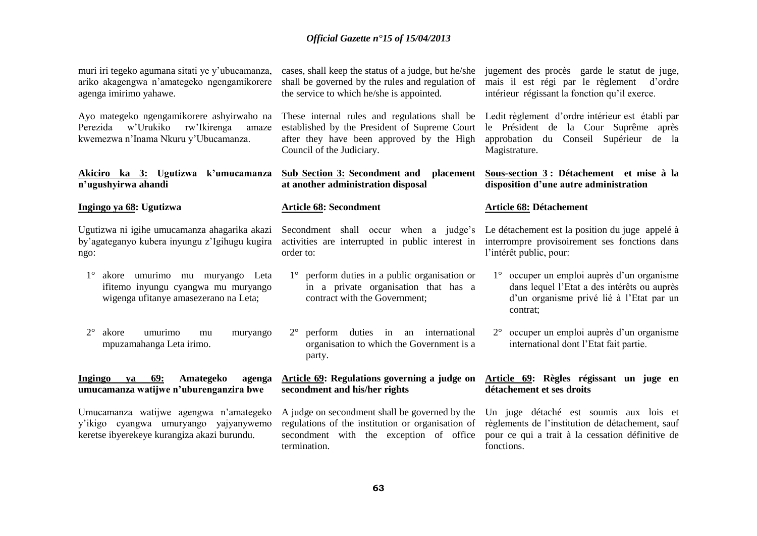| muri iri tegeko agumana sitati ye y'ubucamanza,<br>ariko akagengwa n'amategeko ngengamikorere<br>agenga imirimo yahawe.            | cases, shall keep the status of a judge, but he/she<br>shall be governed by the rules and regulation of<br>the service to which he/she is appointed.                     | jugement des procès garde le statut de juge,<br>mais il est régi par le règlement d'ordre<br>intérieur régissant la fonction qu'il exerce.                   |
|------------------------------------------------------------------------------------------------------------------------------------|--------------------------------------------------------------------------------------------------------------------------------------------------------------------------|--------------------------------------------------------------------------------------------------------------------------------------------------------------|
| Ayo mategeko ngengamikorere ashyirwaho na<br>w'Urukiko<br>rw'Ikirenga<br>Perezida<br>amaze<br>kwemezwa n'Inama Nkuru y'Ubucamanza. | These internal rules and regulations shall be<br>established by the President of Supreme Court<br>after they have been approved by the High<br>Council of the Judiciary. | Ledit règlement d'ordre intérieur est établi par<br>le Président de la Cour Suprême<br>après<br>approbation du Conseil Supérieur<br>de la<br>Magistrature.   |
| Akiciro ka 3: Ugutizwa k'umucamanza<br>n'ugushyirwa ahandi                                                                         | <b>Sub Section 3: Secondment and</b><br>placement<br>at another administration disposal                                                                                  | Sous-section 3: Détachement et mise à la<br>disposition d'une autre administration                                                                           |
| Ingingo ya 68: Ugutizwa                                                                                                            | <b>Article 68: Secondment</b>                                                                                                                                            | <b>Article 68: Détachement</b>                                                                                                                               |
| Ugutizwa ni igihe umucamanza ahagarika akazi<br>by'agateganyo kubera inyungu z'Igihugu kugira<br>ngo:                              | Secondment shall occur when a judge's<br>activities are interrupted in public interest in<br>order to:                                                                   | Le détachement est la position du juge appelé à<br>interrompre provisoirement ses fonctions dans<br>l'intérêt public, pour:                                  |
| $1^{\circ}$<br>akore umurimo mu muryango Leta<br>ifitemo inyungu cyangwa mu muryango<br>wigenga ufitanye amasezerano na Leta;      | perform duties in a public organisation or<br>$1^{\circ}$<br>in a private organisation that has a<br>contract with the Government;                                       | 1° occuper un emploi auprès d'un organisme<br>dans lequel l'Etat a des intérêts ou auprès<br>d'un organisme privé lié à l'Etat par un<br>contrat;            |
| $2^{\circ}$<br>akore<br>umurimo<br>muryango<br>mu<br>mpuzamahanga Leta irimo.                                                      | $2^{\circ}$<br>perform duties in an international<br>organisation to which the Government is a<br>party.                                                                 | occuper un emploi auprès d'un organisme<br>$2^{\circ}$<br>international dont l'Etat fait partie.                                                             |
| 69:<br>Ingingo<br>Amategeko<br>ya<br>agenga<br>umucamanza watijwe n'uburenganzira bwe                                              | Article 69: Regulations governing a judge on<br>secondment and his/her rights                                                                                            | Article 69: Règles régissant un juge en<br>détachement et ses droits                                                                                         |
| Umucamanza watijwe agengwa n'amategeko<br>y'ikigo cyangwa umuryango yajyanywemo<br>keretse ibyerekeye kurangiza akazi burundu.     | A judge on secondment shall be governed by the<br>regulations of the institution or organisation of<br>secondment with the exception of office<br>termination.           | Un juge détaché est soumis aux lois et<br>règlements de l'institution de détachement, sauf<br>pour ce qui a trait à la cessation définitive de<br>fonctions. |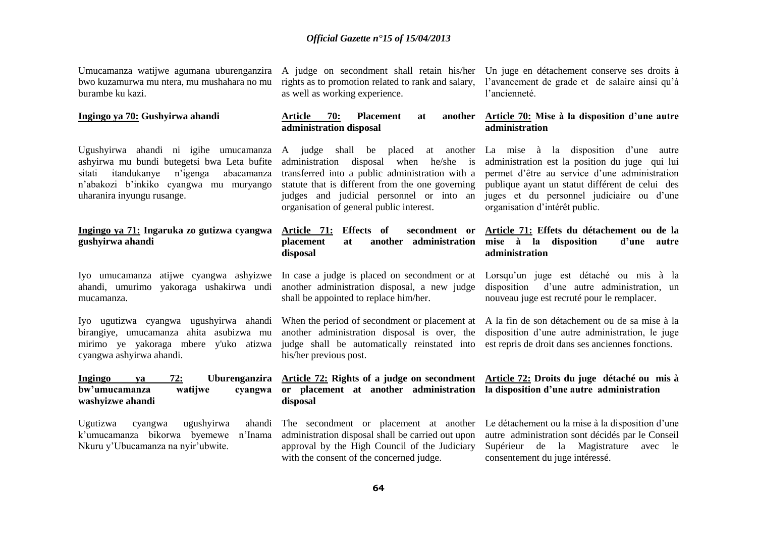Umucamanza watijwe agumana uburenganzira bwo kuzamurwa mu ntera, mu mushahara no mu burambe ku kazi.

#### **Ingingo ya 70: Gushyirwa ahandi**

Ugushyirwa ahandi ni igihe umucamanza ashyirwa mu bundi butegetsi bwa Leta bufite sitati itandukanye n'igenga abacamanza n'abakozi b'inkiko cyangwa mu muryango uharanira inyungu rusange.

## **Ingingo ya 71: Ingaruka zo gutizwa cyangwa gushyirwa ahandi**

Iyo umucamanza atijwe cyangwa ashyizwe In case a judge is placed on secondment or at Lorsqu'un juge est détaché ou mis à la mucamanza.

Iyo ugutizwa cyangwa ugushyirwa ahandi birangiye, umucamanza ahita asubizwa mu cyangwa ashyirwa ahandi.

| Ingingo          | va | 72:     | <b>Uburenganzira</b> |
|------------------|----|---------|----------------------|
| bw'umucamanza    |    | watijwe | cyangwa              |
| washyizwe ahandi |    |         |                      |

Ugutizwa cyangwa ugushyirwa ahandi k'umucamanza bikorwa byemewe n'Inama Nkuru y'Ubucamanza na nyir'ubwite.

as well as working experience.

## Article 70: Placement at **administration disposal**

administration disposal when he/she is transferred into a public administration with a statute that is different from the one governing judges and judicial personnel or into an organisation of general public interest.

# **Article 71: Effects of secondment or disposal**

ahandi, umurimo yakoraga ushakirwa undi another administration disposal, a new judge shall be appointed to replace him/her.

mirimo ye yakoraga mbere y'uko atizwa judge shall be automatically reinstated into est repris de droit dans ses anciennes fonctions. another administration disposal is over, the his/her previous post.

# **or placement at another administration la disposition d'une autre administration disposal**

administration disposal shall be carried out upon approval by the High Council of the Judiciary with the consent of the concerned judge.

A judge on secondment shall retain his/her Un juge en détachement conserve ses droits à rights as to promotion related to rank and salary, l'avancement de grade et de salaire ainsi qu'à l'ancienneté.

## **Article 70: Mise à la disposition d'une autre administration**

A judge shall be placed at another La mise à la disposition d'une autre administration est la position du juge qui lui permet d'être au service d'une administration publique ayant un statut différent de celui des juges et du personnel judiciaire ou d'une organisation d'intérêt public.

### **placement at another administration mise à la disposition d'une autre Article 71: Effets du détachement ou de la administration**

disposition d'une autre administration, un nouveau juge est recruté pour le remplacer.

When the period of secondment or placement at A la fin de son détachement ou de sa mise à la disposition d'une autre administration, le juge

# **Article 72: Rights of a judge on secondment Article 72: Droits du juge détaché ou mis à**

The secondment or placement at another Le détachement ou la mise à la disposition d'une autre administration sont décidés par le Conseil Supérieur de la Magistrature avec le consentement du juge intéressé.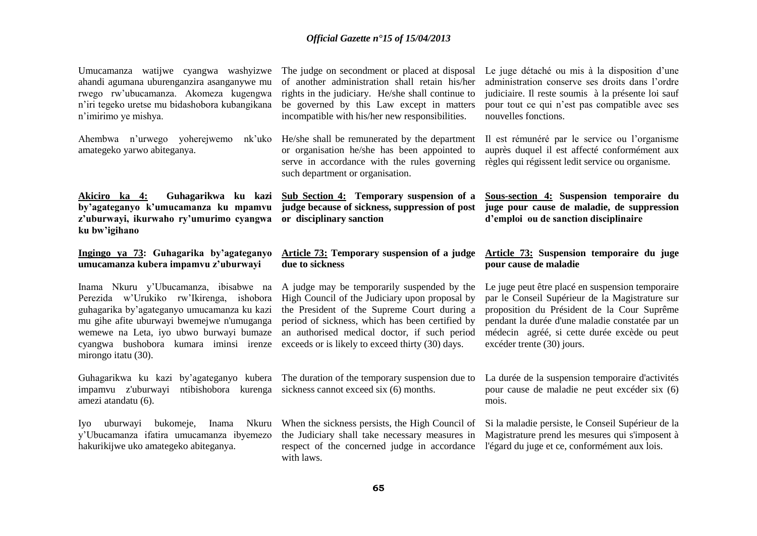| Umucamanza watijwe cyangwa washyizwe<br>ahandi agumana uburenganzira asanganywe mu<br>rwego rw'ubucamanza. Akomeza kugengwa<br>n'iri tegeko uretse mu bidashobora kubangikana<br>n'imirimo ye mishya. | The judge on secondment or placed at disposal<br>of another administration shall retain his/her<br>rights in the judiciary. He/she shall continue to<br>be governed by this Law except in matters<br>incompatible with his/her new responsibilities. | Le juge détaché ou mis à la disposition d'une<br>administration conserve ses droits dans l'ordre<br>judiciaire. Il reste soumis à la présente loi sauf<br>pour tout ce qui n'est pas compatible avec ses<br>nouvelles fonctions. |
|-------------------------------------------------------------------------------------------------------------------------------------------------------------------------------------------------------|------------------------------------------------------------------------------------------------------------------------------------------------------------------------------------------------------------------------------------------------------|----------------------------------------------------------------------------------------------------------------------------------------------------------------------------------------------------------------------------------|
| Ahembwa n'urwego yoherejwemo<br>nk'uko<br>amategeko yarwo abiteganya.                                                                                                                                 | He/she shall be remunerated by the department<br>or organisation he/she has been appointed to<br>serve in accordance with the rules governing<br>such department or organisation.                                                                    | Il est rémunéré par le service ou l'organisme<br>auprès duquel il est affecté conformément aux<br>règles qui régissent ledit service ou organisme.                                                                               |
| Guhagarikwa ku kazi<br>Akiciro ka 4:<br>by'agateganyo k'umucamanza ku mpamvu<br>z'uburwayi, ikurwaho ry'umurimo cyangwa<br>ku bw'igihano                                                              | <b>Sub Section 4: Temporary suspension of a</b><br>judge because of sickness, suppression of post<br>or disciplinary sanction                                                                                                                        | Sous-section 4: Suspension temporaire du<br>juge pour cause de maladie, de suppression<br>d'emploi ou de sanction disciplinaire                                                                                                  |
| Ingingo ya 73: Guhagarika by'agateganyo<br>umucamanza kubera impamvu z'uburwayi                                                                                                                       | Article 73: Temporary suspension of a judge<br>due to sickness                                                                                                                                                                                       | Article 73: Suspension temporaire du juge<br>pour cause de maladie                                                                                                                                                               |
| Inama Nkuru y'Ubucamanza, ibisabwe na<br>Perezida w'Urukiko rw'Ikirenga, ishobora                                                                                                                     | A judge may be temporarily suspended by the<br>High Council of the Judiciary upon proposal by                                                                                                                                                        | Le juge peut être placé en suspension temporaire<br>par le Conseil Supérieur de la Magistrature sur                                                                                                                              |
| guhagarika by'agateganyo umucamanza ku kazi<br>mu gihe afite uburwayi bwemejwe n'umuganga<br>wemewe na Leta, iyo ubwo burwayi bumaze<br>cyangwa bushobora kumara iminsi irenze<br>mirongo itatu (30). | the President of the Supreme Court during a<br>period of sickness, which has been certified by<br>an authorised medical doctor, if such period<br>exceeds or is likely to exceed thirty (30) days.                                                   | proposition du Président de la Cour Suprême<br>pendant la durée d'une maladie constatée par un<br>médecin agréé, si cette durée excède ou peut<br>excéder trente (30) jours.                                                     |
| Guhagarikwa ku kazi by'agateganyo kubera The duration of the temporary suspension due to<br>impamvu z'uburwayi<br>ntibishobora kurenga<br>amezi atandatu (6).                                         | sickness cannot exceed six (6) months.                                                                                                                                                                                                               | La durée de la suspension temporaire d'activités<br>pour cause de maladie ne peut excéder six (6)<br>mois.                                                                                                                       |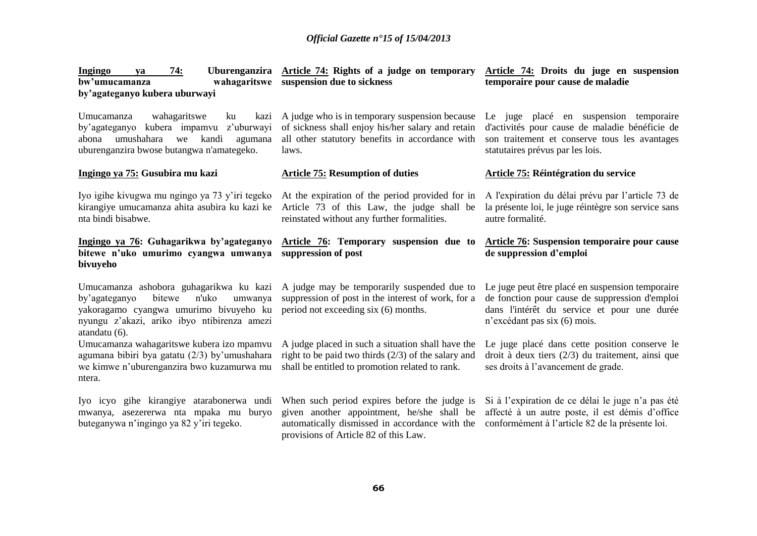| 74:<br>Ingingo<br>ya<br>bw'umucamanza<br>by'agateganyo kubera uburwayi                                                                                                                           | Uburenganzira Article 74: Rights of a judge on temporary<br>wahagaritswe suspension due to sickness                                                                                   | Article 74: Droits du juge en suspension<br>temporaire pour cause de maladie                                                                                                      |
|--------------------------------------------------------------------------------------------------------------------------------------------------------------------------------------------------|---------------------------------------------------------------------------------------------------------------------------------------------------------------------------------------|-----------------------------------------------------------------------------------------------------------------------------------------------------------------------------------|
| wahagaritswe<br>Umucamanza<br>ku<br>kazi<br>kubera impamvu z'uburwayi<br>by'agateganyo<br>umushahara<br>kandi<br>we<br>agumana<br>abona<br>uburenganzira bwose butangwa n'amategeko.             | A judge who is in temporary suspension because<br>of sickness shall enjoy his/her salary and retain<br>all other statutory benefits in accordance with<br>laws.                       | Le juge placé en suspension temporaire<br>d'activités pour cause de maladie bénéficie de<br>son traitement et conserve tous les avantages<br>statutaires prévus par les lois.     |
| Ingingo ya 75: Gusubira mu kazi                                                                                                                                                                  | <b>Article 75: Resumption of duties</b>                                                                                                                                               | <b>Article 75: Réintégration du service</b>                                                                                                                                       |
| Iyo igihe kivugwa mu ngingo ya 73 y'iri tegeko<br>kirangiye umucamanza ahita asubira ku kazi ke<br>nta bindi bisabwe.                                                                            | At the expiration of the period provided for in<br>Article 73 of this Law, the judge shall be<br>reinstated without any further formalities.                                          | A l'expiration du délai prévu par l'article 73 de<br>la présente loi, le juge réintègre son service sans<br>autre formalité.                                                      |
| Ingingo ya 76: Guhagarikwa by'agateganyo<br>bitewe n'uko umurimo cyangwa umwanya<br>bivuyeho                                                                                                     | Article 76: Temporary suspension due to<br>suppression of post                                                                                                                        | Article 76: Suspension temporaire pour cause<br>de suppression d'emploi                                                                                                           |
| Umucamanza ashobora guhagarikwa ku kazi<br>bitewe<br>n'uko<br>by'agateganyo<br>umwanya<br>yakoragamo cyangwa umurimo bivuyeho ku<br>nyungu z'akazi, ariko ibyo ntibirenza amezi<br>atandatu (6). | A judge may be temporarily suspended due to<br>suppression of post in the interest of work, for a<br>period not exceeding six (6) months.                                             | Le juge peut être placé en suspension temporaire<br>de fonction pour cause de suppression d'emploi<br>dans l'intérêt du service et pour une durée<br>n'excédant pas six (6) mois. |
| Umucamanza wahagaritswe kubera izo mpamvu<br>agumana bibiri bya gatatu (2/3) by'umushahara<br>we kimwe n'uburenganzira bwo kuzamurwa mu<br>ntera.                                                | A judge placed in such a situation shall have the<br>right to be paid two thirds $(2/3)$ of the salary and<br>shall be entitled to promotion related to rank.                         | Le juge placé dans cette position conserve le<br>droit à deux tiers $(2/3)$ du traitement, ainsi que<br>ses droits à l'avancement de grade.                                       |
| Iyo icyo gihe kirangiye atarabonerwa undi<br>mwanya, asezererwa nta mpaka mu buryo<br>buteganywa n'ingingo ya 82 y'iri tegeko.                                                                   | When such period expires before the judge is<br>given another appointment, he/she shall be<br>automatically dismissed in accordance with the<br>provisions of Article 82 of this Law. | Si à l'expiration de ce délai le juge n'a pas été<br>affecté à un autre poste, il est démis d'office<br>conformément à l'article 82 de la présente loi.                           |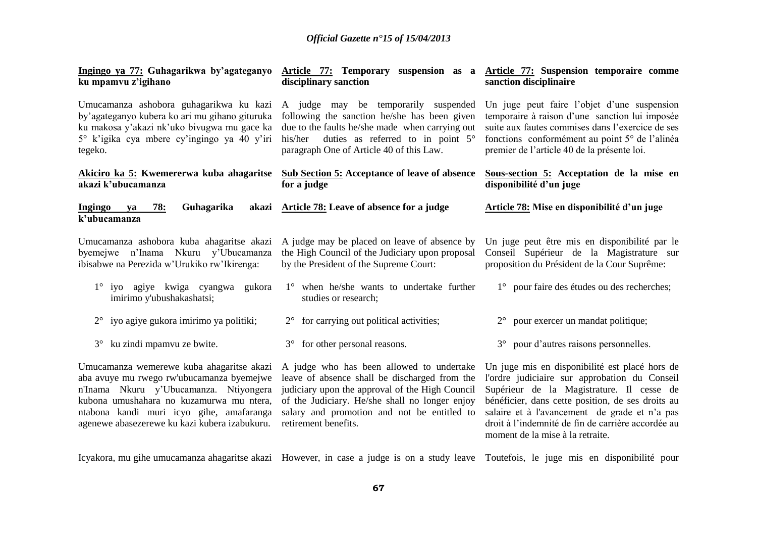| Ingingo ya 77: Guhagarikwa by'agateganyo<br>ku mpamvu z'igihano                                                                                                                                                                                                           | Article 77: Temporary suspension as a Article 77: Suspension temporaire comme<br>disciplinary sanction                                                                                                                                                                 | sanction disciplinaire                                                                                                                                                                                                                                                                                                                       |
|---------------------------------------------------------------------------------------------------------------------------------------------------------------------------------------------------------------------------------------------------------------------------|------------------------------------------------------------------------------------------------------------------------------------------------------------------------------------------------------------------------------------------------------------------------|----------------------------------------------------------------------------------------------------------------------------------------------------------------------------------------------------------------------------------------------------------------------------------------------------------------------------------------------|
| Umucamanza ashobora guhagarikwa ku kazi<br>by'agateganyo kubera ko ari mu gihano gituruka<br>ku makosa y'akazi nk'uko bivugwa mu gace ka<br>5° k'igika cya mbere cy'ingingo ya 40 y'iri<br>tegeko.                                                                        | A judge may be temporarily suspended<br>following the sanction he/she has been given<br>due to the faults he/she made when carrying out<br>duties as referred to in point 5°<br>his/her<br>paragraph One of Article 40 of this Law.                                    | Un juge peut faire l'objet d'une suspension<br>temporaire à raison d'une sanction lui imposée<br>suite aux fautes commises dans l'exercice de ses<br>fonctions conformément au point 5° de l'alinéa<br>premier de l'article 40 de la présente loi.                                                                                           |
| Akiciro ka 5: Kwemererwa kuba ahagaritse<br>akazi k'ubucamanza                                                                                                                                                                                                            | Sub Section 5: Acceptance of leave of absence<br>for a judge                                                                                                                                                                                                           | Sous-section 5: Acceptation de la mise en<br>disponibilité d'un juge                                                                                                                                                                                                                                                                         |
| Guhagarika<br><b>Ingingo</b><br>78:<br>va<br>k'ubucamanza                                                                                                                                                                                                                 | akazi Article 78: Leave of absence for a judge                                                                                                                                                                                                                         | Article 78: Mise en disponibilité d'un juge                                                                                                                                                                                                                                                                                                  |
| Umucamanza ashobora kuba ahagaritse akazi<br>byemejwe n'Inama Nkuru y'Ubucamanza<br>ibisabwe na Perezida w'Urukiko rw'Ikirenga:                                                                                                                                           | A judge may be placed on leave of absence by<br>the High Council of the Judiciary upon proposal<br>by the President of the Supreme Court:                                                                                                                              | Un juge peut être mis en disponibilité par le<br>Conseil Supérieur de la Magistrature sur<br>proposition du Président de la Cour Suprême:                                                                                                                                                                                                    |
| 1° iyo agiye kwiga cyangwa gukora<br>imirimo y'ubushakashatsi;                                                                                                                                                                                                            | 1° when he/she wants to undertake further<br>studies or research;                                                                                                                                                                                                      | 1° pour faire des études ou des recherches;                                                                                                                                                                                                                                                                                                  |
| $2^{\circ}$ iyo agiye gukora imirimo ya politiki;                                                                                                                                                                                                                         | $2^{\circ}$ for carrying out political activities;                                                                                                                                                                                                                     | $2^{\circ}$ pour exercer un mandat politique;                                                                                                                                                                                                                                                                                                |
| 3° ku zindi mpamvu ze bwite.                                                                                                                                                                                                                                              | 3° for other personal reasons.                                                                                                                                                                                                                                         | 3° pour d'autres raisons personnelles.                                                                                                                                                                                                                                                                                                       |
| Umucamanza wemerewe kuba ahagaritse akazi<br>aba avuye mu rwego rw'ubucamanza byemejwe<br>n'Inama Nkuru y'Ubucamanza. Ntiyongera<br>kubona umushahara no kuzamurwa mu ntera,<br>ntabona kandi muri icyo gihe, amafaranga<br>agenewe abasezerewe ku kazi kubera izabukuru. | A judge who has been allowed to undertake<br>leave of absence shall be discharged from the<br>judiciary upon the approval of the High Council<br>of the Judiciary. He/she shall no longer enjoy<br>salary and promotion and not be entitled to<br>retirement benefits. | Un juge mis en disponibilité est placé hors de<br>l'ordre judiciaire sur approbation du Conseil<br>Supérieur de la Magistrature. Il cesse de<br>bénéficier, dans cette position, de ses droits au<br>salaire et à l'avancement de grade et n'a pas<br>droit à l'indemnité de fin de carrière accordée au<br>moment de la mise à la retraite. |

Icyakora, mu gihe umucamanza ahagaritse akazi However, in case a judge is on a study leave Toutefois, le juge mis en disponibilité pour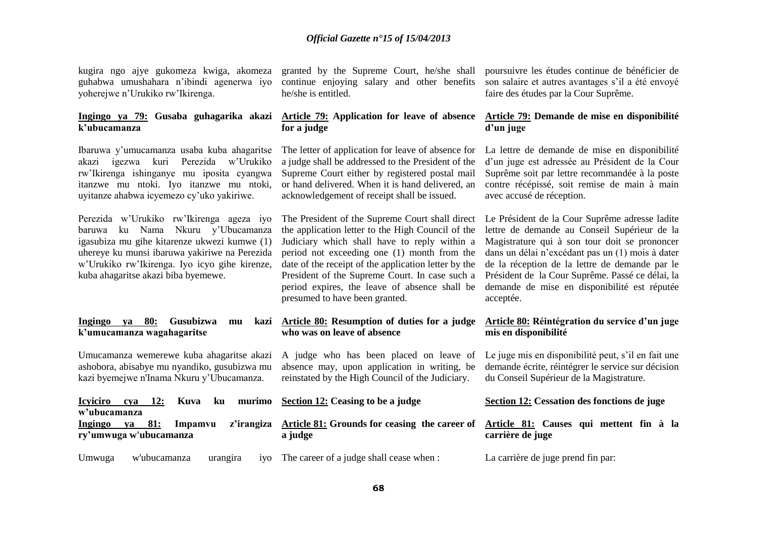kugira ngo ajye gukomeza kwiga, akomeza guhabwa umushahara n'ibindi agenerwa iyo yoherejwe n'Urukiko rw'Ikirenga.

#### **Ingingo ya 79: Gusaba guhagarika akazi k'ubucamanza**

Ibaruwa y'umucamanza usaba kuba ahagaritse akazi igezwa kuri Perezida w'Urukiko rw'Ikirenga ishinganye mu iposita cyangwa itanzwe mu ntoki. Iyo itanzwe mu ntoki, uyitanze ahabwa icyemezo cy'uko yakiriwe.

Perezida w'Urukiko rw'Ikirenga ageza iyo baruwa ku Nama Nkuru y'Ubucamanza igasubiza mu gihe kitarenze ukwezi kumwe (1) uhereye ku munsi ibaruwa yakiriwe na Perezida w'Urukiko rw'Ikirenga. Iyo icyo gihe kirenze, kuba ahagaritse akazi biba byemewe.

#### **Ingingo ya 80: Gusubizwa mu kazi k'umucamanza wagahagaritse**

Umucamanza wemerewe kuba ahagaritse akazi ashobora, abisabye mu nyandiko, gusubizwa mu kazi byemejwe n'Inama Nkuru y'Ubucamanza.

granted by the Supreme Court, he/she shall continue enjoying salary and other benefits he/she is entitled.

## **Article 79: Application for leave of absence for a judge**

The letter of application for leave of absence for a judge shall be addressed to the President of the Supreme Court either by registered postal mail or hand delivered. When it is hand delivered, an acknowledgement of receipt shall be issued.

The President of the Supreme Court shall direct the application letter to the High Council of the Judiciary which shall have to reply within a period not exceeding one (1) month from the date of the receipt of the application letter by the President of the Supreme Court. In case such a period expires, the leave of absence shall be presumed to have been granted.

#### **Article 80: Resumption of duties for a judge who was on leave of absence**

A judge who has been placed on leave of absence may, upon application in writing, be reinstated by the High Council of the Judiciary.

| <b>Icyiciro</b>                                   | <b>12:</b><br>cva | Kuva    | ku       |     | murimo Section 12: Ceasing to be a judge                            | Section 12: Cessation des fonctions de juge                 |
|---------------------------------------------------|-------------------|---------|----------|-----|---------------------------------------------------------------------|-------------------------------------------------------------|
| w'ubucamanza<br>Ingingo<br>ry'umwuga w'ubucamanza | 81:<br>va         | Impamvu |          |     | z'irangiza Article 81: Grounds for ceasing the career of<br>a judge | Article 81: Causes qui mettent fin à la<br>carrière de juge |
| Umwuga                                            | w'ubucamanza      |         | urangira | 1VO | The career of a judge shall cease when :                            | La carrière de juge prend fin par:                          |

poursuivre les études continue de bénéficier de son salaire et autres avantages s'il a été envoyé faire des études par la Cour Suprême.

#### **Article 79: Demande de mise en disponibilité d'un juge**

La lettre de demande de mise en disponibilité d'un juge est adressée au Président de la Cour Suprême soit par lettre recommandée à la poste contre récépissé, soit remise de main à main avec accusé de réception.

Le Président de la Cour Suprême adresse ladite lettre de demande au Conseil Supérieur de la Magistrature qui à son tour doit se prononcer dans un délai n'excédant pas un (1) mois à dater de la réception de la lettre de demande par le Président de la Cour Suprême. Passé ce délai, la demande de mise en disponibilité est réputée acceptée.

## **Article 80: Réintégration du service d'un juge mis en disponibilité**

Le juge mis en disponibilité peut, s'il en fait une demande écrite, réintégrer le service sur décision du Conseil Supérieur de la Magistrature.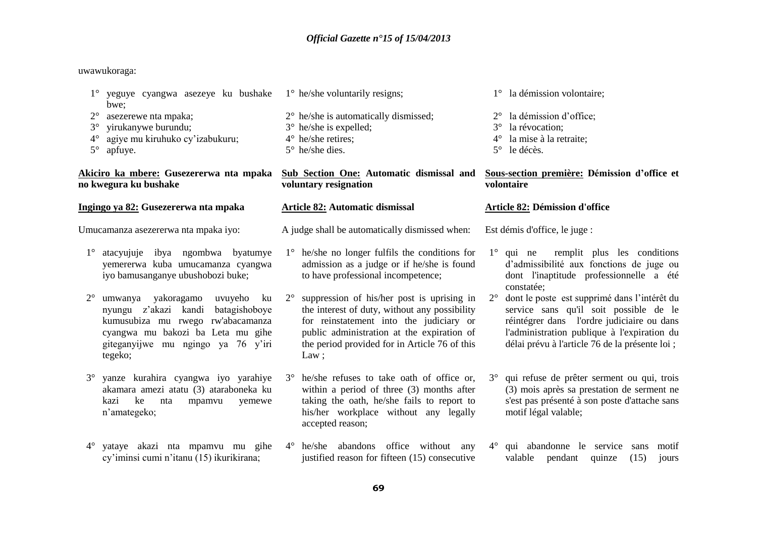## uwawukoraga:

| yeguye cyangwa asezeye ku bushake<br>bwe;                                                                                                                                                                        | $1^\circ$ he/she voluntarily resigns;                                                                                                                                                                                                                        | 1° la démission volontaire;                                                                                                                                                                                                                           |  |
|------------------------------------------------------------------------------------------------------------------------------------------------------------------------------------------------------------------|--------------------------------------------------------------------------------------------------------------------------------------------------------------------------------------------------------------------------------------------------------------|-------------------------------------------------------------------------------------------------------------------------------------------------------------------------------------------------------------------------------------------------------|--|
| $2^{\circ}$<br>asezerewe nta mpaka;                                                                                                                                                                              | $2^{\circ}$ he/she is automatically dismissed;                                                                                                                                                                                                               | 2° la démission d'office;                                                                                                                                                                                                                             |  |
| yirukanywe burundu;<br>$3^\circ$                                                                                                                                                                                 | $3^{\circ}$ he/she is expelled;                                                                                                                                                                                                                              | la révocation;<br>$3^\circ$                                                                                                                                                                                                                           |  |
| agiye mu kiruhuko cy'izabukuru;<br>$4^{\circ}$                                                                                                                                                                   | $4^\circ$ he/she retires;                                                                                                                                                                                                                                    | la mise à la retraite;<br>$4^\circ$                                                                                                                                                                                                                   |  |
| $5^{\circ}$<br>apfuye.                                                                                                                                                                                           | $5^\circ$ he/she dies.                                                                                                                                                                                                                                       | le décès.<br>$5^\circ$                                                                                                                                                                                                                                |  |
| Akiciro ka mbere: Gusezererwa nta mpaka<br>no kwegura ku bushake                                                                                                                                                 | <b>Sub Section One: Automatic dismissal and</b><br>voluntary resignation                                                                                                                                                                                     | Sous-section première: Démission d'office et<br>volontaire                                                                                                                                                                                            |  |
| Ingingo ya 82: Gusezererwa nta mpaka                                                                                                                                                                             | <b>Article 82: Automatic dismissal</b>                                                                                                                                                                                                                       | <b>Article 82: Démission d'office</b>                                                                                                                                                                                                                 |  |
| Umucamanza asezererwa nta mpaka iyo:                                                                                                                                                                             | A judge shall be automatically dismissed when:                                                                                                                                                                                                               | Est démis d'office, le juge :                                                                                                                                                                                                                         |  |
| 1° atacyujuje ibya ngombwa byatumye<br>yemererwa kuba umucamanza cyangwa<br>iyo bamusanganye ubushobozi buke;                                                                                                    | $1^\circ$ he/she no longer fulfils the conditions for<br>admission as a judge or if he/she is found<br>to have professional incompetence;                                                                                                                    | 1° qui ne remplit plus les conditions<br>d'admissibilité aux fonctions de juge ou<br>dont l'inaptitude professionnelle a été<br>constatée;                                                                                                            |  |
| umwanya yakoragamo uvuyeho<br>$2^{\circ}$<br>ku<br>nyungu z'akazi kandi batagishoboye<br>kumusubiza mu rwego rw'abacamanza<br>cyangwa mu bakozi ba Leta mu gihe<br>giteganyijwe mu ngingo ya 76 y'iri<br>tegeko; | suppression of his/her post is uprising in<br>$2^{\circ}$<br>the interest of duty, without any possibility<br>for reinstatement into the judiciary or<br>public administration at the expiration of<br>the period provided for in Article 76 of this<br>Law; | dont le poste est supprimé dans l'intérêt du<br>$2^{\circ}$<br>service sans qu'il soit possible de le<br>réintégrer dans l'ordre judiciaire ou dans<br>l'administration publique à l'expiration du<br>délai prévu à l'article 76 de la présente loi ; |  |
| yanze kurahira cyangwa iyo yarahiye<br>$3^\circ$<br>akamara amezi atatu (3) ataraboneka ku<br>kazi<br>ke<br>nta<br>mpamvu<br>yemewe<br>n'amategeko;                                                              | 3° he/she refuses to take oath of office or,<br>within a period of three (3) months after<br>taking the oath, he/she fails to report to<br>his/her workplace without any legally<br>accepted reason;                                                         | qui refuse de prêter serment ou qui, trois<br>$3^\circ$<br>(3) mois après sa prestation de serment ne<br>s'est pas présenté à son poste d'attache sans<br>motif légal valable;                                                                        |  |
| yataye akazi nta mpamvu mu gihe<br>$4^{\circ}$<br>cy'iminsi cumi n'itanu (15) ikurikirana;                                                                                                                       | $4^{\circ}$ he/she abandons office without any<br>justified reason for fifteen (15) consecutive                                                                                                                                                              | 4° qui abandonne le service sans<br>motif<br>valable<br>pendant<br>(15)<br>quinze<br>jours                                                                                                                                                            |  |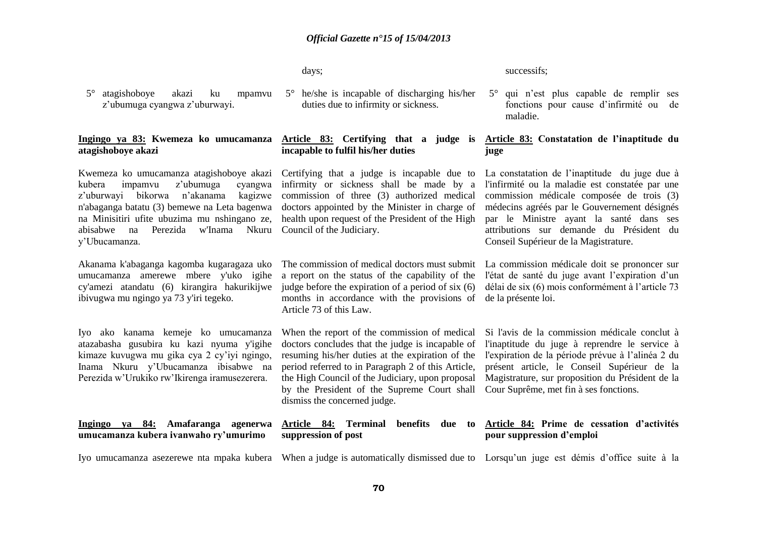days;

5° atagishoboye akazi ku mpamvu z'ubumuga cyangwa z'uburwayi.

#### **Ingingo ya 83: Kwemeza ko umucamanza atagishoboye akazi**

Kwemeza ko umucamanza atagishoboye akazi Certifying that a judge is incapable due to kubera impamvu z'ubumuga z'uburwayi bikorwa n'akanama kagizwe commission of three (3) authorized medical n'abaganga batatu (3) bemewe na Leta bagenwa doctors appointed by the Minister in charge of na Minisitiri ufite ubuzima mu nshingano ze, health upon request of the President of the High abisabwe na Perezida w'Inama Nkuru Council of the Judiciary. y'Ubucamanza.

Akanama k'abaganga kagomba kugaragaza uko The commission of medical doctors must submit umucamanza amerewe mbere y'uko igihe cy'amezi atandatu (6) kirangira hakurikijwe ibivugwa mu ngingo ya 73 y'iri tegeko.

Iyo ako kanama kemeje ko umucamanza atazabasha gusubira ku kazi nyuma y'igihe kimaze kuvugwa mu gika cya 2 cy'iyi ngingo, Inama Nkuru y'Ubucamanza ibisabwe na Perezida w'Urukiko rw'Ikirenga iramusezerera.

**Ingingo ya 84: Amafaranga agenerwa umucamanza kubera ivanwaho ry'umurimo**

5° he/she is incapable of discharging his/her duties due to infirmity or sickness.

# **incapable to fulfil his/her duties**

infirmity or sickness shall be made by a

a report on the status of the capability of the judge before the expiration of a period of six (6) months in accordance with the provisions of de la présente loi. Article 73 of this Law.

When the report of the commission of medical doctors concludes that the judge is incapable of resuming his/her duties at the expiration of the period referred to in Paragraph 2 of this Article, the High Council of the Judiciary, upon proposal by the President of the Supreme Court shall dismiss the concerned judge.

# **suppression of post**

successifs;

5° qui n'est plus capable de remplir ses fonctions pour cause d'infirmité ou de maladie.

### **Article 83: Certifying that a judge is Article 83: Constatation de l'inaptitude du juge**

La constatation de l'inaptitude du juge due à l'infirmité ou la maladie est constatée par une commission médicale composée de trois (3) médecins agréés par le Gouvernement désignés par le Ministre ayant la santé dans ses attributions sur demande du Président du Conseil Supérieur de la Magistrature.

La commission médicale doit se prononcer sur l'état de santé du juge avant l'expiration d'un délai de six (6) mois conformément à l'article 73

Si l'avis de la commission médicale conclut à l'inaptitude du juge à reprendre le service à l'expiration de la période prévue à l'alinéa 2 du présent article, le Conseil Supérieur de la Magistrature, sur proposition du Président de la Cour Suprême, met fin à ses fonctions.

#### **Article 84: Terminal benefits due to Article 84: Prime de cessation d'activités pour suppression d'emploi**

Iyo umucamanza asezerewe nta mpaka kubera When a judge is automatically dismissed due to Lorsqu'un juge est démis d'office suite à la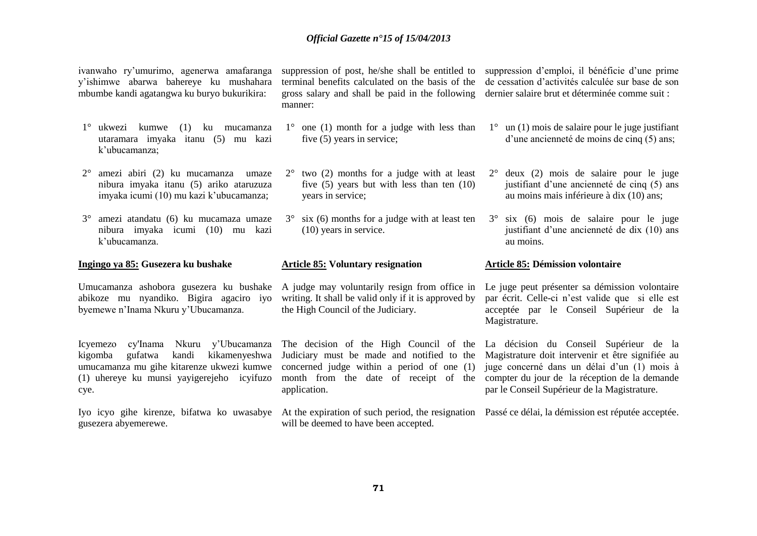ivanwaho ry'umurimo, agenerwa amafaranga y'ishimwe abarwa bahereye ku mushahara mbumbe kandi agatangwa ku buryo bukurikira:

- 1° ukwezi kumwe (1) ku mucamanza utaramara imyaka itanu (5) mu kazi k'ubucamanza;
- 2° amezi abiri (2) ku mucamanza umaze nibura imyaka itanu (5) ariko ataruzuza imyaka icumi (10) mu kazi k'ubucamanza;
- 3° amezi atandatu (6) ku mucamaza umaze nibura imyaka icumi (10) mu kazi k'ubucamanza.

## **Ingingo ya 85: Gusezera ku bushake**

Umucamanza ashobora gusezera ku bushake A judge may voluntarily resign from office in Le juge peut présenter sa démission volontaire abikoze mu nyandiko. Bigira agaciro iyo byemewe n'Inama Nkuru y'Ubucamanza.

Icyemezo cy'Inama Nkuru y'Ubucamanza The decision of the High Council of the La décision du Conseil Supérieur de la kigomba gufatwa kandi kikamenyeshwa umucamanza mu gihe kitarenze ukwezi kumwe (1) uhereye ku munsi yayigerejeho icyifuzo cye.

gusezera abyemerewe.

terminal benefits calculated on the basis of the gross salary and shall be paid in the following manner:

- $1^{\circ}$  one (1) month for a judge with less than five (5) years in service;
- 2° two (2) months for a judge with at least five (5) years but with less than ten (10) years in service;
- 3° six (6) months for a judge with at least ten (10) years in service.

#### **Article 85: Voluntary resignation**

writing. It shall be valid only if it is approved by the High Council of the Judiciary.

Judiciary must be made and notified to the concerned judge within a period of one (1) application.

will be deemed to have been accepted.

suppression of post, he/she shall be entitled to suppression d'emploi, il bénéficie d'une prime de cessation d'activités calculée sur base de son dernier salaire brut et déterminée comme suit :

- 1° un (1) mois de salaire pour le juge justifiant d'une ancienneté de moins de cinq (5) ans;
- 2° deux (2) mois de salaire pour le juge justifiant d'une ancienneté de cinq (5) ans au moins mais inférieure à dix (10) ans;
- 3° six (6) mois de salaire pour le juge justifiant d'une ancienneté de dix (10) ans au moins.

#### **Article 85: Démission volontaire**

par écrit. Celle-ci n'est valide que si elle est acceptée par le Conseil Supérieur de la Magistrature.

month from the date of receipt of the compter du jour de la réception de la demande Magistrature doit intervenir et être signifiée au juge concerné dans un délai d'un (1) mois à par le Conseil Supérieur de la Magistrature.

Iyo icyo gihe kirenze, bifatwa ko uwasabye At the expiration of such period, the resignation Passé ce délai, la démission est réputée acceptée.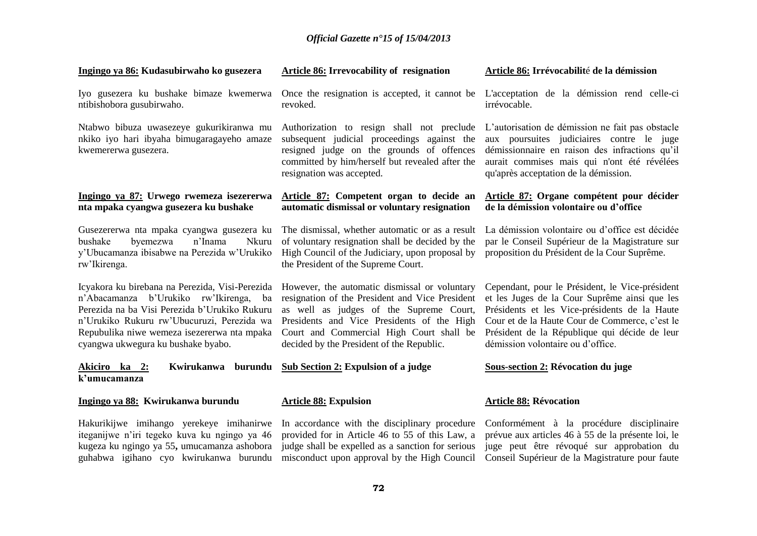| Ingingo ya 86: Kudasubirwaho ko gusezera                                                                                                                                                                                                                                      | Article 86: Irrevocability of resignation                                                                                                                                                                                                                                          | Article 86: Irrévocabilité de la démission                                                                                                                                                                                                                                                |
|-------------------------------------------------------------------------------------------------------------------------------------------------------------------------------------------------------------------------------------------------------------------------------|------------------------------------------------------------------------------------------------------------------------------------------------------------------------------------------------------------------------------------------------------------------------------------|-------------------------------------------------------------------------------------------------------------------------------------------------------------------------------------------------------------------------------------------------------------------------------------------|
| Iyo gusezera ku bushake bimaze kwemerwa<br>ntibishobora gusubirwaho.                                                                                                                                                                                                          | Once the resignation is accepted, it cannot be<br>revoked.                                                                                                                                                                                                                         | L'acceptation de la démission rend celle-ci<br>irrévocable.                                                                                                                                                                                                                               |
| Ntabwo bibuza uwasezeye gukurikiranwa mu<br>nkiko iyo hari ibyaha bimugaragayeho amaze<br>kwemererwa gusezera.                                                                                                                                                                | Authorization to resign shall not preclude<br>subsequent judicial proceedings against the<br>resigned judge on the grounds of offences<br>committed by him/herself but revealed after the<br>resignation was accepted.                                                             | L'autorisation de démission ne fait pas obstacle<br>aux poursuites judiciaires contre le juge<br>démissionnaire en raison des infractions qu'il<br>aurait commises mais qui n'ont été révélées<br>qu'après acceptation de la démission.                                                   |
| Ingingo ya 87: Urwego rwemeza isezererwa<br>nta mpaka cyangwa gusezera ku bushake                                                                                                                                                                                             | Article 87: Competent organ to decide an<br>automatic dismissal or voluntary resignation                                                                                                                                                                                           | Article 87: Organe compétent pour décider<br>de la démission volontaire ou d'office                                                                                                                                                                                                       |
| Gusezererwa nta mpaka cyangwa gusezera ku<br>bushake<br>byemezwa<br>n'Inama<br>Nkuru<br>y'Ubucamanza ibisabwe na Perezida w'Urukiko<br>rw'Ikirenga.                                                                                                                           | The dismissal, whether automatic or as a result<br>of voluntary resignation shall be decided by the<br>High Council of the Judiciary, upon proposal by<br>the President of the Supreme Court.                                                                                      | La démission volontaire ou d'office est décidée<br>par le Conseil Supérieur de la Magistrature sur<br>proposition du Président de la Cour Suprême.                                                                                                                                        |
| Icyakora ku birebana na Perezida, Visi-Perezida<br>n'Abacamanza b'Urukiko rw'Ikirenga, ba<br>Perezida na ba Visi Perezida b'Urukiko Rukuru<br>n'Urukiko Rukuru rw'Ubucuruzi, Perezida wa<br>Repubulika niwe wemeza isezererwa nta mpaka<br>cyangwa ukwegura ku bushake byabo. | However, the automatic dismissal or voluntary<br>resignation of the President and Vice President<br>as well as judges of the Supreme Court,<br>Presidents and Vice Presidents of the High<br>Court and Commercial High Court shall be<br>decided by the President of the Republic. | Cependant, pour le Président, le Vice-président<br>et les Juges de la Cour Suprême ainsi que les<br>Présidents et les Vice-présidents de la Haute<br>Cour et de la Haute Cour de Commerce, c'est le<br>Président de la République qui décide de leur<br>démission volontaire ou d'office. |
| Akiciro ka 2:<br>Kwirukanwa<br>k'umucamanza                                                                                                                                                                                                                                   | burundu Sub Section 2: Expulsion of a judge                                                                                                                                                                                                                                        | <b>Sous-section 2: Révocation du juge</b>                                                                                                                                                                                                                                                 |
| Ingingo ya 88: Kwirukanwa burundu                                                                                                                                                                                                                                             | <b>Article 88: Expulsion</b>                                                                                                                                                                                                                                                       | <b>Article 88: Révocation</b>                                                                                                                                                                                                                                                             |
| Hakurikijwe imihango yerekeye imihanirwe<br>iteganijwe n'iri tegeko kuva ku ngingo ya 46<br>kugeza ku ngingo ya 55, umucamanza ashobora<br>guhabwa igihano cyo kwirukanwa burundu                                                                                             | In accordance with the disciplinary procedure<br>provided for in Article 46 to 55 of this Law, a<br>judge shall be expelled as a sanction for serious<br>misconduct upon approval by the High Council                                                                              | Conformément à la procédure disciplinaire<br>prévue aux articles 46 à 55 de la présente loi, le<br>juge peut être révoqué sur approbation du<br>Conseil Supérieur de la Magistrature pour faute                                                                                           |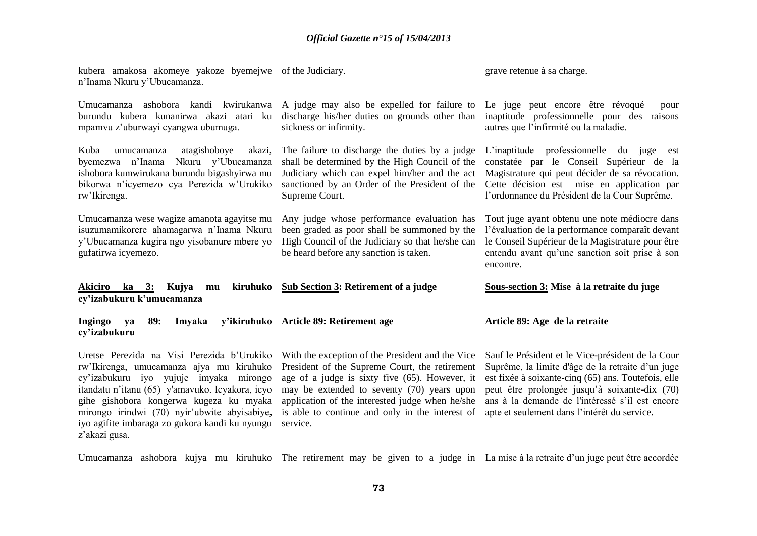| kubera amakosa akomeye yakoze byemejwe of the Judiciary.<br>n'Inama Nkuru y'Ubucamanza.                                                                                                         |                                                                                                                                                                                                                                          | grave retenue à sa charge.                                                                                                                                                                                                             |
|-------------------------------------------------------------------------------------------------------------------------------------------------------------------------------------------------|------------------------------------------------------------------------------------------------------------------------------------------------------------------------------------------------------------------------------------------|----------------------------------------------------------------------------------------------------------------------------------------------------------------------------------------------------------------------------------------|
| ashobora kandi kwirukanwa<br>Umucamanza<br>burundu kubera kunanirwa akazi atari ku<br>mpamvu z'uburwayi cyangwa ubumuga.                                                                        | A judge may also be expelled for failure to<br>discharge his/her duties on grounds other than<br>sickness or infirmity.                                                                                                                  | Le juge peut encore être révoqué<br>pour<br>inaptitude professionnelle pour des raisons<br>autres que l'infirmité ou la maladie.                                                                                                       |
| Kuba<br>umucamanza atagishoboye<br>akazi,<br>byemezwa n'Inama<br>Nkuru y'Ubucamanza<br>ishobora kumwirukana burundu bigashyirwa mu<br>bikorwa n'icyemezo cya Perezida w'Urukiko<br>rw'Ikirenga. | The failure to discharge the duties by a judge<br>shall be determined by the High Council of the<br>Judiciary which can expel him/her and the act<br>sanctioned by an Order of the President of the<br>Supreme Court.                    | L'inaptitude professionnelle du juge est<br>constatée par le Conseil Supérieur de la<br>Magistrature qui peut décider de sa révocation.<br>Cette décision est mise en application par<br>l'ordonnance du Président de la Cour Suprême. |
| Umucamanza wese wagize amanota agayitse mu<br>isuzumamikorere ahamagarwa n'Inama Nkuru<br>y'Ubucamanza kugira ngo yisobanure mbere yo<br>gufatirwa icyemezo.                                    | Any judge whose performance evaluation has<br>been graded as poor shall be summoned by the<br>High Council of the Judiciary so that he/she can<br>be heard before any sanction is taken.                                                 | Tout juge ayant obtenu une note médiocre dans<br>l'évaluation de la performance comparaît devant<br>le Conseil Supérieur de la Magistrature pour être<br>entendu avant qu'une sanction soit prise à son<br>encontre.                   |
| Akiciro ka 3:<br>Kujya mu<br>cy'izabukuru k'umucamanza                                                                                                                                          | kiruhuko Sub Section 3: Retirement of a judge                                                                                                                                                                                            | Sous-section 3: Mise à la retraite du juge                                                                                                                                                                                             |
| Ingingo<br>89:<br>Imyaka<br>va<br>cy'izabukuru                                                                                                                                                  | y'ikiruhuko Article 89: Retirement age                                                                                                                                                                                                   | Article 89: Age de la retraite                                                                                                                                                                                                         |
|                                                                                                                                                                                                 | Uretse Perezida na Visi Perezida b'Urukiko With the exception of the President and the Vice Sauf le Président et le Vice-président de la Cour<br>rw'Ikirenga, umucamanza ajya mu kiruhuko President of the Supreme Court, the retirement | Suprême, la limite d'âge de la retraite d'un juge                                                                                                                                                                                      |

cy'izabukuru iyo yujuje imyaka mirongo age of a judge is sixty five (65). However, it est fixée à soixante-cinq (65) ans. Toutefois, elle itandatu n'itanu (65) y'amavuko. Icyakora, icyo gihe gishobora kongerwa kugeza ku myaka mirongo irindwi (70) nyir'ubwite abyisabiye**,**  iyo agifite imbaraga zo gukora kandi ku nyungu service. z'akazi gusa.

is able to continue and only in the interest of apte et seulement dans l'intérêt du service.

may be extended to seventy (70) years upon peut être prolongée jusqu'à soixante-dix (70) application of the interested judge when he/she ans à la demande de l'intéressé s'il est encore

Umucamanza ashobora kujya mu kiruhuko The retirement may be given to a judge in La mise à la retraite d'un juge peut être accordée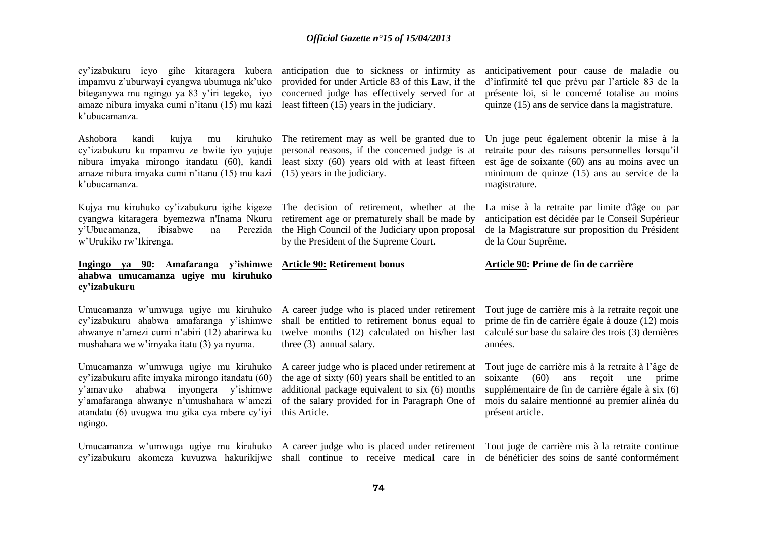cy'izabukuru icyo gihe kitaragera kubera anticipation due to sickness or infirmity as impamvu z'uburwayi cyangwa ubumuga nk'uko biteganywa mu ngingo ya 83 y'iri tegeko, iyo concerned judge has effectively served for at amaze nibura imyaka cumi n'itanu (15) mu kazi least fifteen (15) years in the judiciary. k'ubucamanza.

amaze nibura imyaka cumi n'itanu (15) mu kazi (15) years in the judiciary. k'ubucamanza.

Kujya mu kiruhuko cy'izabukuru igihe kigeze The decision of retirement, whether at the cyangwa kitaragera byemezwa n'Inama Nkuru y'Ubucamanza, ibisabwe na Perezida w'Urukiko rw'Ikirenga.

### **Ingingo ya 90: Amafaranga y'ishimwe Article 90: Retirement bonus ahabwa umucamanza ugiye mu kiruhuko cy'izabukuru**

cy'izabukuru ahabwa amafaranga y'ishimwe ahwanye n'amezi cumi n'abiri (12) abarirwa ku mushahara we w'imyaka itatu (3) ya nyuma.

Umucamanza w'umwuga ugiye mu kiruhuko cy'izabukuru afite imyaka mirongo itandatu (60) y'amavuko ahabwa inyongera y'ishimwe y'amafaranga ahwanye n'umushahara w'amezi atandatu (6) uvugwa mu gika cya mbere cy'iyi ngingo.

Umucamanza w'umwuga ugiye mu kiruhuko A career judge who is placed under retirement Tout juge de carrière mis à la retraite continue

provided for under Article 83 of this Law, if the

Ashobora kandi kujya mu kiruhuko The retirement may as well be granted due to cy'izabukuru ku mpamvu ze bwite iyo yujuje personal reasons, if the concerned judge is at nibura imyaka mirongo itandatu (60), kandi least sixty (60) years old with at least fifteen

> retirement age or prematurely shall be made by the High Council of the Judiciary upon proposal by the President of the Supreme Court.

Umucamanza w'umwuga ugiye mu kiruhuko A career judge who is placed under retirement shall be entitled to retirement bonus equal to twelve months (12) calculated on his/her last three (3) annual salary.

> A career judge who is placed under retirement at the age of sixty (60) years shall be entitled to an additional package equivalent to six (6) months of the salary provided for in Paragraph One of this Article.

anticipativement pour cause de maladie ou d'infirmité tel que prévu par l'article 83 de la présente loi, si le concerné totalise au moins quinze (15) ans de service dans la magistrature.

Un juge peut également obtenir la mise à la retraite pour des raisons personnelles lorsqu'il est âge de soixante (60) ans au moins avec un minimum de quinze (15) ans au service de la magistrature.

La mise à la retraite par limite d'âge ou par anticipation est décidée par le Conseil Supérieur de la Magistrature sur proposition du Président de la Cour Suprême.

#### **Article 90: Prime de fin de carrière**

Tout juge de carrière mis à la retraite reçoit une prime de fin de carrière égale à douze (12) mois calculé sur base du salaire des trois (3) dernières années.

Tout juge de carrière mis à la retraite à l'âge de soixante (60) ans reçoit une prime supplémentaire de fin de carrière égale à six (6) mois du salaire mentionné au premier alinéa du présent article.

cy'izabukuru akomeza kuvuzwa hakurikijwe shall continue to receive medical care in de bénéficier des soins de santé conformément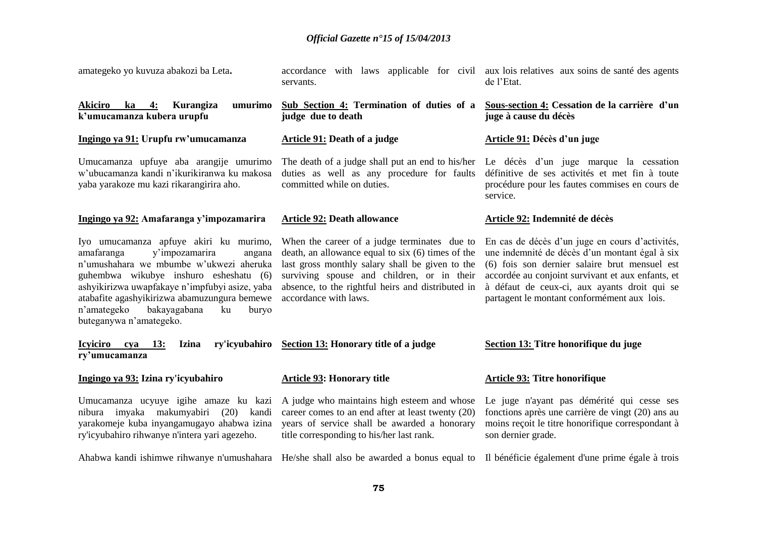| amategeko yo kuvuza abakozi ba Leta.                                                                                                                                                                                                                                                                                                             | accordance with laws applicable for civil aux lois relatives aux soins de santé des agents<br>servants.                                                                                                                                                                          | de l'Etat.                                                                                                                                                                                                                                                                                             |
|--------------------------------------------------------------------------------------------------------------------------------------------------------------------------------------------------------------------------------------------------------------------------------------------------------------------------------------------------|----------------------------------------------------------------------------------------------------------------------------------------------------------------------------------------------------------------------------------------------------------------------------------|--------------------------------------------------------------------------------------------------------------------------------------------------------------------------------------------------------------------------------------------------------------------------------------------------------|
| umurimo<br><b>Akiciro</b><br>ka<br>4:<br>Kurangiza<br>k'umucamanza kubera urupfu                                                                                                                                                                                                                                                                 | Sub Section 4: Termination of duties of a<br>judge due to death                                                                                                                                                                                                                  | Sous-section 4: Cessation de la carrière d'un<br>juge à cause du décès                                                                                                                                                                                                                                 |
| Ingingo ya 91: Urupfu rw'umucamanza                                                                                                                                                                                                                                                                                                              | <b>Article 91: Death of a judge</b>                                                                                                                                                                                                                                              | Article 91: Décès d'un juge                                                                                                                                                                                                                                                                            |
| Umucamanza upfuye aba arangije umurimo<br>w'ubucamanza kandi n'ikurikiranwa ku makosa<br>yaba yarakoze mu kazi rikarangirira aho.                                                                                                                                                                                                                | The death of a judge shall put an end to his/her Le décès d'un juge marque la cessation<br>duties as well as any procedure for faults<br>committed while on duties.                                                                                                              | définitive de ses activités et met fin à toute<br>procédure pour les fautes commises en cours de<br>service.                                                                                                                                                                                           |
| Ingingo ya 92: Amafaranga y'impozamarira                                                                                                                                                                                                                                                                                                         | <b>Article 92: Death allowance</b>                                                                                                                                                                                                                                               | Article 92: Indemnité de décès                                                                                                                                                                                                                                                                         |
| Iyo umucamanza apfuye akiri ku murimo,<br>amafaranga<br>y'impozamarira<br>angana<br>n'umushahara we mbumbe w'ukwezi aheruka<br>guhembwa wikubye inshuro esheshatu (6)<br>ashyikirizwa uwapfakaye n'impfubyi asize, yaba<br>atabafite agashyikirizwa abamuzungura bemewe<br>n'amategeko<br>bakayagabana<br>ku<br>buryo<br>buteganywa n'amategeko. | When the career of a judge terminates due to<br>death, an allowance equal to six (6) times of the<br>last gross monthly salary shall be given to the<br>surviving spouse and children, or in their<br>absence, to the rightful heirs and distributed in<br>accordance with laws. | En cas de décès d'un juge en cours d'activités,<br>une indemnité de décès d'un montant égal à six<br>(6) fois son dernier salaire brut mensuel est<br>accordée au conjoint survivant et aux enfants, et<br>à défaut de ceux-ci, aux ayants droit qui se<br>partagent le montant conformément aux lois. |
| <b>Icyiciro</b><br>13:<br><b>Izina</b><br>cya<br>ry'umucamanza                                                                                                                                                                                                                                                                                   | ry'icyubahiro Section 13: Honorary title of a judge                                                                                                                                                                                                                              | Section 13: Titre honorifique du juge                                                                                                                                                                                                                                                                  |
| Ingingo ya 93: Izina ry'icyubahiro                                                                                                                                                                                                                                                                                                               | <b>Article 93: Honorary title</b>                                                                                                                                                                                                                                                | <b>Article 93: Titre honorifique</b>                                                                                                                                                                                                                                                                   |
| Umucamanza ucyuye igihe amaze ku kazi<br>nibura imyaka makumyabiri<br>$(20)$ kandi<br>yarakomeje kuba inyangamugayo ahabwa izina<br>ry'icyubahiro rihwanye n'intera yari agezeho.                                                                                                                                                                | A judge who maintains high esteem and whose<br>career comes to an end after at least twenty (20)<br>years of service shall be awarded a honorary<br>title corresponding to his/her last rank.                                                                                    | Le juge n'ayant pas démérité qui cesse ses<br>fonctions après une carrière de vingt (20) ans au<br>moins reçoit le titre honorifique correspondant à<br>son dernier grade.                                                                                                                             |
|                                                                                                                                                                                                                                                                                                                                                  | Ahabwa kandi ishimwe rihwanye n'umushahara He/she shall also be awarded a bonus equal to Il bénéficie également d'une prime égale à trois                                                                                                                                        |                                                                                                                                                                                                                                                                                                        |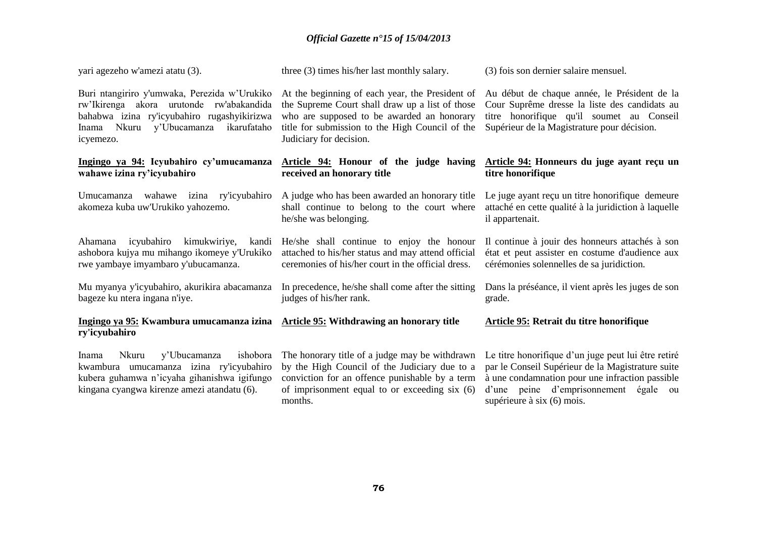| yari agezeho w'amezi atatu (3).                                                                                                                                                                       | three (3) times his/her last monthly salary.                                                                                                                                                                                   | (3) fois son dernier salaire mensuel.                                                                                                                                                                                                 |
|-------------------------------------------------------------------------------------------------------------------------------------------------------------------------------------------------------|--------------------------------------------------------------------------------------------------------------------------------------------------------------------------------------------------------------------------------|---------------------------------------------------------------------------------------------------------------------------------------------------------------------------------------------------------------------------------------|
| Buri ntangiriro y'umwaka, Perezida w'Urukiko<br>rw'Ikirenga akora urutonde rw'abakandida<br>bahabwa izina ry'icyubahiro rugashyikirizwa<br>ikarufataho<br>Nkuru<br>y'Ubucamanza<br>Inama<br>icyemezo. | At the beginning of each year, the President of<br>the Supreme Court shall draw up a list of those<br>who are supposed to be awarded an honorary<br>title for submission to the High Council of the<br>Judiciary for decision. | Au début de chaque année, le Président de la<br>Cour Suprême dresse la liste des candidats au<br>titre honorifique qu'il soumet au Conseil<br>Supérieur de la Magistrature pour décision.                                             |
| Ingingo ya 94: Icyubahiro cy'umucamanza<br>wahawe izina ry'icyubahiro                                                                                                                                 | Article 94: Honour of the judge having<br>received an honorary title                                                                                                                                                           | Article 94: Honneurs du juge ayant reçu un<br>titre honorifique                                                                                                                                                                       |
| Umucamanza wahawe izina ry'icyubahiro<br>akomeza kuba uw'Urukiko yahozemo.                                                                                                                            | A judge who has been awarded an honorary title<br>shall continue to belong to the court where<br>he/she was belonging.                                                                                                         | Le juge ayant reçu un titre honorifique demeure<br>attaché en cette qualité à la juridiction à laquelle<br>il appartenait.                                                                                                            |
| Ahamana icyubahiro<br>kimukwiriye,<br>kandi<br>ashobora kujya mu mihango ikomeye y'Urukiko<br>rwe yambaye imyambaro y'ubucamanza.                                                                     | He/she shall continue to enjoy the honour<br>attached to his/her status and may attend official<br>ceremonies of his/her court in the official dress.                                                                          | Il continue à jouir des honneurs attachés à son<br>état et peut assister en costume d'audience aux<br>cérémonies solennelles de sa juridiction.                                                                                       |
| Mu myanya y'icyubahiro, akurikira abacamanza<br>bageze ku ntera ingana n'iye.                                                                                                                         | In precedence, he/she shall come after the sitting<br>judges of his/her rank.                                                                                                                                                  | Dans la préséance, il vient après les juges de son<br>grade.                                                                                                                                                                          |
| Ingingo ya 95: Kwambura umucamanza izina Article 95: Withdrawing an honorary title<br>ry'icyubahiro                                                                                                   |                                                                                                                                                                                                                                | Article 95: Retrait du titre honorifique                                                                                                                                                                                              |
| ishobora<br>Nkuru<br>y'Ubucamanza<br>Inama<br>kwambura umucamanza izina ry'icyubahiro<br>kubera guhamwa n'icyaha gihanishwa igifungo<br>kingana cyangwa kirenze amezi atandatu (6).                   | The honorary title of a judge may be withdrawn<br>by the High Council of the Judiciary due to a<br>conviction for an offence punishable by a term<br>of imprisonment equal to or exceeding six (6)<br>months.                  | Le titre honorifique d'un juge peut lui être retiré<br>par le Conseil Supérieur de la Magistrature suite<br>à une condamnation pour une infraction passible<br>d'une peine d'emprisonnement égale<br>ou<br>supérieure à six (6) mois. |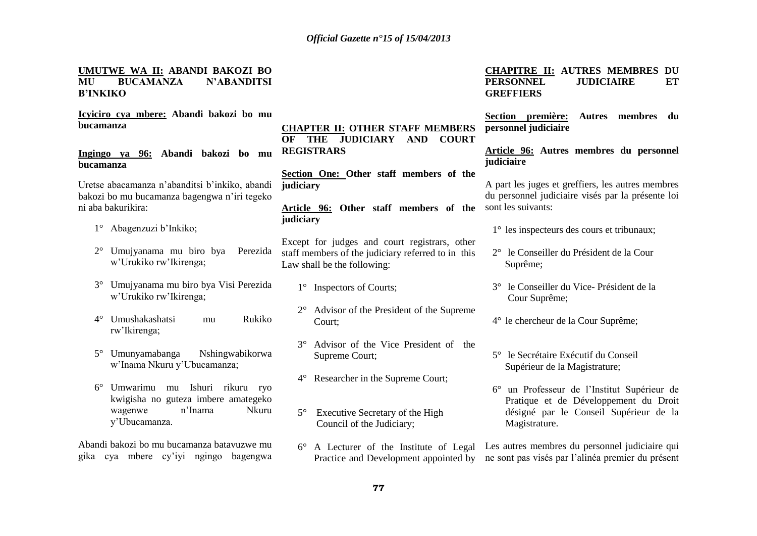### **UMUTWE WA II: ABANDI BAKOZI BO MU BUCAMANZA N'ABANDITSI B'INKIKO**

**Icyiciro cya mbere: Abandi bakozi bo mu bucamanza**

**Ingingo ya 96: Abandi bakozi bo mu bucamanza**

Uretse abacamanza n'abanditsi b'inkiko, abandi bakozi bo mu bucamanza bagengwa n'iri tegeko ni aba bakurikira:

- 1° Abagenzuzi b'Inkiko;
- 2° Umujyanama mu biro bya Perezida w'Urukiko rw'Ikirenga;
- 3° Umujyanama mu biro bya Visi Perezida w'Urukiko rw'Ikirenga;
- 4° Umushakashatsi mu Rukiko rw'Ikirenga;
- 5° Umunyamabanga Nshingwabikorwa w'Inama Nkuru y'Ubucamanza;
- 6° Umwarimu mu Ishuri rikuru ryo kwigisha no guteza imbere amategeko wagenwe n'Inama Nkuru y'Ubucamanza.

Abandi bakozi bo mu bucamanza batavuzwe mu gika cya mbere cy'iyi ngingo bagengwa **CHAPTER II: OTHER STAFF MEMBERS OF THE JUDICIARY AND COURT REGISTRARS**

**Section One: Other staff members of the judiciary**

### **Article 96: Other staff members of the judiciary**

Except for judges and court registrars, other staff members of the judiciary referred to in this Law shall be the following:

- 1° Inspectors of Courts;
- 2° Advisor of the President of the Supreme Court;
- 3° Advisor of the Vice President of the Supreme Court;
- 4° Researcher in the Supreme Court;
- 5° Executive Secretary of the High Council of the Judiciary;
- 6° A Lecturer of the Institute of Legal Les autres membres du personnel judiciaire qui Practice and Development appointed by ne sont pas visés par l'alinéa premier du présent

### **CHAPITRE II: AUTRES MEMBRES DU PERSONNEL JUDICIAIRE ET GREFFIERS**

**Section première: Autres membres du personnel judiciaire**

**Article 96: Autres membres du personnel judiciaire**

A part les juges et greffiers, les autres membres du personnel judiciaire visés par la présente loi sont les suivants:

- 1° les inspecteurs des cours et tribunaux;
- 2° le Conseiller du Président de la Cour Suprême;
- 3° le Conseiller du Vice- Président de la Cour Suprême;
- 4° le chercheur de la Cour Suprême;
- 5° le Secrétaire Exécutif du Conseil Supérieur de la Magistrature;
- 6° un Professeur de l'Institut Supérieur de Pratique et de Développement du Droit désigné par le Conseil Supérieur de la Magistrature.
-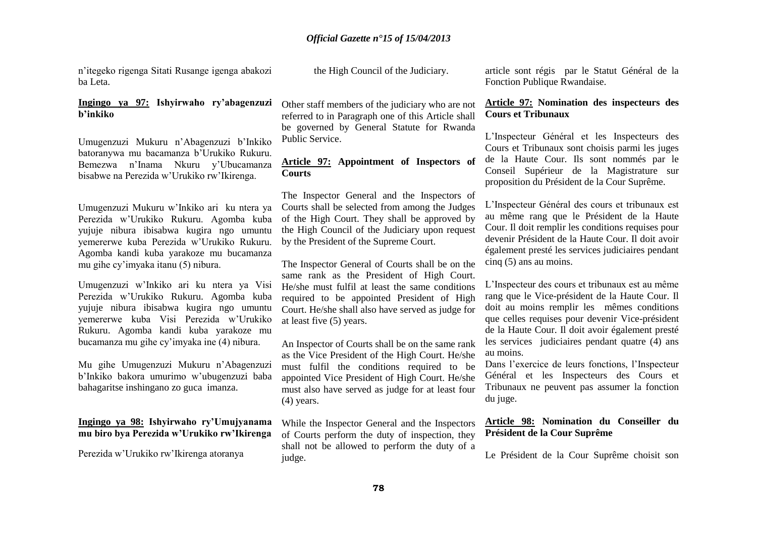n'itegeko rigenga Sitati Rusange igenga abakozi ba Leta.

### **Ingingo ya 97: Ishyirwaho ry'abagenzuzi b'inkiko**

Umugenzuzi Mukuru n'Abagenzuzi b'Inkiko batoranywa mu bacamanza b'Urukiko Rukuru. Bemezwa n'Inama Nkuru y'Ubucamanza bisabwe na Perezida w'Urukiko rw'Ikirenga.

Umugenzuzi Mukuru w'Inkiko ari ku ntera ya Perezida w'Urukiko Rukuru. Agomba kuba yujuje nibura ibisabwa kugira ngo umuntu yemererwe kuba Perezida w'Urukiko Rukuru. Agomba kandi kuba yarakoze mu bucamanza mu gihe cy'imyaka itanu (5) nibura.

Umugenzuzi w'Inkiko ari ku ntera ya Visi Perezida w'Urukiko Rukuru. Agomba kuba yujuje nibura ibisabwa kugira ngo umuntu yemererwe kuba Visi Perezida w'Urukiko Rukuru. Agomba kandi kuba yarakoze mu bucamanza mu gihe cy'imyaka ine (4) nibura.

Mu gihe Umugenzuzi Mukuru n'Abagenzuzi b'Inkiko bakora umurimo w'ubugenzuzi baba bahagaritse inshingano zo guca imanza.

### **Ingingo ya 98: Ishyirwaho ry'Umujyanama mu biro bya Perezida w'Urukiko rw'Ikirenga**

Perezida w'Urukiko rw'Ikirenga atoranya

the High Council of the Judiciary.

Other staff members of the judiciary who are not referred to in Paragraph one of this Article shall be governed by General Statute for Rwanda Public Service.

### **Article 97: Appointment of Inspectors of Courts**

The Inspector General and the Inspectors of Courts shall be selected from among the Judges of the High Court. They shall be approved by the High Council of the Judiciary upon request by the President of the Supreme Court.

The Inspector General of Courts shall be on the same rank as the President of High Court. He/she must fulfil at least the same conditions required to be appointed President of High Court. He/she shall also have served as judge for at least five (5) years.

An Inspector of Courts shall be on the same rank as the Vice President of the High Court. He/she must fulfil the conditions required to be appointed Vice President of High Court. He/she must also have served as judge for at least four (4) years.

While the Inspector General and the Inspectors of Courts perform the duty of inspection, they shall not be allowed to perform the duty of a judge.

article sont régis par le Statut Général de la Fonction Publique Rwandaise.

### **Article 97: Nomination des inspecteurs des Cours et Tribunaux**

L'Inspecteur Général et les Inspecteurs des Cours et Tribunaux sont choisis parmi les juges de la Haute Cour. Ils sont nommés par le Conseil Supérieur de la Magistrature sur proposition du Président de la Cour Suprême.

L'Inspecteur Général des cours et tribunaux est au même rang que le Président de la Haute Cour. Il doit remplir les conditions requises pour devenir Président de la Haute Cour. Il doit avoir également presté les services judiciaires pendant cinq (5) ans au moins.

L'Inspecteur des cours et tribunaux est au même rang que le Vice-président de la Haute Cour. Il doit au moins remplir les mêmes conditions que celles requises pour devenir Vice-président de la Haute Cour. Il doit avoir également presté les services judiciaires pendant quatre (4) ans au moins.

Dans l'exercice de leurs fonctions, l'Inspecteur Général et les Inspecteurs des Cours et Tribunaux ne peuvent pas assumer la fonction du juge.

### **Article 98: Nomination du Conseiller du Président de la Cour Suprême**

Le Président de la Cour Suprême choisit son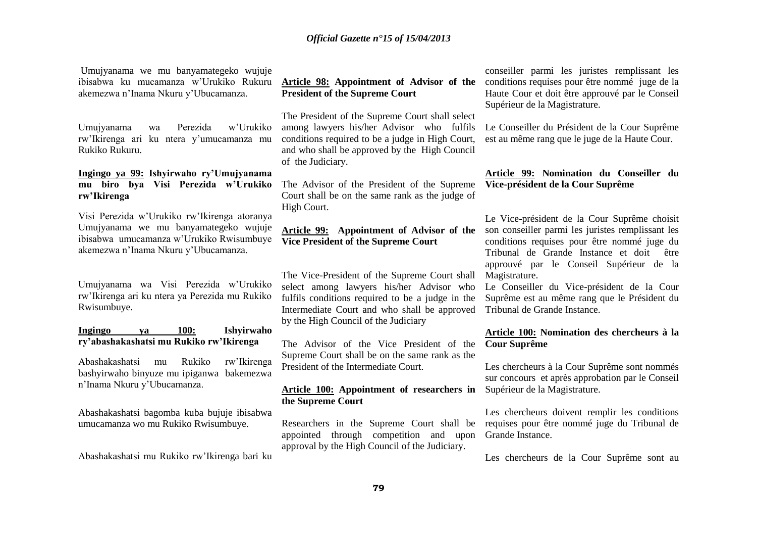Umujyanama we mu banyamategeko wujuje ibisabwa ku mucamanza w'Urukiko Rukuru akemezwa n'Inama Nkuru y'Ubucamanza.

Umujyanama wa Perezida w'Urukiko rw'Ikirenga ari ku ntera y'umucamanza mu Rukiko Rukuru.

### **Ingingo ya 99: Ishyirwaho ry'Umujyanama mu biro bya Visi Perezida w'Urukiko rw'Ikirenga**

Visi Perezida w'Urukiko rw'Ikirenga atoranya Umujyanama we mu banyamategeko wujuje ibisabwa umucamanza w'Urukiko Rwisumbuye akemezwa n'Inama Nkuru y'Ubucamanza.

Umujyanama wa Visi Perezida w'Urukiko rw'Ikirenga ari ku ntera ya Perezida mu Rukiko Rwisumbuye.

### **Ingingo ya 100: Ishyirwaho ry'abashakashatsi mu Rukiko rw'Ikirenga**

Abashakashatsi mu Rukiko rw'Ikirenga bashyirwaho binyuze mu ipiganwa bakemezwa n'Inama Nkuru y'Ubucamanza.

Abashakashatsi bagomba kuba bujuje ibisabwa umucamanza wo mu Rukiko Rwisumbuye.

Abashakashatsi mu Rukiko rw'Ikirenga bari ku

### **Article 98: Appointment of Advisor of the President of the Supreme Court**

The President of the Supreme Court shall select among lawyers his/her Advisor who fulfils conditions required to be a judge in High Court, and who shall be approved by the High Council of the Judiciary.

The Advisor of the President of the Supreme Court shall be on the same rank as the judge of High Court.

### **Article 99: Appointment of Advisor of the Vice President of the Supreme Court**

The Vice-President of the Supreme Court shall select among lawyers his/her Advisor who fulfils conditions required to be a judge in the Intermediate Court and who shall be approved by the High Council of the Judiciary

The Advisor of the Vice President of the Supreme Court shall be on the same rank as the President of the Intermediate Court.

### **Article 100: Appointment of researchers in the Supreme Court**

Researchers in the Supreme Court shall be appointed through competition and upon approval by the High Council of the Judiciary.

conseiller parmi les juristes remplissant les conditions requises pour être nommé juge de la Haute Cour et doit être approuvé par le Conseil Supérieur de la Magistrature.

Le Conseiller du Président de la Cour Suprême est au même rang que le juge de la Haute Cour.

### **Article 99: Nomination du Conseiller du Vice-président de la Cour Suprême**

Le Vice-président de la Cour Suprême choisit son conseiller parmi les juristes remplissant les conditions requises pour être nommé juge du Tribunal de Grande Instance et doit être approuvé par le Conseil Supérieur de la Magistrature.

Le Conseiller du Vice-président de la Cour Suprême est au même rang que le Président du Tribunal de Grande Instance.

### **Article 100: Nomination des chercheurs à la Cour Suprême**

Les chercheurs à la Cour Suprême sont nommés sur concours et après approbation par le Conseil Supérieur de la Magistrature.

Les chercheurs doivent remplir les conditions requises pour être nommé juge du Tribunal de Grande Instance.

Les chercheurs de la Cour Suprême sont au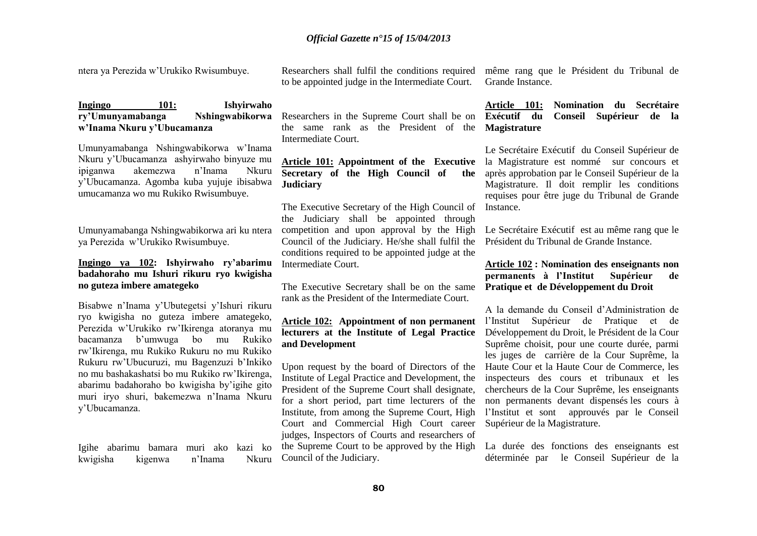ntera ya Perezida w'Urukiko Rwisumbuye.

Researchers shall fulfil the conditions required même rang que le Président du Tribunal de to be appointed judge in the Intermediate Court.

**Ingingo 101: Ishyirwaho ry'Umunyamabanga Nshingwabikorwa w'Inama Nkuru y'Ubucamanza**

Umunyamabanga Nshingwabikorwa w'Inama Nkuru y'Ubucamanza ashyirwaho binyuze mu ipiganwa akemezwa n'Inama Nkuru y'Ubucamanza. Agomba kuba yujuje ibisabwa umucamanza wo mu Rukiko Rwisumbuye.

Umunyamabanga Nshingwabikorwa ari ku ntera ya Perezida w'Urukiko Rwisumbuye.

### **Ingingo ya 102: Ishyirwaho ry'abarimu badahoraho mu Ishuri rikuru ryo kwigisha no guteza imbere amategeko**

Bisabwe n'Inama y'Ubutegetsi y'Ishuri rikuru ryo kwigisha no guteza imbere amategeko, Perezida w'Urukiko rw'Ikirenga atoranya mu bacamanza b'umwuga bo mu Rukiko rw'Ikirenga, mu Rukiko Rukuru no mu Rukiko Rukuru rw'Ubucuruzi, mu Bagenzuzi b'Inkiko no mu bashakashatsi bo mu Rukiko rw'Ikirenga, abarimu badahoraho bo kwigisha by'igihe gito muri iryo shuri, bakemezwa n'Inama Nkuru y'Ubucamanza.

Igihe abarimu bamara muri ako kazi ko kwigisha kigenwa n'Inama Nkuru

Researchers in the Supreme Court shall be on the same rank as the President of the **Magistrature**  Intermediate Court.

### **Article 101: Appointment of the Executive Secretary of the High Council of the Judiciary**

The Executive Secretary of the High Council of the Judiciary shall be appointed through competition and upon approval by the High Council of the Judiciary. He/she shall fulfil the conditions required to be appointed judge at the Intermediate Court.

The Executive Secretary shall be on the same rank as the President of the Intermediate Court.

### **Article 102: Appointment of non permanent lecturers at the Institute of Legal Practice and Development**

Upon request by the board of Directors of the Institute of Legal Practice and Development, the President of the Supreme Court shall designate, for a short period, part time lecturers of the Institute, from among the Supreme Court, High Court and Commercial High Court career judges, Inspectors of Courts and researchers of the Supreme Court to be approved by the High Council of the Judiciary.

Grande Instance.

### **Article 101: Nomination du Secrétaire Exécutif du Conseil Supérieur de la**

Le Secrétaire Exécutif du Conseil Supérieur de la Magistrature est nommé sur concours et après approbation par le Conseil Supérieur de la Magistrature. Il doit remplir les conditions requises pour être juge du Tribunal de Grande Instance.

Le Secrétaire Exécutif est au même rang que le Président du Tribunal de Grande Instance.

**Article 102 : Nomination des enseignants non permanents à l'Institut Supérieur de Pratique et de Développement du Droit** 

A la demande du Conseil d'Administration de l'Institut Supérieur de Pratique et de Développement du Droit, le Président de la Cour Suprême choisit, pour une courte durée, parmi les juges de carrière de la Cour Suprême, la Haute Cour et la Haute Cour de Commerce, les inspecteurs des cours et tribunaux et les chercheurs de la Cour Suprême, les enseignants non permanents devant dispensés les cours à l'Institut et sont approuvés par le Conseil Supérieur de la Magistrature.

La durée des fonctions des enseignants est déterminée par le Conseil Supérieur de la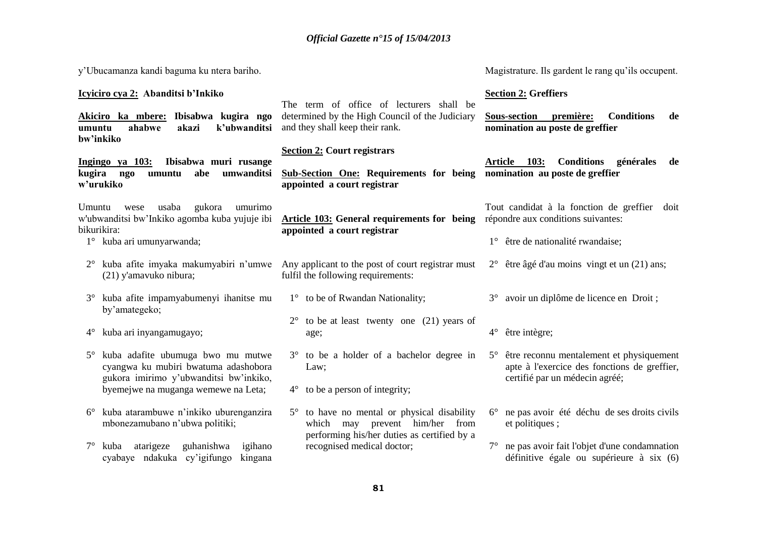| y'Ubucamanza kandi baguma ku ntera bariho.                                                                   |                                                                                                                                          | Magistrature. Ils gardent le rang qu'ils occupent.                                                      |
|--------------------------------------------------------------------------------------------------------------|------------------------------------------------------------------------------------------------------------------------------------------|---------------------------------------------------------------------------------------------------------|
| Icyiciro cya 2: Abanditsi b'Inkiko                                                                           | The term of office of lecturers shall be                                                                                                 | <b>Section 2: Greffiers</b>                                                                             |
| Akiciro ka mbere: Ibisabwa kugira ngo<br>k'ubwanditsi<br>ahabwe<br>akazi<br>umuntu<br>bw'inkiko              | determined by the High Council of the Judiciary<br>and they shall keep their rank.                                                       | <b>Conditions</b><br><b>Sous-section</b><br>première:<br>de<br>nomination au poste de greffier          |
|                                                                                                              | <b>Section 2: Court registrars</b>                                                                                                       |                                                                                                         |
| Ibisabwa muri rusange<br>Ingingo ya 103:<br>kugira ngo<br>abe<br>umwanditsi<br>umuntu<br>w'urukiko           | <b>Sub-Section One: Requirements for being</b><br>appointed a court registrar                                                            | <b>Conditions</b><br>Article 103:<br>générales<br>de<br>nomination au poste de greffier                 |
| usaba<br>gukora<br>umurimo<br>Umuntu<br>wese<br>w'ubwanditsi bw'Inkiko agomba kuba yujuje ibi<br>bikurikira: | <b>Article 103: General requirements for being</b><br>appointed a court registrar                                                        | Tout candidat à la fonction de greffier doit<br>répondre aux conditions suivantes:                      |
| 1° kuba ari umunyarwanda;                                                                                    |                                                                                                                                          | 1° être de nationalité rwandaise;                                                                       |
| $2^{\circ}$<br>(21) y'amavuko nibura;                                                                        | kuba afite imyaka makumyabiri n'umwe Any applicant to the post of court registrar must<br>fulfil the following requirements:             | $2^{\circ}$ être âgé d'au moins vingt et un (21) ans;                                                   |
| kuba afite impamyabumenyi ihanitse mu<br>$3^\circ$<br>by'amategeko;                                          | 1° to be of Rwandan Nationality;                                                                                                         | 3° avoir un diplôme de licence en Droit;                                                                |
| kuba ari inyangamugayo;<br>$4^\circ$                                                                         | to be at least twenty one $(21)$ years of<br>$2^{\circ}$<br>age;                                                                         | $4^{\circ}$ être intègre;                                                                               |
| $5^{\circ}$<br>kuba adafite ubumuga bwo mu mutwe<br>cyangwa ku mubiri bwatuma adashobora                     | to be a holder of a bachelor degree in<br>$3^\circ$<br>Law;                                                                              | être reconnu mentalement et physiquement<br>$5^{\circ}$<br>apte à l'exercice des fonctions de greffier, |
| gukora imirimo y'ubwanditsi bw'inkiko,<br>byemejwe na muganga wemewe na Leta;                                | $4^{\circ}$ to be a person of integrity;                                                                                                 | certifié par un médecin agréé;                                                                          |
| kuba atarambuwe n'inkiko uburenganzira<br>$6^{\circ}$<br>mbonezamubano n'ubwa politiki;                      | to have no mental or physical disability<br>$5^{\circ}$<br>which may prevent him/her from<br>performing his/her duties as certified by a | 6° ne pas avoir été déchu de ses droits civils<br>et politiques;                                        |
| atarigeze<br>guhanishwa<br>igihano<br>$7^{\circ}$<br>kuba<br>cyabaye ndakuka cy'igifungo<br>kingana          | recognised medical doctor;                                                                                                               | ne pas avoir fait l'objet d'une condamnation<br>définitive égale ou supérieure à six (6)                |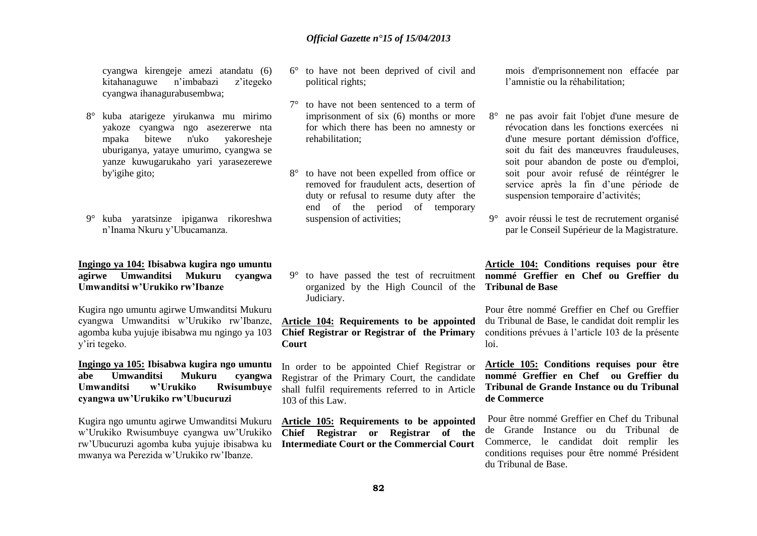cyangwa kirengeje amezi atandatu (6) kitahanaguwe n'imbabazi z'itegeko cyangwa ihanagurabusembwa;

- 8° kuba atarigeze yirukanwa mu mirimo yakoze cyangwa ngo asezererwe nta mpaka bitewe n'uko yakoresheje uburiganya, yataye umurimo, cyangwa se yanze kuwugarukaho yari yarasezerewe by'igihe gito;
- 9° kuba yaratsinze ipiganwa rikoreshwa n'Inama Nkuru y'Ubucamanza.

### **Ingingo ya 104: Ibisabwa kugira ngo umuntu agirwe Umwanditsi Mukuru cyangwa Umwanditsi w'Urukiko rw'Ibanze**

Kugira ngo umuntu agirwe Umwanditsi Mukuru cyangwa Umwanditsi w'Urukiko rw'Ibanze, agomba kuba yujuje ibisabwa mu ngingo ya 103 y'iri tegeko.

### **Ingingo ya 105: Ibisabwa kugira ngo umuntu abe Umwanditsi Mukuru cyangwa Umwanditsi w'Urukiko Rwisumbuye cyangwa uw'Urukiko rw'Ubucuruzi**

Kugira ngo umuntu agirwe Umwanditsi Mukuru w'Urukiko Rwisumbuye cyangwa uw'Urukiko rw'Ubucuruzi agomba kuba yujuje ibisabwa ku mwanya wa Perezida w'Urukiko rw'Ibanze.

- 6° to have not been deprived of civil and political rights;
- 7° to have not been sentenced to a term of imprisonment of six (6) months or more for which there has been no amnesty or rehabilitation;
- 8° to have not been expelled from office or removed for fraudulent acts, desertion of duty or refusal to resume duty after the end of the period of temporary suspension of activities;

organized by the High Council of the **Tribunal de Base** Judiciary.

**Article 104: Requirements to be appointed Chief Registrar or Registrar of the Primary Court**

In order to be appointed Chief Registrar or Registrar of the Primary Court, the candidate shall fulfil requirements referred to in Article 103 of this Law.

**Article 105: Requirements to be appointed Chief Registrar or Registrar of the Intermediate Court or the Commercial Court** mois d'emprisonnement non effacée par l'amnistie ou la réhabilitation;

- 8° ne pas avoir fait l'objet d'une mesure de révocation dans les fonctions exercées ni d'une mesure portant démission d'office, soit du fait des manœuvres frauduleuses, soit pour abandon de poste ou d'emploi, soit pour avoir refusé de réintégrer le service après la fin d'une période de suspension temporaire d'activités;
- 9° avoir réussi le test de recrutement organisé par le Conseil Supérieur de la Magistrature.

### 9° to have passed the test of recruitment **nommé Greffier en Chef ou Greffier du Article 104: Conditions requises pour être**

Pour être nommé Greffier en Chef ou Greffier du Tribunal de Base, le candidat doit remplir les conditions prévues à l'article 103 de la présente loi.

### **Article 105: Conditions requises pour être nommé Greffier en Chef ou Greffier du Tribunal de Grande Instance ou du Tribunal de Commerce**

Pour être nommé Greffier en Chef du Tribunal de Grande Instance ou du Tribunal de Commerce, le candidat doit remplir les conditions requises pour être nommé Président du Tribunal de Base.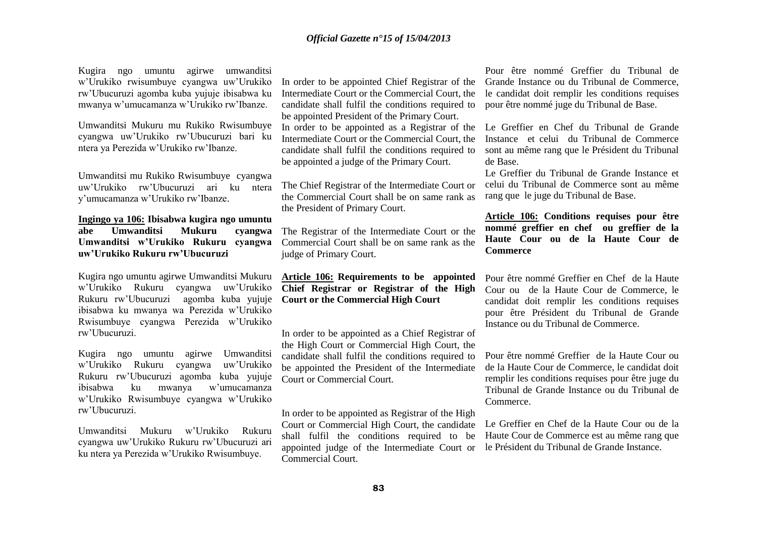Kugira ngo umuntu agirwe umwanditsi w'Urukiko rwisumbuye cyangwa uw'Urukiko rw'Ubucuruzi agomba kuba yujuje ibisabwa ku mwanya w'umucamanza w'Urukiko rw'Ibanze.

Umwanditsi Mukuru mu Rukiko Rwisumbuye cyangwa uw'Urukiko rw'Ubucuruzi bari ku ntera ya Perezida w'Urukiko rw'Ibanze.

Umwanditsi mu Rukiko Rwisumbuye cyangwa uw'Urukiko rw'Ubucuruzi ari ku ntera y'umucamanza w'Urukiko rw'Ibanze.

**Ingingo ya 106: Ibisabwa kugira ngo umuntu abe Umwanditsi Mukuru cyangwa Umwanditsi w'Urukiko Rukuru cyangwa uw'Urukiko Rukuru rw'Ubucuruzi** 

Kugira ngo umuntu agirwe Umwanditsi Mukuru w'Urukiko Rukuru cyangwa uw'Urukiko Rukuru rw'Ubucuruzi agomba kuba yujuje ibisabwa ku mwanya wa Perezida w'Urukiko Rwisumbuye cyangwa Perezida w'Urukiko rw'Ubucuruzi.

Kugira ngo umuntu agirwe Umwanditsi w'Urukiko Rukuru cyangwa uw'Urukiko Rukuru rw'Ubucuruzi agomba kuba yujuje ibisabwa ku mwanya w'umucamanza w'Urukiko Rwisumbuye cyangwa w'Urukiko rw'Ubucuruzi.

Umwanditsi Mukuru w'Urukiko Rukuru cyangwa uw'Urukiko Rukuru rw'Ubucuruzi ari ku ntera ya Perezida w'Urukiko Rwisumbuye.

In order to be appointed Chief Registrar of the Intermediate Court or the Commercial Court, the candidate shall fulfil the conditions required to be appointed President of the Primary Court.

In order to be appointed as a Registrar of the Intermediate Court or the Commercial Court, the candidate shall fulfil the conditions required to be appointed a judge of the Primary Court.

The Chief Registrar of the Intermediate Court or the Commercial Court shall be on same rank as the President of Primary Court.

The Registrar of the Intermediate Court or the Commercial Court shall be on same rank as the judge of Primary Court.

**Article 106: Requirements to be appointed Chief Registrar or Registrar of the High Court or the Commercial High Court** 

In order to be appointed as a Chief Registrar of the High Court or Commercial High Court, the candidate shall fulfil the conditions required to be appointed the President of the Intermediate Court or Commercial Court.

In order to be appointed as Registrar of the High Court or Commercial High Court, the candidate shall fulfil the conditions required to be appointed judge of the Intermediate Court or le Président du Tribunal de Grande Instance.Commercial Court.

Pour être nommé Greffier du Tribunal de Grande Instance ou du Tribunal de Commerce, le candidat doit remplir les conditions requises pour être nommé juge du Tribunal de Base.

Le Greffier en Chef du Tribunal de Grande Instance et celui du Tribunal de Commerce sont au même rang que le Président du Tribunal de Base.

Le Greffier du Tribunal de Grande Instance et celui du Tribunal de Commerce sont au même rang que le juge du Tribunal de Base.

**Article 106: Conditions requises pour être nommé greffier en chef ou greffier de la Haute Cour ou de la Haute Cour de Commerce** 

Pour être nommé Greffier en Chef de la Haute Cour ou de la Haute Cour de Commerce, le candidat doit remplir les conditions requises pour être Président du Tribunal de Grande Instance ou du Tribunal de Commerce.

Pour être nommé Greffier de la Haute Cour ou de la Haute Cour de Commerce, le candidat doit remplir les conditions requises pour être juge du Tribunal de Grande Instance ou du Tribunal de Commerce.

Le Greffier en Chef de la Haute Cour ou de la Haute Cour de Commerce est au même rang que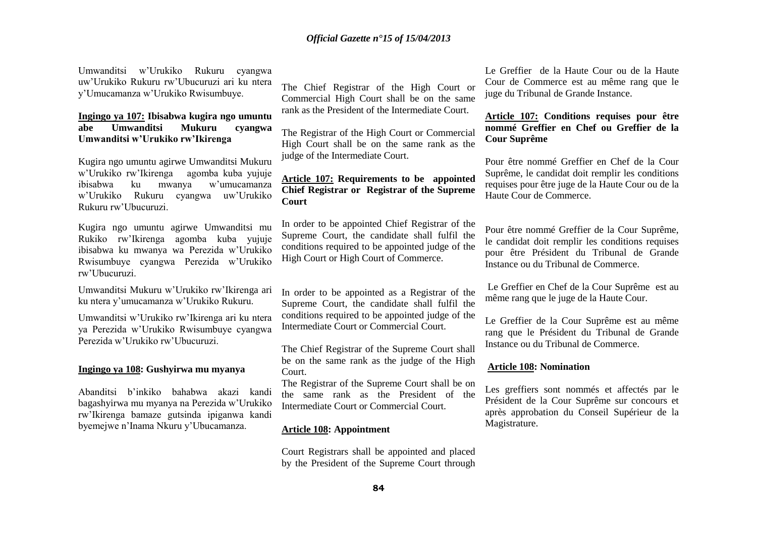Umwanditsi w'Urukiko Rukuru cyangwa uw'Urukiko Rukuru rw'Ubucuruzi ari ku ntera y'Umucamanza w'Urukiko Rwisumbuye.

### **Ingingo ya 107: Ibisabwa kugira ngo umuntu abe Umwanditsi Mukuru cyangwa Umwanditsi w'Urukiko rw'Ikirenga**

Kugira ngo umuntu agirwe Umwanditsi Mukuru w'Urukiko rw'Ikirenga agomba kuba yujuje ibisabwa ku mwanya w'umucamanza w'Urukiko Rukuru cyangwa uw'Urukiko Rukuru rw'Ubucuruzi.

Kugira ngo umuntu agirwe Umwanditsi mu Rukiko rw'Ikirenga agomba kuba yujuje ibisabwa ku mwanya wa Perezida w'Urukiko Rwisumbuye cyangwa Perezida w'Urukiko rw'Ubucuruzi.

Umwanditsi Mukuru w'Urukiko rw'Ikirenga ari ku ntera y'umucamanza w'Urukiko Rukuru.

Umwanditsi w'Urukiko rw'Ikirenga ari ku ntera ya Perezida w'Urukiko Rwisumbuye cyangwa Perezida w'Urukiko rw'Ubucuruzi.

### **Ingingo ya 108: Gushyirwa mu myanya**

Abanditsi b'inkiko bahabwa akazi kandi bagashyirwa mu myanya na Perezida w'Urukiko rw'Ikirenga bamaze gutsinda ipiganwa kandi byemejwe n'Inama Nkuru y'Ubucamanza.

The Chief Registrar of the High Court or Commercial High Court shall be on the same rank as the President of the Intermediate Court.

The Registrar of the High Court or Commercial High Court shall be on the same rank as the judge of the Intermediate Court.

### **Article 107: Requirements to be appointed Chief Registrar or Registrar of the Supreme Court**

In order to be appointed Chief Registrar of the Supreme Court, the candidate shall fulfil the conditions required to be appointed judge of the High Court or High Court of Commerce.

In order to be appointed as a Registrar of the Supreme Court, the candidate shall fulfil the conditions required to be appointed judge of the Intermediate Court or Commercial Court.

The Chief Registrar of the Supreme Court shall be on the same rank as the judge of the High Court.

The Registrar of the Supreme Court shall be on the same rank as the President of the Intermediate Court or Commercial Court.

### **Article 108: Appointment**

Court Registrars shall be appointed and placed by the President of the Supreme Court through

Le Greffier de la Haute Cour ou de la Haute Cour de Commerce est au même rang que le juge du Tribunal de Grande Instance.

### **Article 107: Conditions requises pour être nommé Greffier en Chef ou Greffier de la Cour Suprême**

Pour être nommé Greffier en Chef de la Cour Suprême, le candidat doit remplir les conditions requises pour être juge de la Haute Cour ou de la Haute Cour de Commerce.

Pour être nommé Greffier de la Cour Suprême, le candidat doit remplir les conditions requises pour être Président du Tribunal de Grande Instance ou du Tribunal de Commerce.

Le Greffier en Chef de la Cour Suprême est au même rang que le juge de la Haute Cour.

Le Greffier de la Cour Suprême est au même rang que le Président du Tribunal de Grande Instance ou du Tribunal de Commerce.

#### **Article 108: Nomination**

Les greffiers sont nommés et affectés par le Président de la Cour Suprême sur concours et après approbation du Conseil Supérieur de la Magistrature.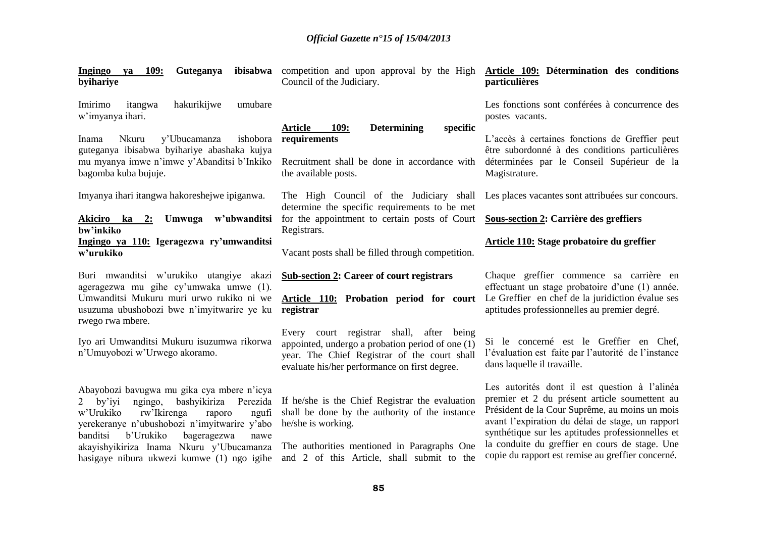| 109:<br>Guteganya<br>Ingingo ya<br>byihariye                                                                                                                                | ibisabwa competition and upon approval by the High Article 109: Détermination des conditions<br>Council of the Judiciary.                                                                       | particulières                                                                                                                                                                                  |
|-----------------------------------------------------------------------------------------------------------------------------------------------------------------------------|-------------------------------------------------------------------------------------------------------------------------------------------------------------------------------------------------|------------------------------------------------------------------------------------------------------------------------------------------------------------------------------------------------|
| hakurikijwe<br>Imirimo<br>itangwa<br>umubare<br>w'imyanya ihari.                                                                                                            |                                                                                                                                                                                                 | Les fonctions sont conférées à concurrence des<br>postes vacants.                                                                                                                              |
| ishobora<br>Nkuru<br>y'Ubucamanza<br>Inama<br>guteganya ibisabwa byihariye abashaka kujya<br>mu myanya imwe n'imwe y'Abanditsi b'Inkiko<br>bagomba kuba bujuje.             | <b>Article</b><br><b>Determining</b><br>specific<br><b>109:</b><br>requirements<br>Recruitment shall be done in accordance with<br>the available posts.                                         | L'accès à certaines fonctions de Greffier peut<br>être subordonné à des conditions particulières<br>déterminées par le Conseil Supérieur de la<br>Magistrature.                                |
| Imyanya ihari itangwa hakoreshejwe ipiganwa.                                                                                                                                | The High Council of the Judiciary shall                                                                                                                                                         | Les places vacantes sont attribuées sur concours.                                                                                                                                              |
| Akiciro ka 2: Umwuga w'ubwanditsi<br>bw'inkiko                                                                                                                              | determine the specific requirements to be met<br>for the appointment to certain posts of Court                                                                                                  | Sous-section 2: Carrière des greffiers                                                                                                                                                         |
| Ingingo ya 110: Igeragezwa ry'umwanditsi<br>w'urukiko                                                                                                                       | Registrars.<br>Vacant posts shall be filled through competition.                                                                                                                                | Article 110: Stage probatoire du greffier                                                                                                                                                      |
|                                                                                                                                                                             |                                                                                                                                                                                                 |                                                                                                                                                                                                |
| Buri mwanditsi w'urukiko utangiye akazi<br>ageragezwa mu gihe cy'umwaka umwe (1).<br>Umwanditsi Mukuru muri urwo rukiko ni we<br>usuzuma ubushobozi bwe n'imyitwarire ye ku | <b>Sub-section 2: Career of court registrars</b><br>Article 110: Probation period for court<br>registrar                                                                                        | Chaque greffier commence sa carrière en<br>effectuant un stage probatoire d'une (1) année.<br>Le Greffier en chef de la juridiction évalue ses<br>aptitudes professionnelles au premier degré. |
| rwego rwa mbere.<br>Iyo ari Umwanditsi Mukuru isuzumwa rikorwa<br>n'Umuyobozi w'Urwego akoramo.                                                                             | Every court registrar shall, after being<br>appointed, undergo a probation period of one $(1)$<br>year. The Chief Registrar of the court shall<br>evaluate his/her performance on first degree. | Si le concerné est le Greffier en Chef,<br>l'évaluation est faite par l'autorité de l'instance<br>dans laquelle il travaille.                                                                  |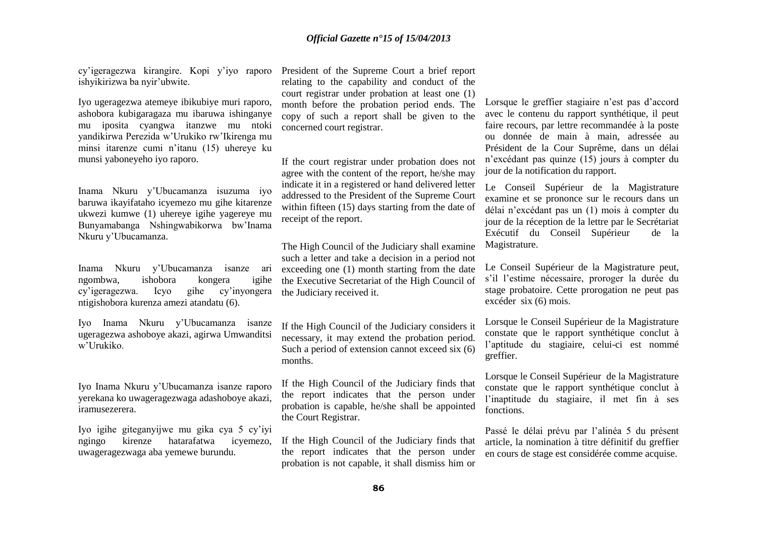cy'igeragezwa kirangire. Kopi y'iyo raporo ishyikirizwa ba nyir'ubwite.

Iyo ugeragezwa atemeye ibikubiye muri raporo, ashobora kubigaragaza mu ibaruwa ishinganye mu iposita cyangwa itanzwe mu ntoki yandikirwa Perezida w'Urukiko rw'Ikirenga mu minsi itarenze cumi n'itanu (15) uhereye ku munsi yaboneyeho iyo raporo.

Inama Nkuru y'Ubucamanza isuzuma iyo baruwa ikayifataho icyemezo mu gihe kitarenze ukwezi kumwe (1) uhereye igihe yagereye mu Bunyamabanga Nshingwabikorwa bw'Inama Nkuru y'Ubucamanza.

Inama Nkuru y'Ubucamanza isanze ari ngombwa, ishobora kongera igihe cy'igeragezwa. Icyo gihe cy'inyongera ntigishobora kurenza amezi atandatu (6).

Iyo Inama Nkuru y'Ubucamanza isanze ugeragezwa ashoboye akazi, agirwa Umwanditsi w'Urukiko.

Iyo Inama Nkuru y'Ubucamanza isanze raporo yerekana ko uwageragezwaga adashoboye akazi, iramusezerera.

Iyo igihe giteganyijwe mu gika cya 5 cy'iyi ngingo kirenze hatarafatwa icyemezo, uwageragezwaga aba yemewe burundu.

President of the Supreme Court a brief report relating to the capability and conduct of the court registrar under probation at least one (1) month before the probation period ends. The copy of such a report shall be given to the concerned court registrar.

If the court registrar under probation does not agree with the content of the report, he/she may indicate it in a registered or hand delivered letter addressed to the President of the Supreme Court within fifteen (15) days starting from the date of receipt of the report.

The High Council of the Judiciary shall examine such a letter and take a decision in a period not exceeding one (1) month starting from the date the Executive Secretariat of the High Council of the Judiciary received it.

If the High Council of the Judiciary considers it necessary, it may extend the probation period. Such a period of extension cannot exceed six (6) months.

If the High Council of the Judiciary finds that the report indicates that the person under probation is capable, he/she shall be appointed the Court Registrar.

If the High Council of the Judiciary finds that the report indicates that the person under probation is not capable, it shall dismiss him or Lorsque le greffier stagiaire n'est pas d'accord avec le contenu du rapport synthétique, il peut faire recours, par lettre recommandée à la poste ou donnée de main à main, adressée au Président de la Cour Suprême, dans un délai n'excédant pas quinze (15) jours à compter du jour de la notification du rapport.

Le Conseil Supérieur de la Magistrature examine et se prononce sur le recours dans un délai n'excédant pas un (1) mois à compter du jour de la réception de la lettre par le Secrétariat Exécutif du Conseil Supérieur de la Magistrature.

Le Conseil Supérieur de la Magistrature peut, s'il l'estime nécessaire, proroger la durée du stage probatoire. Cette prorogation ne peut pas excéder six (6) mois.

Lorsque le Conseil Supérieur de la Magistrature constate que le rapport synthétique conclut à l'aptitude du stagiaire, celui-ci est nommé greffier.

Lorsque le Conseil Supérieur de la Magistrature constate que le rapport synthétique conclut à l'inaptitude du stagiaire, il met fin à ses fonctions.

Passé le délai prévu par l'alinéa 5 du présent article, la nomination à titre définitif du greffier en cours de stage est considérée comme acquise.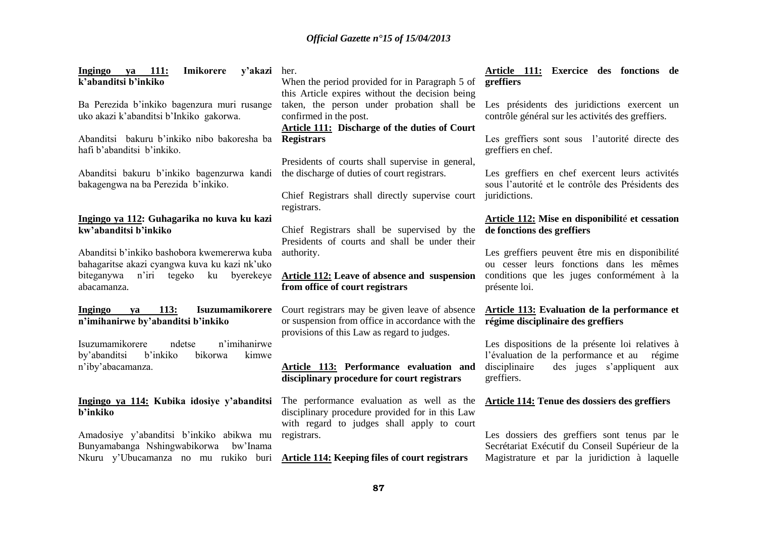| ya 111:<br><b>Ingingo</b><br>Imikorere<br>y'akazi<br>k'abanditsi b'inkiko                                                      | her.<br>When the period provided for in Paragraph 5 of<br>this Article expires without the decision being                                         | Article 111: Exercice des fonctions de<br>greffiers                                                                  |
|--------------------------------------------------------------------------------------------------------------------------------|---------------------------------------------------------------------------------------------------------------------------------------------------|----------------------------------------------------------------------------------------------------------------------|
| Ba Perezida b'inkiko bagenzura muri rusange<br>uko akazi k'abanditsi b'Inkiko gakorwa.                                         | taken, the person under probation shall be<br>confirmed in the post.<br><b>Article 111:</b> Discharge of the duties of Court                      | Les présidents des juridictions exercent un<br>contrôle général sur les activités des greffiers.                     |
| Abanditsi bakuru b'inkiko nibo bakoresha ba<br>hafi b'abanditsi b'inkiko.                                                      | <b>Registrars</b>                                                                                                                                 | Les greffiers sont sous l'autorité directe des<br>greffiers en chef.                                                 |
| Abanditsi bakuru b'inkiko bagenzurwa kandi the discharge of duties of court registrars.<br>bakagengwa na ba Perezida b'inkiko. | Presidents of courts shall supervise in general,<br>Chief Registrars shall directly supervise court<br>registrars.                                | Les greffiers en chef exercent leurs activités<br>sous l'autorité et le contrôle des Présidents des<br>juridictions. |
| Ingingo ya 112: Guhagarika no kuva ku kazi                                                                                     |                                                                                                                                                   | Article 112: Mise en disponibilité et cessation                                                                      |
| kw'abanditsi b'inkiko                                                                                                          | Chief Registrars shall be supervised by the<br>Presidents of courts and shall be under their                                                      | de fonctions des greffiers                                                                                           |
| Abanditsi b'inkiko bashobora kwemererwa kuba<br>bahagaritse akazi cyangwa kuva ku kazi nk'uko                                  | authority.                                                                                                                                        | Les greffiers peuvent être mis en disponibilité<br>ou cesser leurs fonctions dans les mêmes                          |
| biteganywa n'iri tegeko<br>ku<br>byerekeye<br>abacamanza.                                                                      | <b>Article 112:</b> Leave of absence and suspension<br>from office of court registrars                                                            | conditions que les juges conformément à la<br>présente loi.                                                          |
| <b>113:</b><br>Isuzumamikorere<br><b>Ingingo</b><br>va<br>n'imihanirwe by'abanditsi b'inkiko                                   | Court registrars may be given leave of absence<br>or suspension from office in accordance with the<br>provisions of this Law as regard to judges. | <b>Article 113: Evaluation de la performance et</b><br>régime disciplinaire des greffiers                            |

Isuzumamikorere ndetse n'imihanirwe by'abanditsi b'inkiko bikorwa kimwe n'iby'abacamanza.

### **Ingingo ya 114: Kubika idosiye y'abanditsi b'inkiko**

Amadosiye y'abanditsi b'inkiko abikwa mu Bunyamabanga Nshingwabikorwa bw'Inama Nkuru y'Ubucamanza no mu rukiko buri **Article 114: Keeping files of court registrars**

**Article 113: Performance evaluation and disciplinary procedure for court registrars**

The performance evaluation as well as the disciplinary procedure provided for in this Law with regard to judges shall apply to court registrars.

## **Article 112: Mise en disponibilit**é **et cessation**

## **Armance et**

Les dispositions de la présente loi relatives à l'évaluation de la performance et au régime disciplinaire des juges s'appliquent aux greffiers.

### **Article 114: Tenue des dossiers des greffiers**

Les dossiers des greffiers sont tenus par le Secrétariat Exécutif du Conseil Supérieur de la Magistrature et par la juridiction à laquelle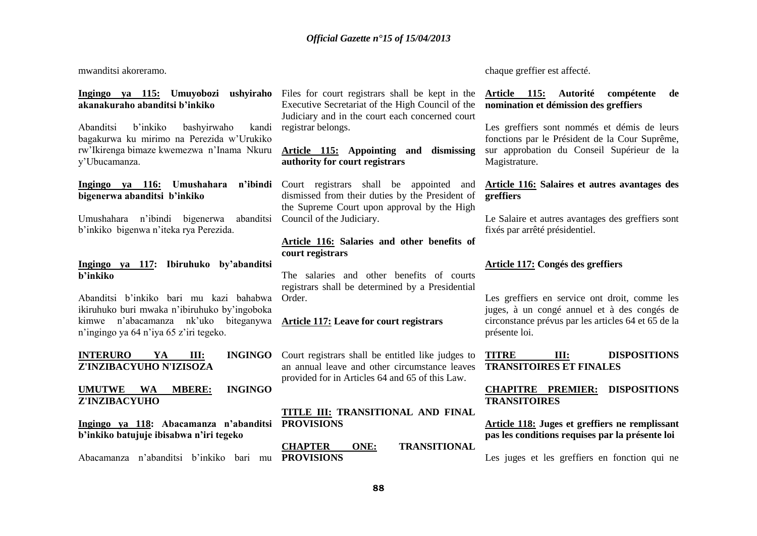mwanditsi akoreramo.

## **akanakuraho abanditsi b'inkiko**

Abanditsi b'inkiko bashyirwaho kandi bagakurwa ku mirimo na Perezida w'Urukiko rw'Ikirenga bimaze kwemezwa n'Inama Nkuru y'Ubucamanza.

### **bigenerwa abanditsi b'inkiko**

Umushahara n'ibindi bigenerwa abanditsi b'inkiko bigenwa n'iteka rya Perezida.

### **Ingingo ya 117: Ibiruhuko by'abanditsi b'inkiko**

Abanditsi b'inkiko bari mu kazi bahabwa ikiruhuko buri mwaka n'ibiruhuko by'ingoboka kimwe n'abacamanza nk'uko biteganywa n'ingingo ya 64 n'iya 65 z'iri tegeko.

**INTERURO YA III: Z'INZIBACYUHO N'IZISOZA**

### **UMUTWE WA MBERE: INGINGO Z'INZIBACYUHO**

**Ingingo ya 118: Abacamanza n'abanditsi PROVISIONS b'inkiko batujuje ibisabwa n'iri tegeko**

Abacamanza n'abanditsi b'inkiko bari mu **PROVISIONS**

**Ingingo ya 115: Umuyobozi ushyiraho**  Files for court registrars shall be kept in the Executive Secretariat of the High Council of the Judiciary and in the court each concerned court registrar belongs.

### **Article 115: Appointing and dismissing authority for court registrars**

**Ingingo ya 116: Umushahara n'ibindi**  Court registrars shall be appointed and dismissed from their duties by the President of the Supreme Court upon approval by the High Council of the Judiciary.

### **Article 116: Salaries and other benefits of court registrars**

The salaries and other benefits of courts registrars shall be determined by a Presidential Order.

### **Article 117: Leave for court registrars**

INGINGO Court registrars shall be entitled like judges to an annual leave and other circumstance leaves provided for in Articles 64 and 65 of this Law.

### **TITLE III: TRANSITIONAL AND FINAL**

**CHAPTER ONE: TRANSITIONAL** 

chaque greffier est affecté.

### **Article 115: Autorité compétente de nomination et démission des greffiers**

Les greffiers sont nommés et démis de leurs fonctions par le Président de la Cour Suprême, sur approbation du Conseil Supérieur de la Magistrature.

### **Article 116: Salaires et autres avantages des greffiers**

Le Salaire et autres avantages des greffiers sont fixés par arrêté présidentiel.

### **Article 117: Congés des greffiers**

Les greffiers en service ont droit, comme les juges, à un congé annuel et à des congés de circonstance prévus par les articles 64 et 65 de la présente loi.

### **TITRE III: DISPOSITIONS TRANSITOIRES ET FINALES**

### **CHAPITRE PREMIER: DISPOSITIONS TRANSITOIRES**

**Article 118: Juges et greffiers ne remplissant pas les conditions requises par la présente loi**

Les juges et les greffiers en fonction qui ne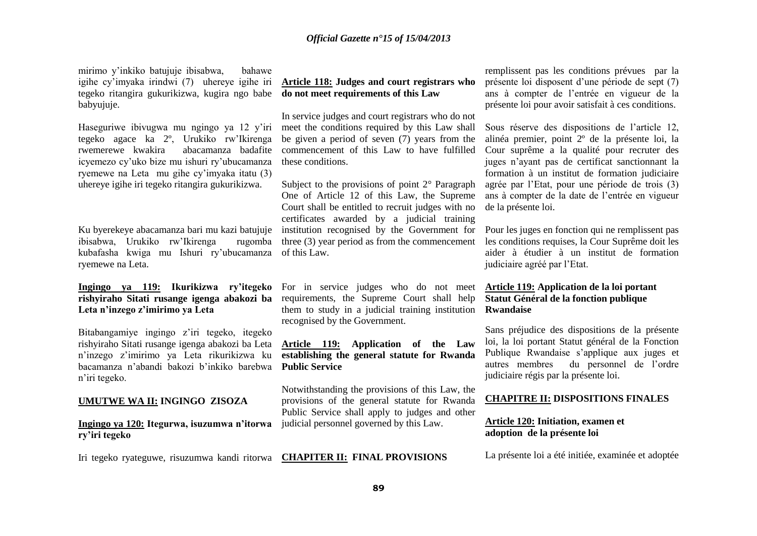mirimo y'inkiko batujuje ibisabwa, bahawe igihe cy'imyaka irindwi (7) uhereye igihe iri **Article 118: Judges and court registrars who**  tegeko ritangira gukurikizwa, kugira ngo babe **do not meet requirements of this Law** babyujuje.

Haseguriwe ibivugwa mu ngingo ya 12 y'iri tegeko agace ka 2º, Urukiko rw'Ikirenga rwemerewe kwakira abacamanza badafite icyemezo cy'uko bize mu ishuri ry'ubucamanza ryemewe na Leta mu gihe cy'imyaka itatu (3) uhereye igihe iri tegeko ritangira gukurikizwa.

Ku byerekeye abacamanza bari mu kazi batujuje ibisabwa, Urukiko rw'Ikirenga rugomba kubafasha kwiga mu Ishuri ry'ubucamanza ryemewe na Leta.

# **Leta n'inzego z'imirimo ya Leta**

Bitabangamiye ingingo z'iri tegeko, itegeko rishyiraho Sitati rusange igenga abakozi ba Leta **Article 119: Application of the Law**  n'inzego z'imirimo ya Leta rikurikizwa ku bacamanza n'abandi bakozi b'inkiko barebwa n'iri tegeko.

#### **UMUTWE WA II: INGINGO ZISOZA**

**Ingingo ya 120: Itegurwa, isuzumwa n'itorwa ry'iri tegeko**

Iri tegeko ryateguwe, risuzumwa kandi ritorwa **CHAPITER II: FINAL PROVISIONS**

In service judges and court registrars who do not meet the conditions required by this Law shall be given a period of seven (7) years from the commencement of this Law to have fulfilled these conditions.

Subject to the provisions of point  $2^{\circ}$  Paragraph One of Article 12 of this Law, the Supreme Court shall be entitled to recruit judges with no certificates awarded by a judicial training institution recognised by the Government for three (3) year period as from the commencement of this Law.

**Ingingo ya 119: Ikurikizwa ry'itegeko**  For in service judges who do not meet **rishyiraho Sitati rusange igenga abakozi ba**  requirements, the Supreme Court shall help them to study in a judicial training institution recognised by the Government.

> **establishing the general statute for Rwanda Public Service**

> Notwithstanding the provisions of this Law, the provisions of the general statute for Rwanda Public Service shall apply to judges and other judicial personnel governed by this Law.

remplissent pas les conditions prévues par la présente loi disposent d'une période de sept (7) ans à compter de l'entrée en vigueur de la présente loi pour avoir satisfait à ces conditions.

Sous réserve des dispositions de l'article 12, alinéa premier, point 2º de la présente loi, la Cour suprême a la qualité pour recruter des juges n'ayant pas de certificat sanctionnant la formation à un institut de formation judiciaire agrée par l'Etat, pour une période de trois (3) ans à compter de la date de l'entrée en vigueur de la présente loi.

Pour les juges en fonction qui ne remplissent pas les conditions requises, la Cour Suprême doit les aider à étudier à un institut de formation judiciaire agréé par l'Etat.

### **Article 119: Application de la loi portant Statut Général de la fonction publique Rwandaise**

Sans préjudice des dispositions de la présente loi, la loi portant Statut général de la Fonction Publique Rwandaise s'applique aux juges et autres membres du personnel de l'ordre judiciaire régis par la présente loi.

### **CHAPITRE II: DISPOSITIONS FINALES**

### **Article 120: Initiation, examen et adoption de la présente loi**

La présente loi a été initiée, examinée et adoptée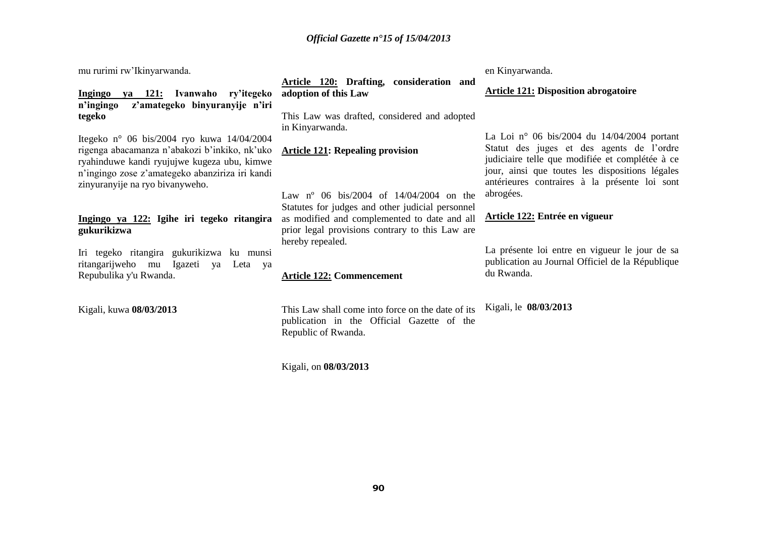mu rurimi rw'Ikinyarwanda.

**Ingingo ya 121: Ivanwaho ry'itegeko n'ingingo z'amategeko binyuranyije n'iri tegeko** 

Itegeko n° 06 bis/2004 ryo kuwa 14/04/2004 rigenga abacamanza n'abakozi b'inkiko, nk'uko ryahinduwe kandi ryujujwe kugeza ubu, kimwe n'ingingo zose z'amategeko abanziriza iri kandi zinyuranyije na ryo bivanyweho.

### **Ingingo ya 122: Igihe iri tegeko ritangira gukurikizwa**

Iri tegeko ritangira gukurikizwa ku munsi ritangarijweho mu Igazeti ya Leta ya Repubulika y'u Rwanda.

Kigali, kuwa **08/03/2013**

**Article 120: Drafting, consideration and adoption of this Law**

This Law was drafted, considered and adopted in Kinyarwanda.

### **Article 121: Repealing provision**

Law n<sup>o</sup> 06 bis/2004 of 14/04/2004 on the Statutes for judges and other judicial personnel as modified and complemented to date and all prior legal provisions contrary to this Law are hereby repealed.

### **Article 122: Commencement**

This Law shall come into force on the date of its publication in the Official Gazette of the Republic of Rwanda.

Kigali, on **08/03/2013**

en Kinyarwanda.

### **Article 121: Disposition abrogatoire**

La Loi n° 06 bis/2004 du 14/04/2004 portant Statut des juges et des agents de l'ordre judiciaire telle que modifiée et complétée à ce jour, ainsi que toutes les dispositions légales antérieures contraires à la présente loi sont abrogées.

### **Article 122: Entrée en vigueur**

La présente loi entre en vigueur le jour de sa publication au Journal Officiel de la République du Rwanda.

Kigali, le **08/03/2013**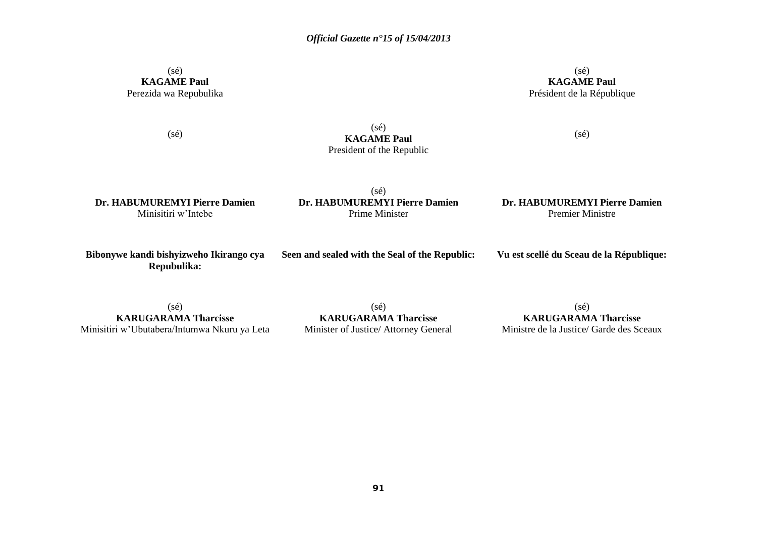### (sé) **KAGAME Paul** Perezida wa Repubulika

(sé) **KAGAME Paul** Président de la République

(sé)  $(se)$ **KAGAME Paul** President of the Republic

(sé)

**Dr. HABUMUREMYI Pierre Damien** Minisitiri w'Intebe

(sé) **Dr. HABUMUREMYI Pierre Damien** Prime Minister

**Dr. HABUMUREMYI Pierre Damien** Premier Ministre

**Bibonywe kandi bishyizweho Ikirango cya Repubulika:**

**Seen and sealed with the Seal of the Republic:**

**Vu est scellé du Sceau de la République:**

 $(sé)$ **KARUGARAMA Tharcisse** Minisitiri w'Ubutabera/Intumwa Nkuru ya Leta

(sé) **KARUGARAMA Tharcisse** Minister of Justice/ Attorney General

 $(sé)$ **KARUGARAMA Tharcisse** Ministre de la Justice/ Garde des Sceaux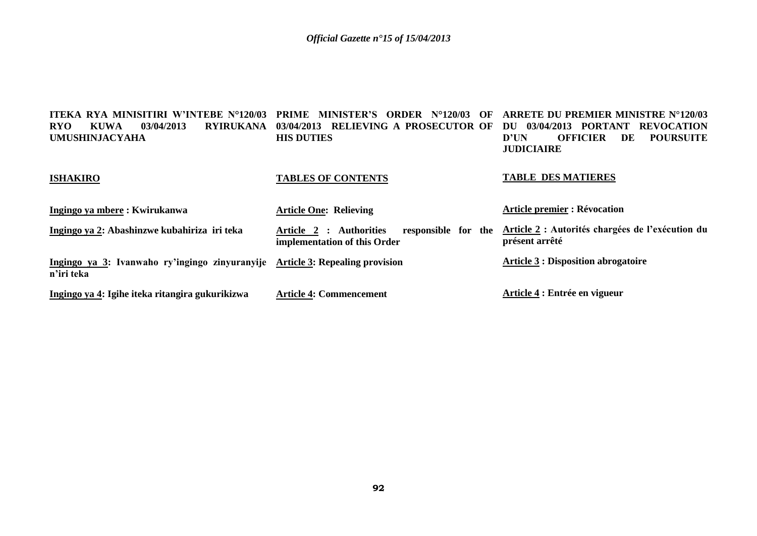| <b>ITEKA RYA MINISITIRI W'INTEBE N°120/03</b><br><b>RYIRUKANA</b><br><b>RYO</b><br>03/04/2013<br>KUWA<br><b>UMUSHINJACYAHA</b> | MINISTER'S ORDER N°120/03<br>PRIME<br>OF<br>RELIEVING A PROSECUTOR OF<br>03/04/2013<br><b>HIS DUTIES</b> | <b>ARRETE DU PREMIER MINISTRE N°120/03</b><br>03/04/2013 PORTANT REVOCATION<br>DU<br><b>POURSUITE</b><br>D'UN<br><b>OFFICIER</b><br>DE<br><b>JUDICIAIRE</b> |
|--------------------------------------------------------------------------------------------------------------------------------|----------------------------------------------------------------------------------------------------------|-------------------------------------------------------------------------------------------------------------------------------------------------------------|
| <b>ISHAKIRO</b>                                                                                                                | <b>TABLES OF CONTENTS</b>                                                                                | <b>TABLE DES MATIERES</b>                                                                                                                                   |
| Ingingo ya mbere: Kwirukanwa                                                                                                   | <b>Article One: Relieving</b>                                                                            | <b>Article premier : Révocation</b>                                                                                                                         |
| Ingingo ya 2: Abashinzwe kubahiriza iri teka                                                                                   | responsible for the<br>Article 2 : Authorities<br>implementation of this Order                           | Article 2 : Autorités chargées de l'exécution du<br>présent arrêté                                                                                          |
| Ingingo ya 3: Ivanwaho ry'ingingo zinyuranyije<br>n'iri teka                                                                   | <b>Article 3: Repealing provision</b>                                                                    | <b>Article 3 : Disposition abrogatoire</b>                                                                                                                  |
| Ingingo ya 4: Igihe iteka ritangira gukurikizwa                                                                                | <b>Article 4: Commencement</b>                                                                           | Article 4 : Entrée en vigueur                                                                                                                               |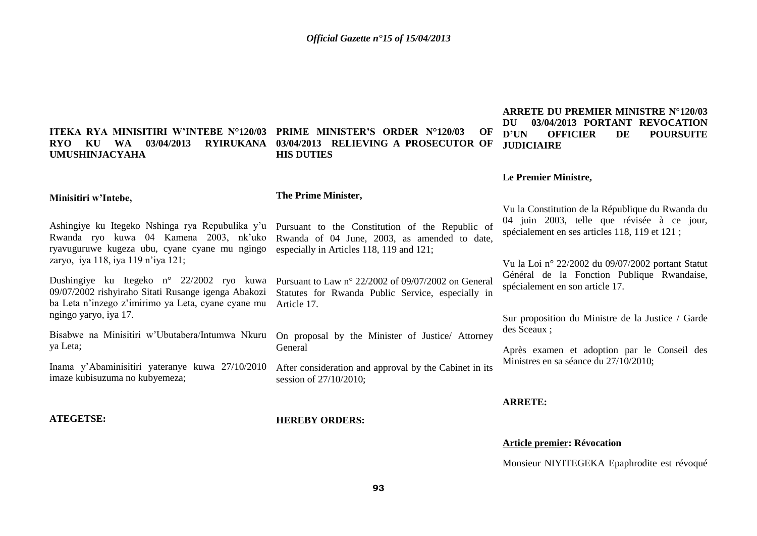# **UMUSHINJACYAHA**

### **ITEKA RYA MINISITIRI W'INTEBE N°120/03 PRIME MINISTER'S ORDER N°120/03 OF RYO KU WA 03/04/2013 RYIRUKANA 03/04/2013 RELIEVING A PROSECUTOR OF HIS DUTIES**

Pursuant to Law n° 22/2002 of 09/07/2002 on General Statutes for Rwanda Public Service, especially in

On proposal by the Minister of Justice/ Attorney

After consideration and approval by the Cabinet in its

### **ARRETE DU PREMIER MINISTRE N°120/03 DU 03/04/2013 PORTANT REVOCATION D'UN OFFICIER DE POURSUITE JUDICIAIRE**

### **Le Premier Ministre,**

#### **Minisitiri w'Intebe,**

### **The Prime Minister,**

Ashingiye ku Itegeko Nshinga rya Repubulika y'u Rwanda ryo kuwa 04 Kamena 2003, nk'uko ryavuguruwe kugeza ubu, cyane cyane mu ngingo zaryo, iya 118, iya 119 n'iya 121;

Dushingiye ku Itegeko n° 22/2002 ryo kuwa 09/07/2002 rishyiraho Sitati Rusange igenga Abakozi ba Leta n'inzego z'imirimo ya Leta, cyane cyane mu ngingo yaryo, iya 17.

Bisabwe na Minisitiri w'Ubutabera/Intumwa Nkuru ya Leta;

Inama y'Abaminisitiri yateranye kuwa 27/10/2010 imaze kubisuzuma no kubyemeza;

### **ATEGETSE:**

**HEREBY ORDERS:**

session of 27/10/2010;

Article 17.

General

Pursuant to the Constitution of the Republic of Rwanda of 04 June, 2003, as amended to date, especially in Articles 118, 119 and 121; 04 juin 2003, telle que révisée à ce jour, spécialement en ses articles 118, 119 et 121 ;

> Vu la Loi n° 22/2002 du 09/07/2002 portant Statut Général de la Fonction Publique Rwandaise, spécialement en son article 17.

> Vu la Constitution de la République du Rwanda du

Sur proposition du Ministre de la Justice / Garde des Sceaux ;

Après examen et adoption par le Conseil des Ministres en sa séance du 27/10/2010;

### **ARRETE:**

### **Article premier: Révocation**

Monsieur NIYITEGEKA Epaphrodite est révoqué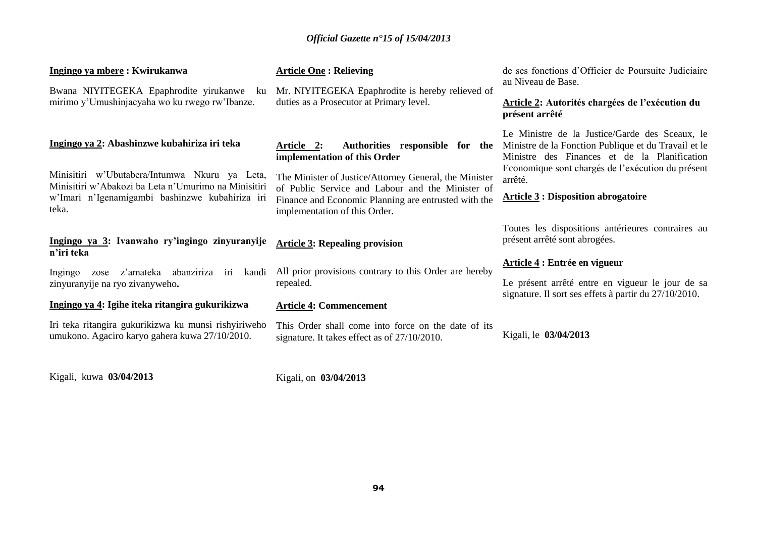| Ingingo ya mbere: Kwirukanwa<br>Bwana NIYITEGEKA Epaphrodite yirukanwe ku<br>mirimo y'Umushinjacyaha wo ku rwego rw'Ibanze.                                                                                       | <b>Article One: Relieving</b><br>Mr. NIYITEGEKA Epaphrodite is hereby relieved of<br>duties as a Prosecutor at Primary level.                                                                                                                                                        | de ses fonctions d'Officier de Poursuite Judiciaire<br>au Niveau de Base.<br>Article 2: Autorités chargées de l'exécution du<br>présent arrêté                                                                                                                      |
|-------------------------------------------------------------------------------------------------------------------------------------------------------------------------------------------------------------------|--------------------------------------------------------------------------------------------------------------------------------------------------------------------------------------------------------------------------------------------------------------------------------------|---------------------------------------------------------------------------------------------------------------------------------------------------------------------------------------------------------------------------------------------------------------------|
| Ingingo ya 2: Abashinzwe kubahiriza iri teka<br>Minisitiri w'Ubutabera/Intumwa Nkuru ya Leta,<br>Minisitiri w'Abakozi ba Leta n'Umurimo na Minisitiri<br>w'Imari n'Igenamigambi bashinzwe kubahiriza iri<br>teka. | Authorities responsible for the<br>Article 2:<br>implementation of this Order<br>The Minister of Justice/Attorney General, the Minister<br>of Public Service and Labour and the Minister of<br>Finance and Economic Planning are entrusted with the<br>implementation of this Order. | Le Ministre de la Justice/Garde des Sceaux, le<br>Ministre de la Fonction Publique et du Travail et le<br>Ministre des Finances et de la Planification<br>Economique sont chargés de l'exécution du présent<br>arrêté.<br><b>Article 3: Disposition abrogatoire</b> |
| Ingingo ya 3: Ivanwaho ry'ingingo zinyuranyije<br>n'iri teka<br>z'amateka<br>abanziriza iri<br>kandi<br>Ingingo<br>zose<br>zinyuranyije na ryo zivanyweho.<br>Ingingo ya 4: Igihe iteka ritangira gukurikizwa     | <b>Article 3: Repealing provision</b><br>All prior provisions contrary to this Order are hereby<br>repealed.<br><b>Article 4: Commencement</b>                                                                                                                                       | Toutes les dispositions antérieures contraires au<br>présent arrêté sont abrogées.<br>Article 4 : Entrée en vigueur<br>Le présent arrêté entre en vigueur le jour de sa<br>signature. Il sort ses effets à partir du 27/10/2010.                                    |
| Iri teka ritangira gukurikizwa ku munsi rishyiriweho<br>umukono. Agaciro karyo gahera kuwa 27/10/2010.                                                                                                            | This Order shall come into force on the date of its<br>signature. It takes effect as of 27/10/2010.                                                                                                                                                                                  | Kigali, le 03/04/2013                                                                                                                                                                                                                                               |

Kigali, kuwa **03/04/2013**

Kigali, on **03/04/2013**